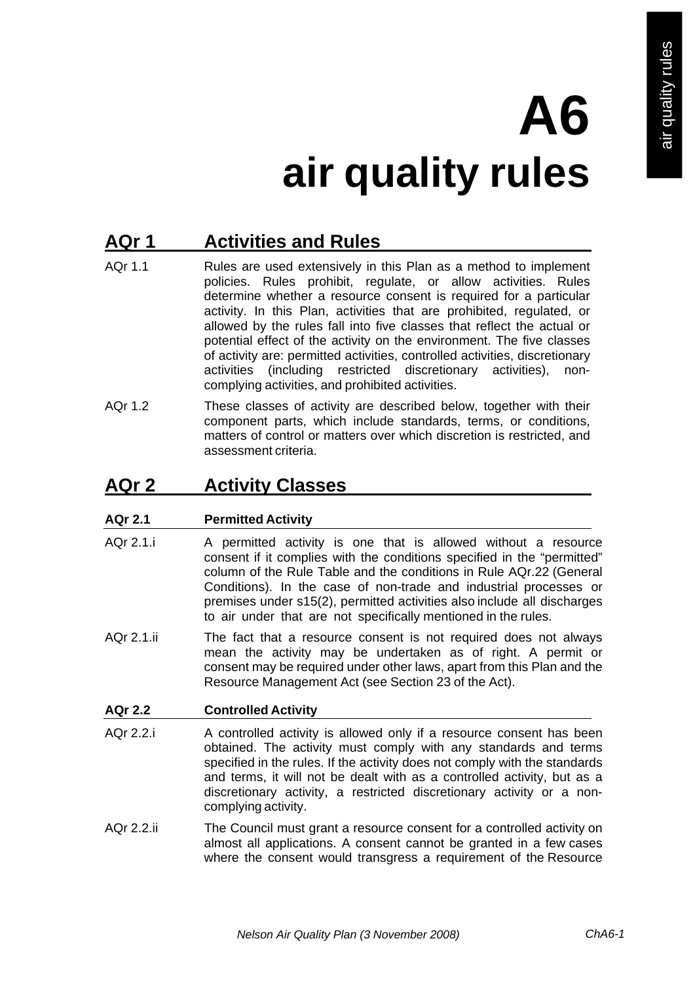# **A6 air quality rules**

# **AQr 1 Activities and Rules**

- AQr 1.1 Rules are used extensively in this Plan as a method to implement policies. Rules prohibit, regulate, or allow activities. Rules determine whether a resource consent is required for a particular activity. In this Plan, activities that are prohibited, regulated, or allowed by the rules fall into five classes that reflect the actual or potential effect of the activity on the environment. The five classes of activity are: permitted activities, controlled activities, discretionary activities (including restricted discretionary activities), noncomplying activities, and prohibited activities.
- AQr 1.2 These classes of activity are described below, together with their component parts, which include standards, terms, or conditions, matters of control or matters over which discretion is restricted, and assessment criteria.

# **AQr 2 Activity Classes**

#### **AQr 2.1 Permitted Activity**

- AQr 2.1.i A permitted activity is one that is allowed without a resource consent if it complies with the conditions specified in the "permitted" column of the Rule Table and the conditions in Rule AQr.22 (General Conditions). In the case of non-trade and industrial processes or premises under s15(2), permitted activities also include all discharges to air under that are not specifically mentioned in the rules.
- AQr 2.1.ii The fact that a resource consent is not required does not always mean the activity may be undertaken as of right. A permit or consent may be required under other laws, apart from this Plan and the Resource Management Act (see Section 23 of the Act).

#### **AQr 2.2 Controlled Activity**

- AQr 2.2.i A controlled activity is allowed only if a resource consent has been obtained. The activity must comply with any standards and terms specified in the rules. If the activity does not comply with the standards and terms, it will not be dealt with as a controlled activity, but as a discretionary activity, a restricted discretionary activity or a noncomplying activity.
- AQr 2.2.ii The Council must grant a resource consent for a controlled activity on almost all applications. A consent cannot be granted in a few cases where the consent would transgress a requirement of the Resource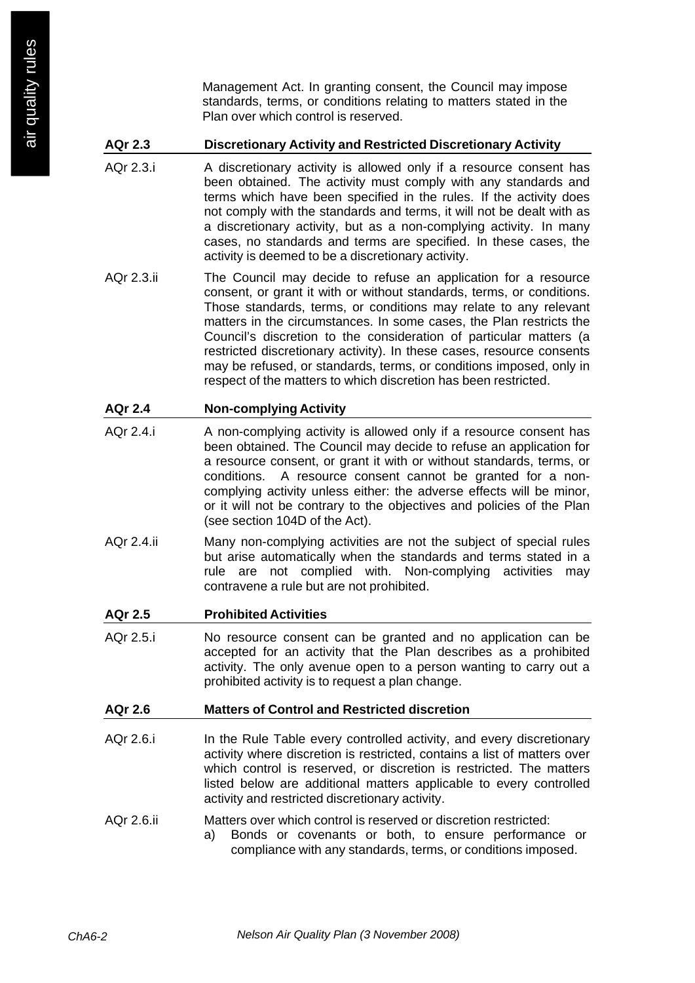Management Act. In granting consent, the Council may impose standards, terms, or conditions relating to matters stated in the Plan over which control is reserved.

#### **AQr 2.3 Discretionary Activity and Restricted Discretionary Activity**

- AQr 2.3.i A discretionary activity is allowed only if a resource consent has been obtained. The activity must comply with any standards and terms which have been specified in the rules. If the activity does not comply with the standards and terms, it will not be dealt with as a discretionary activity, but as a non-complying activity. In many cases, no standards and terms are specified. In these cases, the activity is deemed to be a discretionary activity.
- AQr 2.3.ii The Council may decide to refuse an application for a resource consent, or grant it with or without standards, terms, or conditions. Those standards, terms, or conditions may relate to any relevant matters in the circumstances. In some cases, the Plan restricts the Council's discretion to the consideration of particular matters (a restricted discretionary activity). In these cases, resource consents may be refused, or standards, terms, or conditions imposed, only in respect of the matters to which discretion has been restricted.

#### **AQr 2.4 Non-complying Activity**

- AQr 2.4.i A non-complying activity is allowed only if a resource consent has been obtained. The Council may decide to refuse an application for a resource consent, or grant it with or without standards, terms, or conditions. A resource consent cannot be granted for a noncomplying activity unless either: the adverse effects will be minor, or it will not be contrary to the objectives and policies of the Plan (see section 104D of the Act).
- AQr 2.4.ii Many non-complying activities are not the subject of special rules but arise automatically when the standards and terms stated in a rule are not complied with. Non-complying activities may contravene a rule but are not prohibited.

#### **AQr 2.5 Prohibited Activities**

AQr 2.5.i No resource consent can be granted and no application can be accepted for an activity that the Plan describes as a prohibited activity. The only avenue open to a person wanting to carry out a prohibited activity is to request a plan change.

#### **AQr 2.6 Matters of Control and Restricted discretion**

- AQr 2.6.i In the Rule Table every controlled activity, and every discretionary activity where discretion is restricted, contains a list of matters over which control is reserved, or discretion is restricted. The matters listed below are additional matters applicable to every controlled activity and restricted discretionary activity.
- AQr 2.6.ii Matters over which control is reserved or discretion restricted: a) Bonds or covenants or both, to ensure performance or compliance with any standards, terms, or conditions imposed.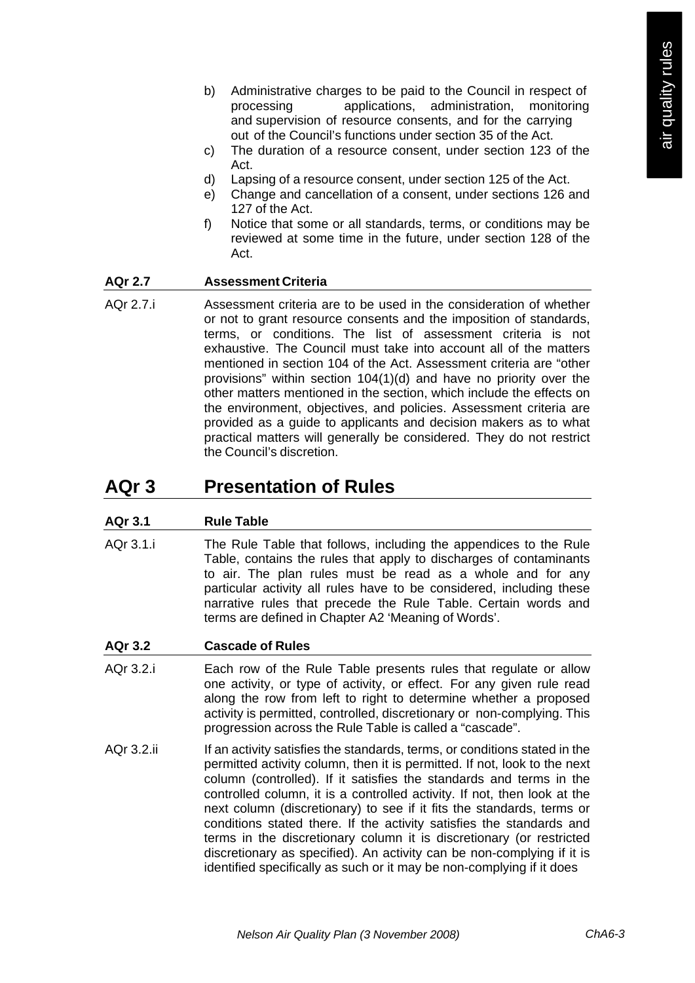- b) Administrative charges to be paid to the Council in respect of processing applications, administration, monitoring and supervision of resource consents, and for the carrying out of the Council's functions under section 35 of the Act.
- c) The duration of a resource consent, under section 123 of the Act.
- d) Lapsing of a resource consent, under section 125 of the Act.
- e) Change and cancellation of a consent, under sections 126 and 127 of the Act.
- f) Notice that some or all standards, terms, or conditions may be reviewed at some time in the future, under section 128 of the Act.

#### **AQr 2.7 Assessment Criteria**

AQr 2.7.i Assessment criteria are to be used in the consideration of whether or not to grant resource consents and the imposition of standards, terms, or conditions. The list of assessment criteria is not exhaustive. The Council must take into account all of the matters mentioned in section 104 of the Act. Assessment criteria are "other provisions" within section 104(1)(d) and have no priority over the other matters mentioned in the section, which include the effects on the environment, objectives, and policies. Assessment criteria are provided as a guide to applicants and decision makers as to what practical matters will generally be considered. They do not restrict the Council's discretion.

## **AQr 3 Presentation of Rules**

#### **AQr 3.1 Rule Table**

AQr 3.1.i The Rule Table that follows, including the appendices to the Rule Table, contains the rules that apply to discharges of contaminants to air. The plan rules must be read as a whole and for any particular activity all rules have to be considered, including these narrative rules that precede the Rule Table. Certain words and terms are defined in Chapter A2 'Meaning of Words'.

#### **AQr 3.2 Cascade of Rules**

- AQr 3.2.i Each row of the Rule Table presents rules that regulate or allow one activity, or type of activity, or effect. For any given rule read along the row from left to right to determine whether a proposed activity is permitted, controlled, discretionary or non-complying. This progression across the Rule Table is called a "cascade".
- AQr 3.2.ii If an activity satisfies the standards, terms, or conditions stated in the permitted activity column, then it is permitted. If not, look to the next column (controlled). If it satisfies the standards and terms in the controlled column, it is a controlled activity. If not, then look at the next column (discretionary) to see if it fits the standards, terms or conditions stated there. If the activity satisfies the standards and terms in the discretionary column it is discretionary (or restricted discretionary as specified). An activity can be non-complying if it is identified specifically as such or it may be non-complying if it does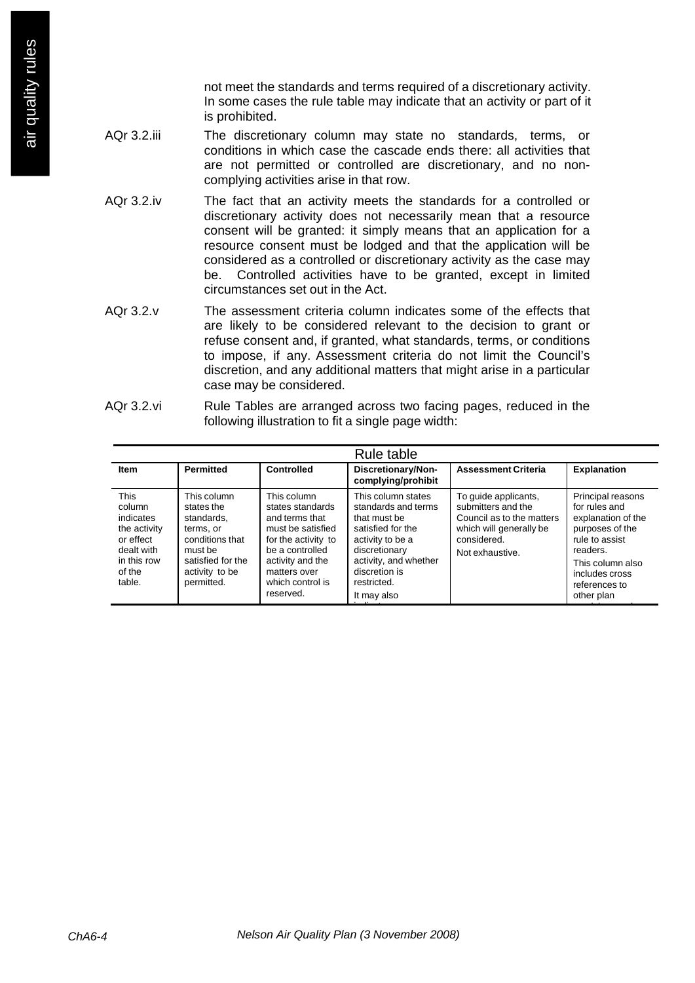not meet the standards and terms required of a discretionary activity. In some cases the rule table may indicate that an activity or part of it is prohibited.

- AQr 3.2.iii The discretionary column may state no standards, terms, or conditions in which case the cascade ends there: all activities that are not permitted or controlled are discretionary, and no noncomplying activities arise in that row.
- AQr 3.2.iv The fact that an activity meets the standards for a controlled or discretionary activity does not necessarily mean that a resource consent will be granted: it simply means that an application for a resource consent must be lodged and that the application will be considered as a controlled or discretionary activity as the case may be. Controlled activities have to be granted, except in limited circumstances set out in the Act.
- AQr 3.2.v The assessment criteria column indicates some of the effects that are likely to be considered relevant to the decision to grant or refuse consent and, if granted, what standards, terms, or conditions to impose, if any. Assessment criteria do not limit the Council's discretion, and any additional matters that might arise in a particular case may be considered.
- AQr 3.2.vi Rule Tables are arranged across two facing pages, reduced in the following illustration to fit a single page width:

| Rule table                                                                                                       |                                                                                                                                         |                                                                                                                                                                                       |                                                                                                                                                                                             |                                                                                                                                      |                                                                                                                                                                                       |
|------------------------------------------------------------------------------------------------------------------|-----------------------------------------------------------------------------------------------------------------------------------------|---------------------------------------------------------------------------------------------------------------------------------------------------------------------------------------|---------------------------------------------------------------------------------------------------------------------------------------------------------------------------------------------|--------------------------------------------------------------------------------------------------------------------------------------|---------------------------------------------------------------------------------------------------------------------------------------------------------------------------------------|
| <b>Item</b>                                                                                                      | <b>Permitted</b>                                                                                                                        | <b>Controlled</b>                                                                                                                                                                     | Discretionary/Non-<br>complying/prohibit                                                                                                                                                    | <b>Assessment Criteria</b>                                                                                                           | <b>Explanation</b>                                                                                                                                                                    |
| <b>This</b><br>column<br>indicates<br>the activity<br>or effect<br>dealt with<br>in this row<br>of the<br>table. | This column<br>states the<br>standards.<br>terms, or<br>conditions that<br>must be<br>satisfied for the<br>activity to be<br>permitted. | This column<br>states standards<br>and terms that<br>must be satisfied<br>for the activity to<br>be a controlled<br>activity and the<br>matters over<br>which control is<br>reserved. | This column states<br>standards and terms<br>that must be<br>satisfied for the<br>activity to be a<br>discretionary<br>activity, and whether<br>discretion is<br>restricted.<br>It may also | To guide applicants,<br>submitters and the<br>Council as to the matters<br>which will generally be<br>considered.<br>Not exhaustive. | <b>Principal reasons</b><br>for rules and<br>explanation of the<br>purposes of the<br>rule to assist<br>readers.<br>This column also<br>includes cross<br>references to<br>other plan |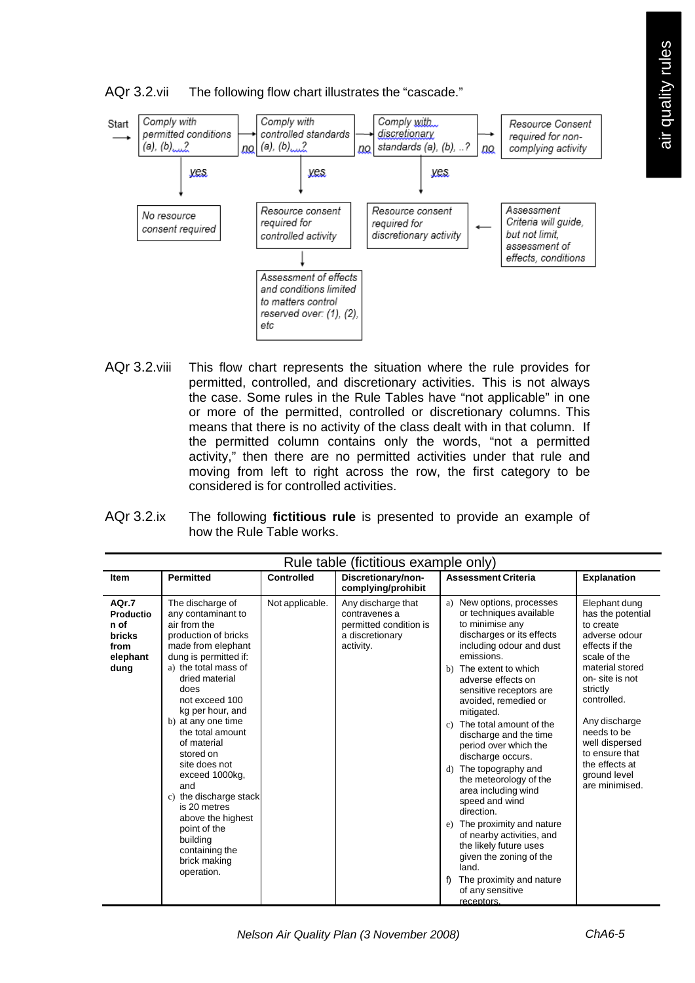#### AQr 3.2.vii The following flow chart illustrates the "cascade."



AQr 3.2.viii This flow chart represents the situation where the rule provides for permitted, controlled, and discretionary activities. This is not always the case. Some rules in the Rule Tables have "not applicable" in one or more of the permitted, controlled or discretionary columns. This means that there is no activity of the class dealt with in that column. If the permitted column contains only the words, "not a permitted activity," then there are no permitted activities under that rule and moving from left to right across the row, the first category to be considered is for controlled activities.

AQr 3.2.ix The following **fictitious rule** is presented to provide an example of how the Rule Table works.

|                                                                                | Rule table (fictitious example only)                                                                                                                                                                                                                                                                                                                                                                                                                                             |                   |                                                                                               |                                                                                                                                                                                                                                                                                                                                                                                                                                                                                                                                                                                                                                                                            |                                                                                                                                                                                                                                                                                            |
|--------------------------------------------------------------------------------|----------------------------------------------------------------------------------------------------------------------------------------------------------------------------------------------------------------------------------------------------------------------------------------------------------------------------------------------------------------------------------------------------------------------------------------------------------------------------------|-------------------|-----------------------------------------------------------------------------------------------|----------------------------------------------------------------------------------------------------------------------------------------------------------------------------------------------------------------------------------------------------------------------------------------------------------------------------------------------------------------------------------------------------------------------------------------------------------------------------------------------------------------------------------------------------------------------------------------------------------------------------------------------------------------------------|--------------------------------------------------------------------------------------------------------------------------------------------------------------------------------------------------------------------------------------------------------------------------------------------|
| <b>Item</b>                                                                    | <b>Permitted</b>                                                                                                                                                                                                                                                                                                                                                                                                                                                                 | <b>Controlled</b> | Discretionary/non-<br>complying/prohibit                                                      | <b>Assessment Criteria</b>                                                                                                                                                                                                                                                                                                                                                                                                                                                                                                                                                                                                                                                 | <b>Explanation</b>                                                                                                                                                                                                                                                                         |
| AQr.7<br><b>Productio</b><br>n of<br><b>bricks</b><br>from<br>elephant<br>dung | The discharge of<br>any contaminant to<br>air from the<br>production of bricks<br>made from elephant<br>dung is permitted if:<br>a) the total mass of<br>dried material<br>does<br>not exceed 100<br>kg per hour, and<br>b) at any one time<br>the total amount<br>of material<br>stored on<br>site does not<br>exceed 1000kg,<br>and<br>c) the discharge stack<br>is 20 metres<br>above the highest<br>point of the<br>building<br>containing the<br>brick making<br>operation. | Not applicable.   | Any discharge that<br>contravenes a<br>permitted condition is<br>a discretionary<br>activity. | a) New options, processes<br>or techniques available<br>to minimise any<br>discharges or its effects<br>including odour and dust<br>emissions.<br>b) The extent to which<br>adverse effects on<br>sensitive receptors are<br>avoided, remedied or<br>mitigated.<br>The total amount of the<br>discharge and the time<br>period over which the<br>discharge occurs.<br>The topography and<br>d)<br>the meteorology of the<br>area including wind<br>speed and wind<br>direction.<br>The proximity and nature<br>e)<br>of nearby activities, and<br>the likely future uses<br>given the zoning of the<br>land.<br>The proximity and nature<br>of any sensitive<br>receptors. | Elephant dung<br>has the potential<br>to create<br>adverse odour<br>effects if the<br>scale of the<br>material stored<br>on-site is not<br>strictly<br>controlled.<br>Any discharge<br>needs to be<br>well dispersed<br>to ensure that<br>the effects at<br>ground level<br>are minimised. |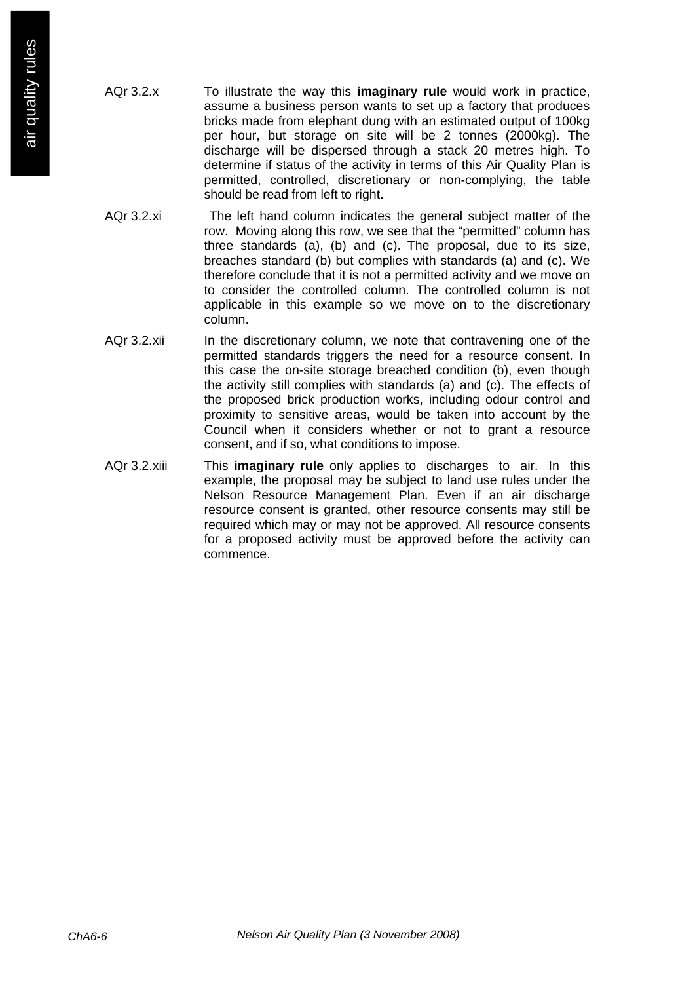- AQr 3.2.x To illustrate the way this **imaginary rule** would work in practice, assume a business person wants to set up a factory that produces bricks made from elephant dung with an estimated output of 100kg per hour, but storage on site will be 2 tonnes (2000kg). The discharge will be dispersed through a stack 20 metres high. To determine if status of the activity in terms of this Air Quality Plan is permitted, controlled, discretionary or non-complying, the table should be read from left to right.
- AQr 3.2.xi The left hand column indicates the general subject matter of the row. Moving along this row, we see that the "permitted" column has three standards (a), (b) and (c). The proposal, due to its size, breaches standard (b) but complies with standards (a) and (c). We therefore conclude that it is not a permitted activity and we move on to consider the controlled column. The controlled column is not applicable in this example so we move on to the discretionary column.
- AQr 3.2.xii In the discretionary column, we note that contravening one of the permitted standards triggers the need for a resource consent. In this case the on-site storage breached condition (b), even though the activity still complies with standards (a) and (c). The effects of the proposed brick production works, including odour control and proximity to sensitive areas, would be taken into account by the Council when it considers whether or not to grant a resource consent, and if so, what conditions to impose.
- AQr 3.2.xiii This **imaginary rule** only applies to discharges to air. In this example, the proposal may be subject to land use rules under the Nelson Resource Management Plan. Even if an air discharge resource consent is granted, other resource consents may still be required which may or may not be approved. All resource consents for a proposed activity must be approved before the activity can commence.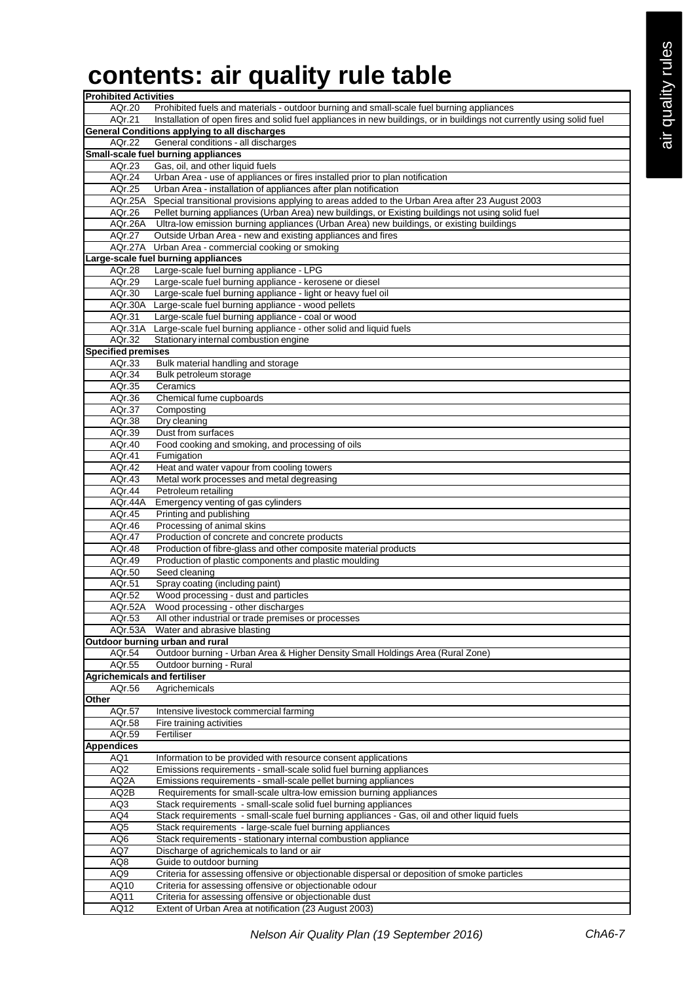# **contents: air quality rule table**

| <b>Prohibited Activities</b>        |                                                                                                                       |
|-------------------------------------|-----------------------------------------------------------------------------------------------------------------------|
| AQr.20                              | Prohibited fuels and materials - outdoor burning and small-scale fuel burning appliances                              |
| AQr.21                              | Installation of open fires and solid fuel appliances in new buildings, or in buildings not currently using solid fuel |
|                                     | <b>General Conditions applying to all discharges</b>                                                                  |
| AQr.22                              | General conditions - all discharges                                                                                   |
|                                     | Small-scale fuel burning appliances                                                                                   |
| AQr.23                              | Gas, oil, and other liquid fuels                                                                                      |
| AQr.24                              | Urban Area - use of appliances or fires installed prior to plan notification                                          |
| AQr.25                              | Urban Area - installation of appliances after plan notification                                                       |
| AQr.25A                             | Special transitional provisions applying to areas added to the Urban Area after 23 August 2003                        |
| AQr.26                              | Pellet burning appliances (Urban Area) new buildings, or Existing buildings not using solid fuel                      |
| AQr.26A                             | Ultra-low emission burning appliances (Urban Area) new buildings, or existing buildings                               |
|                                     |                                                                                                                       |
| AQr.27                              | Outside Urban Area - new and existing appliances and fires<br>AQr.27A Urban Area - commercial cooking or smoking      |
|                                     |                                                                                                                       |
|                                     | Large-scale fuel burning appliances                                                                                   |
| AQr.28                              | Large-scale fuel burning appliance - LPG                                                                              |
| AQr.29                              | Large-scale fuel burning appliance - kerosene or diesel                                                               |
| AQr.30                              | Large-scale fuel burning appliance - light or heavy fuel oil                                                          |
| AQr.30A                             | Large-scale fuel burning appliance - wood pellets                                                                     |
| AQr.31                              | Large-scale fuel burning appliance - coal or wood                                                                     |
| AQr.31A                             | Large-scale fuel burning appliance - other solid and liquid fuels                                                     |
| AQr.32                              | Stationary internal combustion engine                                                                                 |
| <b>Specified premises</b>           |                                                                                                                       |
| AQr.33                              | Bulk material handling and storage                                                                                    |
| AQr.34                              | Bulk petroleum storage                                                                                                |
| AQr.35                              | Ceramics                                                                                                              |
| AQr.36                              | Chemical fume cupboards                                                                                               |
| AQr.37                              | Composting                                                                                                            |
| AQr.38                              | Dry cleaning                                                                                                          |
| AQr.39                              | Dust from surfaces                                                                                                    |
| AQr.40                              | Food cooking and smoking, and processing of oils                                                                      |
| AQr.41                              | Fumigation                                                                                                            |
| AQr.42                              | Heat and water vapour from cooling towers                                                                             |
| AQr.43                              | Metal work processes and metal degreasing                                                                             |
| AQr.44                              | Petroleum retailing                                                                                                   |
| AQr.44A                             | Emergency venting of gas cylinders                                                                                    |
| AQr.45                              | Printing and publishing                                                                                               |
| AQr.46                              | Processing of animal skins                                                                                            |
| AQr.47                              | Production of concrete and concrete products                                                                          |
| <b>AQr.48</b>                       | Production of fibre-glass and other composite material products                                                       |
| AQr.49                              | Production of plastic components and plastic moulding                                                                 |
| AQr.50                              | Seed cleaning                                                                                                         |
| AQr.51                              | Spray coating (including paint)                                                                                       |
| AQr.52                              | Wood processing - dust and particles                                                                                  |
| AQr.52A                             | Wood processing - other discharges                                                                                    |
| AQr.53                              | All other industrial or trade premises or processes                                                                   |
| AQr.53A                             | Water and abrasive blasting                                                                                           |
|                                     | Outdoor burning urban and rural                                                                                       |
| AQr.54                              | Outdoor burning - Urban Area & Higher Density Small Holdings Area (Rural Zone)                                        |
| AQr.55                              | Outdoor burning - Rural                                                                                               |
| <b>Agrichemicals and fertiliser</b> |                                                                                                                       |
| AQr.56                              | Agrichemicals                                                                                                         |
| Other                               |                                                                                                                       |
| AQr.57                              | Intensive livestock commercial farming                                                                                |
| AQr.58                              | Fire training activities                                                                                              |
|                                     |                                                                                                                       |
| AQr.59<br><b>Appendices</b>         | Fertiliser                                                                                                            |
| AQ1                                 |                                                                                                                       |
|                                     | Information to be provided with resource consent applications                                                         |
| AQ <sub>2</sub>                     | Emissions requirements - small-scale solid fuel burning appliances                                                    |
| AQ2A                                | Emissions requirements - small-scale pellet burning appliances                                                        |
| AQ2B                                | Requirements for small-scale ultra-low emission burning appliances                                                    |
| AQ3                                 | Stack requirements - small-scale solid fuel burning appliances                                                        |
| AQ4                                 | Stack requirements - small-scale fuel burning appliances - Gas, oil and other liquid fuels                            |
| AQ <sub>5</sub>                     | Stack requirements - large-scale fuel burning appliances                                                              |
| AQ6                                 | Stack requirements - stationary internal combustion appliance                                                         |
| AQ7                                 | Discharge of agrichemicals to land or air                                                                             |
| AQ8                                 | Guide to outdoor burning                                                                                              |
| AQ9                                 | Criteria for assessing offensive or objectionable dispersal or deposition of smoke particles                          |
| AQ10                                | Criteria for assessing offensive or objectionable odour                                                               |
| AQ11                                | Criteria for assessing offensive or objectionable dust                                                                |
| AQ12                                | Extent of Urban Area at notification (23 August 2003)                                                                 |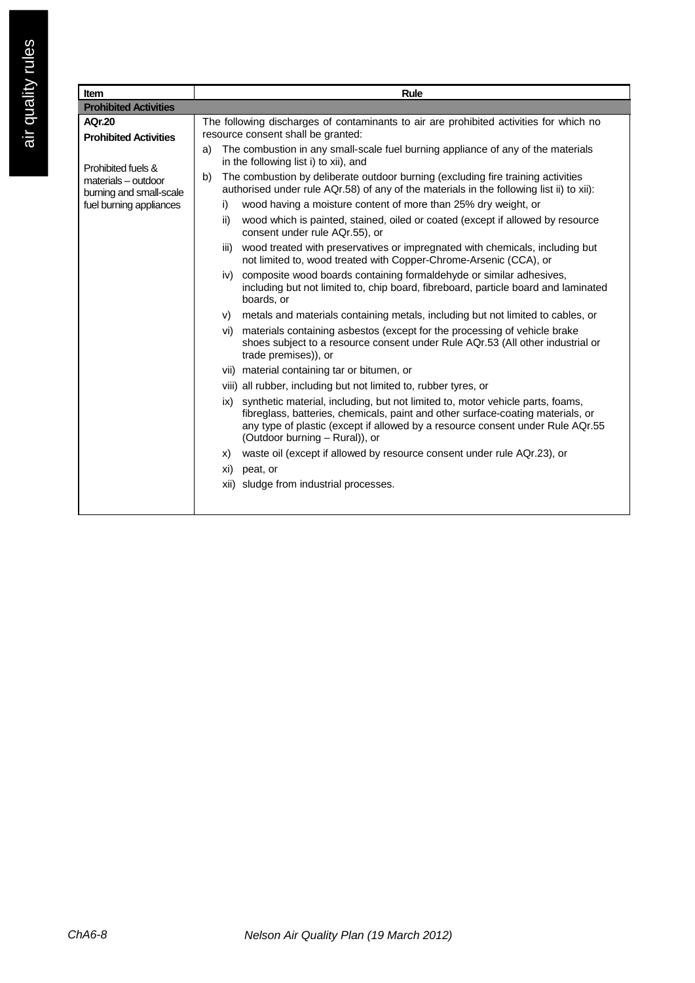| Item                                                                                                    | Rule                                                                                                                                                                                                                                                                                      |  |  |  |  |  |
|---------------------------------------------------------------------------------------------------------|-------------------------------------------------------------------------------------------------------------------------------------------------------------------------------------------------------------------------------------------------------------------------------------------|--|--|--|--|--|
|                                                                                                         | <b>Prohibited Activities</b>                                                                                                                                                                                                                                                              |  |  |  |  |  |
| <b>AQr.20</b><br>The following discharges of contaminants to air are prohibited activities for which no |                                                                                                                                                                                                                                                                                           |  |  |  |  |  |
| <b>Prohibited Activities</b>                                                                            | resource consent shall be granted:                                                                                                                                                                                                                                                        |  |  |  |  |  |
| Prohibited fuels &                                                                                      | The combustion in any small-scale fuel burning appliance of any of the materials<br>a)<br>in the following list i) to xii), and                                                                                                                                                           |  |  |  |  |  |
| materials - outdoor<br>burning and small-scale                                                          | The combustion by deliberate outdoor burning (excluding fire training activities<br>b)<br>authorised under rule AQr.58) of any of the materials in the following list ii) to xii):                                                                                                        |  |  |  |  |  |
| fuel burning appliances                                                                                 | wood having a moisture content of more than 25% dry weight, or<br>i)                                                                                                                                                                                                                      |  |  |  |  |  |
|                                                                                                         | ii)<br>wood which is painted, stained, oiled or coated (except if allowed by resource<br>consent under rule AQr.55), or                                                                                                                                                                   |  |  |  |  |  |
|                                                                                                         | wood treated with preservatives or impregnated with chemicals, including but<br>iii)<br>not limited to, wood treated with Copper-Chrome-Arsenic (CCA), or                                                                                                                                 |  |  |  |  |  |
|                                                                                                         | iv) composite wood boards containing formaldehyde or similar adhesives,<br>including but not limited to, chip board, fibreboard, particle board and laminated<br>boards, or                                                                                                               |  |  |  |  |  |
|                                                                                                         | metals and materials containing metals, including but not limited to cables, or<br>V)                                                                                                                                                                                                     |  |  |  |  |  |
|                                                                                                         | vi) materials containing asbestos (except for the processing of vehicle brake<br>shoes subject to a resource consent under Rule AQr.53 (All other industrial or<br>trade premises)), or                                                                                                   |  |  |  |  |  |
|                                                                                                         | vii) material containing tar or bitumen, or                                                                                                                                                                                                                                               |  |  |  |  |  |
|                                                                                                         | viii) all rubber, including but not limited to, rubber tyres, or                                                                                                                                                                                                                          |  |  |  |  |  |
|                                                                                                         | ix) synthetic material, including, but not limited to, motor vehicle parts, foams,<br>fibreglass, batteries, chemicals, paint and other surface-coating materials, or<br>any type of plastic (except if allowed by a resource consent under Rule AQr.55<br>(Outdoor burning - Rural)), or |  |  |  |  |  |
|                                                                                                         | waste oil (except if allowed by resource consent under rule AQr.23), or<br>X)                                                                                                                                                                                                             |  |  |  |  |  |
|                                                                                                         | xi)<br>peat, or                                                                                                                                                                                                                                                                           |  |  |  |  |  |
|                                                                                                         | xii) sludge from industrial processes.                                                                                                                                                                                                                                                    |  |  |  |  |  |
|                                                                                                         |                                                                                                                                                                                                                                                                                           |  |  |  |  |  |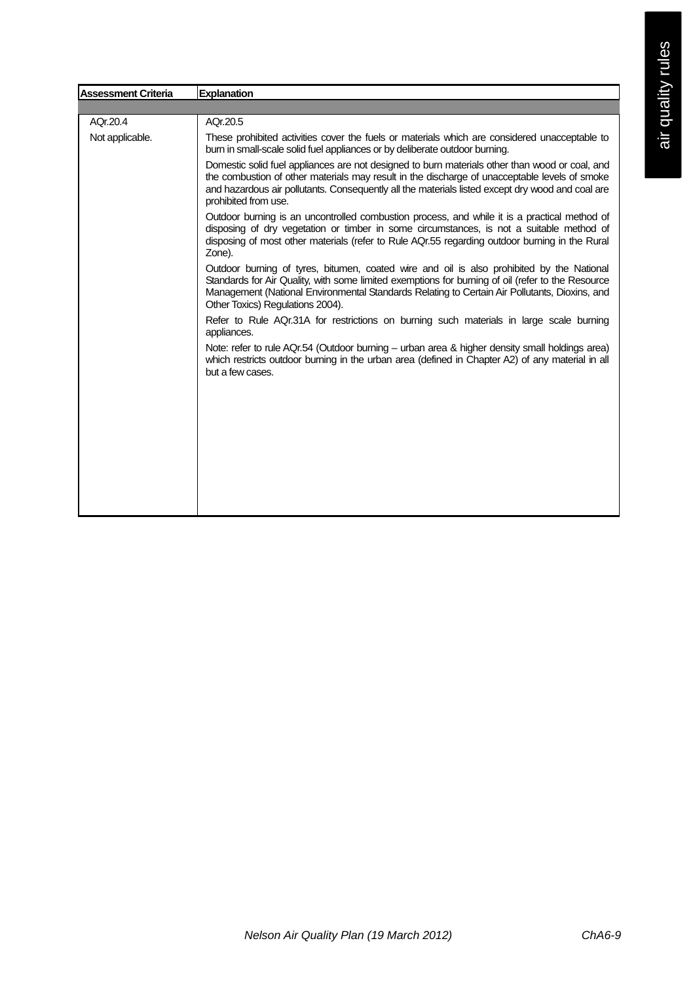| <b>Assessment Criteria</b> | <b>Explanation</b>                                                                                                                                                                                                                                                                                                                  |  |  |
|----------------------------|-------------------------------------------------------------------------------------------------------------------------------------------------------------------------------------------------------------------------------------------------------------------------------------------------------------------------------------|--|--|
|                            |                                                                                                                                                                                                                                                                                                                                     |  |  |
| AQr.20.4                   | AQr.20.5                                                                                                                                                                                                                                                                                                                            |  |  |
| Not applicable.            | These prohibited activities cover the fuels or materials which are considered unacceptable to<br>burn in small-scale solid fuel appliances or by deliberate outdoor burning.                                                                                                                                                        |  |  |
|                            | Domestic solid fuel appliances are not designed to burn materials other than wood or coal, and<br>the combustion of other materials may result in the discharge of unacceptable levels of smoke<br>and hazardous air pollutants. Consequently all the materials listed except dry wood and coal are<br>prohibited from use.         |  |  |
|                            | Outdoor burning is an uncontrolled combustion process, and while it is a practical method of<br>disposing of dry vegetation or timber in some circumstances, is not a suitable method of<br>disposing of most other materials (refer to Rule AQr.55 regarding outdoor burning in the Rural<br>Zone).                                |  |  |
|                            | Outdoor burning of tyres, bitumen, coated wire and oil is also prohibited by the National<br>Standards for Air Quality, with some limited exemptions for burning of oil (refer to the Resource<br>Management (National Environmental Standards Relating to Certain Air Pollutants, Dioxins, and<br>Other Toxics) Regulations 2004). |  |  |
|                            | Refer to Rule AQr.31A for restrictions on burning such materials in large scale burning<br>appliances.                                                                                                                                                                                                                              |  |  |
|                            | Note: refer to rule AQr.54 (Outdoor burning - urban area & higher density small holdings area)<br>which restricts outdoor burning in the urban area (defined in Chapter A2) of any material in all<br>but a few cases.                                                                                                              |  |  |
|                            |                                                                                                                                                                                                                                                                                                                                     |  |  |
|                            |                                                                                                                                                                                                                                                                                                                                     |  |  |
|                            |                                                                                                                                                                                                                                                                                                                                     |  |  |
|                            |                                                                                                                                                                                                                                                                                                                                     |  |  |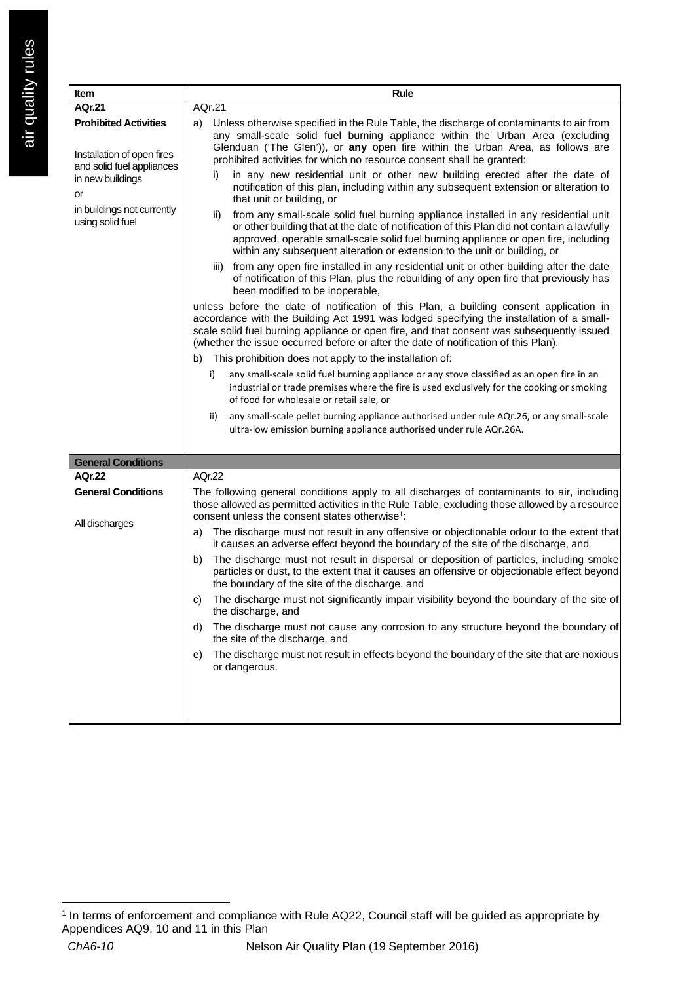| Item                                                       | Rule                                                                                                                                                                                                                                                                                                                                                                   |  |  |
|------------------------------------------------------------|------------------------------------------------------------------------------------------------------------------------------------------------------------------------------------------------------------------------------------------------------------------------------------------------------------------------------------------------------------------------|--|--|
| <b>AQr.21</b>                                              | AQr.21                                                                                                                                                                                                                                                                                                                                                                 |  |  |
| <b>Prohibited Activities</b><br>Installation of open fires | Unless otherwise specified in the Rule Table, the discharge of contaminants to air from<br>a)<br>any small-scale solid fuel burning appliance within the Urban Area (excluding<br>Glenduan ('The Glen')), or any open fire within the Urban Area, as follows are<br>prohibited activities for which no resource consent shall be granted:                              |  |  |
| and solid fuel appliances<br>in new buildings<br>or        | in any new residential unit or other new building erected after the date of<br>i)<br>notification of this plan, including within any subsequent extension or alteration to<br>that unit or building, or                                                                                                                                                                |  |  |
| in buildings not currently<br>using solid fuel             | from any small-scale solid fuel burning appliance installed in any residential unit<br>ii)<br>or other building that at the date of notification of this Plan did not contain a lawfully<br>approved, operable small-scale solid fuel burning appliance or open fire, including<br>within any subsequent alteration or extension to the unit or building, or           |  |  |
|                                                            | from any open fire installed in any residential unit or other building after the date<br>iii)<br>of notification of this Plan, plus the rebuilding of any open fire that previously has<br>been modified to be inoperable,                                                                                                                                             |  |  |
|                                                            | unless before the date of notification of this Plan, a building consent application in<br>accordance with the Building Act 1991 was lodged specifying the installation of a small-<br>scale solid fuel burning appliance or open fire, and that consent was subsequently issued<br>(whether the issue occurred before or after the date of notification of this Plan). |  |  |
|                                                            | This prohibition does not apply to the installation of:<br>b)                                                                                                                                                                                                                                                                                                          |  |  |
|                                                            | any small-scale solid fuel burning appliance or any stove classified as an open fire in an<br>i)<br>industrial or trade premises where the fire is used exclusively for the cooking or smoking<br>of food for wholesale or retail sale, or                                                                                                                             |  |  |
|                                                            | any small-scale pellet burning appliance authorised under rule AQr.26, or any small-scale<br>ii)<br>ultra-low emission burning appliance authorised under rule AQr.26A.                                                                                                                                                                                                |  |  |
| <b>General Conditions</b>                                  |                                                                                                                                                                                                                                                                                                                                                                        |  |  |
| <b>AQr.22</b>                                              | <b>AQr.22</b>                                                                                                                                                                                                                                                                                                                                                          |  |  |
| <b>General Conditions</b>                                  | The following general conditions apply to all discharges of contaminants to air, including<br>those allowed as permitted activities in the Rule Table, excluding those allowed by a resource<br>consent unless the consent states otherwise <sup>1</sup> :                                                                                                             |  |  |
| All discharges                                             | The discharge must not result in any offensive or objectionable odour to the extent that<br>a)<br>it causes an adverse effect beyond the boundary of the site of the discharge, and                                                                                                                                                                                    |  |  |
|                                                            | The discharge must not result in dispersal or deposition of particles, including smoke<br>b)<br>particles or dust, to the extent that it causes an offensive or objectionable effect beyond<br>the boundary of the site of the discharge, and                                                                                                                          |  |  |
|                                                            | The discharge must not significantly impair visibility beyond the boundary of the site of<br>C)<br>the discharge, and                                                                                                                                                                                                                                                  |  |  |
|                                                            | The discharge must not cause any corrosion to any structure beyond the boundary of<br>d)<br>the site of the discharge, and                                                                                                                                                                                                                                             |  |  |
|                                                            | The discharge must not result in effects beyond the boundary of the site that are noxious<br>e)<br>or dangerous.                                                                                                                                                                                                                                                       |  |  |
|                                                            |                                                                                                                                                                                                                                                                                                                                                                        |  |  |
|                                                            |                                                                                                                                                                                                                                                                                                                                                                        |  |  |

<sup>&</sup>lt;sup>1</sup> In terms of enforcement and compliance with Rule AQ22, Council staff will be guided as appropriate by Appendices AQ9, 10 and 11 in this Plan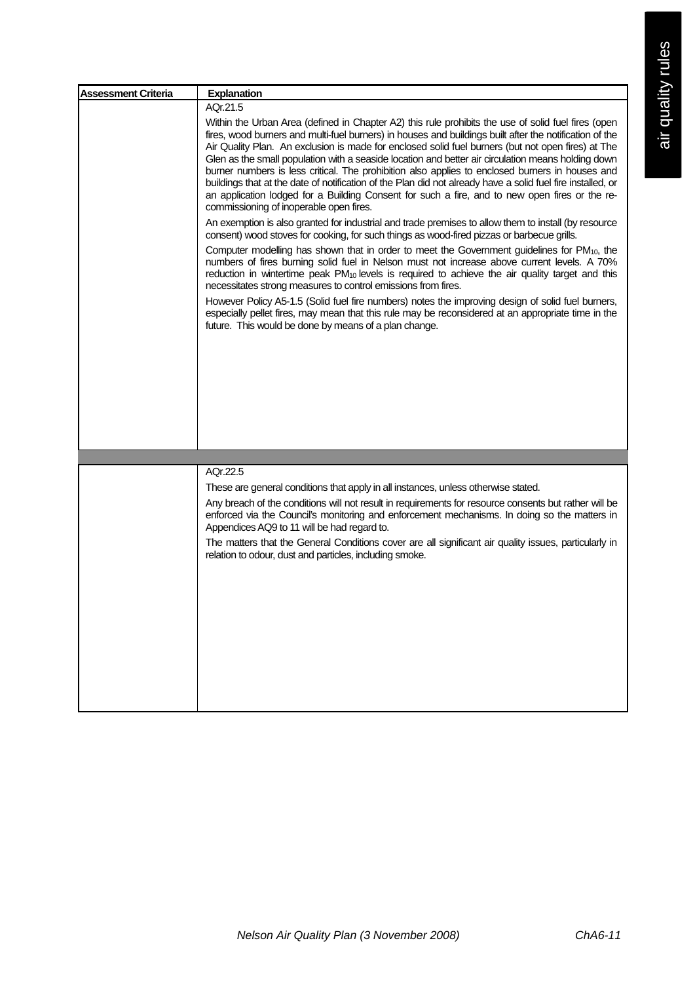| <b>Assessment Criteria</b> | <b>Explanation</b>                                                                                                                                                                                                                                                                                                                                                                                                                                                                                                                                                                                                                                                                                                                                                                        |
|----------------------------|-------------------------------------------------------------------------------------------------------------------------------------------------------------------------------------------------------------------------------------------------------------------------------------------------------------------------------------------------------------------------------------------------------------------------------------------------------------------------------------------------------------------------------------------------------------------------------------------------------------------------------------------------------------------------------------------------------------------------------------------------------------------------------------------|
|                            | AQr.21.5                                                                                                                                                                                                                                                                                                                                                                                                                                                                                                                                                                                                                                                                                                                                                                                  |
|                            | Within the Urban Area (defined in Chapter A2) this rule prohibits the use of solid fuel fires (open<br>fires, wood burners and multi-fuel burners) in houses and buildings built after the notification of the<br>Air Quality Plan. An exclusion is made for enclosed solid fuel burners (but not open fires) at The<br>Glen as the small population with a seaside location and better air circulation means holding down<br>burner numbers is less critical. The prohibition also applies to enclosed burners in houses and<br>buildings that at the date of notification of the Plan did not already have a solid fuel fire installed, or<br>an application lodged for a Building Consent for such a fire, and to new open fires or the re-<br>commissioning of inoperable open fires. |
|                            | An exemption is also granted for industrial and trade premises to allow them to install (by resource<br>consent) wood stoves for cooking, for such things as wood-fired pizzas or barbecue grills.                                                                                                                                                                                                                                                                                                                                                                                                                                                                                                                                                                                        |
|                            | Computer modelling has shown that in order to meet the Government guidelines for PM <sub>10</sub> , the<br>numbers of fires burning solid fuel in Nelson must not increase above current levels. A 70%<br>reduction in wintertime peak $PM_{10}$ levels is required to achieve the air quality target and this<br>necessitates strong measures to control emissions from fires.                                                                                                                                                                                                                                                                                                                                                                                                           |
|                            | However Policy A5-1.5 (Solid fuel fire numbers) notes the improving design of solid fuel burners,<br>especially pellet fires, may mean that this rule may be reconsidered at an appropriate time in the<br>future. This would be done by means of a plan change.                                                                                                                                                                                                                                                                                                                                                                                                                                                                                                                          |
|                            |                                                                                                                                                                                                                                                                                                                                                                                                                                                                                                                                                                                                                                                                                                                                                                                           |
|                            |                                                                                                                                                                                                                                                                                                                                                                                                                                                                                                                                                                                                                                                                                                                                                                                           |
|                            |                                                                                                                                                                                                                                                                                                                                                                                                                                                                                                                                                                                                                                                                                                                                                                                           |
|                            |                                                                                                                                                                                                                                                                                                                                                                                                                                                                                                                                                                                                                                                                                                                                                                                           |
|                            |                                                                                                                                                                                                                                                                                                                                                                                                                                                                                                                                                                                                                                                                                                                                                                                           |
|                            | AQr.22.5                                                                                                                                                                                                                                                                                                                                                                                                                                                                                                                                                                                                                                                                                                                                                                                  |
|                            | These are general conditions that apply in all instances, unless otherwise stated.                                                                                                                                                                                                                                                                                                                                                                                                                                                                                                                                                                                                                                                                                                        |
|                            | Any breach of the conditions will not result in requirements for resource consents but rather will be<br>enforced via the Council's monitoring and enforcement mechanisms. In doing so the matters in<br>Appendices AQ9 to 11 will be had regard to.                                                                                                                                                                                                                                                                                                                                                                                                                                                                                                                                      |
|                            | The matters that the General Conditions cover are all significant air quality issues, particularly in<br>relation to odour, dust and particles, including smoke.                                                                                                                                                                                                                                                                                                                                                                                                                                                                                                                                                                                                                          |
|                            |                                                                                                                                                                                                                                                                                                                                                                                                                                                                                                                                                                                                                                                                                                                                                                                           |
|                            |                                                                                                                                                                                                                                                                                                                                                                                                                                                                                                                                                                                                                                                                                                                                                                                           |
|                            |                                                                                                                                                                                                                                                                                                                                                                                                                                                                                                                                                                                                                                                                                                                                                                                           |
|                            |                                                                                                                                                                                                                                                                                                                                                                                                                                                                                                                                                                                                                                                                                                                                                                                           |
|                            |                                                                                                                                                                                                                                                                                                                                                                                                                                                                                                                                                                                                                                                                                                                                                                                           |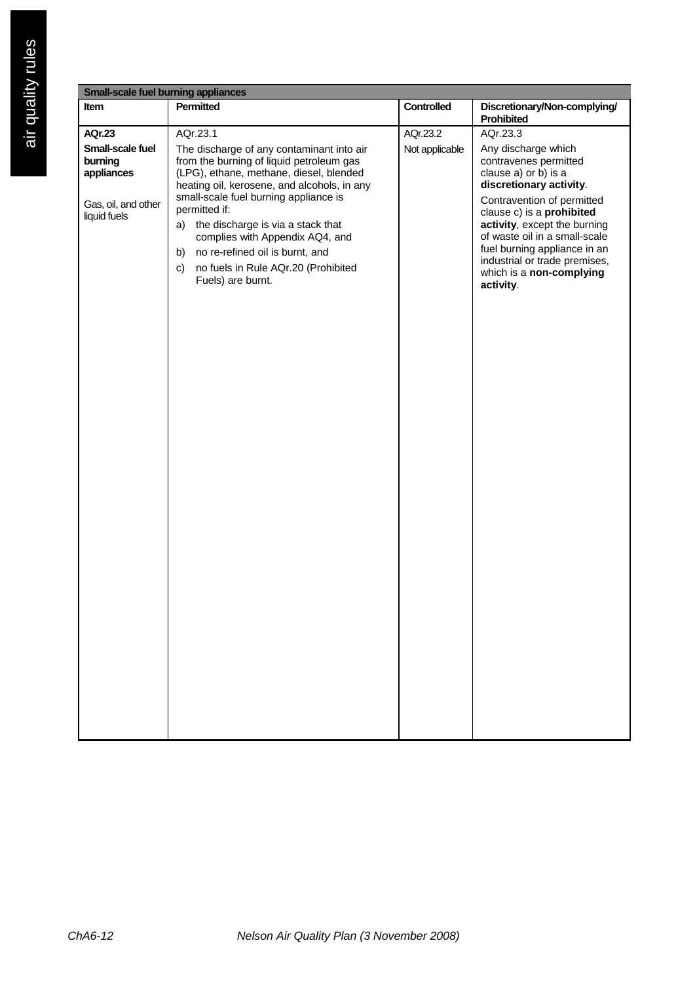| <b>Small-scale fuel burning appliances</b>                                       |                                                                                                                                                                                                                                                                                                                                                                                                                                    |                   |                                                                                                                                                                                                                                                                                                                                       |  |  |
|----------------------------------------------------------------------------------|------------------------------------------------------------------------------------------------------------------------------------------------------------------------------------------------------------------------------------------------------------------------------------------------------------------------------------------------------------------------------------------------------------------------------------|-------------------|---------------------------------------------------------------------------------------------------------------------------------------------------------------------------------------------------------------------------------------------------------------------------------------------------------------------------------------|--|--|
| Item                                                                             | Permitted                                                                                                                                                                                                                                                                                                                                                                                                                          | <b>Controlled</b> | Discretionary/Non-complying/<br>Prohibited                                                                                                                                                                                                                                                                                            |  |  |
| <b>AQr.23</b>                                                                    | AQr.23.1                                                                                                                                                                                                                                                                                                                                                                                                                           | AQr.23.2          | AQr.23.3                                                                                                                                                                                                                                                                                                                              |  |  |
| Small-scale fuel<br>burning<br>appliances<br>Gas, oil, and other<br>liquid fuels | The discharge of any contaminant into air<br>from the burning of liquid petroleum gas<br>(LPG), ethane, methane, diesel, blended<br>heating oil, kerosene, and alcohols, in any<br>small-scale fuel burning appliance is<br>permitted if:<br>the discharge is via a stack that<br>a)<br>complies with Appendix AQ4, and<br>no re-refined oil is burnt, and<br>b)<br>no fuels in Rule AQr.20 (Prohibited<br>C)<br>Fuels) are burnt. | Not applicable    | Any discharge which<br>contravenes permitted<br>clause a) or b) is a<br>discretionary activity.<br>Contravention of permitted<br>clause c) is a prohibited<br>activity, except the burning<br>of waste oil in a small-scale<br>fuel burning appliance in an<br>industrial or trade premises,<br>which is a non-complying<br>activity. |  |  |
|                                                                                  |                                                                                                                                                                                                                                                                                                                                                                                                                                    |                   |                                                                                                                                                                                                                                                                                                                                       |  |  |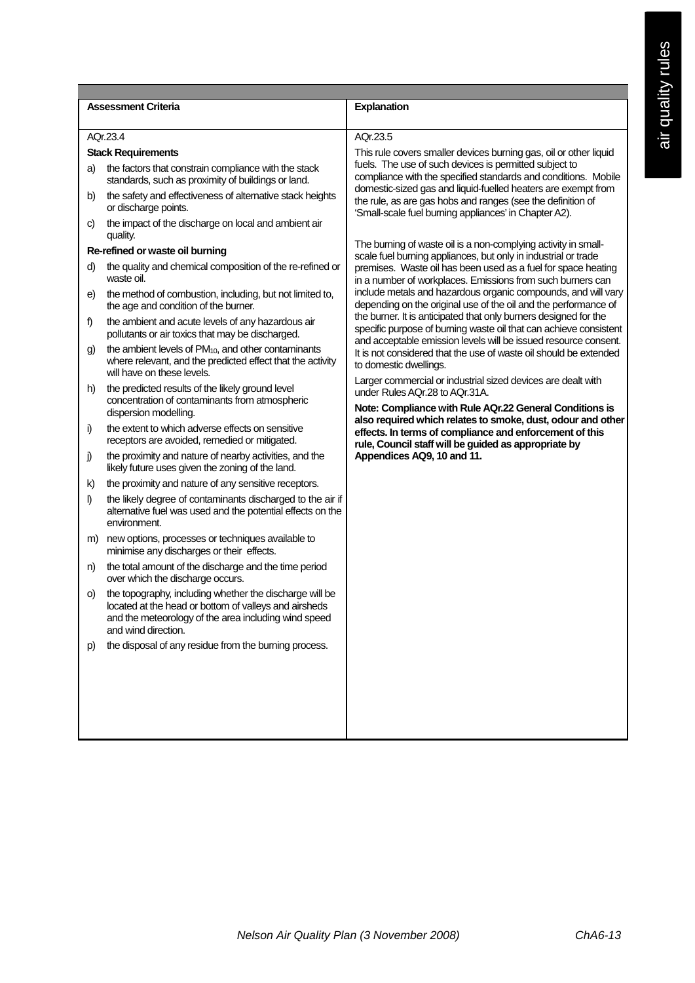|                           | <b>Assessment Criteria</b>                                                                                                                                                                      | <b>Explanation</b>                                                                                                                                                                                                       |  |
|---------------------------|-------------------------------------------------------------------------------------------------------------------------------------------------------------------------------------------------|--------------------------------------------------------------------------------------------------------------------------------------------------------------------------------------------------------------------------|--|
|                           | AQr.23.4                                                                                                                                                                                        | AQr.23.5                                                                                                                                                                                                                 |  |
| <b>Stack Requirements</b> |                                                                                                                                                                                                 | This rule covers smaller devices burning gas, oil or other liquid                                                                                                                                                        |  |
| a)                        | the factors that constrain compliance with the stack<br>standards, such as proximity of buildings or land.                                                                                      | fuels. The use of such devices is permitted subject to<br>compliance with the specified standards and conditions. Mobile                                                                                                 |  |
| b)                        | the safety and effectiveness of alternative stack heights<br>or discharge points.                                                                                                               | domestic-sized gas and liquid-fuelled heaters are exempt from<br>the rule, as are gas hobs and ranges (see the definition of<br>'Small-scale fuel burning appliances' in Chapter A2).                                    |  |
| C)                        | the impact of the discharge on local and ambient air<br>quality.                                                                                                                                |                                                                                                                                                                                                                          |  |
|                           | Re-refined or waste oil burning                                                                                                                                                                 | The burning of waste oil is a non-complying activity in small-<br>scale fuel burning appliances, but only in industrial or trade                                                                                         |  |
| d)                        | the quality and chemical composition of the re-refined or<br>waste oil.                                                                                                                         | premises. Waste oil has been used as a fuel for space heating<br>in a number of workplaces. Emissions from such burners can                                                                                              |  |
| e)                        | the method of combustion, including, but not limited to,<br>the age and condition of the burner.                                                                                                | include metals and hazardous organic compounds, and will vary<br>depending on the original use of the oil and the performance of                                                                                         |  |
| f)                        | the ambient and acute levels of any hazardous air<br>pollutants or air toxics that may be discharged.                                                                                           | the burner. It is anticipated that only burners designed for the<br>specific purpose of burning waste oil that can achieve consistent<br>and acceptable emission levels will be issued resource consent.                 |  |
| g)                        | the ambient levels of PM <sub>10</sub> , and other contaminants<br>where relevant, and the predicted effect that the activity<br>will have on these levels.                                     | It is not considered that the use of waste oil should be extended<br>to domestic dwellings.                                                                                                                              |  |
| h)                        | the predicted results of the likely ground level<br>concentration of contaminants from atmospheric<br>dispersion modelling.                                                                     | Larger commercial or industrial sized devices are dealt with<br>under Rules AQr.28 to AQr.31A.<br>Note: Compliance with Rule AQr.22 General Conditions is<br>also required which relates to smoke, dust, odour and other |  |
| i)                        | the extent to which adverse effects on sensitive<br>receptors are avoided, remedied or mitigated.                                                                                               | effects. In terms of compliance and enforcement of this<br>rule, Council staff will be guided as appropriate by                                                                                                          |  |
| j)                        | the proximity and nature of nearby activities, and the<br>likely future uses given the zoning of the land.                                                                                      | Appendices AQ9, 10 and 11.                                                                                                                                                                                               |  |
| k)                        | the proximity and nature of any sensitive receptors.                                                                                                                                            |                                                                                                                                                                                                                          |  |
| $\mathsf{I}$              | the likely degree of contaminants discharged to the air if<br>alternative fuel was used and the potential effects on the<br>environment.                                                        |                                                                                                                                                                                                                          |  |
| m)                        | new options, processes or techniques available to<br>minimise any discharges or their effects.                                                                                                  |                                                                                                                                                                                                                          |  |
| n)                        | the total amount of the discharge and the time period<br>over which the discharge occurs.                                                                                                       |                                                                                                                                                                                                                          |  |
| O)                        | the topography, including whether the discharge will be<br>located at the head or bottom of valleys and airsheds<br>and the meteorology of the area including wind speed<br>and wind direction. |                                                                                                                                                                                                                          |  |
| p)                        | the disposal of any residue from the burning process.                                                                                                                                           |                                                                                                                                                                                                                          |  |
|                           |                                                                                                                                                                                                 |                                                                                                                                                                                                                          |  |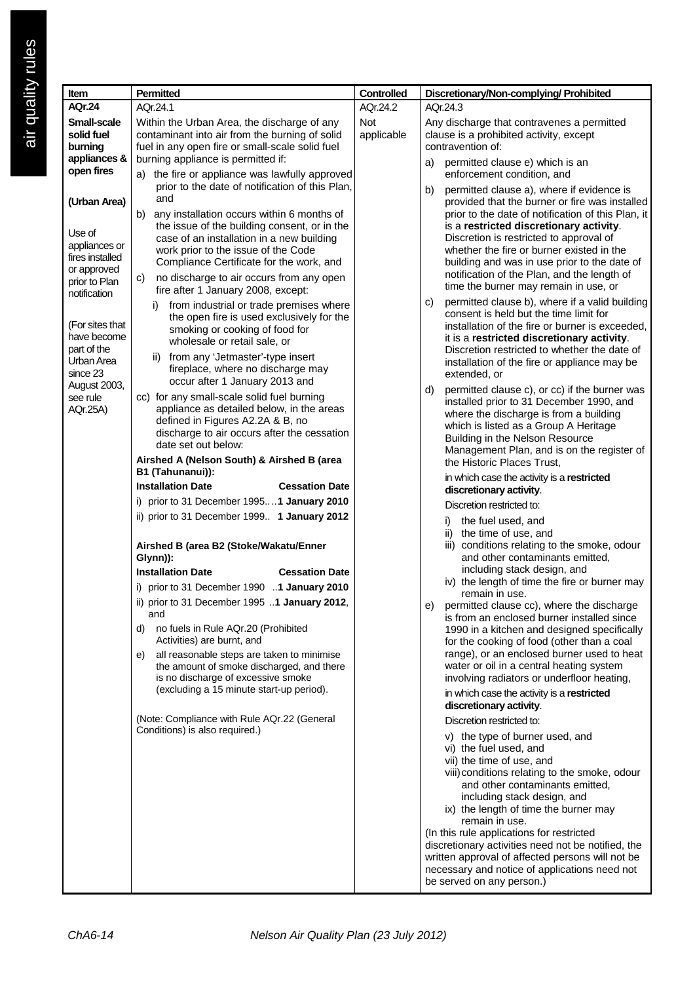| Item                                                                                       | <b>Permitted</b>                                                                                                                                                                                                                                                                  | Controlled        | Discretionary/Non-complying/ Prohibited                                                                                                                                                                                                                                                                                                                                 |
|--------------------------------------------------------------------------------------------|-----------------------------------------------------------------------------------------------------------------------------------------------------------------------------------------------------------------------------------------------------------------------------------|-------------------|-------------------------------------------------------------------------------------------------------------------------------------------------------------------------------------------------------------------------------------------------------------------------------------------------------------------------------------------------------------------------|
| <b>AQr.24</b>                                                                              | AQr.24.1                                                                                                                                                                                                                                                                          | AQr.24.2          | AQr.24.3                                                                                                                                                                                                                                                                                                                                                                |
| <b>Small-scale</b><br>solid fuel<br>burning                                                | Within the Urban Area, the discharge of any<br>contaminant into air from the burning of solid<br>fuel in any open fire or small-scale solid fuel                                                                                                                                  | Not<br>applicable | Any discharge that contravenes a permitted<br>clause is a prohibited activity, except<br>contravention of:                                                                                                                                                                                                                                                              |
| appliances &<br>open fires                                                                 | burning appliance is permitted if:<br>a) the fire or appliance was lawfully approved                                                                                                                                                                                              |                   | permitted clause e) which is an<br>a)<br>enforcement condition, and                                                                                                                                                                                                                                                                                                     |
| (Urban Area)                                                                               | prior to the date of notification of this Plan,<br>and<br>any installation occurs within 6 months of<br>b)                                                                                                                                                                        |                   | permitted clause a), where if evidence is<br>b)<br>provided that the burner or fire was installed<br>prior to the date of notification of this Plan, it                                                                                                                                                                                                                 |
| Use of<br>appliances or<br>fires installed<br>or approved<br>prior to Plan<br>notification | the issue of the building consent, or in the<br>case of an installation in a new building<br>work prior to the issue of the Code<br>Compliance Certificate for the work, and<br>no discharge to air occurs from any open<br>C)<br>fire after 1 January 2008, except:              |                   | is a restricted discretionary activity.<br>Discretion is restricted to approval of<br>whether the fire or burner existed in the<br>building and was in use prior to the date of<br>notification of the Plan, and the length of<br>time the burner may remain in use, or                                                                                                 |
| (For sites that<br>have become<br>part of the<br>Urban Area<br>since 23                    | from industrial or trade premises where<br>i).<br>the open fire is used exclusively for the<br>smoking or cooking of food for<br>wholesale or retail sale, or<br>from any 'Jetmaster'-type insert<br>$\vert \vert$<br>fireplace, where no discharge may                           |                   | permitted clause b), where if a valid building<br>C)<br>consent is held but the time limit for<br>installation of the fire or burner is exceeded.<br>it is a restricted discretionary activity.<br>Discretion restricted to whether the date of<br>installation of the fire or appliance may be<br>extended, or                                                         |
| August 2003,<br>see rule<br>AQr.25A)                                                       | occur after 1 January 2013 and<br>cc) for any small-scale solid fuel burning<br>appliance as detailed below, in the areas<br>defined in Figures A2.2A & B, no<br>discharge to air occurs after the cessation<br>date set out below:<br>Airshed A (Nelson South) & Airshed B (area |                   | permitted clause c), or cc) if the burner was<br>d)<br>installed prior to 31 December 1990, and<br>where the discharge is from a building<br>which is listed as a Group A Heritage<br>Building in the Nelson Resource<br>Management Plan, and is on the register of<br>the Historic Places Trust,                                                                       |
|                                                                                            | B1 (Tahunanui)):                                                                                                                                                                                                                                                                  |                   | in which case the activity is a restricted                                                                                                                                                                                                                                                                                                                              |
|                                                                                            | <b>Installation Date</b><br><b>Cessation Date</b>                                                                                                                                                                                                                                 |                   | discretionary activity.                                                                                                                                                                                                                                                                                                                                                 |
|                                                                                            | i) prior to 31 December 1995 1 January 2010<br>ii) prior to 31 December 1999 1 January 2012                                                                                                                                                                                       |                   | Discretion restricted to:                                                                                                                                                                                                                                                                                                                                               |
|                                                                                            | Airshed B (area B2 (Stoke/Wakatu/Enner<br>Glynn)):                                                                                                                                                                                                                                |                   | the fuel used, and<br>i)<br>ii)<br>the time of use, and<br>iii) conditions relating to the smoke, odour<br>and other contaminants emitted,                                                                                                                                                                                                                              |
|                                                                                            | <b>Installation Date</b><br><b>Cessation Date</b>                                                                                                                                                                                                                                 |                   | including stack design, and<br>iv) the length of time the fire or burner may                                                                                                                                                                                                                                                                                            |
|                                                                                            | i) prior to 31 December 1990 1 January 2010                                                                                                                                                                                                                                       |                   | remain in use.                                                                                                                                                                                                                                                                                                                                                          |
|                                                                                            | ii) prior to 31 December 1995  1 January 2012,<br>and                                                                                                                                                                                                                             |                   | permitted clause cc), where the discharge<br>is from an enclosed burner installed since                                                                                                                                                                                                                                                                                 |
|                                                                                            | no fuels in Rule AQr.20 (Prohibited<br>d)<br>Activities) are burnt, and                                                                                                                                                                                                           |                   | 1990 in a kitchen and designed specifically<br>for the cooking of food (other than a coal<br>range), or an enclosed burner used to heat                                                                                                                                                                                                                                 |
|                                                                                            | all reasonable steps are taken to minimise<br>e)<br>the amount of smoke discharged, and there<br>is no discharge of excessive smoke<br>(excluding a 15 minute start-up period).                                                                                                   |                   | water or oil in a central heating system<br>involving radiators or underfloor heating,<br>in which case the activity is a restricted                                                                                                                                                                                                                                    |
|                                                                                            |                                                                                                                                                                                                                                                                                   |                   | discretionary activity.                                                                                                                                                                                                                                                                                                                                                 |
|                                                                                            | (Note: Compliance with Rule AQr.22 (General<br>Conditions) is also required.)                                                                                                                                                                                                     |                   | Discretion restricted to:                                                                                                                                                                                                                                                                                                                                               |
|                                                                                            |                                                                                                                                                                                                                                                                                   |                   | v) the type of burner used, and<br>vi) the fuel used, and<br>vii) the time of use, and<br>viii) conditions relating to the smoke, odour<br>and other contaminants emitted,<br>including stack design, and<br>ix) the length of time the burner may<br>remain in use.<br>(In this rule applications for restricted<br>discretionary activities need not be notified, the |
|                                                                                            |                                                                                                                                                                                                                                                                                   |                   | written approval of affected persons will not be<br>necessary and notice of applications need not<br>be served on any person.)                                                                                                                                                                                                                                          |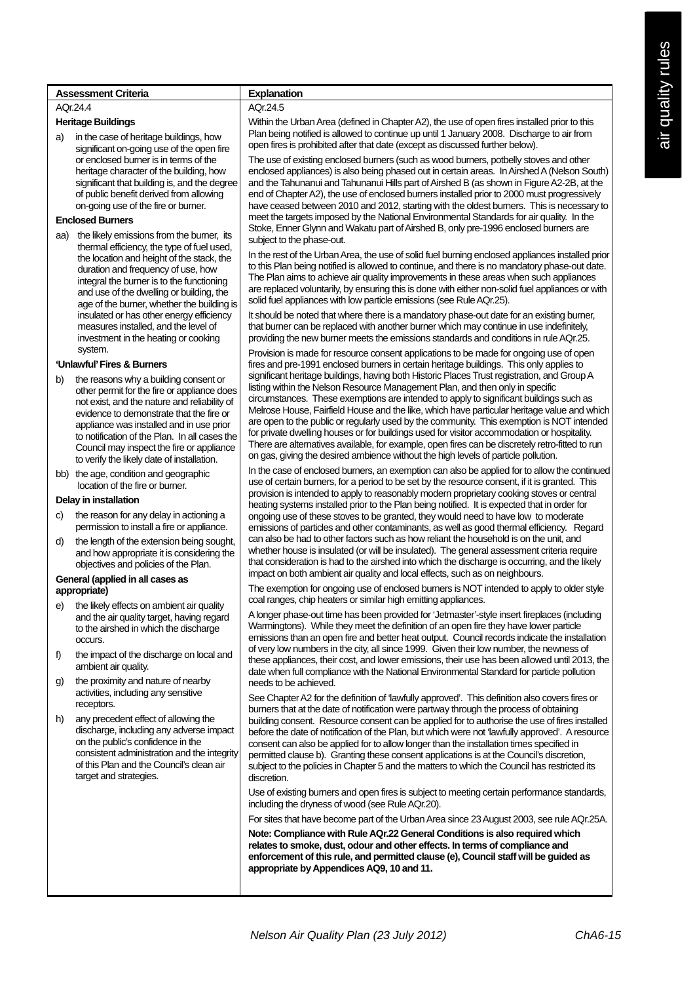|                                                                                                                                                                                                                                                                                                                                              | <b>Assessment Criteria</b>                                                                                                                                                                                                                                                                                                                                               | <b>Explanation</b>                                                                                                                                                                                                                                                                                                                                                                                                                                                                                                                                                                                                                                                                                                                                         |  |  |
|----------------------------------------------------------------------------------------------------------------------------------------------------------------------------------------------------------------------------------------------------------------------------------------------------------------------------------------------|--------------------------------------------------------------------------------------------------------------------------------------------------------------------------------------------------------------------------------------------------------------------------------------------------------------------------------------------------------------------------|------------------------------------------------------------------------------------------------------------------------------------------------------------------------------------------------------------------------------------------------------------------------------------------------------------------------------------------------------------------------------------------------------------------------------------------------------------------------------------------------------------------------------------------------------------------------------------------------------------------------------------------------------------------------------------------------------------------------------------------------------------|--|--|
| AQr.24.4                                                                                                                                                                                                                                                                                                                                     |                                                                                                                                                                                                                                                                                                                                                                          | AQr.24.5                                                                                                                                                                                                                                                                                                                                                                                                                                                                                                                                                                                                                                                                                                                                                   |  |  |
| <b>Heritage Buildings</b><br>in the case of heritage buildings, how<br>a)<br>significant on-going use of the open fire<br>or enclosed burner is in terms of the<br>heritage character of the building, how<br>significant that building is, and the degree<br>of public benefit derived from allowing<br>on-going use of the fire or burner. |                                                                                                                                                                                                                                                                                                                                                                          | Within the Urban Area (defined in Chapter A2), the use of open fires installed prior to this<br>Plan being notified is allowed to continue up until 1 January 2008. Discharge to air from<br>open fires is prohibited after that date (except as discussed further below).                                                                                                                                                                                                                                                                                                                                                                                                                                                                                 |  |  |
|                                                                                                                                                                                                                                                                                                                                              |                                                                                                                                                                                                                                                                                                                                                                          | The use of existing enclosed burners (such as wood burners, potbelly stoves and other<br>enclosed appliances) is also being phased out in certain areas. In Airshed A (Nelson South)<br>and the Tahunanui and Tahunanui Hills part of Airshed B (as shown in Figure A2-2B, at the<br>end of Chapter A2), the use of enclosed burners installed prior to 2000 must progressively<br>have ceased between 2010 and 2012, starting with the oldest burners. This is necessary to                                                                                                                                                                                                                                                                               |  |  |
|                                                                                                                                                                                                                                                                                                                                              | <b>Enclosed Burners</b>                                                                                                                                                                                                                                                                                                                                                  | meet the targets imposed by the National Environmental Standards for air quality. In the<br>Stoke, Enner Glynn and Wakatu part of Airshed B, only pre-1996 enclosed burners are                                                                                                                                                                                                                                                                                                                                                                                                                                                                                                                                                                            |  |  |
| aa)                                                                                                                                                                                                                                                                                                                                          | the likely emissions from the burner, its<br>thermal efficiency, the type of fuel used,<br>the location and height of the stack, the<br>duration and frequency of use, how<br>integral the burner is to the functioning<br>and use of the dwelling or building, the                                                                                                      | subject to the phase-out.<br>In the rest of the Urban Area, the use of solid fuel burning enclosed appliances installed prior<br>to this Plan being notified is allowed to continue, and there is no mandatory phase-out date.<br>The Plan aims to achieve air quality improvements in these areas when such appliances<br>are replaced voluntarily, by ensuring this is done with either non-solid fuel appliances or with<br>solid fuel appliances with low particle emissions (see Rule AQr.25).                                                                                                                                                                                                                                                        |  |  |
|                                                                                                                                                                                                                                                                                                                                              | age of the burner, whether the building is<br>insulated or has other energy efficiency<br>measures installed, and the level of<br>investment in the heating or cooking                                                                                                                                                                                                   | It should be noted that where there is a mandatory phase-out date for an existing burner,<br>that burner can be replaced with another burner which may continue in use indefinitely,<br>providing the new burner meets the emissions standards and conditions in rule AQr.25.                                                                                                                                                                                                                                                                                                                                                                                                                                                                              |  |  |
|                                                                                                                                                                                                                                                                                                                                              | system.<br>'Unlawful' Fires & Burners                                                                                                                                                                                                                                                                                                                                    | Provision is made for resource consent applications to be made for ongoing use of open<br>fires and pre-1991 enclosed burners in certain heritage buildings. This only applies to                                                                                                                                                                                                                                                                                                                                                                                                                                                                                                                                                                          |  |  |
| b)                                                                                                                                                                                                                                                                                                                                           | the reasons why a building consent or<br>other permit for the fire or appliance does<br>not exist, and the nature and reliability of<br>evidence to demonstrate that the fire or<br>appliance was installed and in use prior<br>to notification of the Plan. In all cases the<br>Council may inspect the fire or appliance<br>to verify the likely date of installation. | significant heritage buildings, having both Historic Places Trust registration, and Group A<br>listing within the Nelson Resource Management Plan, and then only in specific<br>circumstances. These exemptions are intended to apply to significant buildings such as<br>Melrose House, Fairfield House and the like, which have particular heritage value and which<br>are open to the public or regularly used by the community. This exemption is NOT intended<br>for private dwelling houses or for buildings used for visitor accommodation or hospitality.<br>There are alternatives available, for example, open fires can be discretely retro-fitted to run<br>on gas, giving the desired ambience without the high levels of particle pollution. |  |  |
|                                                                                                                                                                                                                                                                                                                                              | bb) the age, condition and geographic<br>location of the fire or burner.                                                                                                                                                                                                                                                                                                 | In the case of enclosed burners, an exemption can also be applied for to allow the continued<br>use of certain burners, for a period to be set by the resource consent, if it is granted. This                                                                                                                                                                                                                                                                                                                                                                                                                                                                                                                                                             |  |  |
|                                                                                                                                                                                                                                                                                                                                              | Delay in installation                                                                                                                                                                                                                                                                                                                                                    | provision is intended to apply to reasonably modern proprietary cooking stoves or central<br>heating systems installed prior to the Plan being notified. It is expected that in order for                                                                                                                                                                                                                                                                                                                                                                                                                                                                                                                                                                  |  |  |
| C)                                                                                                                                                                                                                                                                                                                                           | the reason for any delay in actioning a<br>permission to install a fire or appliance.                                                                                                                                                                                                                                                                                    | ongoing use of these stoves to be granted, they would need to have low to moderate<br>emissions of particles and other contaminants, as well as good thermal efficiency. Regard<br>can also be had to other factors such as how reliant the household is on the unit, and                                                                                                                                                                                                                                                                                                                                                                                                                                                                                  |  |  |
| d)                                                                                                                                                                                                                                                                                                                                           | the length of the extension being sought,<br>and how appropriate it is considering the<br>objectives and policies of the Plan.                                                                                                                                                                                                                                           | whether house is insulated (or will be insulated). The general assessment criteria require<br>that consideration is had to the airshed into which the discharge is occurring, and the likely<br>impact on both ambient air quality and local effects, such as on neighbours.                                                                                                                                                                                                                                                                                                                                                                                                                                                                               |  |  |
|                                                                                                                                                                                                                                                                                                                                              | General (applied in all cases as<br>appropriate)                                                                                                                                                                                                                                                                                                                         | The exemption for ongoing use of enclosed burners is NOT intended to apply to older style<br>coal ranges, chip heaters or similar high emitting appliances.                                                                                                                                                                                                                                                                                                                                                                                                                                                                                                                                                                                                |  |  |
| e)                                                                                                                                                                                                                                                                                                                                           | the likely effects on ambient air quality<br>and the air quality target, having regard<br>to the airshed in which the discharge<br>occurs.                                                                                                                                                                                                                               | A longer phase-out time has been provided for 'Jetmaster'-style insert fireplaces (including<br>Warmingtons). While they meet the definition of an open fire they have lower particle<br>emissions than an open fire and better heat output. Council records indicate the installation                                                                                                                                                                                                                                                                                                                                                                                                                                                                     |  |  |
| f)                                                                                                                                                                                                                                                                                                                                           | the impact of the discharge on local and<br>ambient air quality.                                                                                                                                                                                                                                                                                                         | of very low numbers in the city, all since 1999. Given their low number, the newness of<br>these appliances, their cost, and lower emissions, their use has been allowed until 2013, the<br>date when full compliance with the National Environmental Standard for particle pollution                                                                                                                                                                                                                                                                                                                                                                                                                                                                      |  |  |
| g)                                                                                                                                                                                                                                                                                                                                           | the proximity and nature of nearby<br>activities, including any sensitive<br>receptors.                                                                                                                                                                                                                                                                                  | needs to be achieved.<br>See Chapter A2 for the definition of 'lawfully approved'. This definition also covers fires or                                                                                                                                                                                                                                                                                                                                                                                                                                                                                                                                                                                                                                    |  |  |
| h)                                                                                                                                                                                                                                                                                                                                           | any precedent effect of allowing the<br>discharge, including any adverse impact<br>on the public's confidence in the<br>consistent administration and the integrity<br>of this Plan and the Council's clean air<br>target and strategies.                                                                                                                                | burners that at the date of notification were partway through the process of obtaining<br>building consent. Resource consent can be applied for to authorise the use of fires installed<br>before the date of notification of the Plan, but which were not 'lawfully approved'. A resource<br>consent can also be applied for to allow longer than the installation times specified in<br>permitted clause b). Granting these consent applications is at the Council's discretion,<br>subject to the policies in Chapter 5 and the matters to which the Council has restricted its<br>discretion.                                                                                                                                                          |  |  |
|                                                                                                                                                                                                                                                                                                                                              |                                                                                                                                                                                                                                                                                                                                                                          | Use of existing burners and open fires is subject to meeting certain performance standards,<br>including the dryness of wood (see Rule AQr.20).                                                                                                                                                                                                                                                                                                                                                                                                                                                                                                                                                                                                            |  |  |
|                                                                                                                                                                                                                                                                                                                                              |                                                                                                                                                                                                                                                                                                                                                                          | For sites that have become part of the Urban Area since 23 August 2003, see rule AQr.25A.                                                                                                                                                                                                                                                                                                                                                                                                                                                                                                                                                                                                                                                                  |  |  |
|                                                                                                                                                                                                                                                                                                                                              |                                                                                                                                                                                                                                                                                                                                                                          | Note: Compliance with Rule AQr.22 General Conditions is also required which<br>relates to smoke, dust, odour and other effects. In terms of compliance and<br>enforcement of this rule, and permitted clause (e), Council staff will be guided as<br>appropriate by Appendices AQ9, 10 and 11.                                                                                                                                                                                                                                                                                                                                                                                                                                                             |  |  |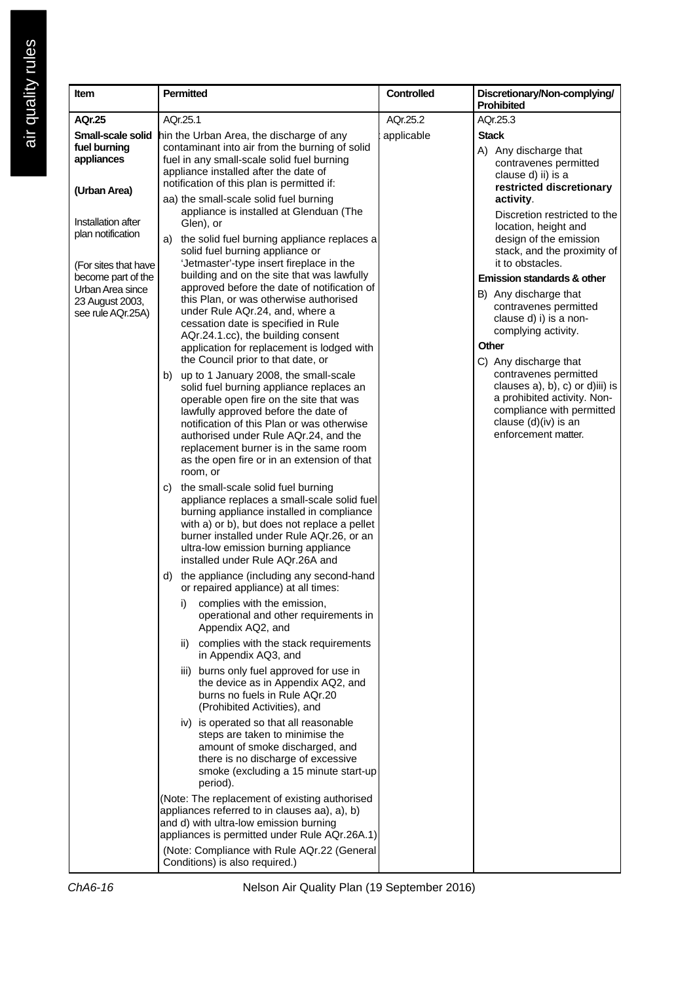| <b>Item</b>                                                                                                                                                       | <b>Permitted</b>                                                                                                                                                                                                                                                                                                                                                                                                                                                                                                                                                                                                                                                                                                                                                                                                                                                                                                                                                                                                                                                                                                                                                                                                                                                                                                                                                                                                                                                                                                                                                                                                                                                                                                                                                                                                                                                                                                                                                                                                                                                                                                                                                                                                           | <b>Controlled</b> | Discretionary/Non-complying/<br>Prohibited                                                                                                                                                                                                                                                                                                                                                                                                                                                                                             |
|-------------------------------------------------------------------------------------------------------------------------------------------------------------------|----------------------------------------------------------------------------------------------------------------------------------------------------------------------------------------------------------------------------------------------------------------------------------------------------------------------------------------------------------------------------------------------------------------------------------------------------------------------------------------------------------------------------------------------------------------------------------------------------------------------------------------------------------------------------------------------------------------------------------------------------------------------------------------------------------------------------------------------------------------------------------------------------------------------------------------------------------------------------------------------------------------------------------------------------------------------------------------------------------------------------------------------------------------------------------------------------------------------------------------------------------------------------------------------------------------------------------------------------------------------------------------------------------------------------------------------------------------------------------------------------------------------------------------------------------------------------------------------------------------------------------------------------------------------------------------------------------------------------------------------------------------------------------------------------------------------------------------------------------------------------------------------------------------------------------------------------------------------------------------------------------------------------------------------------------------------------------------------------------------------------------------------------------------------------------------------------------------------------|-------------------|----------------------------------------------------------------------------------------------------------------------------------------------------------------------------------------------------------------------------------------------------------------------------------------------------------------------------------------------------------------------------------------------------------------------------------------------------------------------------------------------------------------------------------------|
| <b>AQr.25</b>                                                                                                                                                     | AQr.25.1                                                                                                                                                                                                                                                                                                                                                                                                                                                                                                                                                                                                                                                                                                                                                                                                                                                                                                                                                                                                                                                                                                                                                                                                                                                                                                                                                                                                                                                                                                                                                                                                                                                                                                                                                                                                                                                                                                                                                                                                                                                                                                                                                                                                                   | AQr.25.2          | AQr.25.3                                                                                                                                                                                                                                                                                                                                                                                                                                                                                                                               |
| Small-scale solid<br>fuel burning<br>appliances                                                                                                                   | hin the Urban Area, the discharge of any<br>contaminant into air from the burning of solid<br>fuel in any small-scale solid fuel burning<br>appliance installed after the date of                                                                                                                                                                                                                                                                                                                                                                                                                                                                                                                                                                                                                                                                                                                                                                                                                                                                                                                                                                                                                                                                                                                                                                                                                                                                                                                                                                                                                                                                                                                                                                                                                                                                                                                                                                                                                                                                                                                                                                                                                                          | applicable        | <b>Stack</b><br>A) Any discharge that<br>contravenes permitted<br>clause d) ii) is a                                                                                                                                                                                                                                                                                                                                                                                                                                                   |
| (Urban Area)<br>Installation after<br>plan notification<br>(For sites that have<br>become part of the<br>Urban Area since<br>23 August 2003,<br>see rule AQr.25A) | notification of this plan is permitted if:<br>aa) the small-scale solid fuel burning<br>appliance is installed at Glenduan (The<br>Glen), or<br>a) the solid fuel burning appliance replaces a<br>solid fuel burning appliance or<br>'Jetmaster'-type insert fireplace in the<br>building and on the site that was lawfully<br>approved before the date of notification of<br>this Plan, or was otherwise authorised<br>under Rule AQr.24, and, where a<br>cessation date is specified in Rule<br>AQr.24.1.cc), the building consent<br>application for replacement is lodged with<br>the Council prior to that date, or<br>b) up to 1 January 2008, the small-scale<br>solid fuel burning appliance replaces an<br>operable open fire on the site that was<br>lawfully approved before the date of<br>notification of this Plan or was otherwise<br>authorised under Rule AQr.24, and the<br>replacement burner is in the same room<br>as the open fire or in an extension of that<br>room, or<br>c) the small-scale solid fuel burning<br>appliance replaces a small-scale solid fuel<br>burning appliance installed in compliance<br>with a) or b), but does not replace a pellet<br>burner installed under Rule AQr.26, or an<br>ultra-low emission burning appliance<br>installed under Rule AQr.26A and<br>d) the appliance (including any second-hand<br>or repaired appliance) at all times:<br>i) complies with the emission,<br>operational and other requirements in<br>Appendix AQ2, and<br>complies with the stack requirements<br>ii)<br>in Appendix AQ3, and<br>burns only fuel approved for use in<br>iii)<br>the device as in Appendix AQ2, and<br>burns no fuels in Rule AQr.20<br>(Prohibited Activities), and<br>iv) is operated so that all reasonable<br>steps are taken to minimise the<br>amount of smoke discharged, and<br>there is no discharge of excessive<br>smoke (excluding a 15 minute start-up<br>period).<br>(Note: The replacement of existing authorised<br>appliances referred to in clauses aa), a), b)<br>and d) with ultra-low emission burning<br>appliances is permitted under Rule AQr.26A.1)<br>(Note: Compliance with Rule AQr.22 (General<br>Conditions) is also required.) |                   | restricted discretionary<br>activity.<br>Discretion restricted to the<br>location, height and<br>design of the emission<br>stack, and the proximity of<br>it to obstacles.<br><b>Emission standards &amp; other</b><br>B) Any discharge that<br>contravenes permitted<br>clause d) i) is a non-<br>complying activity.<br><b>Other</b><br>C) Any discharge that<br>contravenes permitted<br>clauses a), b), c) or d)iii) is<br>a prohibited activity. Non-<br>compliance with permitted<br>clause (d)(iv) is an<br>enforcement matter. |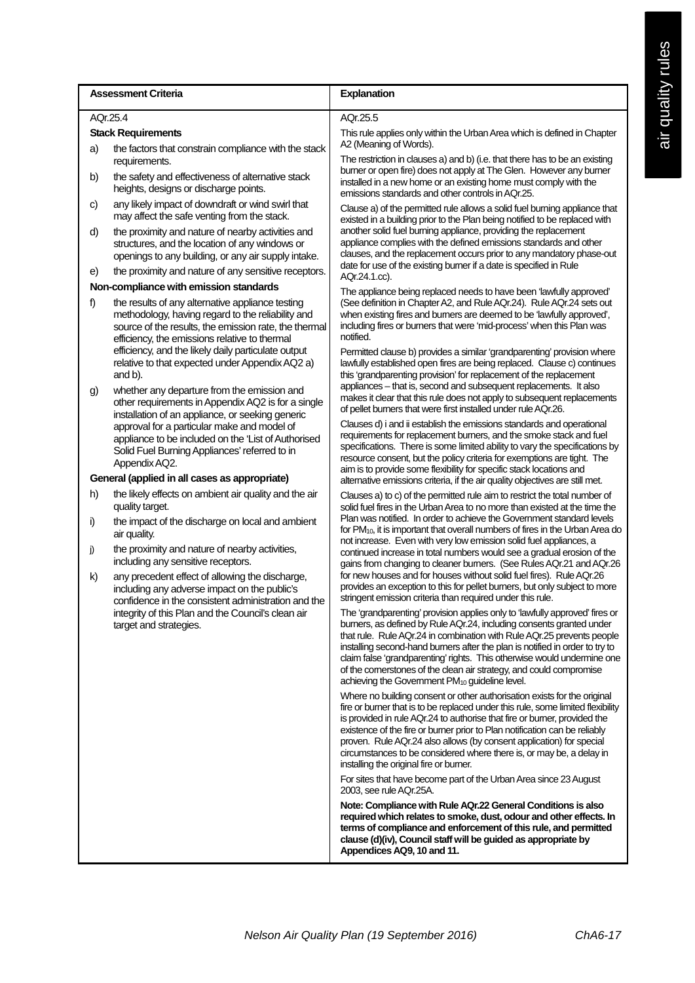|          | <b>Assessment Criteria</b>                                                                                                                                                                                                                                                                                       | <b>Explanation</b>                                                                                                                                                                                                                                                                                                                                                                                                                                                                                                            |  |
|----------|------------------------------------------------------------------------------------------------------------------------------------------------------------------------------------------------------------------------------------------------------------------------------------------------------------------|-------------------------------------------------------------------------------------------------------------------------------------------------------------------------------------------------------------------------------------------------------------------------------------------------------------------------------------------------------------------------------------------------------------------------------------------------------------------------------------------------------------------------------|--|
|          | AQr.25.4                                                                                                                                                                                                                                                                                                         | AQr.25.5                                                                                                                                                                                                                                                                                                                                                                                                                                                                                                                      |  |
|          | <b>Stack Requirements</b>                                                                                                                                                                                                                                                                                        | This rule applies only within the Urban Area which is defined in Chapter                                                                                                                                                                                                                                                                                                                                                                                                                                                      |  |
| a)       | the factors that constrain compliance with the stack<br>requirements.                                                                                                                                                                                                                                            | A2 (Meaning of Words).<br>The restriction in clauses a) and b) (i.e. that there has to be an existing                                                                                                                                                                                                                                                                                                                                                                                                                         |  |
| b)       | the safety and effectiveness of alternative stack<br>heights, designs or discharge points.                                                                                                                                                                                                                       | bumer or open fire) does not apply at The Glen. However any burner<br>installed in a new home or an existing home must comply with the<br>emissions standards and other controls in AQr.25.                                                                                                                                                                                                                                                                                                                                   |  |
| C)       | any likely impact of downdraft or wind swirl that<br>may affect the safe venting from the stack.                                                                                                                                                                                                                 | Clause a) of the permitted rule allows a solid fuel burning appliance that<br>existed in a building prior to the Plan being notified to be replaced with                                                                                                                                                                                                                                                                                                                                                                      |  |
| d)       | the proximity and nature of nearby activities and<br>structures, and the location of any windows or<br>openings to any building, or any air supply intake.                                                                                                                                                       | another solid fuel burning appliance, providing the replacement<br>appliance complies with the defined emissions standards and other<br>clauses, and the replacement occurs prior to any mandatory phase-out<br>date for use of the existing burner if a date is specified in Rule                                                                                                                                                                                                                                            |  |
| e)       | the proximity and nature of any sensitive receptors.                                                                                                                                                                                                                                                             | AQr.24.1.cc).                                                                                                                                                                                                                                                                                                                                                                                                                                                                                                                 |  |
| f)       | Non-compliance with emission standards<br>the results of any alternative appliance testing<br>methodology, having regard to the reliability and<br>source of the results, the emission rate, the thermal<br>efficiency, the emissions relative to thermal<br>efficiency, and the likely daily particulate output | The appliance being replaced needs to have been 'lawfully approved'<br>(See definition in Chapter A2, and Rule AQr.24). Rule AQr.24 sets out<br>when existing fires and burners are deemed to be 'lawfully approved',<br>including fires or burners that were 'mid-process' when this Plan was<br>notified.                                                                                                                                                                                                                   |  |
|          | relative to that expected under Appendix AQ2 a)<br>and b).                                                                                                                                                                                                                                                       | Permitted clause b) provides a similar 'grandparenting' provision where<br>lawfully established open fires are being replaced. Clause c) continues<br>this 'grandparenting provision' for replacement of the replacement<br>appliances - that is, second and subsequent replacements. It also                                                                                                                                                                                                                                 |  |
| g)       | whether any departure from the emission and<br>other requirements in Appendix AQ2 is for a single<br>installation of an appliance, or seeking generic                                                                                                                                                            | makes it clear that this rule does not apply to subsequent replacements<br>of pellet burners that were first installed under rule AQr.26.                                                                                                                                                                                                                                                                                                                                                                                     |  |
|          | approval for a particular make and model of<br>appliance to be included on the 'List of Authorised<br>Solid Fuel Burning Appliances' referred to in<br>Appendix AQ2.<br>General (applied in all cases as appropriate)                                                                                            | Clauses d) i and ii establish the emissions standards and operational<br>requirements for replacement burners, and the smoke stack and fuel<br>specifications. There is some limited ability to vary the specifications by<br>resource consent, but the policy criteria for exemptions are tight. The<br>aim is to provide some flexibility for specific stack locations and                                                                                                                                                  |  |
| h)       | the likely effects on ambient air quality and the air                                                                                                                                                                                                                                                            | alternative emissions criteria, if the air quality objectives are still met.                                                                                                                                                                                                                                                                                                                                                                                                                                                  |  |
| i)       | quality target.<br>the impact of the discharge on local and ambient<br>air quality.                                                                                                                                                                                                                              | Clauses a) to c) of the permitted rule aim to restrict the total number of<br>solid fuel fires in the Urban Area to no more than existed at the time the<br>Plan was notified. In order to achieve the Government standard levels<br>for $PM_{10}$ , it is important that overall numbers of fires in the Urban Area do<br>not increase. Even with very low emission solid fuel appliances, a                                                                                                                                 |  |
| j)<br>k) | the proximity and nature of nearby activities,<br>including any sensitive receptors.<br>any precedent effect of allowing the discharge,<br>including any adverse impact on the public's                                                                                                                          | continued increase in total numbers would see a gradual erosion of the<br>gains from changing to cleaner burners. (See Rules AQr.21 and AQr.26<br>for new houses and for houses without solid fuel fires). Rule AQr.26<br>provides an exception to this for pellet burners, but only subject to more                                                                                                                                                                                                                          |  |
|          | confidence in the consistent administration and the                                                                                                                                                                                                                                                              | stringent emission criteria than required under this rule.                                                                                                                                                                                                                                                                                                                                                                                                                                                                    |  |
|          | integrity of this Plan and the Council's clean air<br>target and strategies.                                                                                                                                                                                                                                     | The 'grandparenting' provision applies only to 'lawfully approved' fires or<br>burners, as defined by Rule AQr.24, including consents granted under<br>that rule. Rule AQr.24 in combination with Rule AQr.25 prevents people<br>installing second-hand burners after the plan is notified in order to try to<br>claim false 'grandparenting' rights. This otherwise would undermine one<br>of the cornerstones of the clean air strategy, and could compromise<br>achieving the Government PM <sub>10</sub> guideline level. |  |
|          |                                                                                                                                                                                                                                                                                                                  | Where no building consent or other authorisation exists for the original<br>fire or burner that is to be replaced under this rule, some limited flexibility<br>is provided in rule AQr.24 to authorise that fire or burner, provided the<br>existence of the fire or burner prior to Plan notification can be reliably<br>proven. Rule AQr.24 also allows (by consent application) for special<br>circumstances to be considered where there is, or may be, a delay in<br>installing the original fire or burner.             |  |
|          |                                                                                                                                                                                                                                                                                                                  | For sites that have become part of the Urban Area since 23 August<br>2003, see rule AQr.25A.                                                                                                                                                                                                                                                                                                                                                                                                                                  |  |
|          |                                                                                                                                                                                                                                                                                                                  | Note: Compliance with Rule AQr.22 General Conditions is also<br>required which relates to smoke, dust, odour and other effects. In<br>terms of compliance and enforcement of this rule, and permitted<br>clause (d)(iv), Council staff will be guided as appropriate by<br>Appendices AQ9, 10 and 11.                                                                                                                                                                                                                         |  |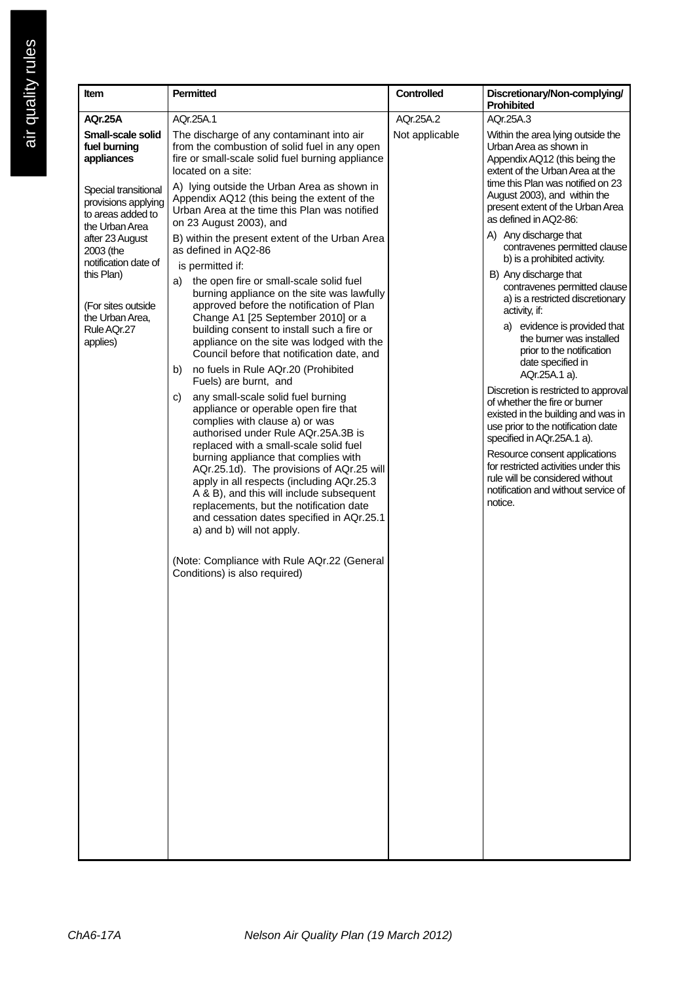| Item                                                                                                                                                                           | <b>Permitted</b>                                                                                                                                                                                                                                                                                                                                                                                                                                                                                                                                                                                                                                                                                                                                                                                                                         | <b>Controlled</b> | Discretionary/Non-complying/<br>Prohibited                                                                                                                                                                                                                                                                                                                                                                                                                                                    |
|--------------------------------------------------------------------------------------------------------------------------------------------------------------------------------|------------------------------------------------------------------------------------------------------------------------------------------------------------------------------------------------------------------------------------------------------------------------------------------------------------------------------------------------------------------------------------------------------------------------------------------------------------------------------------------------------------------------------------------------------------------------------------------------------------------------------------------------------------------------------------------------------------------------------------------------------------------------------------------------------------------------------------------|-------------------|-----------------------------------------------------------------------------------------------------------------------------------------------------------------------------------------------------------------------------------------------------------------------------------------------------------------------------------------------------------------------------------------------------------------------------------------------------------------------------------------------|
| <b>AQr.25A</b>                                                                                                                                                                 | AQr.25A.1                                                                                                                                                                                                                                                                                                                                                                                                                                                                                                                                                                                                                                                                                                                                                                                                                                | AQr.25A.2         | AQr.25A.3                                                                                                                                                                                                                                                                                                                                                                                                                                                                                     |
| <b>Small-scale solid</b><br>fuel burning<br>appliances                                                                                                                         | The discharge of any contaminant into air<br>from the combustion of solid fuel in any open<br>fire or small-scale solid fuel burning appliance<br>located on a site:                                                                                                                                                                                                                                                                                                                                                                                                                                                                                                                                                                                                                                                                     | Not applicable    | Within the area lying outside the<br>Urban Area as shown in<br>Appendix AQ12 (this being the<br>extent of the Urban Area at the                                                                                                                                                                                                                                                                                                                                                               |
| Special transitional<br>provisions applying<br>to areas added to<br>the Urban Area<br>after 23 August<br>2003 (the<br>notification date of<br>this Plan)<br>(For sites outside | A) lying outside the Urban Area as shown in<br>Appendix AQ12 (this being the extent of the<br>Urban Area at the time this Plan was notified<br>on 23 August 2003), and<br>B) within the present extent of the Urban Area<br>as defined in AQ2-86<br>is permitted if:<br>the open fire or small-scale solid fuel<br>a)<br>burning appliance on the site was lawfully<br>approved before the notification of Plan                                                                                                                                                                                                                                                                                                                                                                                                                          |                   | time this Plan was notified on 23<br>August 2003), and within the<br>present extent of the Urban Area<br>as defined in AQ2-86:<br>A) Any discharge that<br>contravenes permitted clause<br>b) is a prohibited activity.<br>B) Any discharge that<br>contravenes permitted clause<br>a) is a restricted discretionary                                                                                                                                                                          |
| the Urban Area,<br>Rule AQr.27<br>applies)                                                                                                                                     | Change A1 [25 September 2010] or a<br>building consent to install such a fire or<br>appliance on the site was lodged with the<br>Council before that notification date, and<br>b) no fuels in Rule AQr.20 (Prohibited<br>Fuels) are burnt, and<br>any small-scale solid fuel burning<br>C)<br>appliance or operable open fire that<br>complies with clause a) or was<br>authorised under Rule AQr.25A.3B is<br>replaced with a small-scale solid fuel<br>burning appliance that complies with<br>AQr.25.1d). The provisions of AQr.25 will<br>apply in all respects (including AQr.25.3<br>A & B), and this will include subsequent<br>replacements, but the notification date<br>and cessation dates specified in AQr.25.1<br>a) and b) will not apply.<br>(Note: Compliance with Rule AQr.22 (General<br>Conditions) is also required) |                   | activity, if:<br>a) evidence is provided that<br>the burner was installed<br>prior to the notification<br>date specified in<br>AQr.25A.1 a).<br>Discretion is restricted to approval<br>of whether the fire or burner<br>existed in the building and was in<br>use prior to the notification date<br>specified in AQr.25A.1 a).<br>Resource consent applications<br>for restricted activities under this<br>rule will be considered without<br>notification and without service of<br>notice. |
|                                                                                                                                                                                |                                                                                                                                                                                                                                                                                                                                                                                                                                                                                                                                                                                                                                                                                                                                                                                                                                          |                   |                                                                                                                                                                                                                                                                                                                                                                                                                                                                                               |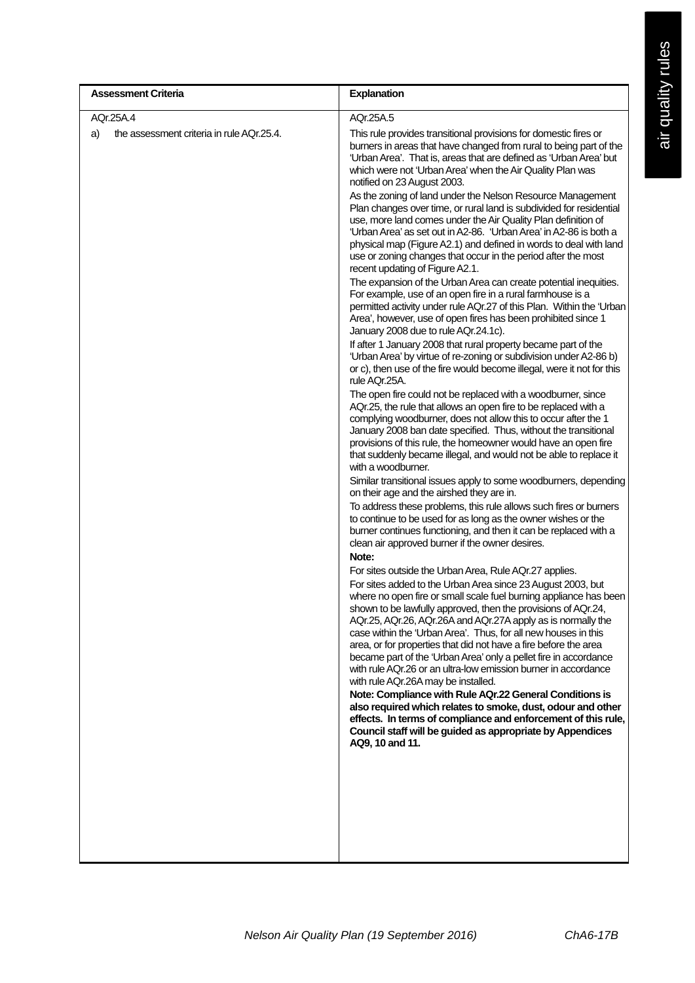| <b>Assessment Criteria</b>                      | <b>Explanation</b>                                                                                                                                                                                                                                                                                                                                                                                                                                                                                                                                                                   |
|-------------------------------------------------|--------------------------------------------------------------------------------------------------------------------------------------------------------------------------------------------------------------------------------------------------------------------------------------------------------------------------------------------------------------------------------------------------------------------------------------------------------------------------------------------------------------------------------------------------------------------------------------|
| AQr.25A.4                                       | AQr.25A.5                                                                                                                                                                                                                                                                                                                                                                                                                                                                                                                                                                            |
| the assessment criteria in rule AQr.25.4.<br>a) | This rule provides transitional provisions for domestic fires or<br>burners in areas that have changed from rural to being part of the<br>'Urban Area'. That is, areas that are defined as 'Urban Area' but<br>which were not 'Urban Area' when the Air Quality Plan was<br>notified on 23 August 2003.<br>As the zoning of land under the Nelson Resource Management<br>Plan changes over time, or rural land is subdivided for residential                                                                                                                                         |
|                                                 | use, more land comes under the Air Quality Plan definition of<br>'Urban Area' as set out in A2-86. 'Urban Area' in A2-86 is both a<br>physical map (Figure A2.1) and defined in words to deal with land<br>use or zoning changes that occur in the period after the most<br>recent updating of Figure A2.1.                                                                                                                                                                                                                                                                          |
|                                                 | The expansion of the Urban Area can create potential inequities.<br>For example, use of an open fire in a rural farmhouse is a<br>permitted activity under rule AQr.27 of this Plan. Within the 'Urban<br>Area', however, use of open fires has been prohibited since 1<br>January 2008 due to rule AQr.24.1c).                                                                                                                                                                                                                                                                      |
|                                                 | If after 1 January 2008 that rural property became part of the<br>'Urban Area' by virtue of re-zoning or subdivision under A2-86 b)<br>or c), then use of the fire would become illegal, were it not for this<br>rule AQr.25A.                                                                                                                                                                                                                                                                                                                                                       |
|                                                 | The open fire could not be replaced with a woodburner, since<br>AQr.25, the rule that allows an open fire to be replaced with a<br>complying woodburner, does not allow this to occur after the 1<br>January 2008 ban date specified. Thus, without the transitional<br>provisions of this rule, the homeowner would have an open fire<br>that suddenly became illegal, and would not be able to replace it<br>with a woodburner.                                                                                                                                                    |
|                                                 | Similar transitional issues apply to some woodburners, depending<br>on their age and the airshed they are in.                                                                                                                                                                                                                                                                                                                                                                                                                                                                        |
|                                                 | To address these problems, this rule allows such fires or burners<br>to continue to be used for as long as the owner wishes or the<br>burner continues functioning, and then it can be replaced with a<br>clean air approved burner if the owner desires.<br>Note:                                                                                                                                                                                                                                                                                                                   |
|                                                 | For sites outside the Urban Area, Rule AQr.27 applies.                                                                                                                                                                                                                                                                                                                                                                                                                                                                                                                               |
|                                                 | For sites added to the Urban Area since 23 August 2003, but<br>where no open fire or small scale fuel burning appliance has been<br>shown to be lawfully approved, then the provisions of AQr.24,<br>AQr.25, AQr.26, AQr.26A and AQr.27A apply as is normally the<br>case within the 'Urban Area'. Thus, for all new houses in this<br>area, or for properties that did not have a fire before the area<br>became part of the 'Urban Area' only a pellet fire in accordance<br>with rule AQr.26 or an ultra-low emission burner in accordance<br>with rule AQr.26A may be installed. |
|                                                 | Note: Compliance with Rule AQr.22 General Conditions is<br>also required which relates to smoke, dust, odour and other<br>effects. In terms of compliance and enforcement of this rule,<br>Council staff will be guided as appropriate by Appendices<br>AQ9, 10 and 11.                                                                                                                                                                                                                                                                                                              |
|                                                 |                                                                                                                                                                                                                                                                                                                                                                                                                                                                                                                                                                                      |
|                                                 |                                                                                                                                                                                                                                                                                                                                                                                                                                                                                                                                                                                      |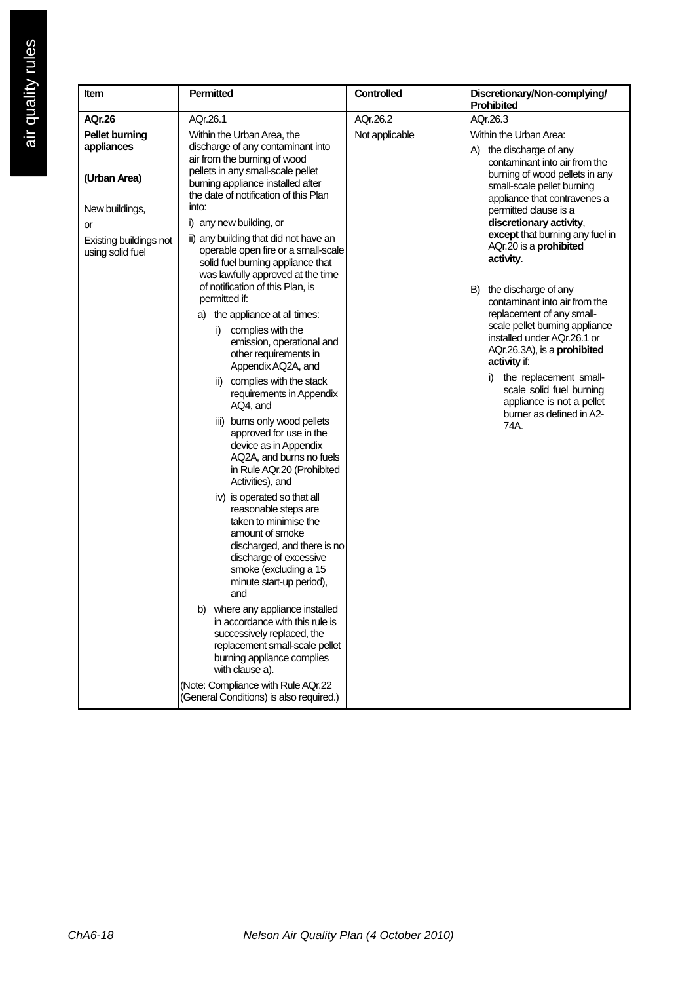| Item                                       | <b>Permitted</b>                                                                                                                                                                                                     | <b>Controlled</b> | Discretionary/Non-complying/<br><b>Prohibited</b>                                                                                                        |
|--------------------------------------------|----------------------------------------------------------------------------------------------------------------------------------------------------------------------------------------------------------------------|-------------------|----------------------------------------------------------------------------------------------------------------------------------------------------------|
| <b>AQr.26</b>                              | AQr.26.1                                                                                                                                                                                                             | AQr.26.2          | AQr.26.3                                                                                                                                                 |
| <b>Pellet burning</b>                      | Within the Urban Area, the                                                                                                                                                                                           | Not applicable    | Within the Urban Area:                                                                                                                                   |
| appliances<br>(Urban Area)                 | discharge of any contaminant into<br>air from the burning of wood<br>pellets in any small-scale pellet<br>burning appliance installed after<br>the date of notification of this Plan                                 |                   | A) the discharge of any<br>contaminant into air from the<br>burning of wood pellets in any<br>small-scale pellet burning<br>appliance that contravenes a |
| New buildings,                             | into:                                                                                                                                                                                                                |                   | permitted clause is a                                                                                                                                    |
| or                                         | any new building, or<br>i)                                                                                                                                                                                           |                   | discretionary activity,                                                                                                                                  |
| Existing buildings not<br>using solid fuel | ii) any building that did not have an<br>operable open fire or a small-scale<br>solid fuel burning appliance that<br>was lawfully approved at the time<br>of notification of this Plan, is                           |                   | except that burning any fuel in<br>AQr.20 is a prohibited<br>activity.<br>the discharge of any<br>B)                                                     |
|                                            | permitted if:                                                                                                                                                                                                        |                   | contaminant into air from the                                                                                                                            |
|                                            | a) the appliance at all times:                                                                                                                                                                                       |                   | replacement of any small-<br>scale pellet burning appliance                                                                                              |
|                                            | i) complies with the<br>emission, operational and<br>other requirements in<br>Appendix AQ2A, and                                                                                                                     |                   | installed under AQr.26.1 or<br>AQr.26.3A), is a prohibited<br>activity if:                                                                               |
|                                            | complies with the stack<br>ii)<br>requirements in Appendix<br>AQ4, and                                                                                                                                               |                   | the replacement small-<br>i)<br>scale solid fuel burning<br>appliance is not a pellet                                                                    |
|                                            | iii) burns only wood pellets<br>approved for use in the<br>device as in Appendix<br>AQ2A, and burns no fuels<br>in Rule AQr.20 (Prohibited<br>Activities), and                                                       |                   | burner as defined in A2-<br>74A.                                                                                                                         |
|                                            | iv) is operated so that all<br>reasonable steps are<br>taken to minimise the<br>amount of smoke<br>discharged, and there is no<br>discharge of excessive<br>smoke (excluding a 15<br>minute start-up period),<br>and |                   |                                                                                                                                                          |
|                                            | where any appliance installed<br>b)<br>in accordance with this rule is<br>successively replaced, the<br>replacement small-scale pellet<br>burning appliance complies<br>with clause a).                              |                   |                                                                                                                                                          |
|                                            | (Note: Compliance with Rule AQr.22<br>(General Conditions) is also required.)                                                                                                                                        |                   |                                                                                                                                                          |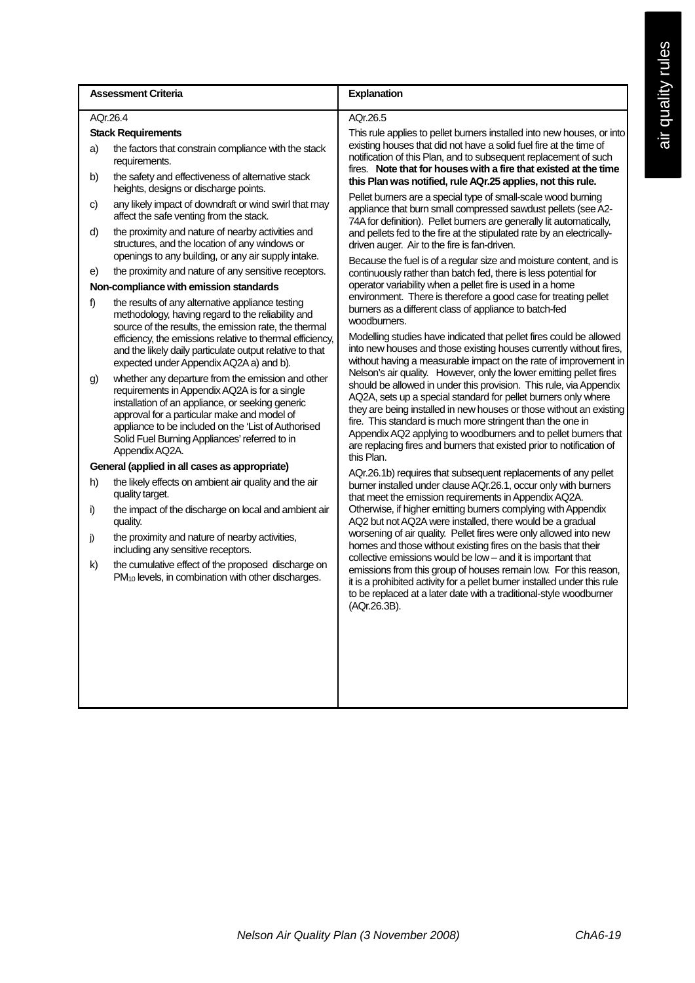| <b>Assessment Criteria</b>                                                                                                                                                                                                                                                                                                                      | Explanation                                                                                                                                                                                                                                                                                                                                                                                                                                                                                                |  |
|-------------------------------------------------------------------------------------------------------------------------------------------------------------------------------------------------------------------------------------------------------------------------------------------------------------------------------------------------|------------------------------------------------------------------------------------------------------------------------------------------------------------------------------------------------------------------------------------------------------------------------------------------------------------------------------------------------------------------------------------------------------------------------------------------------------------------------------------------------------------|--|
| AQr.26.4                                                                                                                                                                                                                                                                                                                                        | AQr.26.5                                                                                                                                                                                                                                                                                                                                                                                                                                                                                                   |  |
| <b>Stack Requirements</b>                                                                                                                                                                                                                                                                                                                       | This rule applies to pellet burners installed into new houses, or into                                                                                                                                                                                                                                                                                                                                                                                                                                     |  |
| the factors that constrain compliance with the stack<br>a)<br>requirements.                                                                                                                                                                                                                                                                     | existing houses that did not have a solid fuel fire at the time of<br>notification of this Plan, and to subsequent replacement of such<br>fires. Note that for houses with a fire that existed at the time                                                                                                                                                                                                                                                                                                 |  |
| the safety and effectiveness of alternative stack<br>b)<br>heights, designs or discharge points.                                                                                                                                                                                                                                                | this Plan was notified, rule AQr.25 applies, not this rule.                                                                                                                                                                                                                                                                                                                                                                                                                                                |  |
| any likely impact of downdraft or wind swirl that may<br>C)<br>affect the safe venting from the stack.                                                                                                                                                                                                                                          | Pellet burners are a special type of small-scale wood burning<br>appliance that burn small compressed sawdust pellets (see A2-<br>74A for definition). Pellet burners are generally lit automatically,                                                                                                                                                                                                                                                                                                     |  |
| the proximity and nature of nearby activities and<br>d)<br>structures, and the location of any windows or<br>openings to any building, or any air supply intake.                                                                                                                                                                                | and pellets fed to the fire at the stipulated rate by an electrically-<br>driven auger. Air to the fire is fan-driven.                                                                                                                                                                                                                                                                                                                                                                                     |  |
| the proximity and nature of any sensitive receptors.<br>e)                                                                                                                                                                                                                                                                                      | Because the fuel is of a regular size and moisture content, and is<br>continuously rather than batch fed, there is less potential for                                                                                                                                                                                                                                                                                                                                                                      |  |
| Non-compliance with emission standards                                                                                                                                                                                                                                                                                                          | operator variability when a pellet fire is used in a home                                                                                                                                                                                                                                                                                                                                                                                                                                                  |  |
| f)<br>the results of any alternative appliance testing<br>methodology, having regard to the reliability and<br>source of the results, the emission rate, the thermal                                                                                                                                                                            | environment. There is therefore a good case for treating pellet<br>burners as a different class of appliance to batch-fed<br>woodburners.                                                                                                                                                                                                                                                                                                                                                                  |  |
| efficiency, the emissions relative to thermal efficiency,<br>and the likely daily particulate output relative to that<br>expected under Appendix AQ2A a) and b).                                                                                                                                                                                | Modelling studies have indicated that pellet fires could be allowed<br>into new houses and those existing houses currently without fires,<br>without having a measurable impact on the rate of improvement in                                                                                                                                                                                                                                                                                              |  |
| whether any departure from the emission and other<br>$\mathbf{g}$<br>requirements in Appendix AQ2A is for a single<br>installation of an appliance, or seeking generic<br>approval for a particular make and model of<br>appliance to be included on the 'List of Authorised<br>Solid Fuel Burning Appliances' referred to in<br>Appendix AQ2A. | Nelson's air quality. However, only the lower emitting pellet fires<br>should be allowed in under this provision. This rule, via Appendix<br>AQ2A, sets up a special standard for pellet burners only where<br>they are being installed in new houses or those without an existing<br>fire. This standard is much more stringent than the one in<br>Appendix AQ2 applying to woodburners and to pellet burners that<br>are replacing fires and burners that existed prior to notification of<br>this Plan. |  |
| General (applied in all cases as appropriate)                                                                                                                                                                                                                                                                                                   | AQr.26.1b) requires that subsequent replacements of any pellet                                                                                                                                                                                                                                                                                                                                                                                                                                             |  |
| the likely effects on ambient air quality and the air<br>h)<br>quality target.                                                                                                                                                                                                                                                                  | burner installed under clause AQr.26.1, occur only with burners<br>that meet the emission requirements in Appendix AQ2A.                                                                                                                                                                                                                                                                                                                                                                                   |  |
| the impact of the discharge on local and ambient air<br>i)<br>quality.                                                                                                                                                                                                                                                                          | Otherwise, if higher emitting burners complying with Appendix<br>AQ2 but not AQ2A were installed, there would be a gradual                                                                                                                                                                                                                                                                                                                                                                                 |  |
| the proximity and nature of nearby activities,<br>j)<br>including any sensitive receptors.                                                                                                                                                                                                                                                      | worsening of air quality. Pellet fires were only allowed into new<br>homes and those without existing fires on the basis that their                                                                                                                                                                                                                                                                                                                                                                        |  |
| the cumulative effect of the proposed discharge on<br>k)<br>PM <sub>10</sub> levels, in combination with other discharges.                                                                                                                                                                                                                      | collective emissions would be low $-$ and it is important that<br>emissions from this group of houses remain low. For this reason,<br>it is a prohibited activity for a pellet burner installed under this rule<br>to be replaced at a later date with a traditional-style woodburner<br>(AQr.26.3B).                                                                                                                                                                                                      |  |
|                                                                                                                                                                                                                                                                                                                                                 |                                                                                                                                                                                                                                                                                                                                                                                                                                                                                                            |  |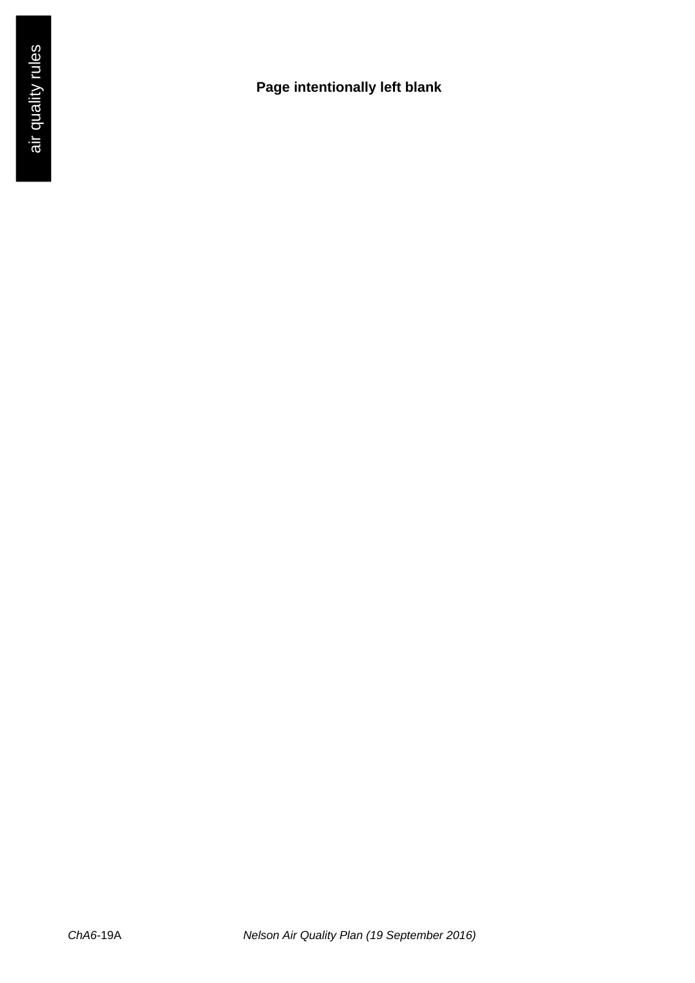**Page intentionally left blank**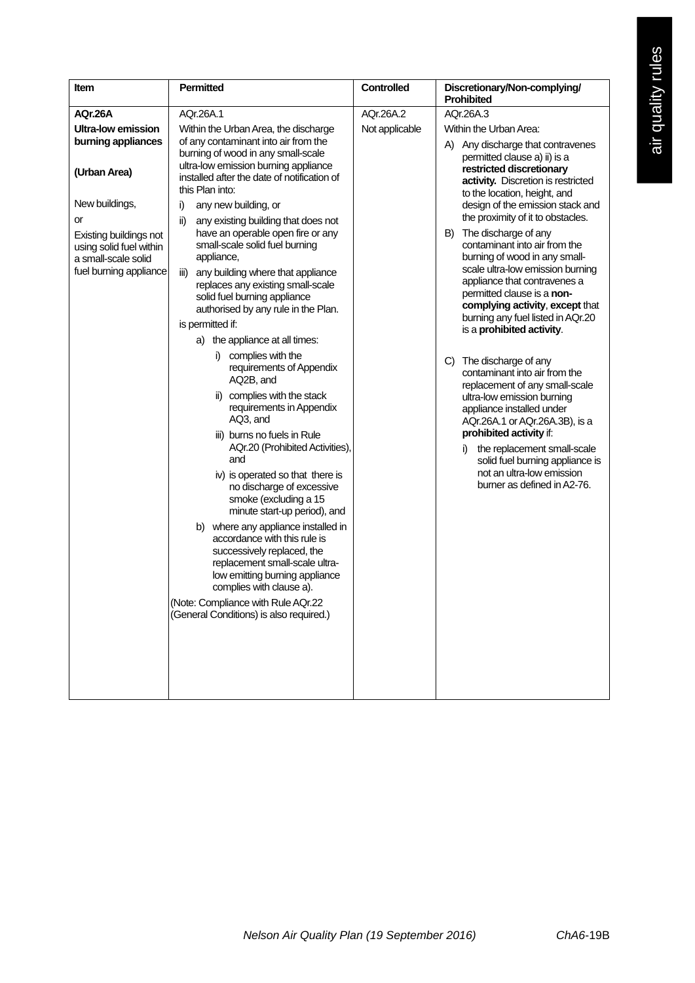| <b>Item</b>                                                                                                                | <b>Permitted</b>                                                                                                                                                                                                                                                                                                                                                                                                                                                                                                                                                                                                                                                                                                                                                                                                                                                                                                                                                                                                 | <b>Controlled</b> | Discretionary/Non-complying/<br><b>Prohibited</b>                                                                                                                                                                                                                                                                                                                                                                                                                                                                                                                                                                                                                                                                                         |
|----------------------------------------------------------------------------------------------------------------------------|------------------------------------------------------------------------------------------------------------------------------------------------------------------------------------------------------------------------------------------------------------------------------------------------------------------------------------------------------------------------------------------------------------------------------------------------------------------------------------------------------------------------------------------------------------------------------------------------------------------------------------------------------------------------------------------------------------------------------------------------------------------------------------------------------------------------------------------------------------------------------------------------------------------------------------------------------------------------------------------------------------------|-------------------|-------------------------------------------------------------------------------------------------------------------------------------------------------------------------------------------------------------------------------------------------------------------------------------------------------------------------------------------------------------------------------------------------------------------------------------------------------------------------------------------------------------------------------------------------------------------------------------------------------------------------------------------------------------------------------------------------------------------------------------------|
| AQr.26A                                                                                                                    | AQr.26A.1                                                                                                                                                                                                                                                                                                                                                                                                                                                                                                                                                                                                                                                                                                                                                                                                                                                                                                                                                                                                        | AQr.26A.2         | AQr.26A.3                                                                                                                                                                                                                                                                                                                                                                                                                                                                                                                                                                                                                                                                                                                                 |
| Ultra-low emission<br>burning appliances                                                                                   | Within the Urban Area, the discharge<br>of any contaminant into air from the<br>burning of wood in any small-scale                                                                                                                                                                                                                                                                                                                                                                                                                                                                                                                                                                                                                                                                                                                                                                                                                                                                                               | Not applicable    | Within the Urban Area:<br>A) Any discharge that contravenes<br>permitted clause a) ii) is a                                                                                                                                                                                                                                                                                                                                                                                                                                                                                                                                                                                                                                               |
| (Urban Area)                                                                                                               | ultra-low emission burning appliance<br>installed after the date of notification of<br>this Plan into:                                                                                                                                                                                                                                                                                                                                                                                                                                                                                                                                                                                                                                                                                                                                                                                                                                                                                                           |                   | restricted discretionary<br>activity. Discretion is restricted<br>to the location, height, and                                                                                                                                                                                                                                                                                                                                                                                                                                                                                                                                                                                                                                            |
| New buildings,<br>or<br>Existing buildings not<br>using solid fuel within<br>a small-scale solid<br>fuel burning appliance | i)<br>any new building, or<br>any existing building that does not<br>ii)<br>have an operable open fire or any<br>small-scale solid fuel burning<br>appliance,<br>any building where that appliance<br>iii)<br>replaces any existing small-scale<br>solid fuel burning appliance<br>authorised by any rule in the Plan.<br>is permitted if:<br>a) the appliance at all times:<br>i) complies with the<br>requirements of Appendix<br>AQ2B, and<br>complies with the stack<br>ii)<br>requirements in Appendix<br>AQ3, and<br>iii) burns no fuels in Rule<br>AQr.20 (Prohibited Activities),<br>and<br>iv) is operated so that there is<br>no discharge of excessive<br>smoke (excluding a 15<br>minute start-up period), and<br>b) where any appliance installed in<br>accordance with this rule is<br>successively replaced, the<br>replacement small-scale ultra-<br>low emitting burning appliance<br>complies with clause a).<br>(Note: Compliance with Rule AQr.22<br>(General Conditions) is also required.) |                   | design of the emission stack and<br>the proximity of it to obstacles.<br>The discharge of any<br>B)<br>contaminant into air from the<br>burning of wood in any small-<br>scale ultra-low emission burning<br>appliance that contravenes a<br>permitted clause is a non-<br>complying activity, except that<br>burning any fuel listed in AQr.20<br>is a prohibited activity.<br>The discharge of any<br>C)<br>contaminant into air from the<br>replacement of any small-scale<br>ultra-low emission burning<br>appliance installed under<br>AQr.26A.1 or AQr.26A.3B), is a<br>prohibited activity if:<br>the replacement small-scale<br>i)<br>solid fuel burning appliance is<br>not an ultra-low emission<br>burner as defined in A2-76. |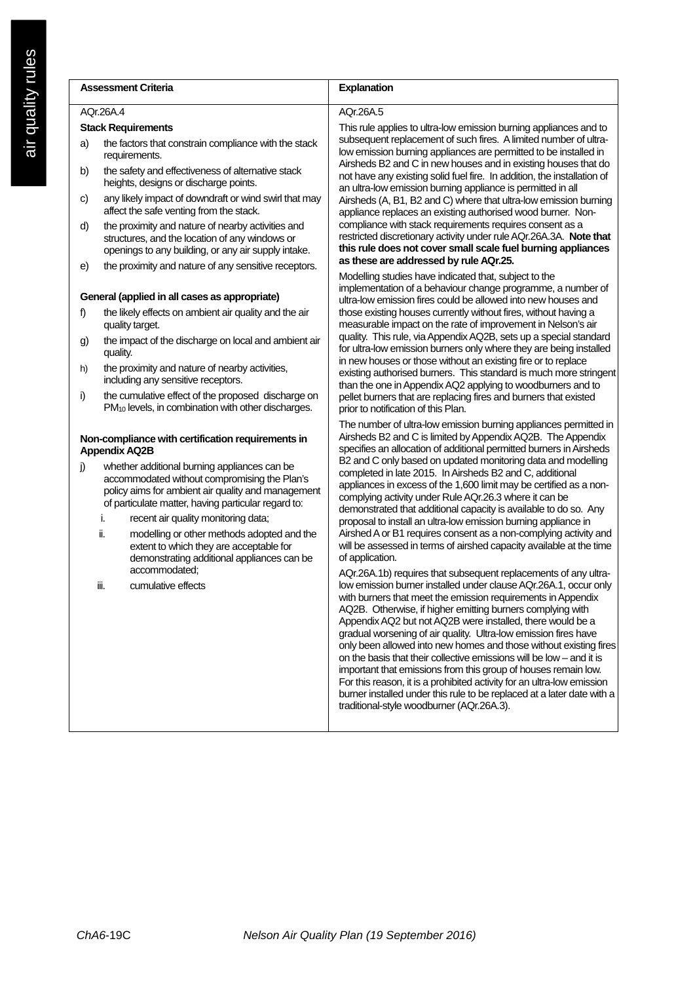|                                        | <b>Assessment Criteria</b>                                                                                                                                                                                                                                                                                                                                                                                                                                                                                                                                                                                                                                                                                      | Explanation                                                                                                                                                                                                                                                                                                                                                                                                                                                                                                                                                                                                                                                                                                                                                                                                                                                                                                                                                                                                                                                                                                                                                                                                                                                                                                                                                                                                                                                                                                                                                                                    |
|----------------------------------------|-----------------------------------------------------------------------------------------------------------------------------------------------------------------------------------------------------------------------------------------------------------------------------------------------------------------------------------------------------------------------------------------------------------------------------------------------------------------------------------------------------------------------------------------------------------------------------------------------------------------------------------------------------------------------------------------------------------------|------------------------------------------------------------------------------------------------------------------------------------------------------------------------------------------------------------------------------------------------------------------------------------------------------------------------------------------------------------------------------------------------------------------------------------------------------------------------------------------------------------------------------------------------------------------------------------------------------------------------------------------------------------------------------------------------------------------------------------------------------------------------------------------------------------------------------------------------------------------------------------------------------------------------------------------------------------------------------------------------------------------------------------------------------------------------------------------------------------------------------------------------------------------------------------------------------------------------------------------------------------------------------------------------------------------------------------------------------------------------------------------------------------------------------------------------------------------------------------------------------------------------------------------------------------------------------------------------|
|                                        | AQr.26A.4                                                                                                                                                                                                                                                                                                                                                                                                                                                                                                                                                                                                                                                                                                       | AQr.26A.5                                                                                                                                                                                                                                                                                                                                                                                                                                                                                                                                                                                                                                                                                                                                                                                                                                                                                                                                                                                                                                                                                                                                                                                                                                                                                                                                                                                                                                                                                                                                                                                      |
| a)<br>b)<br>c)<br>d)<br>e)<br>f)<br>g) | <b>Stack Requirements</b><br>the factors that constrain compliance with the stack<br>requirements.<br>the safety and effectiveness of alternative stack<br>heights, designs or discharge points.<br>any likely impact of downdraft or wind swirl that may<br>affect the safe venting from the stack.<br>the proximity and nature of nearby activities and<br>structures, and the location of any windows or<br>openings to any building, or any air supply intake.<br>the proximity and nature of any sensitive receptors.<br>General (applied in all cases as appropriate)<br>the likely effects on ambient air quality and the air<br>quality target.<br>the impact of the discharge on local and ambient air | This rule applies to ultra-low emission burning appliances and to<br>subsequent replacement of such fires. A limited number of ultra-<br>low emission burning appliances are permitted to be installed in<br>Airsheds B2 and C in new houses and in existing houses that do<br>not have any existing solid fuel fire. In addition, the installation of<br>an ultra-low emission burning appliance is permitted in all<br>Airsheds (A, B1, B2 and C) where that ultra-low emission burning<br>appliance replaces an existing authorised wood burner. Non-<br>compliance with stack requirements requires consent as a<br>restricted discretionary activity under rule AQr.26A.3A. Note that<br>this rule does not cover small scale fuel burning appliances<br>as these are addressed by rule AQr.25.<br>Modelling studies have indicated that, subject to the<br>implementation of a behaviour change programme, a number of<br>ultra-low emission fires could be allowed into new houses and<br>those existing houses currently without fires, without having a<br>measurable impact on the rate of improvement in Nelson's air<br>quality. This rule, via Appendix AQ2B, sets up a special standard<br>for ultra-low emission burners only where they are being installed                                                                                                                                                                                                                                                                                                                    |
| h)<br>i)                               | quality.<br>the proximity and nature of nearby activities,<br>including any sensitive receptors.<br>the cumulative effect of the proposed discharge on<br>PM <sub>10</sub> levels, in combination with other discharges.                                                                                                                                                                                                                                                                                                                                                                                                                                                                                        | in new houses or those without an existing fire or to replace<br>existing authorised burners. This standard is much more stringent<br>than the one in Appendix AQ2 applying to woodburners and to<br>pellet burners that are replacing fires and burners that existed<br>prior to notification of this Plan.                                                                                                                                                                                                                                                                                                                                                                                                                                                                                                                                                                                                                                                                                                                                                                                                                                                                                                                                                                                                                                                                                                                                                                                                                                                                                   |
| j)                                     | Non-compliance with certification requirements in<br><b>Appendix AQ2B</b><br>whether additional burning appliances can be<br>accommodated without compromising the Plan's<br>policy aims for ambient air quality and management<br>of particulate matter, having particular regard to:<br>recent air quality monitoring data;<br>i.<br>modelling or other methods adopted and the<br>ii.<br>extent to which they are acceptable for<br>demonstrating additional appliances can be<br>accommodated:<br>cumulative effects<br>Ш.                                                                                                                                                                                  | The number of ultra-low emission burning appliances permitted in<br>Airsheds B2 and C is limited by Appendix AQ2B. The Appendix<br>specifies an allocation of additional permitted burners in Airsheds<br>B2 and C only based on updated monitoring data and modelling<br>completed in late 2015. In Airsheds B2 and C, additional<br>appliances in excess of the 1,600 limit may be certified as a non-<br>complying activity under Rule AQr.26.3 where it can be<br>demonstrated that additional capacity is available to do so. Any<br>proposal to install an ultra-low emission burning appliance in<br>Airshed A or B1 requires consent as a non-complying activity and<br>will be assessed in terms of airshed capacity available at the time<br>of application.<br>AQr.26A.1b) requires that subsequent replacements of any ultra-<br>low emission burner installed under clause AQr.26A.1, occur only<br>with burners that meet the emission requirements in Appendix<br>AQ2B. Otherwise, if higher emitting burners complying with<br>Appendix AQ2 but not AQ2B were installed, there would be a<br>gradual worsening of air quality. Ultra-low emission fires have<br>only been allowed into new homes and those without existing fires<br>on the basis that their collective emissions will be low $-$ and it is<br>important that emissions from this group of houses remain low.<br>For this reason, it is a prohibited activity for an ultra-low emission<br>burner installed under this rule to be replaced at a later date with a<br>traditional-style woodburner (AQr.26A.3). |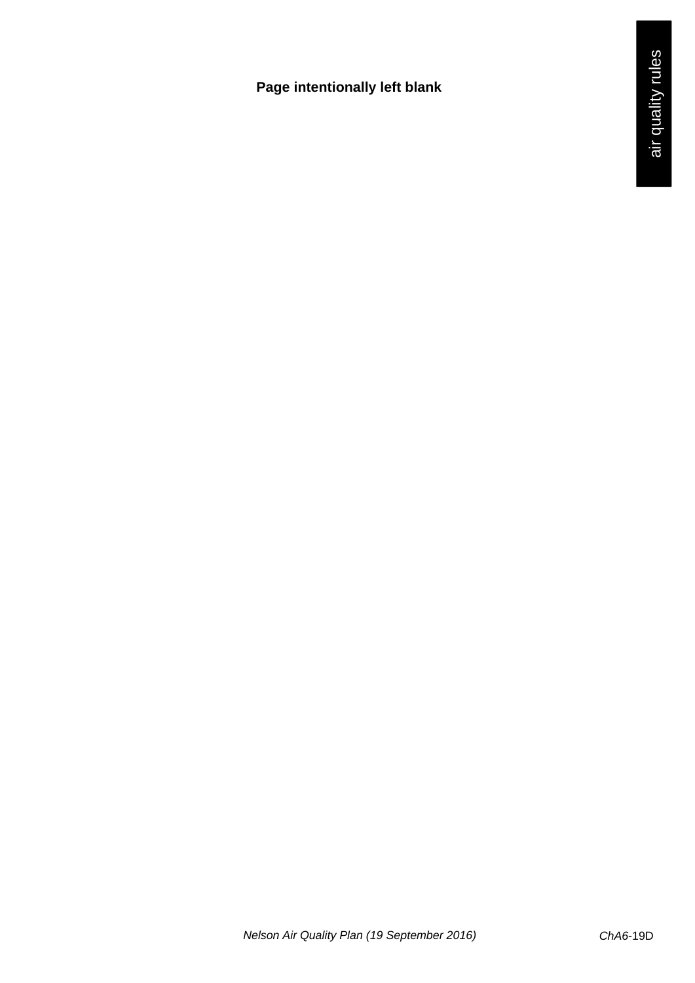## **Page intentionally left blank**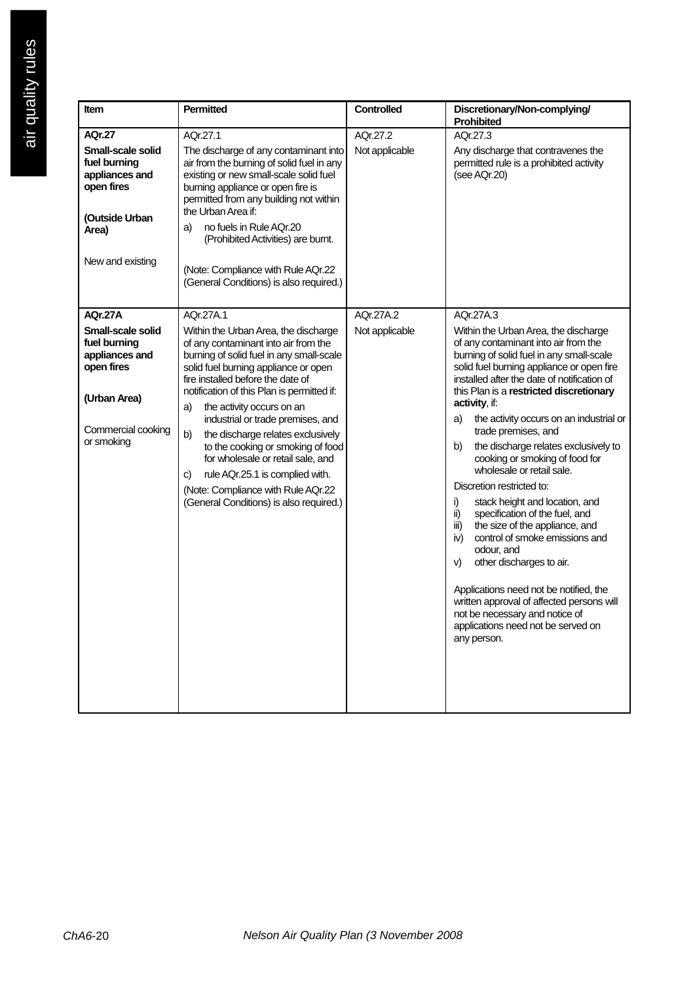| Item                                                                                                                         | <b>Permitted</b>                                                                                                                                                                                                                                                                                                                                                                                                                                                                                                                                                           | <b>Controlled</b> | Discretionary/Non-complying/<br><b>Prohibited</b>                                                                                                                                                                                                                                                                                                                                                                                                                                                                                                                                                                                                                                                                                                                                                                                                                                                    |
|------------------------------------------------------------------------------------------------------------------------------|----------------------------------------------------------------------------------------------------------------------------------------------------------------------------------------------------------------------------------------------------------------------------------------------------------------------------------------------------------------------------------------------------------------------------------------------------------------------------------------------------------------------------------------------------------------------------|-------------------|------------------------------------------------------------------------------------------------------------------------------------------------------------------------------------------------------------------------------------------------------------------------------------------------------------------------------------------------------------------------------------------------------------------------------------------------------------------------------------------------------------------------------------------------------------------------------------------------------------------------------------------------------------------------------------------------------------------------------------------------------------------------------------------------------------------------------------------------------------------------------------------------------|
| <b>AQr.27</b>                                                                                                                | AQr.27.1                                                                                                                                                                                                                                                                                                                                                                                                                                                                                                                                                                   | AQr.27.2          | AQr.27.3                                                                                                                                                                                                                                                                                                                                                                                                                                                                                                                                                                                                                                                                                                                                                                                                                                                                                             |
| <b>Small-scale solid</b><br>fuel burning<br>appliances and<br>open fires                                                     | The discharge of any contaminant into<br>air from the burning of solid fuel in any<br>existing or new small-scale solid fuel<br>burning appliance or open fire is<br>permitted from any building not within<br>the Urban Area if:                                                                                                                                                                                                                                                                                                                                          | Not applicable    | Any discharge that contravenes the<br>permitted rule is a prohibited activity<br>(see AQr.20)                                                                                                                                                                                                                                                                                                                                                                                                                                                                                                                                                                                                                                                                                                                                                                                                        |
| (Outside Urban<br>Area)                                                                                                      | no fuels in Rule AQr.20<br>a)<br>(Prohibited Activities) are burnt.                                                                                                                                                                                                                                                                                                                                                                                                                                                                                                        |                   |                                                                                                                                                                                                                                                                                                                                                                                                                                                                                                                                                                                                                                                                                                                                                                                                                                                                                                      |
| New and existing                                                                                                             | (Note: Compliance with Rule AQr.22<br>(General Conditions) is also required.)                                                                                                                                                                                                                                                                                                                                                                                                                                                                                              |                   |                                                                                                                                                                                                                                                                                                                                                                                                                                                                                                                                                                                                                                                                                                                                                                                                                                                                                                      |
| AQr.27A                                                                                                                      | AQr.27A.1                                                                                                                                                                                                                                                                                                                                                                                                                                                                                                                                                                  | AQr.27A.2         | AQr.27A.3                                                                                                                                                                                                                                                                                                                                                                                                                                                                                                                                                                                                                                                                                                                                                                                                                                                                                            |
| <b>Small-scale solid</b><br>fuel burning<br>appliances and<br>open fires<br>(Urban Area)<br>Commercial cooking<br>or smoking | Within the Urban Area, the discharge<br>of any contaminant into air from the<br>burning of solid fuel in any small-scale<br>solid fuel burning appliance or open<br>fire installed before the date of<br>notification of this Plan is permitted if:<br>the activity occurs on an<br>a)<br>industrial or trade premises, and<br>b)<br>the discharge relates exclusively<br>to the cooking or smoking of food<br>for wholesale or retail sale, and<br>rule AQr.25.1 is complied with.<br>C)<br>(Note: Compliance with Rule AQr.22<br>(General Conditions) is also required.) | Not applicable    | Within the Urban Area, the discharge<br>of any contaminant into air from the<br>burning of solid fuel in any small-scale<br>solid fuel burning appliance or open fire<br>installed after the date of notification of<br>this Plan is a restricted discretionary<br>activity, if:<br>the activity occurs on an industrial or<br>a)<br>trade premises, and<br>the discharge relates exclusively to<br>b)<br>cooking or smoking of food for<br>wholesale or retail sale.<br>Discretion restricted to:<br>i)<br>stack height and location, and<br>ii)<br>specification of the fuel, and<br>the size of the appliance, and<br>iii)<br>control of smoke emissions and<br>iv)<br>odour, and<br>other discharges to air.<br>V)<br>Applications need not be notified, the<br>written approval of affected persons will<br>not be necessary and notice of<br>applications need not be served on<br>any person. |
|                                                                                                                              |                                                                                                                                                                                                                                                                                                                                                                                                                                                                                                                                                                            |                   |                                                                                                                                                                                                                                                                                                                                                                                                                                                                                                                                                                                                                                                                                                                                                                                                                                                                                                      |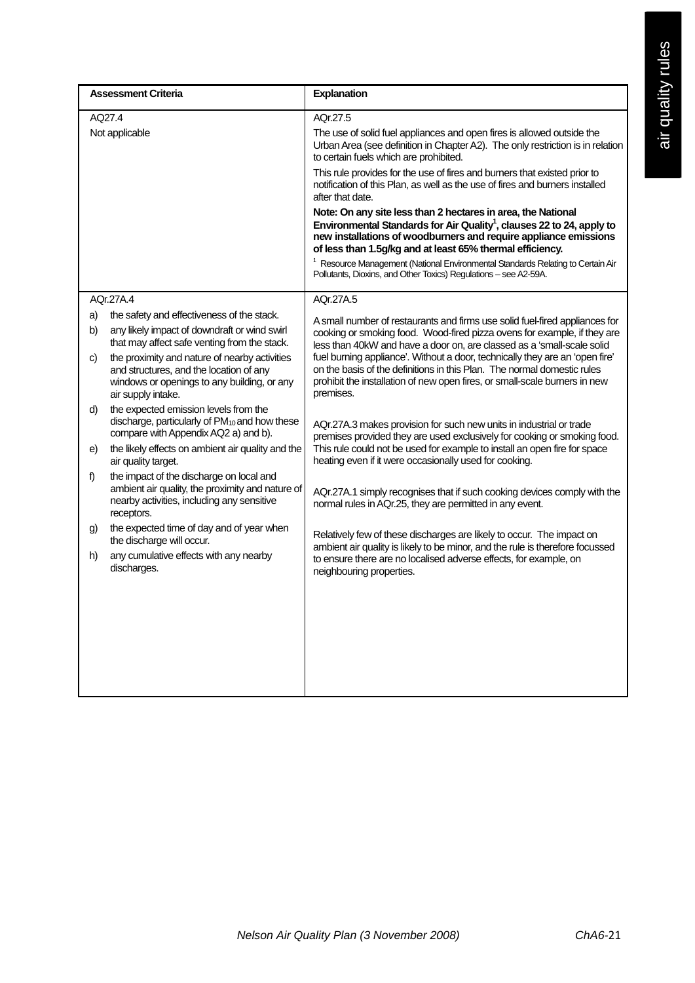| Assessment Criteria |        |                                                                                                                                                          | <b>Explanation</b>                                                                                                                                                                                                 |  |
|---------------------|--------|----------------------------------------------------------------------------------------------------------------------------------------------------------|--------------------------------------------------------------------------------------------------------------------------------------------------------------------------------------------------------------------|--|
|                     | AQ27.4 |                                                                                                                                                          | AQr.27.5                                                                                                                                                                                                           |  |
| Not applicable      |        |                                                                                                                                                          | The use of solid fuel appliances and open fires is allowed outside the<br>Urban Area (see definition in Chapter A2). The only restriction is in relation<br>to certain fuels which are prohibited.                 |  |
|                     |        |                                                                                                                                                          | This rule provides for the use of fires and burners that existed prior to<br>notification of this Plan, as well as the use of fires and burners installed<br>after that date.                                      |  |
|                     |        |                                                                                                                                                          | Note: On any site less than 2 hectares in area, the National                                                                                                                                                       |  |
|                     |        |                                                                                                                                                          | Environmental Standards for Air Quality <sup>1</sup> , clauses 22 to 24, apply to<br>new installations of woodburners and require appliance emissions<br>of less than 1.5g/kg and at least 65% thermal efficiency. |  |
|                     |        |                                                                                                                                                          | Resource Management (National Environmental Standards Relating to Certain Air<br>Pollutants, Dioxins, and Other Toxics) Regulations - see A2-59A.                                                                  |  |
|                     |        | AQr.27A.4                                                                                                                                                | AQr.27A.5                                                                                                                                                                                                          |  |
|                     | a)     | the safety and effectiveness of the stack.                                                                                                               | A small number of restaurants and firms use solid fuel-fired appliances for                                                                                                                                        |  |
|                     | b)     | any likely impact of downdraft or wind swirl<br>that may affect safe venting from the stack.                                                             | cooking or smoking food. Wood-fired pizza ovens for example, if they are<br>less than 40kW and have a door on, are classed as a 'small-scale solid                                                                 |  |
|                     | C)     | the proximity and nature of nearby activities<br>and structures, and the location of any                                                                 | fuel burning appliance'. Without a door, technically they are an 'open fire'<br>on the basis of the definitions in this Plan. The normal domestic rules                                                            |  |
|                     |        | windows or openings to any building, or any<br>air supply intake.                                                                                        | prohibit the installation of new open fires, or small-scale burners in new<br>premises.                                                                                                                            |  |
|                     | d)     | the expected emission levels from the<br>discharge, particularly of PM <sub>10</sub> and how these<br>compare with Appendix AQ2 a) and b).               | AQr.27A.3 makes provision for such new units in industrial or trade<br>premises provided they are used exclusively for cooking or smoking food.                                                                    |  |
|                     | e)     | the likely effects on ambient air quality and the<br>air quality target.                                                                                 | This rule could not be used for example to install an open fire for space<br>heating even if it were occasionally used for cooking.                                                                                |  |
|                     | f)     | the impact of the discharge on local and<br>ambient air quality, the proximity and nature of<br>nearby activities, including any sensitive<br>receptors. | AQr.27A.1 simply recognises that if such cooking devices comply with the<br>normal rules in AQr.25, they are permitted in any event.                                                                               |  |
|                     | g)     | the expected time of day and of year when<br>the discharge will occur.                                                                                   | Relatively few of these discharges are likely to occur. The impact on<br>ambient air quality is likely to be minor, and the rule is therefore focussed                                                             |  |
|                     | h)     | any cumulative effects with any nearby<br>discharges.                                                                                                    | to ensure there are no localised adverse effects, for example, on<br>neighbouring properties.                                                                                                                      |  |
|                     |        |                                                                                                                                                          |                                                                                                                                                                                                                    |  |
|                     |        |                                                                                                                                                          |                                                                                                                                                                                                                    |  |
|                     |        |                                                                                                                                                          |                                                                                                                                                                                                                    |  |
|                     |        |                                                                                                                                                          |                                                                                                                                                                                                                    |  |
|                     |        |                                                                                                                                                          |                                                                                                                                                                                                                    |  |
|                     |        |                                                                                                                                                          |                                                                                                                                                                                                                    |  |
|                     |        |                                                                                                                                                          |                                                                                                                                                                                                                    |  |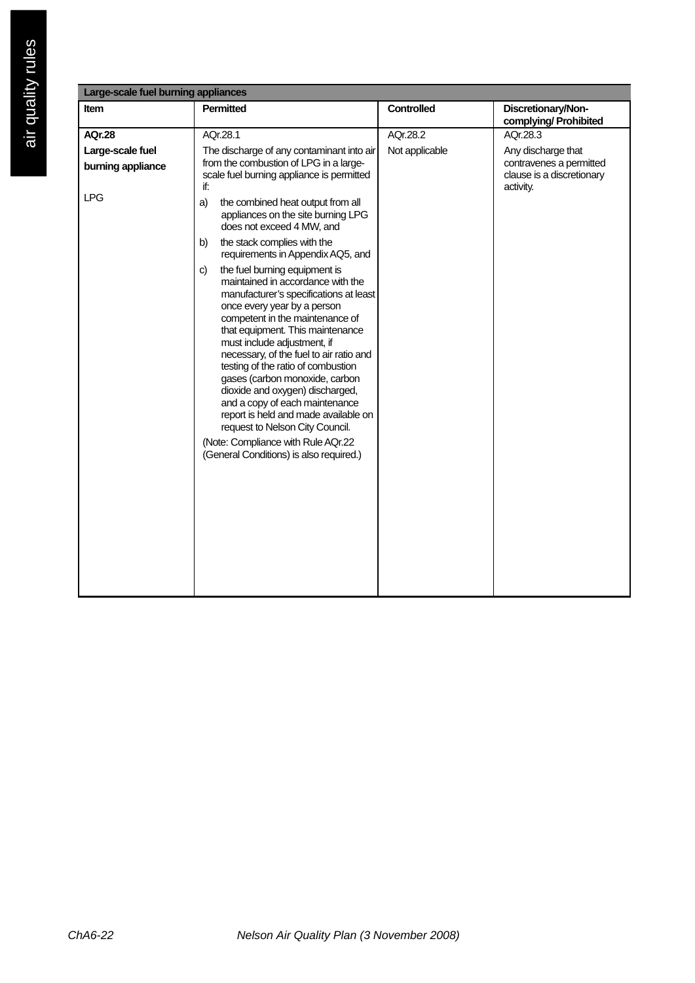| Large-scale fuel burning appliances   |                                                                                                                                                                                                                                                                                                                                                                                                                                                                                                                                                                                                                                                                                                                                                                                                            |                   |                                                                            |
|---------------------------------------|------------------------------------------------------------------------------------------------------------------------------------------------------------------------------------------------------------------------------------------------------------------------------------------------------------------------------------------------------------------------------------------------------------------------------------------------------------------------------------------------------------------------------------------------------------------------------------------------------------------------------------------------------------------------------------------------------------------------------------------------------------------------------------------------------------|-------------------|----------------------------------------------------------------------------|
| Item                                  | <b>Permitted</b>                                                                                                                                                                                                                                                                                                                                                                                                                                                                                                                                                                                                                                                                                                                                                                                           | <b>Controlled</b> | Discretionary/Non-<br>complying/ Prohibited                                |
| <b>AQr.28</b>                         | AQr.28.1                                                                                                                                                                                                                                                                                                                                                                                                                                                                                                                                                                                                                                                                                                                                                                                                   | AQr.28.2          | AQr.28.3                                                                   |
| Large-scale fuel<br>burning appliance | The discharge of any contaminant into air<br>from the combustion of LPG in a large-<br>scale fuel burning appliance is permitted                                                                                                                                                                                                                                                                                                                                                                                                                                                                                                                                                                                                                                                                           | Not applicable    | Any discharge that<br>contravenes a permitted<br>clause is a discretionary |
| <b>LPG</b>                            | if:<br>a)<br>the combined heat output from all<br>appliances on the site burning LPG<br>does not exceed 4 MW, and<br>the stack complies with the<br>b)<br>requirements in Appendix AQ5, and<br>the fuel burning equipment is<br>C)<br>maintained in accordance with the<br>manufacturer's specifications at least<br>once every year by a person<br>competent in the maintenance of<br>that equipment. This maintenance<br>must include adjustment, if<br>necessary, of the fuel to air ratio and<br>testing of the ratio of combustion<br>gases (carbon monoxide, carbon<br>dioxide and oxygen) discharged,<br>and a copy of each maintenance<br>report is held and made available on<br>request to Nelson City Council.<br>(Note: Compliance with Rule AQr.22<br>(General Conditions) is also required.) |                   | activity.                                                                  |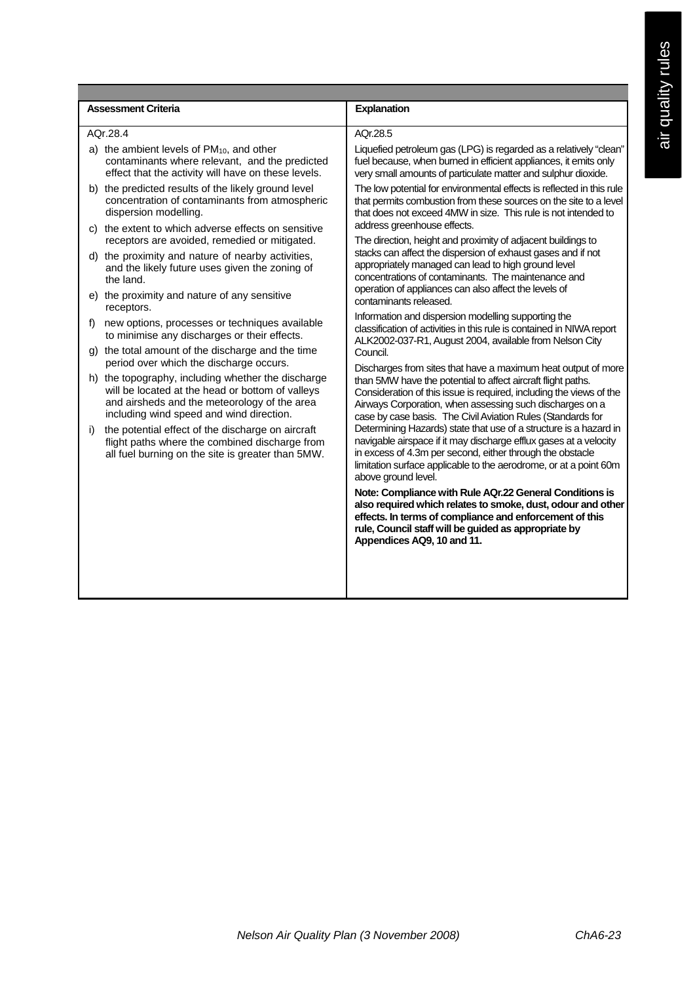| <b>Assessment Criteria</b><br><b>Explanation</b><br>AQr.28.4<br>AQr.28.5<br>Liquefied petroleum gas (LPG) is regarded as a relatively "clean"<br>a) the ambient levels of $PM_{10}$ , and other<br>contaminants where relevant, and the predicted<br>fuel because, when burned in efficient appliances, it emits only<br>effect that the activity will have on these levels.<br>very small amounts of particulate matter and sulphur dioxide.<br>b) the predicted results of the likely ground level<br>The low potential for environmental effects is reflected in this rule<br>concentration of contaminants from atmospheric<br>that permits combustion from these sources on the site to a level<br>dispersion modelling.<br>that does not exceed 4MW in size. This rule is not intended to<br>address greenhouse effects.<br>the extent to which adverse effects on sensitive<br>C)<br>receptors are avoided, remedied or mitigated.<br>The direction, height and proximity of adjacent buildings to<br>stacks can affect the dispersion of exhaust gases and if not<br>the proximity and nature of nearby activities,<br>d).<br>appropriately managed can lead to high ground level<br>and the likely future uses given the zoning of<br>concentrations of contaminants. The maintenance and<br>the land.<br>operation of appliances can also affect the levels of<br>e) the proximity and nature of any sensitive<br>contaminants released.<br>receptors.<br>Information and dispersion modelling supporting the<br>new options, processes or techniques available<br>f)<br>classification of activities in this rule is contained in NIWA report<br>to minimise any discharges or their effects.<br>ALK2002-037-R1, August 2004, available from Nelson City<br>g) the total amount of the discharge and the time<br>Council.<br>period over which the discharge occurs.<br>Discharges from sites that have a maximum heat output of more<br>h) the topography, including whether the discharge<br>than 5MW have the potential to affect aircraft flight paths.<br>will be located at the head or bottom of valleys<br>Consideration of this issue is required, including the views of the<br>and airsheds and the meteorology of the area<br>Airways Corporation, when assessing such discharges on a<br>including wind speed and wind direction.<br>case by case basis. The Civil Aviation Rules (Standards for<br>Determining Hazards) state that use of a structure is a hazard in<br>the potential effect of the discharge on aircraft<br>i)<br>navigable airspace if it may discharge efflux gases at a velocity<br>flight paths where the combined discharge from<br>in excess of 4.3m per second, either through the obstacle<br>all fuel burning on the site is greater than 5MW.<br>limitation surface applicable to the aerodrome, or at a point 60m<br>above ground level.<br>Note: Compliance with Rule AQr.22 General Conditions is<br>also required which relates to smoke, dust, odour and other<br>effects. In terms of compliance and enforcement of this<br>rule, Council staff will be guided as appropriate by<br>Appendices AQ9, 10 and 11. |  |  |  |  |
|--------------------------------------------------------------------------------------------------------------------------------------------------------------------------------------------------------------------------------------------------------------------------------------------------------------------------------------------------------------------------------------------------------------------------------------------------------------------------------------------------------------------------------------------------------------------------------------------------------------------------------------------------------------------------------------------------------------------------------------------------------------------------------------------------------------------------------------------------------------------------------------------------------------------------------------------------------------------------------------------------------------------------------------------------------------------------------------------------------------------------------------------------------------------------------------------------------------------------------------------------------------------------------------------------------------------------------------------------------------------------------------------------------------------------------------------------------------------------------------------------------------------------------------------------------------------------------------------------------------------------------------------------------------------------------------------------------------------------------------------------------------------------------------------------------------------------------------------------------------------------------------------------------------------------------------------------------------------------------------------------------------------------------------------------------------------------------------------------------------------------------------------------------------------------------------------------------------------------------------------------------------------------------------------------------------------------------------------------------------------------------------------------------------------------------------------------------------------------------------------------------------------------------------------------------------------------------------------------------------------------------------------------------------------------------------------------------------------------------------------------------------------------------------------------------------------------------------------------------------------------------------------------------------------------------------------------------------------------------------------------------------------------------------------------------------------------------------------------------------------------------------------------------------------------|--|--|--|--|
|                                                                                                                                                                                                                                                                                                                                                                                                                                                                                                                                                                                                                                                                                                                                                                                                                                                                                                                                                                                                                                                                                                                                                                                                                                                                                                                                                                                                                                                                                                                                                                                                                                                                                                                                                                                                                                                                                                                                                                                                                                                                                                                                                                                                                                                                                                                                                                                                                                                                                                                                                                                                                                                                                                                                                                                                                                                                                                                                                                                                                                                                                                                                                                          |  |  |  |  |
|                                                                                                                                                                                                                                                                                                                                                                                                                                                                                                                                                                                                                                                                                                                                                                                                                                                                                                                                                                                                                                                                                                                                                                                                                                                                                                                                                                                                                                                                                                                                                                                                                                                                                                                                                                                                                                                                                                                                                                                                                                                                                                                                                                                                                                                                                                                                                                                                                                                                                                                                                                                                                                                                                                                                                                                                                                                                                                                                                                                                                                                                                                                                                                          |  |  |  |  |
|                                                                                                                                                                                                                                                                                                                                                                                                                                                                                                                                                                                                                                                                                                                                                                                                                                                                                                                                                                                                                                                                                                                                                                                                                                                                                                                                                                                                                                                                                                                                                                                                                                                                                                                                                                                                                                                                                                                                                                                                                                                                                                                                                                                                                                                                                                                                                                                                                                                                                                                                                                                                                                                                                                                                                                                                                                                                                                                                                                                                                                                                                                                                                                          |  |  |  |  |
|                                                                                                                                                                                                                                                                                                                                                                                                                                                                                                                                                                                                                                                                                                                                                                                                                                                                                                                                                                                                                                                                                                                                                                                                                                                                                                                                                                                                                                                                                                                                                                                                                                                                                                                                                                                                                                                                                                                                                                                                                                                                                                                                                                                                                                                                                                                                                                                                                                                                                                                                                                                                                                                                                                                                                                                                                                                                                                                                                                                                                                                                                                                                                                          |  |  |  |  |
|                                                                                                                                                                                                                                                                                                                                                                                                                                                                                                                                                                                                                                                                                                                                                                                                                                                                                                                                                                                                                                                                                                                                                                                                                                                                                                                                                                                                                                                                                                                                                                                                                                                                                                                                                                                                                                                                                                                                                                                                                                                                                                                                                                                                                                                                                                                                                                                                                                                                                                                                                                                                                                                                                                                                                                                                                                                                                                                                                                                                                                                                                                                                                                          |  |  |  |  |
|                                                                                                                                                                                                                                                                                                                                                                                                                                                                                                                                                                                                                                                                                                                                                                                                                                                                                                                                                                                                                                                                                                                                                                                                                                                                                                                                                                                                                                                                                                                                                                                                                                                                                                                                                                                                                                                                                                                                                                                                                                                                                                                                                                                                                                                                                                                                                                                                                                                                                                                                                                                                                                                                                                                                                                                                                                                                                                                                                                                                                                                                                                                                                                          |  |  |  |  |
|                                                                                                                                                                                                                                                                                                                                                                                                                                                                                                                                                                                                                                                                                                                                                                                                                                                                                                                                                                                                                                                                                                                                                                                                                                                                                                                                                                                                                                                                                                                                                                                                                                                                                                                                                                                                                                                                                                                                                                                                                                                                                                                                                                                                                                                                                                                                                                                                                                                                                                                                                                                                                                                                                                                                                                                                                                                                                                                                                                                                                                                                                                                                                                          |  |  |  |  |
|                                                                                                                                                                                                                                                                                                                                                                                                                                                                                                                                                                                                                                                                                                                                                                                                                                                                                                                                                                                                                                                                                                                                                                                                                                                                                                                                                                                                                                                                                                                                                                                                                                                                                                                                                                                                                                                                                                                                                                                                                                                                                                                                                                                                                                                                                                                                                                                                                                                                                                                                                                                                                                                                                                                                                                                                                                                                                                                                                                                                                                                                                                                                                                          |  |  |  |  |
|                                                                                                                                                                                                                                                                                                                                                                                                                                                                                                                                                                                                                                                                                                                                                                                                                                                                                                                                                                                                                                                                                                                                                                                                                                                                                                                                                                                                                                                                                                                                                                                                                                                                                                                                                                                                                                                                                                                                                                                                                                                                                                                                                                                                                                                                                                                                                                                                                                                                                                                                                                                                                                                                                                                                                                                                                                                                                                                                                                                                                                                                                                                                                                          |  |  |  |  |
|                                                                                                                                                                                                                                                                                                                                                                                                                                                                                                                                                                                                                                                                                                                                                                                                                                                                                                                                                                                                                                                                                                                                                                                                                                                                                                                                                                                                                                                                                                                                                                                                                                                                                                                                                                                                                                                                                                                                                                                                                                                                                                                                                                                                                                                                                                                                                                                                                                                                                                                                                                                                                                                                                                                                                                                                                                                                                                                                                                                                                                                                                                                                                                          |  |  |  |  |
|                                                                                                                                                                                                                                                                                                                                                                                                                                                                                                                                                                                                                                                                                                                                                                                                                                                                                                                                                                                                                                                                                                                                                                                                                                                                                                                                                                                                                                                                                                                                                                                                                                                                                                                                                                                                                                                                                                                                                                                                                                                                                                                                                                                                                                                                                                                                                                                                                                                                                                                                                                                                                                                                                                                                                                                                                                                                                                                                                                                                                                                                                                                                                                          |  |  |  |  |
|                                                                                                                                                                                                                                                                                                                                                                                                                                                                                                                                                                                                                                                                                                                                                                                                                                                                                                                                                                                                                                                                                                                                                                                                                                                                                                                                                                                                                                                                                                                                                                                                                                                                                                                                                                                                                                                                                                                                                                                                                                                                                                                                                                                                                                                                                                                                                                                                                                                                                                                                                                                                                                                                                                                                                                                                                                                                                                                                                                                                                                                                                                                                                                          |  |  |  |  |
|                                                                                                                                                                                                                                                                                                                                                                                                                                                                                                                                                                                                                                                                                                                                                                                                                                                                                                                                                                                                                                                                                                                                                                                                                                                                                                                                                                                                                                                                                                                                                                                                                                                                                                                                                                                                                                                                                                                                                                                                                                                                                                                                                                                                                                                                                                                                                                                                                                                                                                                                                                                                                                                                                                                                                                                                                                                                                                                                                                                                                                                                                                                                                                          |  |  |  |  |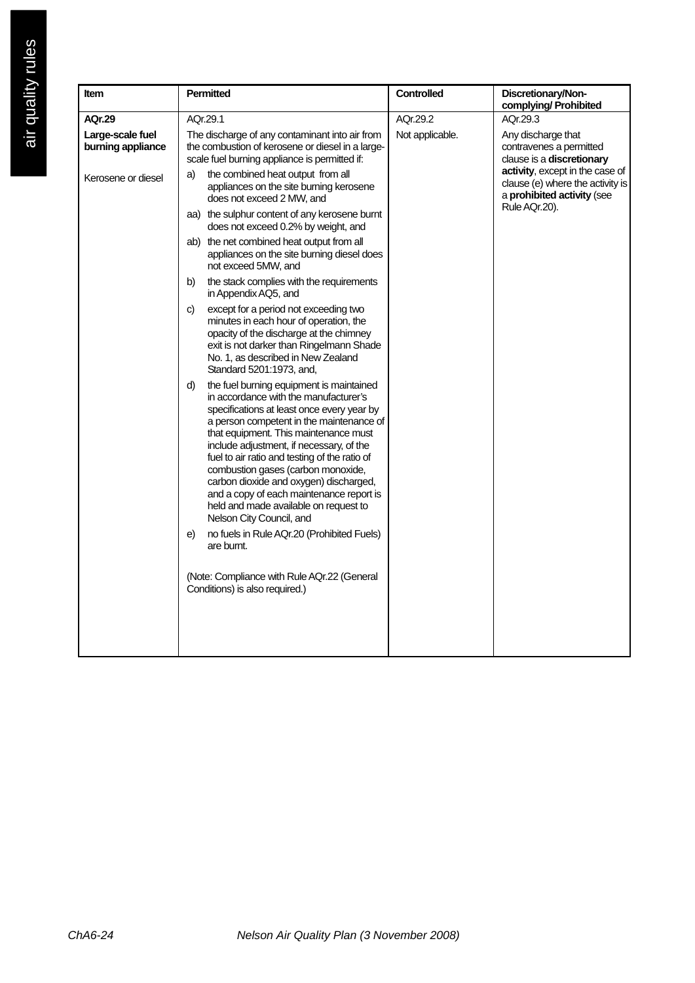| Item                                  | <b>Permitted</b>                                                                                                                                                                                                                                                                                                                                                                                                                                                                                                         | <b>Controlled</b> | Discretionary/Non-<br>complying/ Prohibited                                                                        |
|---------------------------------------|--------------------------------------------------------------------------------------------------------------------------------------------------------------------------------------------------------------------------------------------------------------------------------------------------------------------------------------------------------------------------------------------------------------------------------------------------------------------------------------------------------------------------|-------------------|--------------------------------------------------------------------------------------------------------------------|
| <b>AQr.29</b>                         | AQr.29.1                                                                                                                                                                                                                                                                                                                                                                                                                                                                                                                 | AQr.29.2          | AQr.29.3                                                                                                           |
| Large-scale fuel<br>burning appliance | The discharge of any contaminant into air from<br>the combustion of kerosene or diesel in a large-<br>scale fuel burning appliance is permitted if:                                                                                                                                                                                                                                                                                                                                                                      | Not applicable.   | Any discharge that<br>contravenes a permitted<br>clause is a discretionary                                         |
| Kerosene or diesel                    | the combined heat output from all<br>a)<br>appliances on the site burning kerosene<br>does not exceed 2 MW, and                                                                                                                                                                                                                                                                                                                                                                                                          |                   | activity, except in the case of<br>clause (e) where the activity is<br>a prohibited activity (see<br>Rule AQr.20). |
|                                       | aa) the sulphur content of any kerosene burnt<br>does not exceed 0.2% by weight, and                                                                                                                                                                                                                                                                                                                                                                                                                                     |                   |                                                                                                                    |
|                                       | ab) the net combined heat output from all<br>appliances on the site burning diesel does<br>not exceed 5MW, and                                                                                                                                                                                                                                                                                                                                                                                                           |                   |                                                                                                                    |
|                                       | the stack complies with the requirements<br>b)<br>in Appendix AQ5, and                                                                                                                                                                                                                                                                                                                                                                                                                                                   |                   |                                                                                                                    |
|                                       | except for a period not exceeding two<br>C)<br>minutes in each hour of operation, the<br>opacity of the discharge at the chimney<br>exit is not darker than Ringelmann Shade<br>No. 1, as described in New Zealand<br>Standard 5201:1973, and,                                                                                                                                                                                                                                                                           |                   |                                                                                                                    |
|                                       | the fuel burning equipment is maintained<br>d)<br>in accordance with the manufacturer's<br>specifications at least once every year by<br>a person competent in the maintenance of<br>that equipment. This maintenance must<br>include adjustment, if necessary, of the<br>fuel to air ratio and testing of the ratio of<br>combustion gases (carbon monoxide,<br>carbon dioxide and oxygen) discharged,<br>and a copy of each maintenance report is<br>held and made available on request to<br>Nelson City Council, and |                   |                                                                                                                    |
|                                       | no fuels in Rule AQr.20 (Prohibited Fuels)<br>e)<br>are burnt.                                                                                                                                                                                                                                                                                                                                                                                                                                                           |                   |                                                                                                                    |
|                                       | (Note: Compliance with Rule AQr.22 (General<br>Conditions) is also required.)                                                                                                                                                                                                                                                                                                                                                                                                                                            |                   |                                                                                                                    |
|                                       |                                                                                                                                                                                                                                                                                                                                                                                                                                                                                                                          |                   |                                                                                                                    |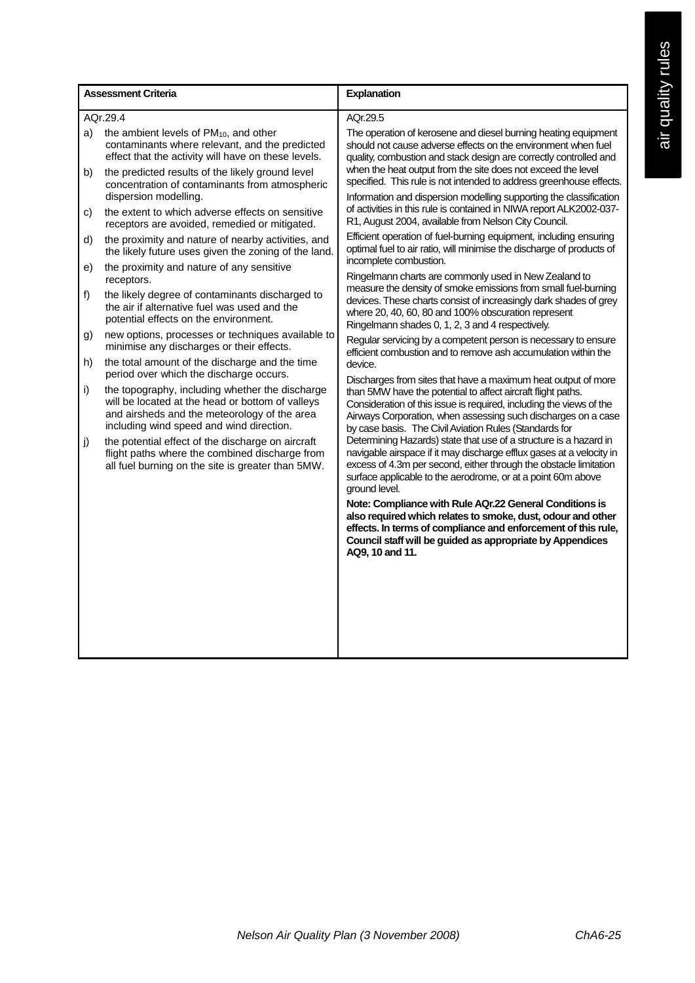| <b>Assessment Criteria</b> |                                                                                                                                                                                                 | Explanation                                                                                                                                                                                                                                                                                     |  |
|----------------------------|-------------------------------------------------------------------------------------------------------------------------------------------------------------------------------------------------|-------------------------------------------------------------------------------------------------------------------------------------------------------------------------------------------------------------------------------------------------------------------------------------------------|--|
| AQr.29.4                   |                                                                                                                                                                                                 | AQr.29.5                                                                                                                                                                                                                                                                                        |  |
| a)                         | the ambient levels of PM <sub>10</sub> , and other<br>contaminants where relevant, and the predicted<br>effect that the activity will have on these levels.                                     | The operation of kerosene and diesel burning heating equipment<br>should not cause adverse effects on the environment when fuel<br>quality, combustion and stack design are correctly controlled and                                                                                            |  |
| b)                         | the predicted results of the likely ground level<br>concentration of contaminants from atmospheric<br>dispersion modelling.                                                                     | when the heat output from the site does not exceed the level<br>specified. This rule is not intended to address greenhouse effects.<br>Information and dispersion modelling supporting the classification                                                                                       |  |
| C)                         | the extent to which adverse effects on sensitive<br>receptors are avoided, remedied or mitigated.                                                                                               | of activities in this rule is contained in NIWA report ALK2002-037-<br>R1, August 2004, available from Nelson City Council.                                                                                                                                                                     |  |
| d)                         | the proximity and nature of nearby activities, and<br>the likely future uses given the zoning of the land.                                                                                      | Efficient operation of fuel-burning equipment, including ensuring<br>optimal fuel to air ratio, will minimise the discharge of products of<br>incomplete combustion.                                                                                                                            |  |
| e)                         | the proximity and nature of any sensitive<br>receptors.                                                                                                                                         | Ringelmann charts are commonly used in New Zealand to<br>measure the density of smoke emissions from small fuel-burning                                                                                                                                                                         |  |
| f)                         | the likely degree of contaminants discharged to<br>the air if alternative fuel was used and the<br>potential effects on the environment.                                                        | devices. These charts consist of increasingly dark shades of grey<br>where 20, 40, 60, 80 and 100% obscuration represent<br>Ringelmann shades 0, 1, 2, 3 and 4 respectively.                                                                                                                    |  |
| g)                         | new options, processes or techniques available to<br>minimise any discharges or their effects.                                                                                                  | Regular servicing by a competent person is necessary to ensure<br>efficient combustion and to remove ash accumulation within the                                                                                                                                                                |  |
| h)                         | the total amount of the discharge and the time<br>period over which the discharge occurs.                                                                                                       | device.<br>Discharges from sites that have a maximum heat output of more                                                                                                                                                                                                                        |  |
| i)                         | the topography, including whether the discharge<br>will be located at the head or bottom of valleys<br>and airsheds and the meteorology of the area<br>including wind speed and wind direction. | than 5MW have the potential to affect aircraft flight paths.<br>Consideration of this issue is required, including the views of the<br>Airways Corporation, when assessing such discharges on a case<br>by case basis. The Civil Aviation Rules (Standards for                                  |  |
| j)                         | the potential effect of the discharge on aircraft<br>flight paths where the combined discharge from<br>all fuel burning on the site is greater than 5MW.                                        | Determining Hazards) state that use of a structure is a hazard in<br>navigable airspace if it may discharge efflux gases at a velocity in<br>excess of 4.3m per second, either through the obstacle limitation<br>surface applicable to the aerodrome, or at a point 60m above<br>ground level. |  |
|                            |                                                                                                                                                                                                 | Note: Compliance with Rule AQr.22 General Conditions is<br>also required which relates to smoke, dust, odour and other<br>effects. In terms of compliance and enforcement of this rule,<br>Council staff will be guided as appropriate by Appendices<br>AQ9, 10 and 11.                         |  |
|                            |                                                                                                                                                                                                 |                                                                                                                                                                                                                                                                                                 |  |
|                            |                                                                                                                                                                                                 |                                                                                                                                                                                                                                                                                                 |  |
|                            |                                                                                                                                                                                                 |                                                                                                                                                                                                                                                                                                 |  |
|                            |                                                                                                                                                                                                 |                                                                                                                                                                                                                                                                                                 |  |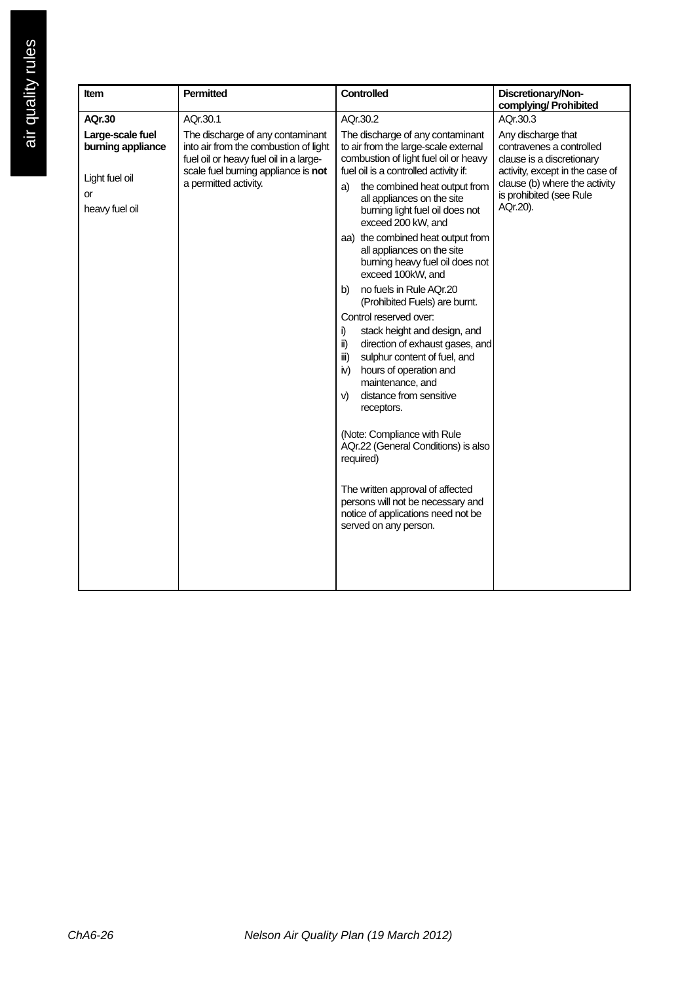| Item                                                                            | Permitted                                                                                                                                                                           | <b>Controlled</b>                                                                                                                                                                                                                                                                                                                                                                                                                                                                                                                                                                                                                                                                                                                                                                                                                                                                                                                                                      | Discretionary/Non-<br>complying/ Prohibited                                                                                                                                            |
|---------------------------------------------------------------------------------|-------------------------------------------------------------------------------------------------------------------------------------------------------------------------------------|------------------------------------------------------------------------------------------------------------------------------------------------------------------------------------------------------------------------------------------------------------------------------------------------------------------------------------------------------------------------------------------------------------------------------------------------------------------------------------------------------------------------------------------------------------------------------------------------------------------------------------------------------------------------------------------------------------------------------------------------------------------------------------------------------------------------------------------------------------------------------------------------------------------------------------------------------------------------|----------------------------------------------------------------------------------------------------------------------------------------------------------------------------------------|
| <b>AQr.30</b>                                                                   | AQr.30.1                                                                                                                                                                            | AQr.30.2                                                                                                                                                                                                                                                                                                                                                                                                                                                                                                                                                                                                                                                                                                                                                                                                                                                                                                                                                               | AQr.30.3                                                                                                                                                                               |
| Large-scale fuel<br>burning appliance<br>Light fuel oil<br>or<br>heavy fuel oil | The discharge of any contaminant<br>into air from the combustion of light<br>fuel oil or heavy fuel oil in a large-<br>scale fuel burning appliance is not<br>a permitted activity. | The discharge of any contaminant<br>to air from the large-scale external<br>combustion of light fuel oil or heavy<br>fuel oil is a controlled activity if:<br>the combined heat output from<br>a)<br>all appliances on the site<br>burning light fuel oil does not<br>exceed 200 kW, and<br>aa) the combined heat output from<br>all appliances on the site<br>burning heavy fuel oil does not<br>exceed 100kW, and<br>no fuels in Rule AQr.20<br>b)<br>(Prohibited Fuels) are burnt.<br>Control reserved over:<br>stack height and design, and<br>i)<br>ii)<br>direction of exhaust gases, and<br>iii)<br>sulphur content of fuel, and<br>hours of operation and<br>iv)<br>maintenance, and<br>distance from sensitive<br>V)<br>receptors.<br>(Note: Compliance with Rule<br>AQr.22 (General Conditions) is also<br>required)<br>The written approval of affected<br>persons will not be necessary and<br>notice of applications need not be<br>served on any person. | Any discharge that<br>contravenes a controlled<br>clause is a discretionary<br>activity, except in the case of<br>clause (b) where the activity<br>is prohibited (see Rule<br>AQr.20). |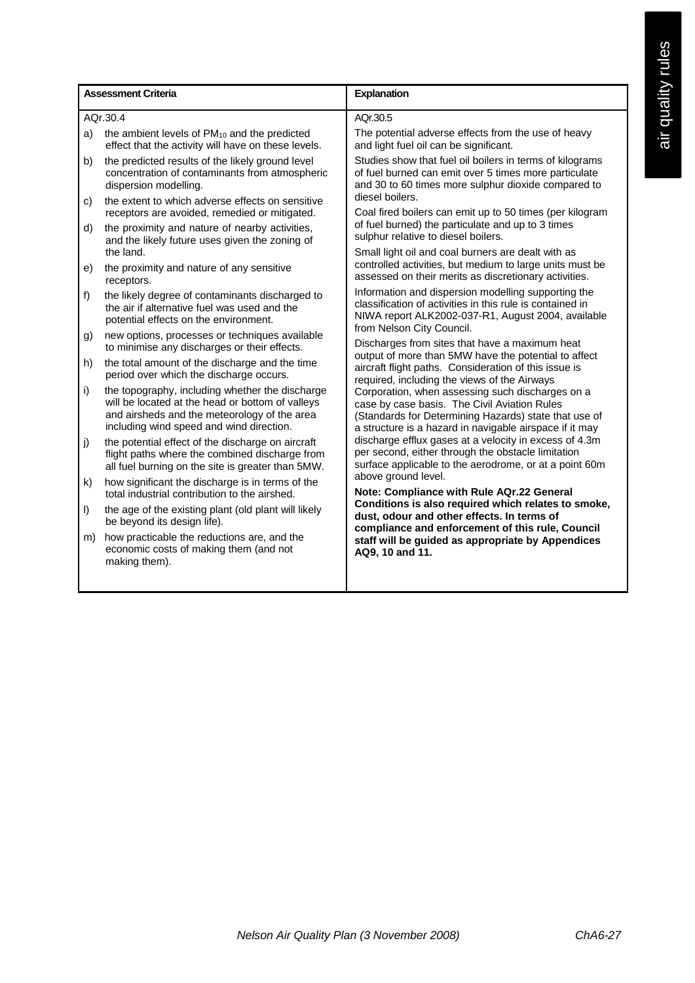| <b>Assessment Criteria</b> |                                                                                                                                                                                                 | <b>Explanation</b>                                                                                                                                                                                                   |
|----------------------------|-------------------------------------------------------------------------------------------------------------------------------------------------------------------------------------------------|----------------------------------------------------------------------------------------------------------------------------------------------------------------------------------------------------------------------|
| AQr.30.4                   |                                                                                                                                                                                                 | AQr.30.5                                                                                                                                                                                                             |
| a)                         | the ambient levels of PM <sub>10</sub> and the predicted<br>effect that the activity will have on these levels.                                                                                 | The potential adverse effects from the use of heavy<br>and light fuel oil can be significant.                                                                                                                        |
| b)                         | the predicted results of the likely ground level<br>concentration of contaminants from atmospheric<br>dispersion modelling.                                                                     | Studies show that fuel oil boilers in terms of kilograms<br>of fuel burned can emit over 5 times more particulate<br>and 30 to 60 times more sulphur dioxide compared to                                             |
| C)                         | the extent to which adverse effects on sensitive<br>receptors are avoided, remedied or mitigated.                                                                                               | diesel boilers.<br>Coal fired boilers can emit up to 50 times (per kilogram                                                                                                                                          |
| d)                         | the proximity and nature of nearby activities,<br>and the likely future uses given the zoning of                                                                                                | of fuel burned) the particulate and up to 3 times<br>sulphur relative to diesel boilers.                                                                                                                             |
|                            | the land.                                                                                                                                                                                       | Small light oil and coal burners are dealt with as                                                                                                                                                                   |
| e)                         | the proximity and nature of any sensitive<br>receptors.                                                                                                                                         | controlled activities, but medium to large units must be<br>assessed on their merits as discretionary activities.                                                                                                    |
| f)                         | the likely degree of contaminants discharged to<br>the air if alternative fuel was used and the<br>potential effects on the environment.                                                        | Information and dispersion modelling supporting the<br>classification of activities in this rule is contained in<br>NIWA report ALK2002-037-R1, August 2004, available<br>from Nelson City Council.                  |
| g)                         | new options, processes or techniques available<br>to minimise any discharges or their effects.                                                                                                  | Discharges from sites that have a maximum heat                                                                                                                                                                       |
| h)                         | the total amount of the discharge and the time<br>period over which the discharge occurs.                                                                                                       | output of more than 5MW have the potential to affect<br>aircraft flight paths. Consideration of this issue is<br>required, including the views of the Airways                                                        |
| i)                         | the topography, including whether the discharge<br>will be located at the head or bottom of valleys<br>and airsheds and the meteorology of the area<br>including wind speed and wind direction. | Corporation, when assessing such discharges on a<br>case by case basis. The Civil Aviation Rules<br>(Standards for Determining Hazards) state that use of<br>a structure is a hazard in navigable airspace if it may |
| j)                         | the potential effect of the discharge on aircraft<br>flight paths where the combined discharge from<br>all fuel burning on the site is greater than 5MW.                                        | discharge efflux gases at a velocity in excess of 4.3m<br>per second, either through the obstacle limitation<br>surface applicable to the aerodrome, or at a point 60m                                               |
| k)                         | how significant the discharge is in terms of the<br>total industrial contribution to the airshed.                                                                                               | above ground level.<br>Note: Compliance with Rule AQr.22 General                                                                                                                                                     |
| I)                         | the age of the existing plant (old plant will likely<br>be beyond its design life).                                                                                                             | Conditions is also required which relates to smoke,<br>dust, odour and other effects. In terms of<br>compliance and enforcement of this rule, Council                                                                |
| m)                         | how practicable the reductions are, and the<br>economic costs of making them (and not<br>making them).                                                                                          | staff will be guided as appropriate by Appendices<br>AQ9, 10 and 11.                                                                                                                                                 |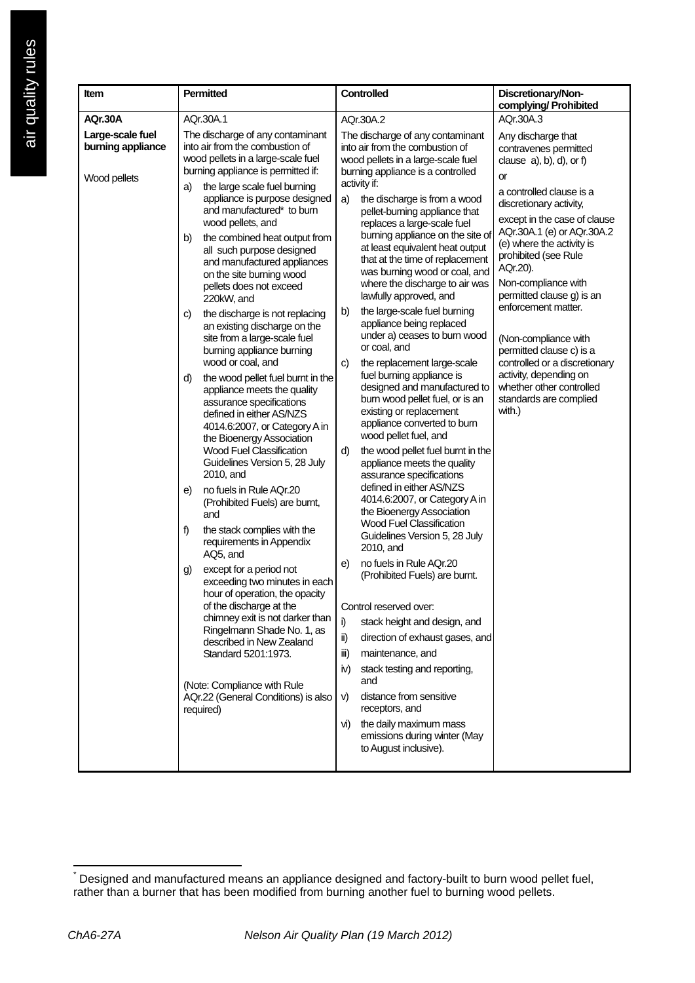| <b>Item</b>                                           | <b>Permitted</b>                                                                                                                                                                                                                                                                                                                                                                                                                                                                                                                                                                                                                                                                                                                                                                                                                                                                                                                                                                                                                                  | <b>Controlled</b>                                                                                                                                                                                                                                                                                                                                                                                                                                                                                                                                                                                                                                                                                                                                                                                                                                                                                                                                                                                                                                                                                                                       | Discretionary/Non-                                                                                                                                                                                                                                                                                                                                                                                                                                                                                                                                        |
|-------------------------------------------------------|---------------------------------------------------------------------------------------------------------------------------------------------------------------------------------------------------------------------------------------------------------------------------------------------------------------------------------------------------------------------------------------------------------------------------------------------------------------------------------------------------------------------------------------------------------------------------------------------------------------------------------------------------------------------------------------------------------------------------------------------------------------------------------------------------------------------------------------------------------------------------------------------------------------------------------------------------------------------------------------------------------------------------------------------------|-----------------------------------------------------------------------------------------------------------------------------------------------------------------------------------------------------------------------------------------------------------------------------------------------------------------------------------------------------------------------------------------------------------------------------------------------------------------------------------------------------------------------------------------------------------------------------------------------------------------------------------------------------------------------------------------------------------------------------------------------------------------------------------------------------------------------------------------------------------------------------------------------------------------------------------------------------------------------------------------------------------------------------------------------------------------------------------------------------------------------------------------|-----------------------------------------------------------------------------------------------------------------------------------------------------------------------------------------------------------------------------------------------------------------------------------------------------------------------------------------------------------------------------------------------------------------------------------------------------------------------------------------------------------------------------------------------------------|
| AQr.30A                                               | AQr.30A.1                                                                                                                                                                                                                                                                                                                                                                                                                                                                                                                                                                                                                                                                                                                                                                                                                                                                                                                                                                                                                                         | AQr.30A.2                                                                                                                                                                                                                                                                                                                                                                                                                                                                                                                                                                                                                                                                                                                                                                                                                                                                                                                                                                                                                                                                                                                               | AQr.30A.3                                                                                                                                                                                                                                                                                                                                                                                                                                                                                                                                                 |
| Large-scale fuel<br>burning appliance<br>Wood pellets | The discharge of any contaminant<br>into air from the combustion of<br>wood pellets in a large-scale fuel<br>burning appliance is permitted if:<br>the large scale fuel burning<br>a)<br>appliance is purpose designed<br>and manufactured* to burn<br>wood pellets, and<br>the combined heat output from<br>b)<br>all such purpose designed<br>and manufactured appliances<br>on the site burning wood<br>pellets does not exceed<br>220kW, and<br>the discharge is not replacing<br>C)<br>an existing discharge on the<br>site from a large-scale fuel<br>burning appliance burning<br>wood or coal, and<br>the wood pellet fuel burnt in the<br>d)<br>appliance meets the quality<br>assurance specifications<br>defined in either AS/NZS<br>4014.6:2007, or Category A in<br>the Bioenergy Association<br><b>Wood Fuel Classification</b><br>Guidelines Version 5, 28 July<br>2010, and<br>no fuels in Rule AQr.20<br>e)<br>(Prohibited Fuels) are burnt,<br>and<br>the stack complies with the<br>f)<br>requirements in Appendix<br>AQ5, and | The discharge of any contaminant<br>into air from the combustion of<br>wood pellets in a large-scale fuel<br>burning appliance is a controlled<br>activity if:<br>the discharge is from a wood<br>a)<br>pellet-burning appliance that<br>replaces a large-scale fuel<br>burning appliance on the site of<br>at least equivalent heat output<br>that at the time of replacement<br>was burning wood or coal, and<br>where the discharge to air was<br>lawfully approved, and<br>the large-scale fuel burning<br>b)<br>appliance being replaced<br>under a) ceases to burn wood<br>or coal, and<br>the replacement large-scale<br>c)<br>fuel burning appliance is<br>designed and manufactured to<br>burn wood pellet fuel, or is an<br>existing or replacement<br>appliance converted to burn<br>wood pellet fuel, and<br>the wood pellet fuel burnt in the<br>d)<br>appliance meets the quality<br>assurance specifications<br>defined in either AS/NZS<br>4014.6:2007, or Category A in<br>the Bioenergy Association<br><b>Wood Fuel Classification</b><br>Guidelines Version 5, 28 July<br>2010, and<br>no fuels in Rule AQr.20<br>e) | complying/ Prohibited<br>Any discharge that<br>contravenes permitted<br>clause $a)$ , b), d), or f)<br>or<br>a controlled clause is a<br>discretionary activity,<br>except in the case of clause<br>AQr.30A.1 (e) or AQr.30A.2<br>(e) where the activity is<br>prohibited (see Rule<br>AQr.20).<br>Non-compliance with<br>permitted clause g) is an<br>enforcement matter.<br>(Non-compliance with<br>permitted clause c) is a<br>controlled or a discretionary<br>activity, depending on<br>whether other controlled<br>standards are complied<br>with.) |
|                                                       | except for a period not<br>g)<br>exceeding two minutes in each<br>hour of operation, the opacity<br>of the discharge at the<br>chimney exit is not darker than<br>Ringelmann Shade No. 1, as<br>described in New Zealand<br>Standard 5201:1973.<br>(Note: Compliance with Rule<br>AQr.22 (General Conditions) is also<br>required)                                                                                                                                                                                                                                                                                                                                                                                                                                                                                                                                                                                                                                                                                                                | (Prohibited Fuels) are burnt.<br>Control reserved over:<br>i)<br>stack height and design, and<br>ii)<br>direction of exhaust gases, and<br>iii)<br>maintenance, and<br>iv)<br>stack testing and reporting,<br>and<br>distance from sensitive<br>V)<br>receptors, and<br>the daily maximum mass<br>vi)<br>emissions during winter (May<br>to August inclusive).                                                                                                                                                                                                                                                                                                                                                                                                                                                                                                                                                                                                                                                                                                                                                                          |                                                                                                                                                                                                                                                                                                                                                                                                                                                                                                                                                           |

<sup>\*</sup> Designed and manufactured means an appliance designed and factory-built to burn wood pellet fuel, rather than a burner that has been modified from burning another fuel to burning wood pellets.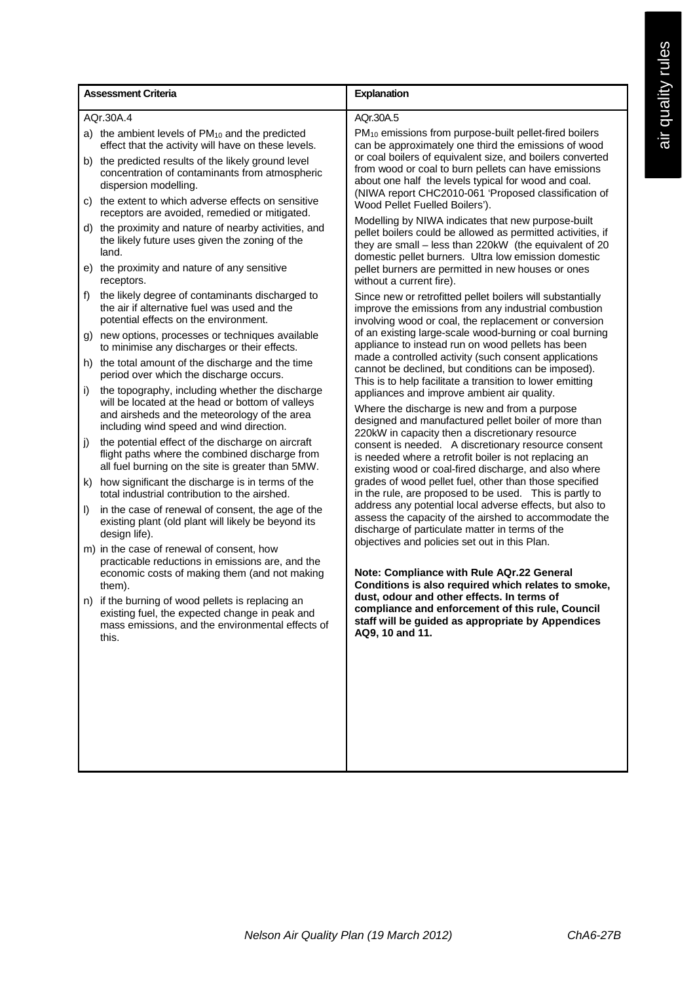| <b>Assessment Criteria</b>                                                                                                                                                                            | Explanation                                                                                                                                                                                                           |
|-------------------------------------------------------------------------------------------------------------------------------------------------------------------------------------------------------|-----------------------------------------------------------------------------------------------------------------------------------------------------------------------------------------------------------------------|
| AQr.30A.4                                                                                                                                                                                             | AQr.30A.5                                                                                                                                                                                                             |
| a) the ambient levels of PM <sub>10</sub> and the predicted<br>effect that the activity will have on these levels.<br>b) the predicted results of the likely ground level                             | PM <sub>10</sub> emissions from purpose-built pellet-fired boilers<br>can be approximately one third the emissions of wood<br>or coal boilers of equivalent size, and boilers converted                               |
| concentration of contaminants from atmospheric<br>dispersion modelling.<br>c) the extent to which adverse effects on sensitive                                                                        | from wood or coal to burn pellets can have emissions<br>about one half the levels typical for wood and coal.<br>(NIWA report CHC2010-061 'Proposed classification of                                                  |
| receptors are avoided, remedied or mitigated.                                                                                                                                                         | Wood Pellet Fuelled Boilers').<br>Modelling by NIWA indicates that new purpose-built                                                                                                                                  |
| d) the proximity and nature of nearby activities, and<br>the likely future uses given the zoning of the<br>land.                                                                                      | pellet boilers could be allowed as permitted activities, if<br>they are small - less than 220kW (the equivalent of 20<br>domestic pellet burners. Ultra low emission domestic                                         |
| e) the proximity and nature of any sensitive<br>receptors.                                                                                                                                            | pellet burners are permitted in new houses or ones<br>without a current fire).                                                                                                                                        |
| the likely degree of contaminants discharged to<br>f)<br>the air if alternative fuel was used and the<br>potential effects on the environment.                                                        | Since new or retrofitted pellet boilers will substantially<br>improve the emissions from any industrial combustion<br>involving wood or coal, the replacement or conversion                                           |
| g) new options, processes or techniques available<br>to minimise any discharges or their effects.                                                                                                     | of an existing large-scale wood-burning or coal burning<br>appliance to instead run on wood pellets has been                                                                                                          |
| h) the total amount of the discharge and the time<br>period over which the discharge occurs.                                                                                                          | made a controlled activity (such consent applications<br>cannot be declined, but conditions can be imposed).<br>This is to help facilitate a transition to lower emitting                                             |
| the topography, including whether the discharge<br>i)<br>will be located at the head or bottom of valleys<br>and airsheds and the meteorology of the area<br>including wind speed and wind direction. | appliances and improve ambient air quality.<br>Where the discharge is new and from a purpose<br>designed and manufactured pellet boiler of more than<br>220kW in capacity then a discretionary resource               |
| the potential effect of the discharge on aircraft<br>j)<br>flight paths where the combined discharge from<br>all fuel burning on the site is greater than 5MW.                                        | consent is needed. A discretionary resource consent<br>is needed where a retrofit boiler is not replacing an<br>existing wood or coal-fired discharge, and also where                                                 |
| k) how significant the discharge is in terms of the<br>total industrial contribution to the airshed.                                                                                                  | grades of wood pellet fuel, other than those specified<br>in the rule, are proposed to be used. This is partly to                                                                                                     |
| in the case of renewal of consent, the age of the<br>$\vert$<br>existing plant (old plant will likely be beyond its<br>design life).                                                                  | address any potential local adverse effects, but also to<br>assess the capacity of the airshed to accommodate the<br>discharge of particulate matter in terms of the<br>objectives and policies set out in this Plan. |
| m) in the case of renewal of consent, how<br>practicable reductions in emissions are, and the<br>economic costs of making them (and not making<br>them).                                              | Note: Compliance with Rule AQr.22 General<br>Conditions is also required which relates to smoke,                                                                                                                      |
| n) if the burning of wood pellets is replacing an<br>existing fuel, the expected change in peak and<br>mass emissions, and the environmental effects of<br>this.                                      | dust, odour and other effects. In terms of<br>compliance and enforcement of this rule, Council<br>staff will be guided as appropriate by Appendices<br>AQ9, 10 and 11.                                                |
|                                                                                                                                                                                                       |                                                                                                                                                                                                                       |
|                                                                                                                                                                                                       |                                                                                                                                                                                                                       |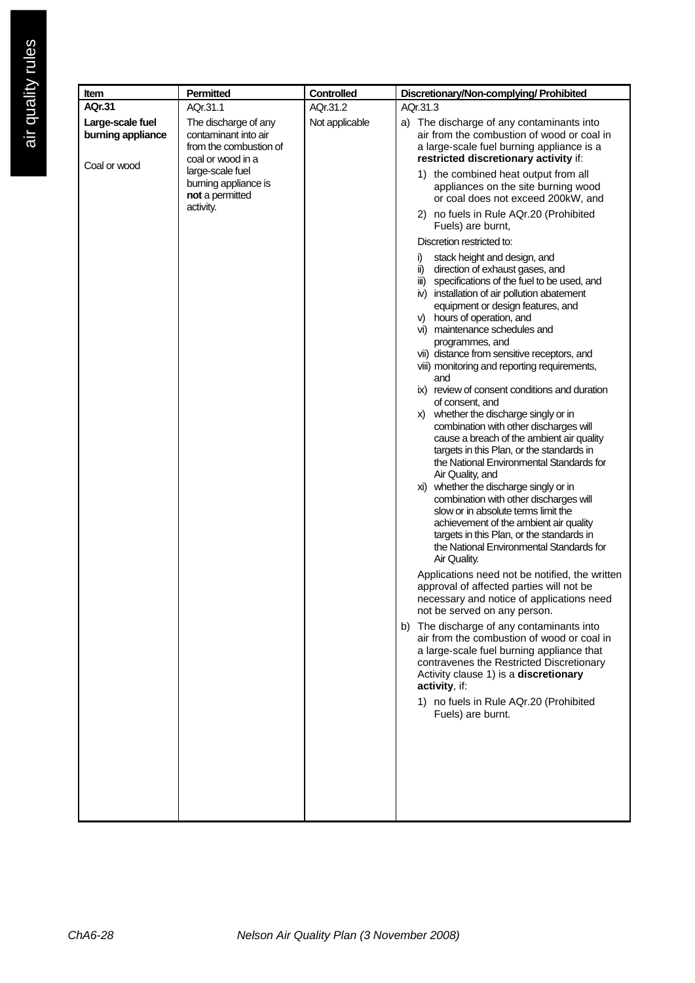| Item                                                  | <b>Permitted</b>                                                                            | <b>Controlled</b> | Discretionary/Non-complying/ Prohibited                                                                                                                                                                                                                                                                                                                                                                                                                                                                                                                                                                                                                                                                                                                                                                                                                                                                                                                                                                                                                                                                                                                                                                                                                                                                                                                                                                                                                                                                                         |
|-------------------------------------------------------|---------------------------------------------------------------------------------------------|-------------------|---------------------------------------------------------------------------------------------------------------------------------------------------------------------------------------------------------------------------------------------------------------------------------------------------------------------------------------------------------------------------------------------------------------------------------------------------------------------------------------------------------------------------------------------------------------------------------------------------------------------------------------------------------------------------------------------------------------------------------------------------------------------------------------------------------------------------------------------------------------------------------------------------------------------------------------------------------------------------------------------------------------------------------------------------------------------------------------------------------------------------------------------------------------------------------------------------------------------------------------------------------------------------------------------------------------------------------------------------------------------------------------------------------------------------------------------------------------------------------------------------------------------------------|
| AQr.31                                                | AQr.31.1                                                                                    | AQr.31.2          | AQr.31.3                                                                                                                                                                                                                                                                                                                                                                                                                                                                                                                                                                                                                                                                                                                                                                                                                                                                                                                                                                                                                                                                                                                                                                                                                                                                                                                                                                                                                                                                                                                        |
| Large-scale fuel<br>burning appliance<br>Coal or wood | The discharge of any<br>contaminant into air<br>from the combustion of<br>coal or wood in a | Not applicable    | The discharge of any contaminants into<br>a)<br>air from the combustion of wood or coal in<br>a large-scale fuel burning appliance is a<br>restricted discretionary activity if:                                                                                                                                                                                                                                                                                                                                                                                                                                                                                                                                                                                                                                                                                                                                                                                                                                                                                                                                                                                                                                                                                                                                                                                                                                                                                                                                                |
|                                                       | large-scale fuel<br>burning appliance is<br>not a permitted                                 |                   | 1) the combined heat output from all<br>appliances on the site burning wood<br>or coal does not exceed 200kW, and                                                                                                                                                                                                                                                                                                                                                                                                                                                                                                                                                                                                                                                                                                                                                                                                                                                                                                                                                                                                                                                                                                                                                                                                                                                                                                                                                                                                               |
|                                                       | activity.                                                                                   |                   | 2) no fuels in Rule AQr.20 (Prohibited<br>Fuels) are burnt,                                                                                                                                                                                                                                                                                                                                                                                                                                                                                                                                                                                                                                                                                                                                                                                                                                                                                                                                                                                                                                                                                                                                                                                                                                                                                                                                                                                                                                                                     |
|                                                       |                                                                                             |                   |                                                                                                                                                                                                                                                                                                                                                                                                                                                                                                                                                                                                                                                                                                                                                                                                                                                                                                                                                                                                                                                                                                                                                                                                                                                                                                                                                                                                                                                                                                                                 |
|                                                       |                                                                                             |                   | Discretion restricted to:<br>stack height and design, and<br>i)<br>ii)<br>direction of exhaust gases, and<br>iii) specifications of the fuel to be used, and<br>iv) installation of air pollution abatement<br>equipment or design features, and<br>v) hours of operation, and<br>vi) maintenance schedules and<br>programmes, and<br>vii) distance from sensitive receptors, and<br>viii) monitoring and reporting requirements,<br>and<br>ix) review of consent conditions and duration<br>of consent, and<br>x) whether the discharge singly or in<br>combination with other discharges will<br>cause a breach of the ambient air quality<br>targets in this Plan, or the standards in<br>the National Environmental Standards for<br>Air Quality, and<br>xi) whether the discharge singly or in<br>combination with other discharges will<br>slow or in absolute terms limit the<br>achievement of the ambient air quality<br>targets in this Plan, or the standards in<br>the National Environmental Standards for<br>Air Quality.<br>Applications need not be notified, the written<br>approval of affected parties will not be<br>necessary and notice of applications need<br>not be served on any person.<br>b) The discharge of any contaminants into<br>air from the combustion of wood or coal in<br>a large-scale fuel burning appliance that<br>contravenes the Restricted Discretionary<br>Activity clause 1) is a discretionary<br>activity, if:<br>1) no fuels in Rule AQr.20 (Prohibited<br>Fuels) are burnt. |
|                                                       |                                                                                             |                   |                                                                                                                                                                                                                                                                                                                                                                                                                                                                                                                                                                                                                                                                                                                                                                                                                                                                                                                                                                                                                                                                                                                                                                                                                                                                                                                                                                                                                                                                                                                                 |
|                                                       |                                                                                             |                   |                                                                                                                                                                                                                                                                                                                                                                                                                                                                                                                                                                                                                                                                                                                                                                                                                                                                                                                                                                                                                                                                                                                                                                                                                                                                                                                                                                                                                                                                                                                                 |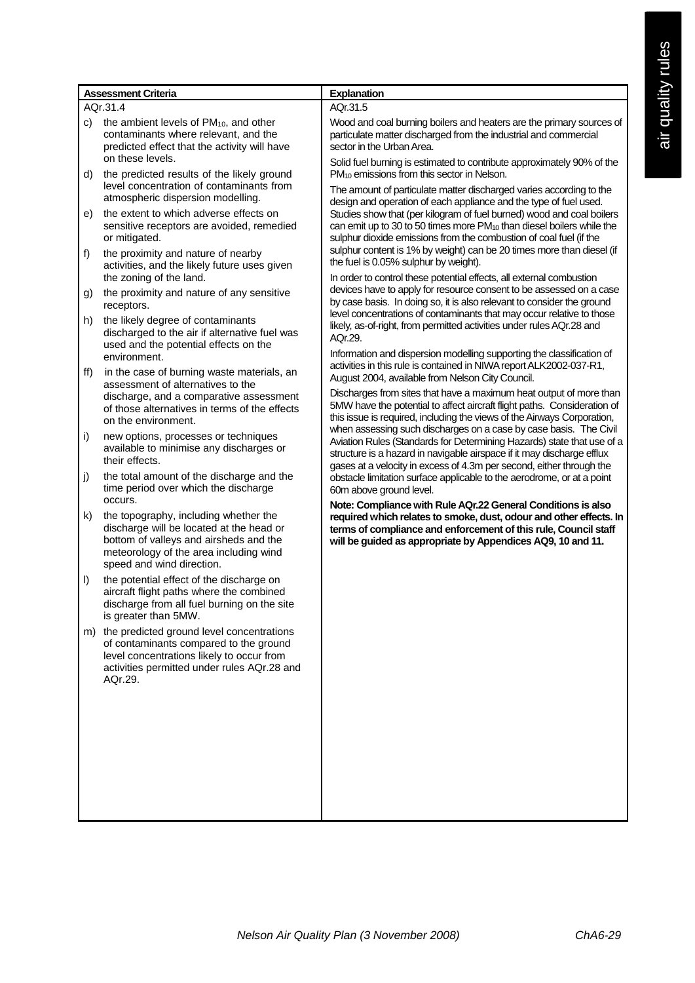|         | <b>Assessment Criteria</b>                                                                                                                                                                         | Explanation                                                                                                                                                                                                                                                                                   |
|---------|----------------------------------------------------------------------------------------------------------------------------------------------------------------------------------------------------|-----------------------------------------------------------------------------------------------------------------------------------------------------------------------------------------------------------------------------------------------------------------------------------------------|
|         | AQr.31.4                                                                                                                                                                                           | AQr.31.5                                                                                                                                                                                                                                                                                      |
| C)      | the ambient levels of PM <sub>10</sub> , and other<br>contaminants where relevant, and the<br>predicted effect that the activity will have<br>on these levels.                                     | Wood and coal burning boilers and heaters are the primary sources of<br>particulate matter discharged from the industrial and commercial<br>sector in the Urban Area.                                                                                                                         |
| d)      | the predicted results of the likely ground                                                                                                                                                         | Solid fuel burning is estimated to contribute approximately 90% of the<br>PM <sub>10</sub> emissions from this sector in Nelson.                                                                                                                                                              |
|         | level concentration of contaminants from<br>atmospheric dispersion modelling.                                                                                                                      | The amount of particulate matter discharged varies according to the<br>design and operation of each appliance and the type of fuel used.                                                                                                                                                      |
| e)      | the extent to which adverse effects on<br>sensitive receptors are avoided, remedied<br>or mitigated.                                                                                               | Studies show that (per kilogram of fuel burned) wood and coal boilers<br>can emit up to 30 to 50 times more PM <sub>10</sub> than diesel boilers while the<br>sulphur dioxide emissions from the combustion of coal fuel (if the                                                              |
| f)      | the proximity and nature of nearby<br>activities, and the likely future uses given<br>the zoning of the land.                                                                                      | sulphur content is 1% by weight) can be 20 times more than diesel (if<br>the fuel is 0.05% sulphur by weight).<br>In order to control these potential effects, all external combustion                                                                                                        |
| g)      | the proximity and nature of any sensitive<br>receptors.                                                                                                                                            | devices have to apply for resource consent to be assessed on a case<br>by case basis. In doing so, it is also relevant to consider the ground                                                                                                                                                 |
| h)      | the likely degree of contaminants<br>discharged to the air if alternative fuel was<br>used and the potential effects on the                                                                        | level concentrations of contaminants that may occur relative to those<br>likely, as-of-right, from permitted activities under rules AQr.28 and<br>AQr.29.                                                                                                                                     |
| ff)     | environment.<br>in the case of burning waste materials, an                                                                                                                                         | Information and dispersion modelling supporting the classification of<br>activities in this rule is contained in NIWA report ALK2002-037-R1,<br>August 2004, available from Nelson City Council.                                                                                              |
|         | assessment of alternatives to the<br>discharge, and a comparative assessment<br>of those alternatives in terms of the effects<br>on the environment.                                               | Discharges from sites that have a maximum heat output of more than<br>5MW have the potential to affect aircraft flight paths. Consideration of<br>this issue is required, including the views of the Airways Corporation,                                                                     |
| i)      | new options, processes or techniques<br>available to minimise any discharges or<br>their effects.                                                                                                  | when assessing such discharges on a case by case basis. The Civil<br>Aviation Rules (Standards for Determining Hazards) state that use of a<br>structure is a hazard in navigable airspace if it may discharge efflux<br>gases at a velocity in excess of 4.3m per second, either through the |
| j)      | the total amount of the discharge and the<br>time period over which the discharge<br>occurs.                                                                                                       | obstacle limitation surface applicable to the aerodrome, or at a point<br>60m above ground level.                                                                                                                                                                                             |
| k)      | the topography, including whether the<br>discharge will be located at the head or<br>bottom of valleys and airsheds and the<br>meteorology of the area including wind<br>speed and wind direction. | Note: Compliance with Rule AQr.22 General Conditions is also<br>required which relates to smoke, dust, odour and other effects. In<br>terms of compliance and enforcement of this rule, Council staff<br>will be guided as appropriate by Appendices AQ9, 10 and 11.                          |
| $\vert$ | the potential effect of the discharge on<br>aircraft flight paths where the combined<br>discharge from all fuel burning on the site<br>is greater than 5MW.                                        |                                                                                                                                                                                                                                                                                               |
|         | m) the predicted ground level concentrations<br>of contaminants compared to the ground<br>level concentrations likely to occur from<br>activities permitted under rules AQr.28 and<br>AQr.29.      |                                                                                                                                                                                                                                                                                               |
|         |                                                                                                                                                                                                    |                                                                                                                                                                                                                                                                                               |
|         |                                                                                                                                                                                                    |                                                                                                                                                                                                                                                                                               |
|         |                                                                                                                                                                                                    |                                                                                                                                                                                                                                                                                               |
|         |                                                                                                                                                                                                    |                                                                                                                                                                                                                                                                                               |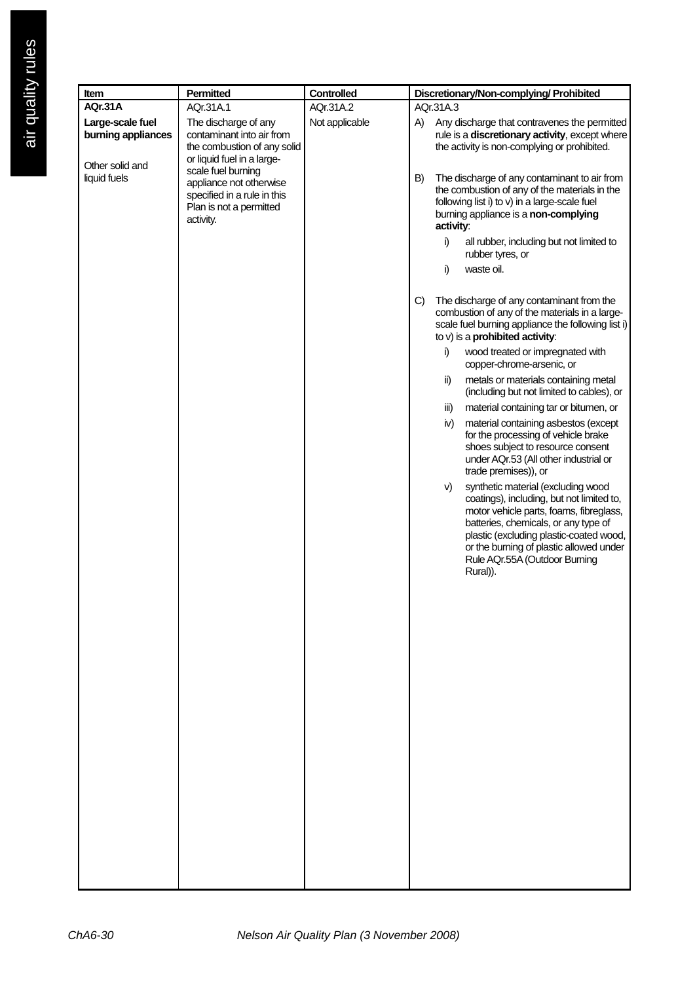| Item                                   | <b>Permitted</b>                                                                                                     | <b>Controlled</b> | Discretionary/Non-complying/ Prohibited                                                                                                                                                                                                                                                                     |
|----------------------------------------|----------------------------------------------------------------------------------------------------------------------|-------------------|-------------------------------------------------------------------------------------------------------------------------------------------------------------------------------------------------------------------------------------------------------------------------------------------------------------|
| <b>AQr.31A</b>                         | AQr.31A.1                                                                                                            | AQr.31A.2         | AQr.31A.3                                                                                                                                                                                                                                                                                                   |
| Large-scale fuel<br>burning appliances | The discharge of any<br>contaminant into air from<br>the combustion of any solid<br>or liquid fuel in a large-       | Not applicable    | Any discharge that contravenes the permitted<br>A)<br>rule is a discretionary activity, except where<br>the activity is non-complying or prohibited.                                                                                                                                                        |
| Other solid and<br>liquid fuels        | scale fuel burning<br>appliance not otherwise<br>specified in a rule in this<br>Plan is not a permitted<br>activity. |                   | The discharge of any contaminant to air from<br>B)<br>the combustion of any of the materials in the<br>following list i) to v) in a large-scale fuel<br>burning appliance is a non-complying<br>activity:<br>i)<br>all rubber, including but not limited to<br>rubber tyres, or                             |
|                                        |                                                                                                                      |                   | i)<br>waste oil.                                                                                                                                                                                                                                                                                            |
|                                        |                                                                                                                      |                   | The discharge of any contaminant from the<br>C)<br>combustion of any of the materials in a large-<br>scale fuel burning appliance the following list i)<br>to v) is a prohibited activity:                                                                                                                  |
|                                        |                                                                                                                      |                   | i)<br>wood treated or impregnated with<br>copper-chrome-arsenic, or                                                                                                                                                                                                                                         |
|                                        |                                                                                                                      |                   | ii)<br>metals or materials containing metal<br>(including but not limited to cables), or                                                                                                                                                                                                                    |
|                                        |                                                                                                                      |                   | iii)<br>material containing tar or bitumen, or                                                                                                                                                                                                                                                              |
|                                        |                                                                                                                      |                   | material containing asbestos (except<br>iv)<br>for the processing of vehicle brake<br>shoes subject to resource consent<br>under AQr.53 (All other industrial or<br>trade premises)), or                                                                                                                    |
|                                        |                                                                                                                      |                   | synthetic material (excluding wood<br>V)<br>coatings), including, but not limited to,<br>motor vehicle parts, foams, fibreglass,<br>batteries, chemicals, or any type of<br>plastic (excluding plastic-coated wood,<br>or the burning of plastic allowed under<br>Rule AQr.55A (Outdoor Burning<br>Rural)). |
|                                        |                                                                                                                      |                   |                                                                                                                                                                                                                                                                                                             |
|                                        |                                                                                                                      |                   |                                                                                                                                                                                                                                                                                                             |
|                                        |                                                                                                                      |                   |                                                                                                                                                                                                                                                                                                             |
|                                        |                                                                                                                      |                   |                                                                                                                                                                                                                                                                                                             |
|                                        |                                                                                                                      |                   |                                                                                                                                                                                                                                                                                                             |
|                                        |                                                                                                                      |                   |                                                                                                                                                                                                                                                                                                             |
|                                        |                                                                                                                      |                   |                                                                                                                                                                                                                                                                                                             |
|                                        |                                                                                                                      |                   |                                                                                                                                                                                                                                                                                                             |
|                                        |                                                                                                                      |                   |                                                                                                                                                                                                                                                                                                             |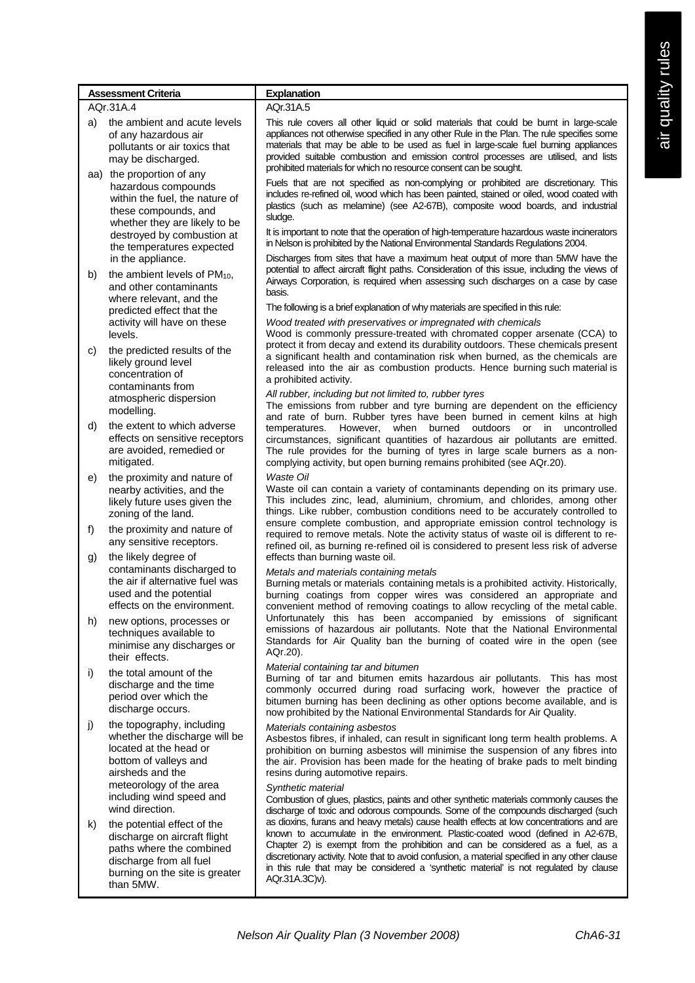|          | <b>Assessment Criteria</b>                                                                                                                                                                                        | <b>Explanation</b>                                                                                                                                                                                                                                                                                                                                                                                                                                                                                                                                                                                                                                        |
|----------|-------------------------------------------------------------------------------------------------------------------------------------------------------------------------------------------------------------------|-----------------------------------------------------------------------------------------------------------------------------------------------------------------------------------------------------------------------------------------------------------------------------------------------------------------------------------------------------------------------------------------------------------------------------------------------------------------------------------------------------------------------------------------------------------------------------------------------------------------------------------------------------------|
|          | AQr.31A.4                                                                                                                                                                                                         | AQr.31A.5                                                                                                                                                                                                                                                                                                                                                                                                                                                                                                                                                                                                                                                 |
| a)       | the ambient and acute levels<br>of any hazardous air<br>pollutants or air toxics that<br>may be discharged.                                                                                                       | This rule covers all other liquid or solid materials that could be burnt in large-scale<br>appliances not otherwise specified in any other Rule in the Plan. The rule specifies some<br>materials that may be able to be used as fuel in large-scale fuel burning appliances<br>provided suitable combustion and emission control processes are utilised, and lists<br>prohibited materials for which no resource consent can be sought.                                                                                                                                                                                                                  |
| aa)      | the proportion of any<br>hazardous compounds<br>within the fuel, the nature of<br>these compounds, and<br>whether they are likely to be<br>destroyed by combustion at<br>the temperatures expected                | Fuels that are not specified as non-complying or prohibited are discretionary. This<br>includes re-refined oil, wood which has been painted, stained or oiled, wood coated with<br>plastics (such as melamine) (see A2-67B), composite wood boards, and industrial<br>sludge.<br>It is important to note that the operation of high-temperature hazardous waste incinerators<br>in Nelson is prohibited by the National Environmental Standards Regulations 2004.                                                                                                                                                                                         |
| b)       | in the appliance.<br>the ambient levels of PM10,<br>and other contaminants<br>where relevant, and the<br>predicted effect that the                                                                                | Discharges from sites that have a maximum heat output of more than 5MW have the<br>potential to affect aircraft flight paths. Consideration of this issue, including the views of<br>Airways Corporation, is required when assessing such discharges on a case by case<br>basis.<br>The following is a brief explanation of why materials are specified in this rule:                                                                                                                                                                                                                                                                                     |
| C)       | activity will have on these<br>levels.<br>the predicted results of the<br>likely ground level<br>concentration of<br>contaminants from                                                                            | Wood treated with preservatives or impregnated with chemicals<br>Wood is commonly pressure-treated with chromated copper arsenate (CCA) to<br>protect it from decay and extend its durability outdoors. These chemicals present<br>a significant health and contamination risk when burned, as the chemicals are<br>released into the air as combustion products. Hence burning such material is<br>a prohibited activity.                                                                                                                                                                                                                                |
| d)       | atmospheric dispersion<br>modelling.<br>the extent to which adverse                                                                                                                                               | All rubber, including but not limited to, rubber tyres<br>The emissions from rubber and tyre burning are dependent on the efficiency<br>and rate of burn. Rubber tyres have been burned in cement kilns at high<br>outdoors<br>temperatures.<br>However,<br>when burned<br>or in<br>uncontrolled                                                                                                                                                                                                                                                                                                                                                          |
|          | effects on sensitive receptors<br>are avoided, remedied or<br>mitigated.                                                                                                                                          | circumstances, significant quantities of hazardous air pollutants are emitted.<br>The rule provides for the burning of tyres in large scale burners as a non-<br>complying activity, but open burning remains prohibited (see AQr.20).                                                                                                                                                                                                                                                                                                                                                                                                                    |
| e)       | the proximity and nature of<br>nearby activities, and the<br>likely future uses given the<br>zoning of the land.                                                                                                  | Waste Oil<br>Waste oil can contain a variety of contaminants depending on its primary use.<br>This includes zinc, lead, aluminium, chromium, and chlorides, among other<br>things. Like rubber, combustion conditions need to be accurately controlled to<br>ensure complete combustion, and appropriate emission control technology is                                                                                                                                                                                                                                                                                                                   |
| f)<br>g) | the proximity and nature of<br>any sensitive receptors.<br>the likely degree of                                                                                                                                   | required to remove metals. Note the activity status of waste oil is different to re-<br>refined oil, as burning re-refined oil is considered to present less risk of adverse<br>effects than burning waste oil.                                                                                                                                                                                                                                                                                                                                                                                                                                           |
|          | contaminants discharged to<br>the air if alternative fuel was<br>used and the potential<br>effects on the environment.                                                                                            | Metals and materials containing metals<br>Burning metals or materials containing metals is a prohibited activity. Historically,<br>burning coatings from copper wires was considered an appropriate and<br>convenient method of removing coatings to allow recycling of the metal cable.                                                                                                                                                                                                                                                                                                                                                                  |
| h)       | new options, processes or<br>techniques available to<br>minimise any discharges or<br>their effects.                                                                                                              | Unfortunately this has been accompanied by emissions of significant<br>emissions of hazardous air pollutants. Note that the National Environmental<br>Standards for Air Quality ban the burning of coated wire in the open (see<br>AQr.20).                                                                                                                                                                                                                                                                                                                                                                                                               |
| i)       | the total amount of the<br>discharge and the time<br>period over which the<br>discharge occurs.                                                                                                                   | Material containing tar and bitumen<br>Burning of tar and bitumen emits hazardous air pollutants. This has most<br>commonly occurred during road surfacing work, however the practice of<br>bitumen burning has been declining as other options become available, and is<br>now prohibited by the National Environmental Standards for Air Quality.                                                                                                                                                                                                                                                                                                       |
| j)       | the topography, including<br>whether the discharge will be<br>located at the head or<br>bottom of valleys and<br>airsheds and the<br>meteorology of the area                                                      | Materials containing asbestos<br>Asbestos fibres, if inhaled, can result in significant long term health problems. A<br>prohibition on burning asbestos will minimise the suspension of any fibres into<br>the air. Provision has been made for the heating of brake pads to melt binding<br>resins during automotive repairs.<br>Synthetic material                                                                                                                                                                                                                                                                                                      |
| k)       | including wind speed and<br>wind direction.<br>the potential effect of the<br>discharge on aircraft flight<br>paths where the combined<br>discharge from all fuel<br>burning on the site is greater<br>than $FMM$ | Combustion of glues, plastics, paints and other synthetic materials commonly causes the<br>discharge of toxic and odorous compounds. Some of the compounds discharged (such<br>as dioxins, furans and heavy metals) cause health effects at low concentrations and are<br>known to accumulate in the environment. Plastic-coated wood (defined in A2-67B,<br>Chapter 2) is exempt from the prohibition and can be considered as a fuel, as a<br>discretionary activity. Note that to avoid confusion, a material specified in any other clause<br>in this rule that may be considered a 'synthetic material' is not regulated by clause<br>AQr.31A.3C)v). |

than 5MW.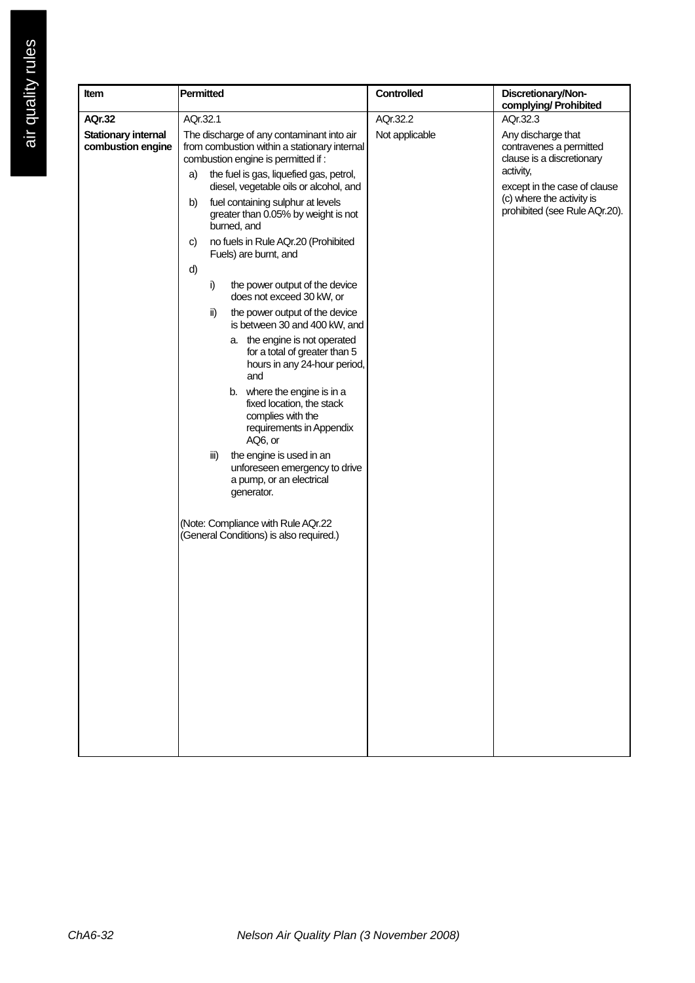| Item                                                             | <b>Permitted</b>                                                                                                                                                                                                                                                                                                                                                                                                                                                                                                                                                                                                                                                                                                                                                                                                                                                          | <b>Controlled</b>          | Discretionary/Non-                                                                                                                                                                                |
|------------------------------------------------------------------|---------------------------------------------------------------------------------------------------------------------------------------------------------------------------------------------------------------------------------------------------------------------------------------------------------------------------------------------------------------------------------------------------------------------------------------------------------------------------------------------------------------------------------------------------------------------------------------------------------------------------------------------------------------------------------------------------------------------------------------------------------------------------------------------------------------------------------------------------------------------------|----------------------------|---------------------------------------------------------------------------------------------------------------------------------------------------------------------------------------------------|
|                                                                  |                                                                                                                                                                                                                                                                                                                                                                                                                                                                                                                                                                                                                                                                                                                                                                                                                                                                           |                            | complying/ Prohibited                                                                                                                                                                             |
| <b>AQr.32</b><br><b>Stationary internal</b><br>combustion engine | AQr.32.1<br>The discharge of any contaminant into air<br>from combustion within a stationary internal<br>combustion engine is permitted if :<br>the fuel is gas, liquefied gas, petrol,<br>a)<br>diesel, vegetable oils or alcohol, and<br>fuel containing sulphur at levels<br>b)<br>greater than 0.05% by weight is not<br>burned, and<br>no fuels in Rule AQr.20 (Prohibited<br>C)<br>Fuels) are burnt, and<br>d)<br>i)<br>the power output of the device<br>does not exceed 30 kW, or<br>ii)<br>the power output of the device<br>is between 30 and 400 kW, and<br>a. the engine is not operated<br>for a total of greater than 5<br>hours in any 24-hour period,<br>and<br>b. where the engine is in a<br>fixed location, the stack<br>complies with the<br>requirements in Appendix<br>AQ6, or<br>the engine is used in an<br>iii)<br>unforeseen emergency to drive | AQr.32.2<br>Not applicable | AQr.32.3<br>Any discharge that<br>contravenes a permitted<br>clause is a discretionary<br>activity,<br>except in the case of clause<br>(c) where the activity is<br>prohibited (see Rule AQr.20). |
|                                                                  | a pump, or an electrical<br>generator.<br>(Note: Compliance with Rule AQr.22<br>(General Conditions) is also required.)                                                                                                                                                                                                                                                                                                                                                                                                                                                                                                                                                                                                                                                                                                                                                   |                            |                                                                                                                                                                                                   |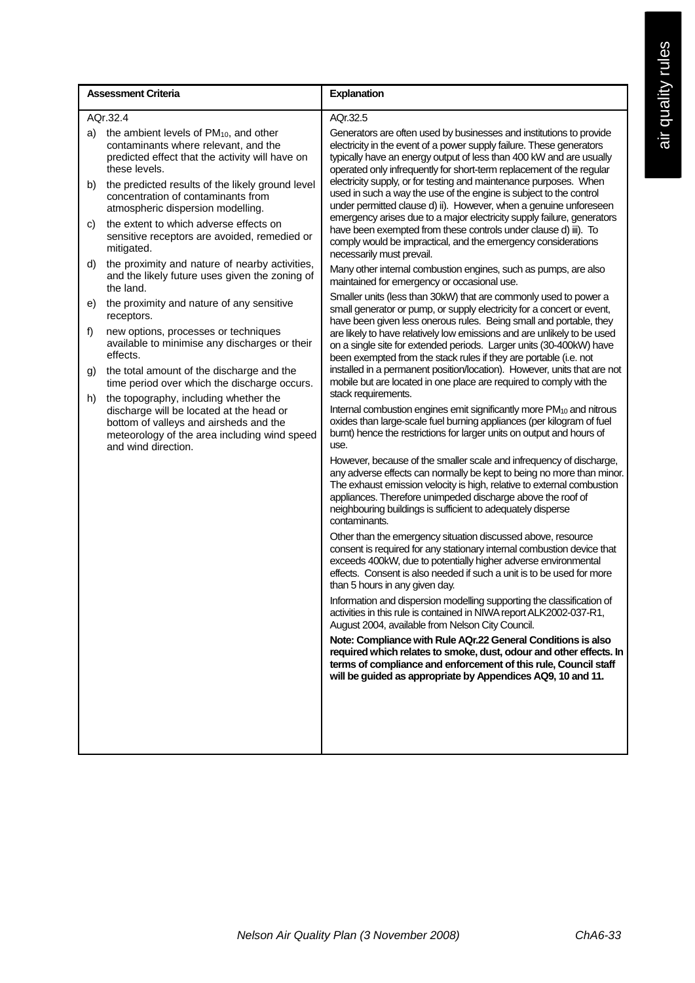|                                                                                                                                                                                                          | <b>Assessment Criteria</b>                                                                                                                                                                                                                 | Explanation                                                                                                                                                                                                                                                                                                                                                           |
|----------------------------------------------------------------------------------------------------------------------------------------------------------------------------------------------------------|--------------------------------------------------------------------------------------------------------------------------------------------------------------------------------------------------------------------------------------------|-----------------------------------------------------------------------------------------------------------------------------------------------------------------------------------------------------------------------------------------------------------------------------------------------------------------------------------------------------------------------|
|                                                                                                                                                                                                          | AQr.32.4                                                                                                                                                                                                                                   | AQr.32.5                                                                                                                                                                                                                                                                                                                                                              |
| a)                                                                                                                                                                                                       | the ambient levels of PM <sub>10</sub> , and other<br>contaminants where relevant, and the<br>predicted effect that the activity will have on<br>these levels.                                                                             | Generators are often used by businesses and institutions to provide<br>electricity in the event of a power supply failure. These generators<br>typically have an energy output of less than 400 kW and are usually<br>operated only infrequently for short-term replacement of the regular                                                                            |
| b)                                                                                                                                                                                                       | the predicted results of the likely ground level<br>concentration of contaminants from<br>atmospheric dispersion modelling.                                                                                                                | electricity supply, or for testing and maintenance purposes. When<br>used in such a way the use of the engine is subject to the control<br>under permitted clause d) ii). However, when a genuine unforeseen                                                                                                                                                          |
| C)                                                                                                                                                                                                       | the extent to which adverse effects on<br>sensitive receptors are avoided, remedied or<br>mitigated.                                                                                                                                       | emergency arises due to a major electricity supply failure, generators<br>have been exempted from these controls under clause d) iii). To<br>comply would be impractical, and the emergency considerations<br>necessarily must prevail.                                                                                                                               |
| d)                                                                                                                                                                                                       | the proximity and nature of nearby activities,<br>and the likely future uses given the zoning of<br>the land.                                                                                                                              | Many other internal combustion engines, such as pumps, are also<br>maintained for emergency or occasional use.                                                                                                                                                                                                                                                        |
| e)                                                                                                                                                                                                       | the proximity and nature of any sensitive<br>receptors.                                                                                                                                                                                    | Smaller units (less than 30kW) that are commonly used to power a<br>small generator or pump, or supply electricity for a concert or event,<br>have been given less onerous rules. Being small and portable, they                                                                                                                                                      |
| f)                                                                                                                                                                                                       | new options, processes or techniques<br>available to minimise any discharges or their<br>effects.                                                                                                                                          | are likely to have relatively low emissions and are unlikely to be used<br>on a single site for extended periods. Larger units (30-400kW) have<br>been exempted from the stack rules if they are portable (i.e. not                                                                                                                                                   |
| g)                                                                                                                                                                                                       | the total amount of the discharge and the<br>time period over which the discharge occurs.                                                                                                                                                  | installed in a permanent position/location). However, units that are not<br>mobile but are located in one place are required to comply with the<br>stack requirements.                                                                                                                                                                                                |
| the topography, including whether the<br>h)<br>discharge will be located at the head or<br>bottom of valleys and airsheds and the<br>meteorology of the area including wind speed<br>and wind direction. | Internal combustion engines emit significantly more PM <sub>10</sub> and nitrous<br>oxides than large-scale fuel burning appliances (per kilogram of fuel<br>burnt) hence the restrictions for larger units on output and hours of<br>use. |                                                                                                                                                                                                                                                                                                                                                                       |
|                                                                                                                                                                                                          |                                                                                                                                                                                                                                            | However, because of the smaller scale and infrequency of discharge,<br>any adverse effects can normally be kept to being no more than minor.<br>The exhaust emission velocity is high, relative to external combustion<br>appliances. Therefore unimpeded discharge above the roof of<br>neighbouring buildings is sufficient to adequately disperse<br>contaminants. |
|                                                                                                                                                                                                          |                                                                                                                                                                                                                                            | Other than the emergency situation discussed above, resource<br>consent is required for any stationary internal combustion device that<br>exceeds 400kW, due to potentially higher adverse environmental<br>effects. Consent is also needed if such a unit is to be used for more<br>than 5 hours in any given day.                                                   |
|                                                                                                                                                                                                          |                                                                                                                                                                                                                                            | Information and dispersion modelling supporting the classification of<br>activities in this rule is contained in NIWA report ALK2002-037-R1,<br>August 2004, available from Nelson City Council.                                                                                                                                                                      |
|                                                                                                                                                                                                          |                                                                                                                                                                                                                                            | Note: Compliance with Rule AQr.22 General Conditions is also<br>required which relates to smoke, dust, odour and other effects. In<br>terms of compliance and enforcement of this rule, Council staff<br>will be guided as appropriate by Appendices AQ9, 10 and 11.                                                                                                  |
|                                                                                                                                                                                                          |                                                                                                                                                                                                                                            |                                                                                                                                                                                                                                                                                                                                                                       |
|                                                                                                                                                                                                          |                                                                                                                                                                                                                                            |                                                                                                                                                                                                                                                                                                                                                                       |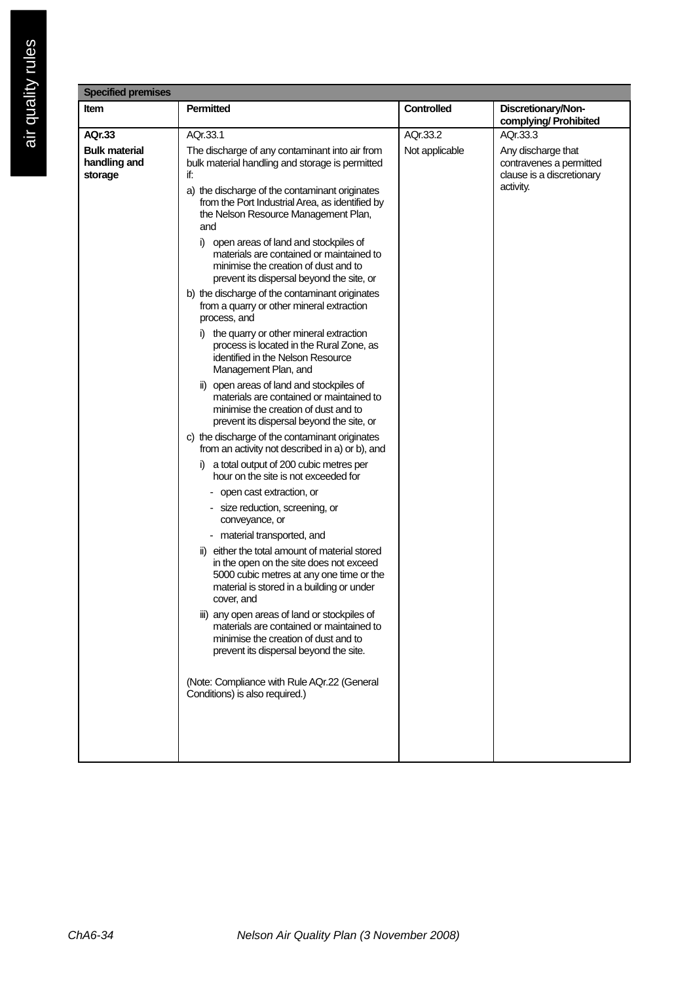| <b>Specified premises</b>                       |                                                                                                                                                                                                                                                                                                                                                                                                                                                                                                                                                                                                                                                                                                                                                                                                                                                                                                                                                                                                                                                                                                                                                                                                                                                                                                                                                                                                                                                                                                                                                                                                                                             |                   |                                                                                         |
|-------------------------------------------------|---------------------------------------------------------------------------------------------------------------------------------------------------------------------------------------------------------------------------------------------------------------------------------------------------------------------------------------------------------------------------------------------------------------------------------------------------------------------------------------------------------------------------------------------------------------------------------------------------------------------------------------------------------------------------------------------------------------------------------------------------------------------------------------------------------------------------------------------------------------------------------------------------------------------------------------------------------------------------------------------------------------------------------------------------------------------------------------------------------------------------------------------------------------------------------------------------------------------------------------------------------------------------------------------------------------------------------------------------------------------------------------------------------------------------------------------------------------------------------------------------------------------------------------------------------------------------------------------------------------------------------------------|-------------------|-----------------------------------------------------------------------------------------|
| <b>Item</b>                                     | <b>Permitted</b>                                                                                                                                                                                                                                                                                                                                                                                                                                                                                                                                                                                                                                                                                                                                                                                                                                                                                                                                                                                                                                                                                                                                                                                                                                                                                                                                                                                                                                                                                                                                                                                                                            | <b>Controlled</b> | Discretionary/Non-<br>complying/ Prohibited                                             |
| <b>AQr.33</b>                                   | AQr.33.1                                                                                                                                                                                                                                                                                                                                                                                                                                                                                                                                                                                                                                                                                                                                                                                                                                                                                                                                                                                                                                                                                                                                                                                                                                                                                                                                                                                                                                                                                                                                                                                                                                    | AQr.33.2          | AQr.33.3                                                                                |
| <b>Bulk material</b><br>handling and<br>storage | The discharge of any contaminant into air from<br>bulk material handling and storage is permitted<br>if:<br>a) the discharge of the contaminant originates<br>from the Port Industrial Area, as identified by<br>the Nelson Resource Management Plan,<br>and<br>open areas of land and stockpiles of<br>i)<br>materials are contained or maintained to<br>minimise the creation of dust and to<br>prevent its dispersal beyond the site, or<br>b) the discharge of the contaminant originates<br>from a quarry or other mineral extraction<br>process, and<br>the quarry or other mineral extraction<br>i)<br>process is located in the Rural Zone, as<br>identified in the Nelson Resource<br>Management Plan, and<br>ii) open areas of land and stockpiles of<br>materials are contained or maintained to<br>minimise the creation of dust and to<br>prevent its dispersal beyond the site, or<br>c) the discharge of the contaminant originates<br>from an activity not described in a) or b), and<br>i) a total output of 200 cubic metres per<br>hour on the site is not exceeded for<br>open cast extraction, or<br>- size reduction, screening, or<br>conveyance, or<br>- material transported, and<br>ii) either the total amount of material stored<br>in the open on the site does not exceed<br>5000 cubic metres at any one time or the<br>material is stored in a building or under<br>cover, and<br>iii) any open areas of land or stockpiles of<br>materials are contained or maintained to<br>minimise the creation of dust and to<br>prevent its dispersal beyond the site.<br>(Note: Compliance with Rule AQr.22 (General | Not applicable    | Any discharge that<br>contravenes a permitted<br>clause is a discretionary<br>activity. |
|                                                 | Conditions) is also required.)                                                                                                                                                                                                                                                                                                                                                                                                                                                                                                                                                                                                                                                                                                                                                                                                                                                                                                                                                                                                                                                                                                                                                                                                                                                                                                                                                                                                                                                                                                                                                                                                              |                   |                                                                                         |
|                                                 |                                                                                                                                                                                                                                                                                                                                                                                                                                                                                                                                                                                                                                                                                                                                                                                                                                                                                                                                                                                                                                                                                                                                                                                                                                                                                                                                                                                                                                                                                                                                                                                                                                             |                   |                                                                                         |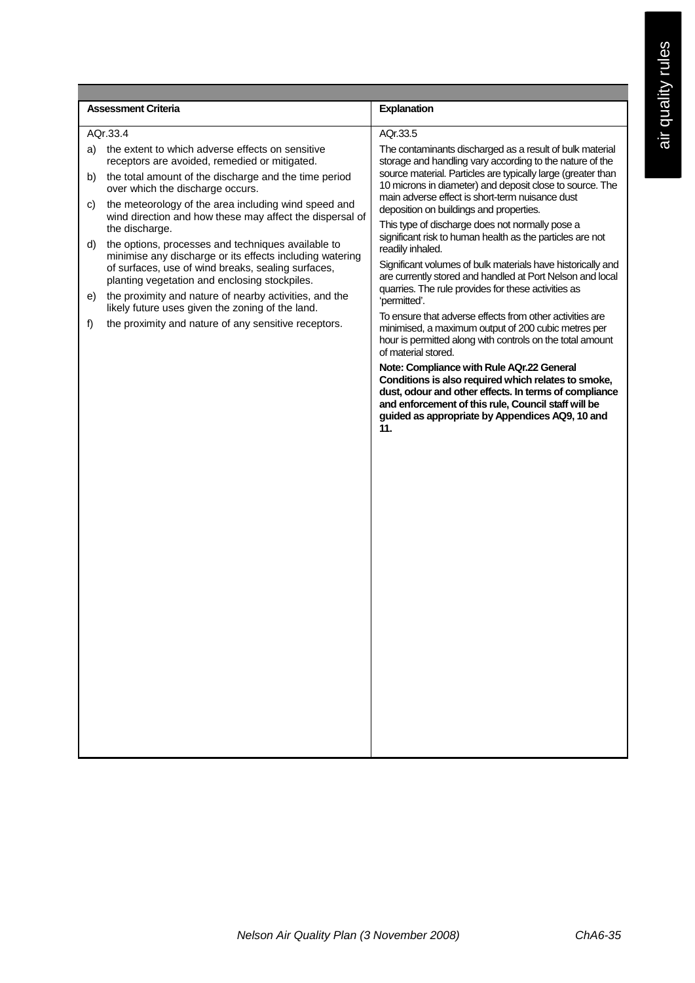| Explanation<br><b>Assessment Criteria</b><br>AQr.33.4<br>AQr.33.5<br>The contaminants discharged as a result of bulk material<br>the extent to which adverse effects on sensitive<br>a)<br>receptors are avoided, remedied or mitigated.<br>storage and handling vary according to the nature of the<br>source material. Particles are typically large (greater than<br>the total amount of the discharge and the time period<br>b)<br>10 microns in diameter) and deposit close to source. The<br>over which the discharge occurs.<br>main adverse effect is short-term nuisance dust<br>the meteorology of the area including wind speed and<br>C)<br>deposition on buildings and properties.<br>wind direction and how these may affect the dispersal of<br>This type of discharge does not normally pose a<br>the discharge.<br>significant risk to human health as the particles are not<br>the options, processes and techniques available to<br>d)<br>readily inhaled.<br>minimise any discharge or its effects including watering<br>Significant volumes of bulk materials have historically and<br>of surfaces, use of wind breaks, sealing surfaces,<br>are currently stored and handled at Port Nelson and local<br>planting vegetation and enclosing stockpiles.<br>quarries. The rule provides for these activities as<br>the proximity and nature of nearby activities, and the<br>e)<br>'permitted'.<br>likely future uses given the zoning of the land.<br>To ensure that adverse effects from other activities are<br>f)<br>the proximity and nature of any sensitive receptors.<br>minimised, a maximum output of 200 cubic metres per<br>hour is permitted along with controls on the total amount<br>of material stored.<br>Note: Compliance with Rule AQr.22 General<br>Conditions is also required which relates to smoke,<br>dust, odour and other effects. In terms of compliance<br>and enforcement of this rule, Council staff will be<br>guided as appropriate by Appendices AQ9, 10 and<br>11. |  |
|----------------------------------------------------------------------------------------------------------------------------------------------------------------------------------------------------------------------------------------------------------------------------------------------------------------------------------------------------------------------------------------------------------------------------------------------------------------------------------------------------------------------------------------------------------------------------------------------------------------------------------------------------------------------------------------------------------------------------------------------------------------------------------------------------------------------------------------------------------------------------------------------------------------------------------------------------------------------------------------------------------------------------------------------------------------------------------------------------------------------------------------------------------------------------------------------------------------------------------------------------------------------------------------------------------------------------------------------------------------------------------------------------------------------------------------------------------------------------------------------------------------------------------------------------------------------------------------------------------------------------------------------------------------------------------------------------------------------------------------------------------------------------------------------------------------------------------------------------------------------------------------------------------------------------------------------------------------------------------------------------------------------------|--|
|                                                                                                                                                                                                                                                                                                                                                                                                                                                                                                                                                                                                                                                                                                                                                                                                                                                                                                                                                                                                                                                                                                                                                                                                                                                                                                                                                                                                                                                                                                                                                                                                                                                                                                                                                                                                                                                                                                                                                                                                                            |  |
|                                                                                                                                                                                                                                                                                                                                                                                                                                                                                                                                                                                                                                                                                                                                                                                                                                                                                                                                                                                                                                                                                                                                                                                                                                                                                                                                                                                                                                                                                                                                                                                                                                                                                                                                                                                                                                                                                                                                                                                                                            |  |
|                                                                                                                                                                                                                                                                                                                                                                                                                                                                                                                                                                                                                                                                                                                                                                                                                                                                                                                                                                                                                                                                                                                                                                                                                                                                                                                                                                                                                                                                                                                                                                                                                                                                                                                                                                                                                                                                                                                                                                                                                            |  |
|                                                                                                                                                                                                                                                                                                                                                                                                                                                                                                                                                                                                                                                                                                                                                                                                                                                                                                                                                                                                                                                                                                                                                                                                                                                                                                                                                                                                                                                                                                                                                                                                                                                                                                                                                                                                                                                                                                                                                                                                                            |  |
|                                                                                                                                                                                                                                                                                                                                                                                                                                                                                                                                                                                                                                                                                                                                                                                                                                                                                                                                                                                                                                                                                                                                                                                                                                                                                                                                                                                                                                                                                                                                                                                                                                                                                                                                                                                                                                                                                                                                                                                                                            |  |
|                                                                                                                                                                                                                                                                                                                                                                                                                                                                                                                                                                                                                                                                                                                                                                                                                                                                                                                                                                                                                                                                                                                                                                                                                                                                                                                                                                                                                                                                                                                                                                                                                                                                                                                                                                                                                                                                                                                                                                                                                            |  |
|                                                                                                                                                                                                                                                                                                                                                                                                                                                                                                                                                                                                                                                                                                                                                                                                                                                                                                                                                                                                                                                                                                                                                                                                                                                                                                                                                                                                                                                                                                                                                                                                                                                                                                                                                                                                                                                                                                                                                                                                                            |  |
|                                                                                                                                                                                                                                                                                                                                                                                                                                                                                                                                                                                                                                                                                                                                                                                                                                                                                                                                                                                                                                                                                                                                                                                                                                                                                                                                                                                                                                                                                                                                                                                                                                                                                                                                                                                                                                                                                                                                                                                                                            |  |
|                                                                                                                                                                                                                                                                                                                                                                                                                                                                                                                                                                                                                                                                                                                                                                                                                                                                                                                                                                                                                                                                                                                                                                                                                                                                                                                                                                                                                                                                                                                                                                                                                                                                                                                                                                                                                                                                                                                                                                                                                            |  |
|                                                                                                                                                                                                                                                                                                                                                                                                                                                                                                                                                                                                                                                                                                                                                                                                                                                                                                                                                                                                                                                                                                                                                                                                                                                                                                                                                                                                                                                                                                                                                                                                                                                                                                                                                                                                                                                                                                                                                                                                                            |  |
|                                                                                                                                                                                                                                                                                                                                                                                                                                                                                                                                                                                                                                                                                                                                                                                                                                                                                                                                                                                                                                                                                                                                                                                                                                                                                                                                                                                                                                                                                                                                                                                                                                                                                                                                                                                                                                                                                                                                                                                                                            |  |
|                                                                                                                                                                                                                                                                                                                                                                                                                                                                                                                                                                                                                                                                                                                                                                                                                                                                                                                                                                                                                                                                                                                                                                                                                                                                                                                                                                                                                                                                                                                                                                                                                                                                                                                                                                                                                                                                                                                                                                                                                            |  |
|                                                                                                                                                                                                                                                                                                                                                                                                                                                                                                                                                                                                                                                                                                                                                                                                                                                                                                                                                                                                                                                                                                                                                                                                                                                                                                                                                                                                                                                                                                                                                                                                                                                                                                                                                                                                                                                                                                                                                                                                                            |  |
|                                                                                                                                                                                                                                                                                                                                                                                                                                                                                                                                                                                                                                                                                                                                                                                                                                                                                                                                                                                                                                                                                                                                                                                                                                                                                                                                                                                                                                                                                                                                                                                                                                                                                                                                                                                                                                                                                                                                                                                                                            |  |
|                                                                                                                                                                                                                                                                                                                                                                                                                                                                                                                                                                                                                                                                                                                                                                                                                                                                                                                                                                                                                                                                                                                                                                                                                                                                                                                                                                                                                                                                                                                                                                                                                                                                                                                                                                                                                                                                                                                                                                                                                            |  |
|                                                                                                                                                                                                                                                                                                                                                                                                                                                                                                                                                                                                                                                                                                                                                                                                                                                                                                                                                                                                                                                                                                                                                                                                                                                                                                                                                                                                                                                                                                                                                                                                                                                                                                                                                                                                                                                                                                                                                                                                                            |  |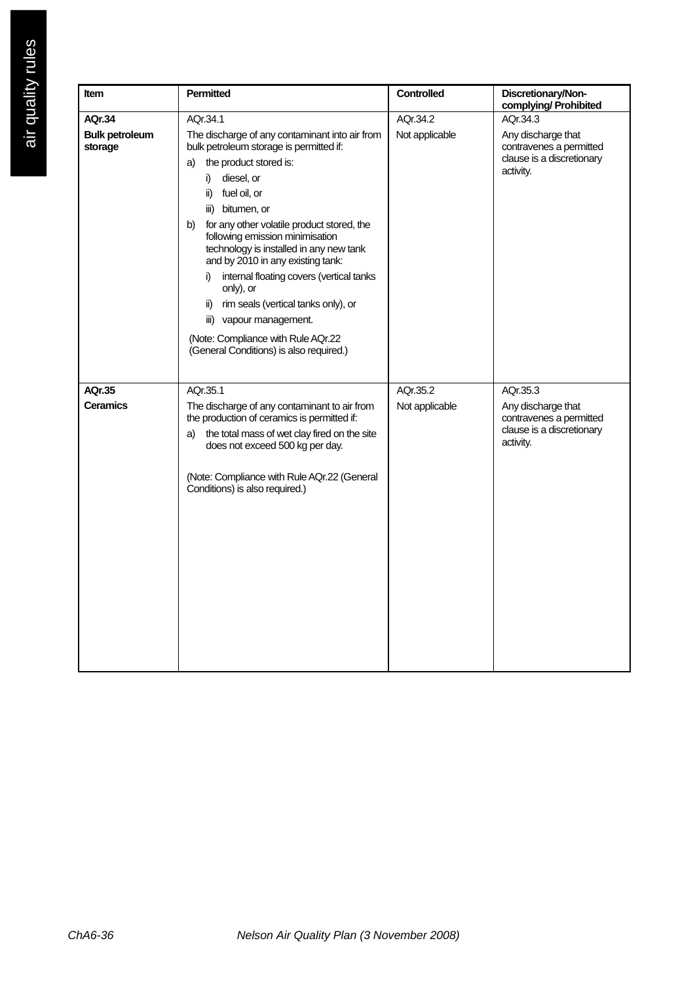| <b>Item</b>                      | <b>Permitted</b>                                                                                                                                                                                                                                                                                                                                                                                                                                                                                                                                                                               | <b>Controlled</b> | Discretionary/Non-<br>complying/ Prohibited                                             |
|----------------------------------|------------------------------------------------------------------------------------------------------------------------------------------------------------------------------------------------------------------------------------------------------------------------------------------------------------------------------------------------------------------------------------------------------------------------------------------------------------------------------------------------------------------------------------------------------------------------------------------------|-------------------|-----------------------------------------------------------------------------------------|
| <b>AQr.34</b>                    | AQr.34.1                                                                                                                                                                                                                                                                                                                                                                                                                                                                                                                                                                                       | AQr.34.2          | AQr.34.3                                                                                |
| <b>Bulk petroleum</b><br>storage | The discharge of any contaminant into air from<br>bulk petroleum storage is permitted if:<br>the product stored is:<br>a)<br>diesel, or<br>i)<br>ii)<br>fuel oil, or<br>iii)<br>bitumen, or<br>for any other volatile product stored, the<br>b)<br>following emission minimisation<br>technology is installed in any new tank<br>and by 2010 in any existing tank:<br>internal floating covers (vertical tanks<br>i)<br>only), or<br>rim seals (vertical tanks only), or<br>ii)<br>iii)<br>vapour management.<br>(Note: Compliance with Rule AQr.22<br>(General Conditions) is also required.) | Not applicable    | Any discharge that<br>contravenes a permitted<br>clause is a discretionary<br>activity. |
| <b>AQr.35</b>                    | AQr.35.1                                                                                                                                                                                                                                                                                                                                                                                                                                                                                                                                                                                       | AQr.35.2          | AQr.35.3                                                                                |
| <b>Ceramics</b>                  | The discharge of any contaminant to air from<br>the production of ceramics is permitted if:<br>the total mass of wet clay fired on the site<br>a)<br>does not exceed 500 kg per day.<br>(Note: Compliance with Rule AQr.22 (General<br>Conditions) is also required.)                                                                                                                                                                                                                                                                                                                          | Not applicable    | Any discharge that<br>contravenes a permitted<br>clause is a discretionary<br>activity. |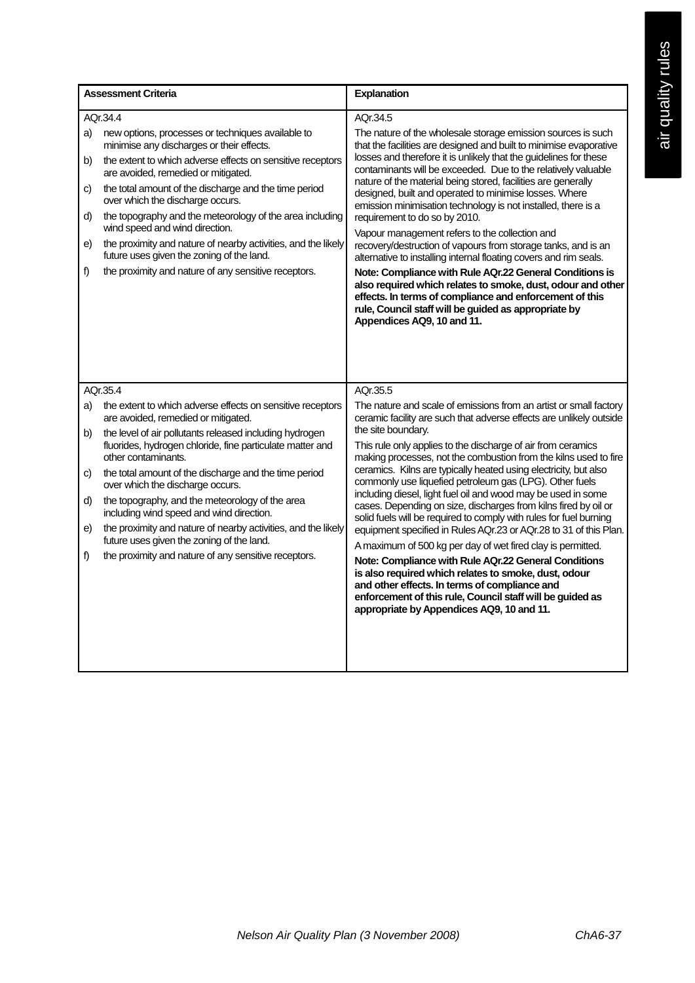| <b>Assessment Criteria</b> |                                                                                                                                             | <b>Explanation</b>                                                                                                                                                                                                                                                      |
|----------------------------|---------------------------------------------------------------------------------------------------------------------------------------------|-------------------------------------------------------------------------------------------------------------------------------------------------------------------------------------------------------------------------------------------------------------------------|
|                            | AQr.34.4                                                                                                                                    | AQr.34.5                                                                                                                                                                                                                                                                |
| a)                         | new options, processes or techniques available to<br>minimise any discharges or their effects.                                              | The nature of the wholesale storage emission sources is such<br>that the facilities are designed and built to minimise evaporative                                                                                                                                      |
| b)                         | the extent to which adverse effects on sensitive receptors<br>are avoided, remedied or mitigated.                                           | losses and therefore it is unlikely that the guidelines for these<br>contaminants will be exceeded. Due to the relatively valuable<br>nature of the material being stored, facilities are generally                                                                     |
| C)                         | the total amount of the discharge and the time period<br>over which the discharge occurs.                                                   | designed, built and operated to minimise losses. Where<br>emission minimisation technology is not installed, there is a                                                                                                                                                 |
| d)                         | the topography and the meteorology of the area including<br>wind speed and wind direction.                                                  | requirement to do so by 2010.<br>Vapour management refers to the collection and                                                                                                                                                                                         |
| e)                         | the proximity and nature of nearby activities, and the likely<br>future uses given the zoning of the land.                                  | recovery/destruction of vapours from storage tanks, and is an<br>alternative to installing internal floating covers and rim seals.                                                                                                                                      |
| f)                         | the proximity and nature of any sensitive receptors.                                                                                        | Note: Compliance with Rule AQr.22 General Conditions is<br>also required which relates to smoke, dust, odour and other<br>effects. In terms of compliance and enforcement of this<br>rule, Council staff will be guided as appropriate by<br>Appendices AQ9, 10 and 11. |
|                            | AQr.35.4                                                                                                                                    | AQr.35.5                                                                                                                                                                                                                                                                |
| a)                         | the extent to which adverse effects on sensitive receptors<br>are avoided, remedied or mitigated.                                           | The nature and scale of emissions from an artist or small factory<br>ceramic facility are such that adverse effects are unlikely outside                                                                                                                                |
| b)                         | the level of air pollutants released including hydrogen<br>fluorides, hydrogen chloride, fine particulate matter and<br>other contaminants. | the site boundary.<br>This rule only applies to the discharge of air from ceramics<br>making processes, not the combustion from the kilns used to fire                                                                                                                  |
| C)                         | the total amount of the discharge and the time period<br>over which the discharge occurs.                                                   | ceramics. Kilns are typically heated using electricity, but also<br>commonly use liquefied petroleum gas (LPG). Other fuels<br>including diesel, light fuel oil and wood may be used in some                                                                            |
| d)                         | the topography, and the meteorology of the area<br>including wind speed and wind direction.                                                 | cases. Depending on size, discharges from kilns fired by oil or<br>solid fuels will be required to comply with rules for fuel burning                                                                                                                                   |
| e)                         | the proximity and nature of nearby activities, and the likely<br>future uses given the zoning of the land.                                  | equipment specified in Rules AQr.23 or AQr.28 to 31 of this Plan.<br>A maximum of 500 kg per day of wet fired clay is permitted.                                                                                                                                        |
| f)                         | the proximity and nature of any sensitive receptors.                                                                                        | Note: Compliance with Rule AQr.22 General Conditions<br>is also required which relates to smoke, dust, odour<br>and other effects. In terms of compliance and<br>enforcement of this rule, Council staff will be guided as<br>appropriate by Appendices AQ9, 10 and 11. |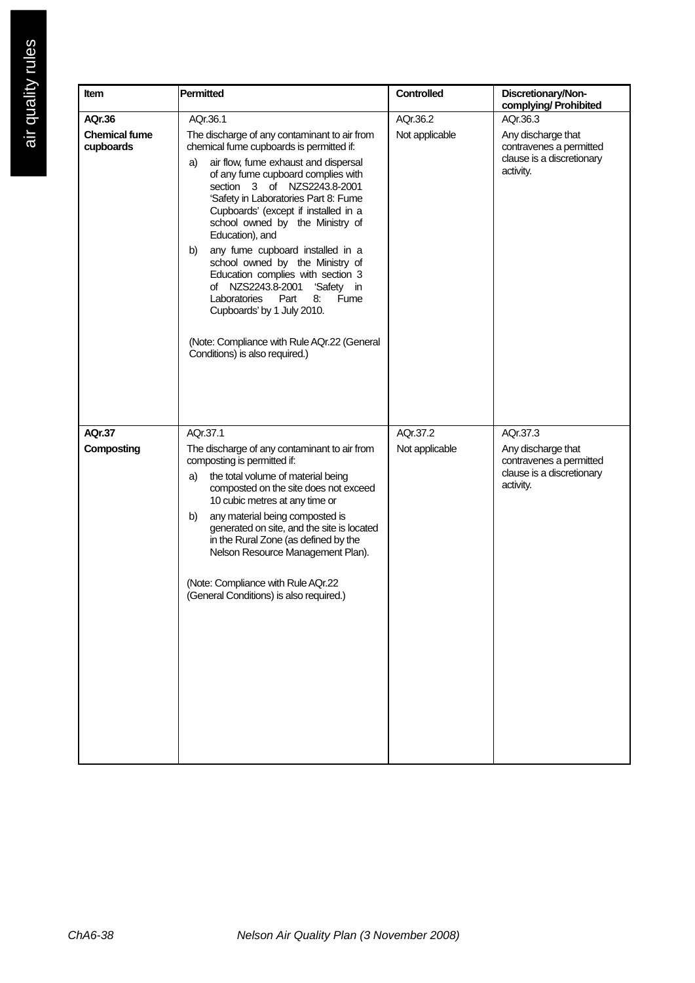| <b>Item</b>                       | <b>Permitted</b>                                                                                                                                                                                                                                                                                                                                                                                                                                                                                                                                                                                                                                            | <b>Controlled</b>          | Discretionary/Non-<br>complying/ Prohibited                                                         |
|-----------------------------------|-------------------------------------------------------------------------------------------------------------------------------------------------------------------------------------------------------------------------------------------------------------------------------------------------------------------------------------------------------------------------------------------------------------------------------------------------------------------------------------------------------------------------------------------------------------------------------------------------------------------------------------------------------------|----------------------------|-----------------------------------------------------------------------------------------------------|
| <b>AQr.36</b>                     | AQr.36.1                                                                                                                                                                                                                                                                                                                                                                                                                                                                                                                                                                                                                                                    | AQr.36.2                   | AQr.36.3                                                                                            |
| <b>Chemical fume</b><br>cupboards | The discharge of any contaminant to air from<br>chemical fume cupboards is permitted if:<br>air flow, fume exhaust and dispersal<br>a)<br>of any fume cupboard complies with<br>section 3 of NZS2243.8-2001<br>'Safety in Laboratories Part 8: Fume<br>Cupboards' (except if installed in a<br>school owned by the Ministry of<br>Education), and<br>any fume cupboard installed in a<br>b)<br>school owned by the Ministry of<br>Education complies with section 3<br>of NZS2243.8-2001<br>'Safety in<br>Laboratories<br>Part<br>8:<br>Fume<br>Cupboards' by 1 July 2010.<br>(Note: Compliance with Rule AQr.22 (General<br>Conditions) is also required.) | Not applicable             | Any discharge that<br>contravenes a permitted<br>clause is a discretionary<br>activity.             |
|                                   |                                                                                                                                                                                                                                                                                                                                                                                                                                                                                                                                                                                                                                                             |                            |                                                                                                     |
| <b>AQr.37</b><br>Composting       | AQr.37.1<br>The discharge of any contaminant to air from<br>composting is permitted if:<br>the total volume of material being<br>a)<br>composted on the site does not exceed<br>10 cubic metres at any time or<br>any material being composted is<br>b)<br>generated on site, and the site is located<br>in the Rural Zone (as defined by the<br>Nelson Resource Management Plan).<br>(Note: Compliance with Rule AQr.22<br>(General Conditions) is also required.)                                                                                                                                                                                         | AQr.37.2<br>Not applicable | AQr.37.3<br>Any discharge that<br>contravenes a permitted<br>clause is a discretionary<br>activity. |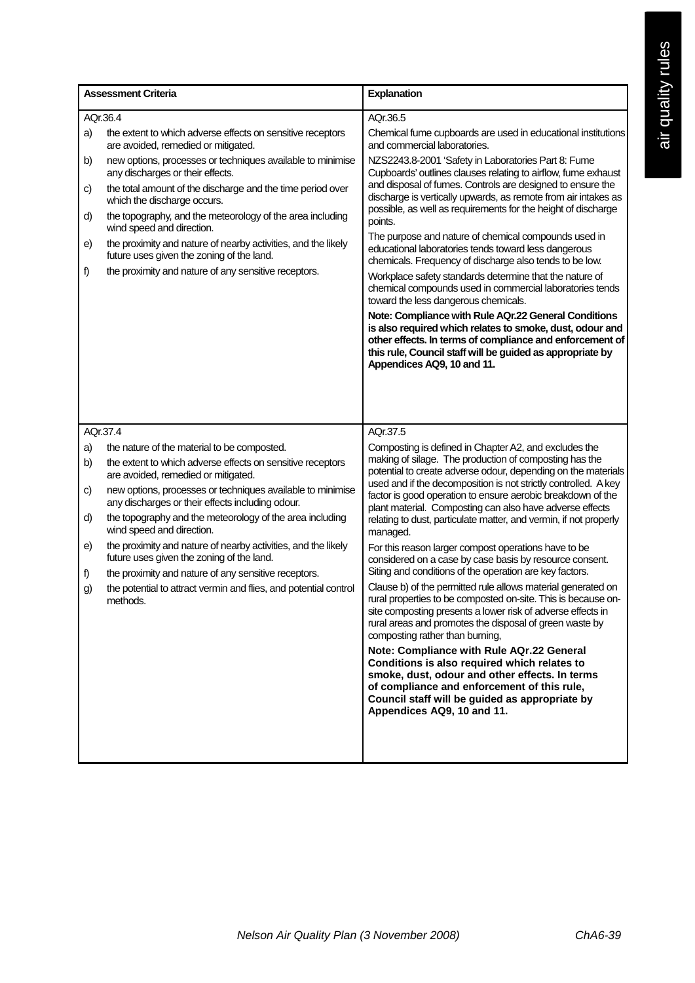| <b>Assessment Criteria</b> |                                                                                                                                                                 | Explanation                                                                                                                                                                                                                                                                                |
|----------------------------|-----------------------------------------------------------------------------------------------------------------------------------------------------------------|--------------------------------------------------------------------------------------------------------------------------------------------------------------------------------------------------------------------------------------------------------------------------------------------|
| AQr.36.4                   |                                                                                                                                                                 | AQr.36.5                                                                                                                                                                                                                                                                                   |
| a)                         | the extent to which adverse effects on sensitive receptors<br>are avoided, remedied or mitigated.                                                               | Chemical fume cupboards are used in educational institutions<br>and commercial laboratories.                                                                                                                                                                                               |
| b)                         | new options, processes or techniques available to minimise<br>any discharges or their effects.                                                                  | NZS2243.8-2001 'Safety in Laboratories Part 8: Fume<br>Cupboards' outlines clauses relating to airflow, fume exhaust<br>and disposal of fumes. Controls are designed to ensure the                                                                                                         |
| C)<br>d)                   | the total amount of the discharge and the time period over<br>which the discharge occurs.<br>the topography, and the meteorology of the area including          | discharge is vertically upwards, as remote from air intakes as<br>possible, as well as requirements for the height of discharge                                                                                                                                                            |
|                            | wind speed and direction.                                                                                                                                       | points.<br>The purpose and nature of chemical compounds used in                                                                                                                                                                                                                            |
| e)                         | the proximity and nature of nearby activities, and the likely<br>future uses given the zoning of the land.                                                      | educational laboratories tends toward less dangerous<br>chemicals. Frequency of discharge also tends to be low.                                                                                                                                                                            |
| f)                         | the proximity and nature of any sensitive receptors.                                                                                                            | Workplace safety standards determine that the nature of<br>chemical compounds used in commercial laboratories tends<br>toward the less dangerous chemicals.                                                                                                                                |
|                            |                                                                                                                                                                 | Note: Compliance with Rule AQr.22 General Conditions<br>is also required which relates to smoke, dust, odour and<br>other effects. In terms of compliance and enforcement of<br>this rule, Council staff will be guided as appropriate by<br>Appendices AQ9, 10 and 11.                    |
|                            |                                                                                                                                                                 |                                                                                                                                                                                                                                                                                            |
|                            | AQr.37.4                                                                                                                                                        | AQr.37.5                                                                                                                                                                                                                                                                                   |
| a)                         | the nature of the material to be composted.                                                                                                                     | Composting is defined in Chapter A2, and excludes the<br>making of silage. The production of composting has the                                                                                                                                                                            |
| b)<br>C)                   | the extent to which adverse effects on sensitive receptors<br>are avoided, remedied or mitigated.<br>new options, processes or techniques available to minimise | potential to create adverse odour, depending on the materials<br>used and if the decomposition is not strictly controlled. A key                                                                                                                                                           |
|                            | any discharges or their effects including odour.                                                                                                                | factor is good operation to ensure aerobic breakdown of the<br>plant material. Composting can also have adverse effects                                                                                                                                                                    |
| d)                         | the topography and the meteorology of the area including<br>wind speed and direction.                                                                           | relating to dust, particulate matter, and vermin, if not properly<br>managed.                                                                                                                                                                                                              |
| e)                         | the proximity and nature of nearby activities, and the likely<br>future uses given the zoning of the land.                                                      | For this reason larger compost operations have to be<br>considered on a case by case basis by resource consent.                                                                                                                                                                            |
| f)                         | the proximity and nature of any sensitive receptors.                                                                                                            | Siting and conditions of the operation are key factors.                                                                                                                                                                                                                                    |
| g)                         | the potential to attract vermin and flies, and potential control<br>methods.                                                                                    | Clause b) of the permitted rule allows material generated on<br>rural properties to be composted on-site. This is because on-<br>site composting presents a lower risk of adverse effects in<br>rural areas and promotes the disposal of green waste by<br>composting rather than burning, |
|                            |                                                                                                                                                                 | Note: Compliance with Rule AQr.22 General<br>Conditions is also required which relates to<br>smoke, dust, odour and other effects. In terms<br>of compliance and enforcement of this rule,<br>Council staff will be guided as appropriate by<br>Appendices AQ9, 10 and 11.                 |
|                            |                                                                                                                                                                 |                                                                                                                                                                                                                                                                                            |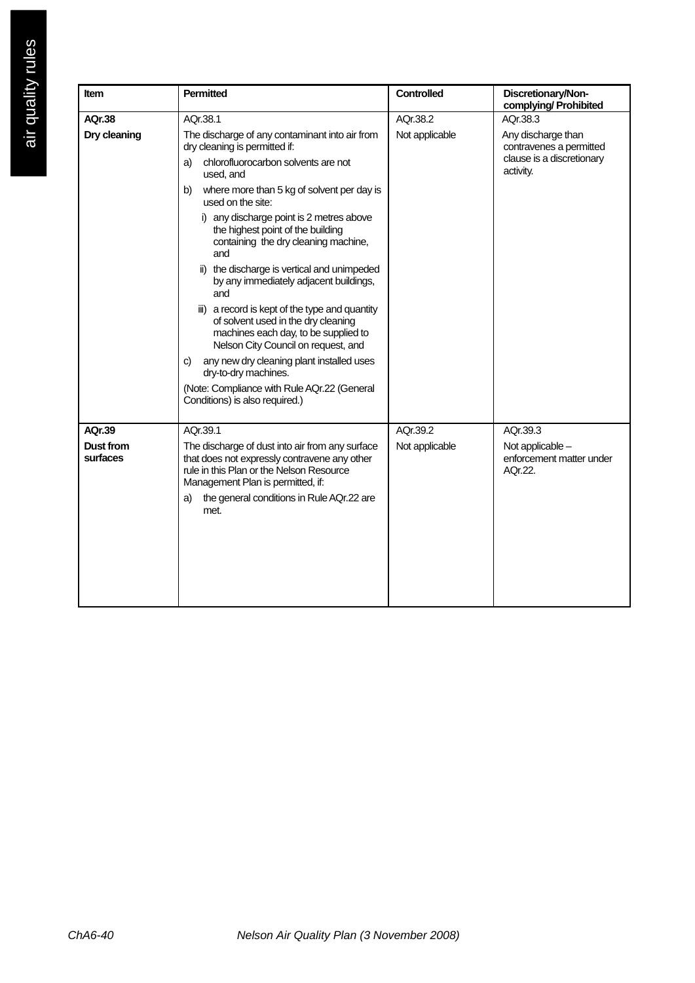| <b>Item</b>                  | <b>Permitted</b>                                                                                                                                                                                                                            | <b>Controlled</b> | Discretionary/Non-<br>complying/ Prohibited                                |
|------------------------------|---------------------------------------------------------------------------------------------------------------------------------------------------------------------------------------------------------------------------------------------|-------------------|----------------------------------------------------------------------------|
| <b>AQr.38</b>                | AQr.38.1                                                                                                                                                                                                                                    | AQr.38.2          | AQr.38.3                                                                   |
| Dry cleaning                 | The discharge of any contaminant into air from<br>dry cleaning is permitted if:                                                                                                                                                             | Not applicable    | Any discharge than<br>contravenes a permitted<br>clause is a discretionary |
|                              | chlorofluorocarbon solvents are not<br>a)<br>used, and                                                                                                                                                                                      |                   | activity.                                                                  |
|                              | where more than 5 kg of solvent per day is<br>b)<br>used on the site:                                                                                                                                                                       |                   |                                                                            |
|                              | i) any discharge point is 2 metres above<br>the highest point of the building<br>containing the dry cleaning machine,<br>and                                                                                                                |                   |                                                                            |
|                              | ii) the discharge is vertical and unimpeded<br>by any immediately adjacent buildings,<br>and                                                                                                                                                |                   |                                                                            |
|                              | iii) a record is kept of the type and quantity<br>of solvent used in the dry cleaning<br>machines each day, to be supplied to<br>Nelson City Council on request, and                                                                        |                   |                                                                            |
|                              | any new dry cleaning plant installed uses<br>C)<br>dry-to-dry machines.                                                                                                                                                                     |                   |                                                                            |
|                              | (Note: Compliance with Rule AQr.22 (General<br>Conditions) is also required.)                                                                                                                                                               |                   |                                                                            |
| <b>AQr.39</b>                | AQr.39.1                                                                                                                                                                                                                                    | AQr.39.2          | AQr.39.3                                                                   |
| <b>Dust from</b><br>surfaces | The discharge of dust into air from any surface<br>that does not expressly contravene any other<br>rule in this Plan or the Nelson Resource<br>Management Plan is permitted, if:<br>the general conditions in Rule AQr.22 are<br>a)<br>met. | Not applicable    | Not applicable -<br>enforcement matter under<br>AQr.22.                    |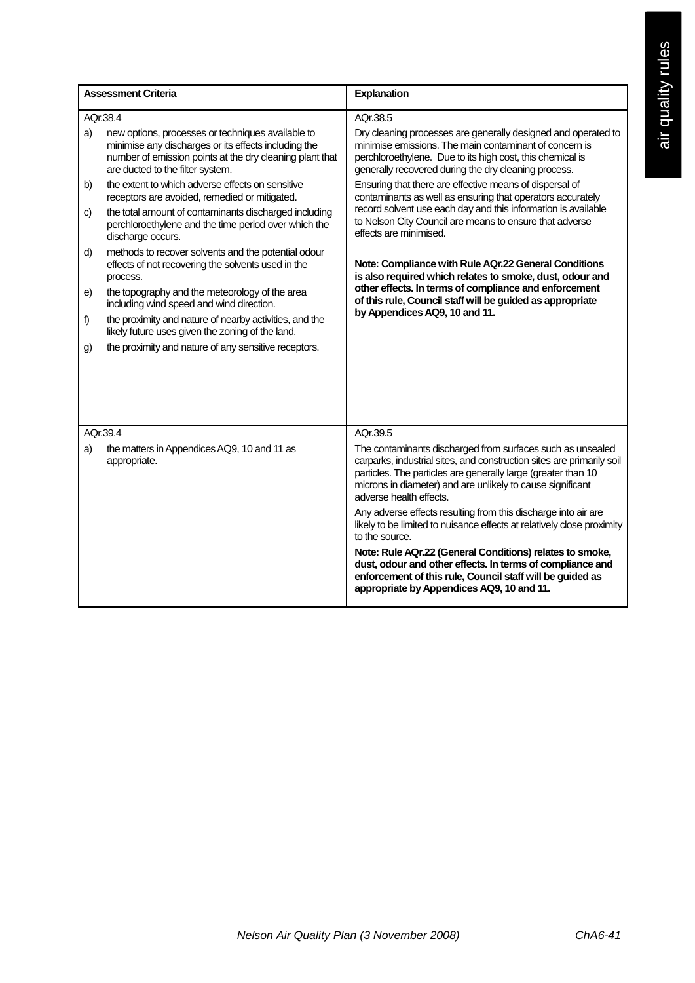| Assessment Criteria |                                                                                                                                                                                                           | Explanation                                                                                                                                                                                                                                                                                   |  |
|---------------------|-----------------------------------------------------------------------------------------------------------------------------------------------------------------------------------------------------------|-----------------------------------------------------------------------------------------------------------------------------------------------------------------------------------------------------------------------------------------------------------------------------------------------|--|
|                     | AQr.38.4                                                                                                                                                                                                  | AQr.38.5                                                                                                                                                                                                                                                                                      |  |
| a)                  | new options, processes or techniques available to<br>minimise any discharges or its effects including the<br>number of emission points at the dry cleaning plant that<br>are ducted to the filter system. | Dry cleaning processes are generally designed and operated to<br>minimise emissions. The main contaminant of concern is<br>perchloroethylene. Due to its high cost, this chemical is<br>generally recovered during the dry cleaning process.                                                  |  |
| b)                  | the extent to which adverse effects on sensitive<br>receptors are avoided, remedied or mitigated.                                                                                                         | Ensuring that there are effective means of dispersal of<br>contaminants as well as ensuring that operators accurately                                                                                                                                                                         |  |
| C)                  | the total amount of contaminants discharged including<br>perchloroethylene and the time period over which the<br>discharge occurs.                                                                        | record solvent use each day and this information is available<br>to Nelson City Council are means to ensure that adverse<br>effects are minimised.                                                                                                                                            |  |
| d)                  | methods to recover solvents and the potential odour<br>effects of not recovering the solvents used in the<br>process.                                                                                     | Note: Compliance with Rule AQr.22 General Conditions<br>is also required which relates to smoke, dust, odour and                                                                                                                                                                              |  |
| e)                  | the topography and the meteorology of the area<br>including wind speed and wind direction.                                                                                                                | other effects. In terms of compliance and enforcement<br>of this rule, Council staff will be guided as appropriate                                                                                                                                                                            |  |
| f)                  | the proximity and nature of nearby activities, and the<br>likely future uses given the zoning of the land.                                                                                                | by Appendices AQ9, 10 and 11.                                                                                                                                                                                                                                                                 |  |
| g)                  | the proximity and nature of any sensitive receptors.                                                                                                                                                      |                                                                                                                                                                                                                                                                                               |  |
|                     | AQr.39.4                                                                                                                                                                                                  | AQr.39.5                                                                                                                                                                                                                                                                                      |  |
| a)                  | the matters in Appendices AQ9, 10 and 11 as<br>appropriate.                                                                                                                                               | The contaminants discharged from surfaces such as unsealed<br>carparks, industrial sites, and construction sites are primarily soil<br>particles. The particles are generally large (greater than 10<br>microns in diameter) and are unlikely to cause significant<br>adverse health effects. |  |
|                     |                                                                                                                                                                                                           | Any adverse effects resulting from this discharge into air are<br>likely to be limited to nuisance effects at relatively close proximity<br>to the source.                                                                                                                                    |  |
|                     |                                                                                                                                                                                                           | Note: Rule AQr.22 (General Conditions) relates to smoke,<br>dust, odour and other effects. In terms of compliance and<br>enforcement of this rule, Council staff will be guided as<br>appropriate by Appendices AQ9, 10 and 11.                                                               |  |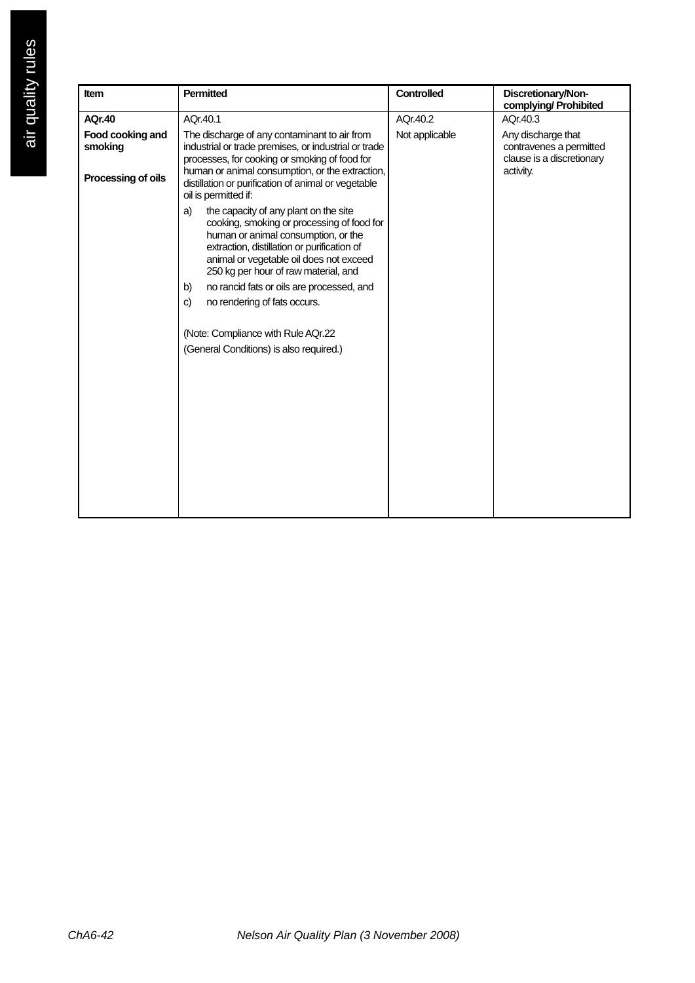| Item                                              | <b>Permitted</b>                                                                                                                                                                                                                                                                                                                                                                                                                             | <b>Controlled</b> | Discretionary/Non-<br>complying/ Prohibited                                             |
|---------------------------------------------------|----------------------------------------------------------------------------------------------------------------------------------------------------------------------------------------------------------------------------------------------------------------------------------------------------------------------------------------------------------------------------------------------------------------------------------------------|-------------------|-----------------------------------------------------------------------------------------|
| <b>AQr.40</b>                                     | AQr.40.1                                                                                                                                                                                                                                                                                                                                                                                                                                     | AQr.40.2          | AQr.40.3                                                                                |
| Food cooking and<br>smoking<br>Processing of oils | The discharge of any contaminant to air from<br>industrial or trade premises, or industrial or trade<br>processes, for cooking or smoking of food for<br>human or animal consumption, or the extraction,<br>distillation or purification of animal or vegetable<br>oil is permitted if:                                                                                                                                                      | Not applicable    | Any discharge that<br>contravenes a permitted<br>clause is a discretionary<br>activity. |
|                                                   | the capacity of any plant on the site<br>a)<br>cooking, smoking or processing of food for<br>human or animal consumption, or the<br>extraction, distillation or purification of<br>animal or vegetable oil does not exceed<br>250 kg per hour of raw material, and<br>b)<br>no rancid fats or oils are processed, and<br>no rendering of fats occurs.<br>C)<br>(Note: Compliance with Rule AQr.22<br>(General Conditions) is also required.) |                   |                                                                                         |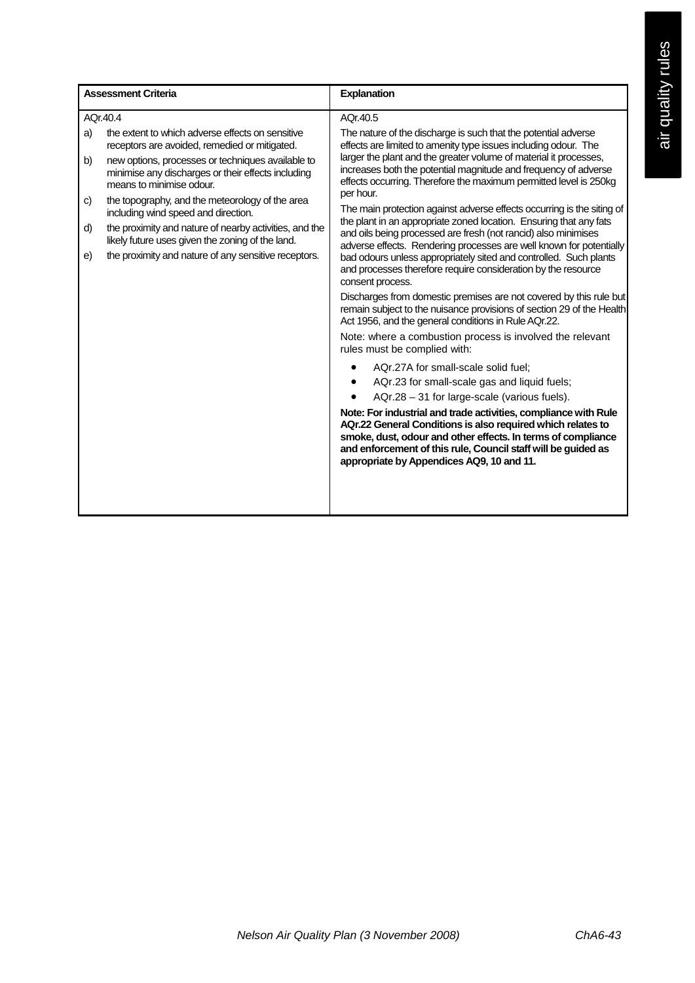| <b>Assessment Criteria</b> |                                                                                                                                     | <b>Explanation</b>                                                                                                                                                                                                                                                                                           |  |
|----------------------------|-------------------------------------------------------------------------------------------------------------------------------------|--------------------------------------------------------------------------------------------------------------------------------------------------------------------------------------------------------------------------------------------------------------------------------------------------------------|--|
|                            | AQr.40.4                                                                                                                            | AQr.40.5                                                                                                                                                                                                                                                                                                     |  |
| a)                         | the extent to which adverse effects on sensitive<br>receptors are avoided, remedied or mitigated.                                   | The nature of the discharge is such that the potential adverse<br>effects are limited to amenity type issues including odour. The                                                                                                                                                                            |  |
| b)                         | new options, processes or techniques available to<br>minimise any discharges or their effects including<br>means to minimise odour. | larger the plant and the greater volume of material it processes,<br>increases both the potential magnitude and frequency of adverse<br>effects occurring. Therefore the maximum permitted level is 250kg<br>per hour.                                                                                       |  |
| C)                         | the topography, and the meteorology of the area<br>including wind speed and direction.                                              | The main protection against adverse effects occurring is the siting of                                                                                                                                                                                                                                       |  |
| d)                         | the proximity and nature of nearby activities, and the<br>likely future uses given the zoning of the land.                          | the plant in an appropriate zoned location. Ensuring that any fats<br>and oils being processed are fresh (not rancid) also minimises<br>adverse effects. Rendering processes are well known for potentially                                                                                                  |  |
| e)                         | the proximity and nature of any sensitive receptors.                                                                                | bad odours unless appropriately sited and controlled. Such plants<br>and processes therefore require consideration by the resource<br>consent process.                                                                                                                                                       |  |
|                            |                                                                                                                                     | Discharges from domestic premises are not covered by this rule but<br>remain subject to the nuisance provisions of section 29 of the Health<br>Act 1956, and the general conditions in Rule AQr.22.                                                                                                          |  |
|                            |                                                                                                                                     | Note: where a combustion process is involved the relevant<br>rules must be complied with:                                                                                                                                                                                                                    |  |
|                            |                                                                                                                                     | AQr.27A for small-scale solid fuel;                                                                                                                                                                                                                                                                          |  |
|                            |                                                                                                                                     | AQr.23 for small-scale gas and liquid fuels;                                                                                                                                                                                                                                                                 |  |
|                            |                                                                                                                                     | AQr.28 - 31 for large-scale (various fuels).                                                                                                                                                                                                                                                                 |  |
|                            |                                                                                                                                     | Note: For industrial and trade activities, compliance with Rule<br>AQr.22 General Conditions is also required which relates to<br>smoke, dust, odour and other effects. In terms of compliance<br>and enforcement of this rule, Council staff will be guided as<br>appropriate by Appendices AQ9, 10 and 11. |  |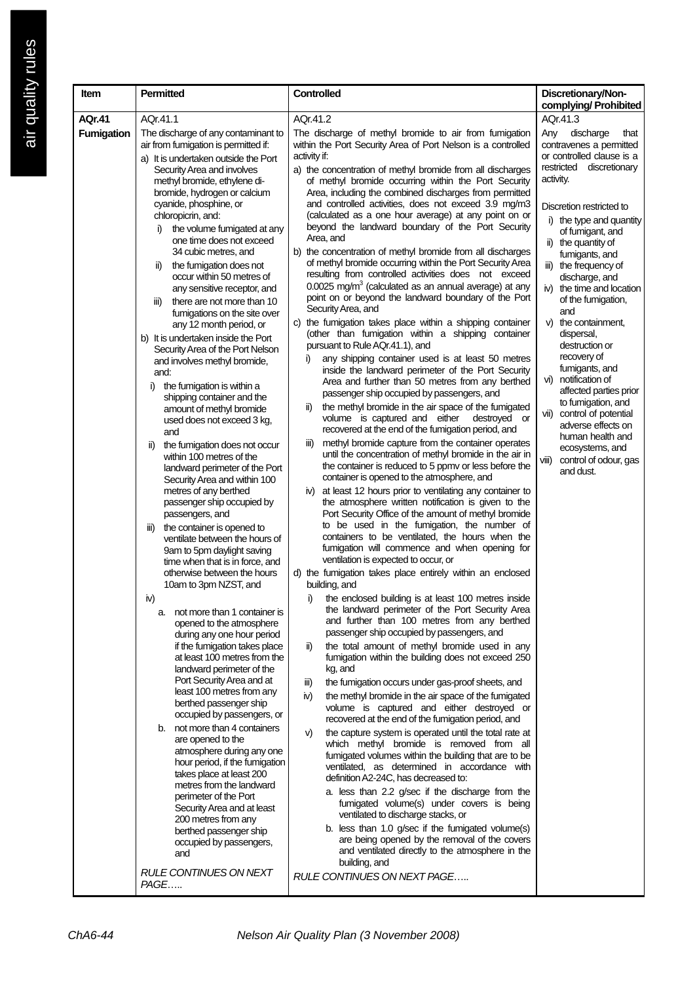| Item                               | <b>Permitted</b>                                                                                                                                                                                                                                                                                                                                                                                                                                                                                                                                                                                                                                                                                                                                                                                                                                                                                                                                                                                                                                                                                                                                                                                                                                                                                                                                                                                                                                                                                                                                                                                                                                                                                                                                                                                                                                                                      | Controlled                                                                                                                                                                                                                                                                                                                                                                                                                                                                                                                                                                                                                                                                                                                                                                                                                                                                                                                                                                                                                                                                                                                                                                                                                                                                                                                                                                                                                                                                                                                                                                                                                                                                                                                                                                                                                                                                                                                                                                                                                                                                                                                                                                                                                                                                                                                                                                                                                                                                                                                                                                                                                                                                                                                                                                                                                                                                                                                                                                                                                                                                                                                                                                               | Discretionary/Non-                                                                                                                                                                                                                                                                                                                                                                                                                                                                                                                                                                                                                                                                                  |
|------------------------------------|---------------------------------------------------------------------------------------------------------------------------------------------------------------------------------------------------------------------------------------------------------------------------------------------------------------------------------------------------------------------------------------------------------------------------------------------------------------------------------------------------------------------------------------------------------------------------------------------------------------------------------------------------------------------------------------------------------------------------------------------------------------------------------------------------------------------------------------------------------------------------------------------------------------------------------------------------------------------------------------------------------------------------------------------------------------------------------------------------------------------------------------------------------------------------------------------------------------------------------------------------------------------------------------------------------------------------------------------------------------------------------------------------------------------------------------------------------------------------------------------------------------------------------------------------------------------------------------------------------------------------------------------------------------------------------------------------------------------------------------------------------------------------------------------------------------------------------------------------------------------------------------|------------------------------------------------------------------------------------------------------------------------------------------------------------------------------------------------------------------------------------------------------------------------------------------------------------------------------------------------------------------------------------------------------------------------------------------------------------------------------------------------------------------------------------------------------------------------------------------------------------------------------------------------------------------------------------------------------------------------------------------------------------------------------------------------------------------------------------------------------------------------------------------------------------------------------------------------------------------------------------------------------------------------------------------------------------------------------------------------------------------------------------------------------------------------------------------------------------------------------------------------------------------------------------------------------------------------------------------------------------------------------------------------------------------------------------------------------------------------------------------------------------------------------------------------------------------------------------------------------------------------------------------------------------------------------------------------------------------------------------------------------------------------------------------------------------------------------------------------------------------------------------------------------------------------------------------------------------------------------------------------------------------------------------------------------------------------------------------------------------------------------------------------------------------------------------------------------------------------------------------------------------------------------------------------------------------------------------------------------------------------------------------------------------------------------------------------------------------------------------------------------------------------------------------------------------------------------------------------------------------------------------------------------------------------------------------------------------------------------------------------------------------------------------------------------------------------------------------------------------------------------------------------------------------------------------------------------------------------------------------------------------------------------------------------------------------------------------------------------------------------------------------------------------------------------------------|-----------------------------------------------------------------------------------------------------------------------------------------------------------------------------------------------------------------------------------------------------------------------------------------------------------------------------------------------------------------------------------------------------------------------------------------------------------------------------------------------------------------------------------------------------------------------------------------------------------------------------------------------------------------------------------------------------|
|                                    |                                                                                                                                                                                                                                                                                                                                                                                                                                                                                                                                                                                                                                                                                                                                                                                                                                                                                                                                                                                                                                                                                                                                                                                                                                                                                                                                                                                                                                                                                                                                                                                                                                                                                                                                                                                                                                                                                       |                                                                                                                                                                                                                                                                                                                                                                                                                                                                                                                                                                                                                                                                                                                                                                                                                                                                                                                                                                                                                                                                                                                                                                                                                                                                                                                                                                                                                                                                                                                                                                                                                                                                                                                                                                                                                                                                                                                                                                                                                                                                                                                                                                                                                                                                                                                                                                                                                                                                                                                                                                                                                                                                                                                                                                                                                                                                                                                                                                                                                                                                                                                                                                                          |                                                                                                                                                                                                                                                                                                                                                                                                                                                                                                                                                                                                                                                                                                     |
| <b>AQr.41</b><br><b>Fumigation</b> | AQr.41.1<br>The discharge of any contaminant to<br>air from fumigation is permitted if:<br>a) It is undertaken outside the Port<br>Security Area and involves<br>methyl bromide, ethylene di-<br>bromide, hydrogen or calcium<br>cyanide, phosphine, or<br>chloropicrin, and:<br>the volume fumigated at any<br>$\vert$<br>one time does not exceed<br>34 cubic metres, and<br>ii)<br>the fumigation does not<br>occur within 50 metres of<br>any sensitive receptor, and<br>there are not more than 10<br>iii)<br>fumigations on the site over<br>any 12 month period, or<br>b) It is undertaken inside the Port<br>Security Area of the Port Nelson<br>and involves methyl bromide,<br>and:<br>the fumigation is within a<br>i)<br>shipping container and the<br>amount of methyl bromide<br>used does not exceed 3 kg,<br>and<br>the fumigation does not occur<br>ii)<br>within 100 metres of the<br>landward perimeter of the Port<br>Security Area and within 100<br>metres of any berthed<br>passenger ship occupied by<br>passengers, and<br>iii)<br>the container is opened to<br>ventilate between the hours of<br>9am to 5pm daylight saving<br>time when that is in force, and<br>otherwise between the hours<br>10am to 3pm NZST, and<br>iv)<br>a. not more than 1 container is<br>opened to the atmosphere<br>during any one hour period<br>if the fumigation takes place<br>at least 100 metres from the<br>landward perimeter of the<br>Port Security Area and at<br>least 100 metres from any<br>berthed passenger ship<br>occupied by passengers, or<br>b. not more than 4 containers<br>are opened to the<br>atmosphere during any one<br>hour period, if the fumigation<br>takes place at least 200<br>metres from the landward<br>perimeter of the Port<br>Security Area and at least<br>200 metres from any<br>berthed passenger ship<br>occupied by passengers, | AQr.41.2<br>The discharge of methyl bromide to air from fumigation<br>within the Port Security Area of Port Nelson is a controlled<br>activity if:<br>a) the concentration of methyl bromide from all discharges<br>of methyl bromide occurring within the Port Security<br>Area, including the combined discharges from permitted<br>and controlled activities, does not exceed 3.9 mg/m3<br>(calculated as a one hour average) at any point on or<br>beyond the landward boundary of the Port Security<br>Area, and<br>b) the concentration of methyl bromide from all discharges<br>of methyl bromide occurring within the Port Security Area<br>resulting from controlled activities does not exceed<br>$0.0025$ mg/m <sup>3</sup> (calculated as an annual average) at any<br>point on or beyond the landward boundary of the Port<br>Security Area, and<br>c) the fumigation takes place within a shipping container<br>(other than fumigation within a shipping container<br>pursuant to Rule AQr.41.1), and<br>any shipping container used is at least 50 metres<br>i)<br>inside the landward perimeter of the Port Security<br>Area and further than 50 metres from any berthed<br>passenger ship occupied by passengers, and<br>the methyl bromide in the air space of the fumigated<br>ii)<br>volume is captured and either<br>destroyed or<br>recovered at the end of the fumigation period, and<br>methyl bromide capture from the container operates<br>iii)<br>until the concentration of methyl bromide in the air in<br>the container is reduced to 5 ppmv or less before the<br>container is opened to the atmosphere, and<br>at least 12 hours prior to ventilating any container to<br>iv)<br>the atmosphere written notification is given to the<br>Port Security Office of the amount of methyl bromide<br>to be used in the fumigation, the number of<br>containers to be ventilated, the hours when the<br>fumigation will commence and when opening for<br>ventilation is expected to occur, or<br>d) the fumigation takes place entirely within an enclosed<br>building, and<br>the enclosed building is at least 100 metres inside<br>i)<br>the landward perimeter of the Port Security Area<br>and further than 100 metres from any berthed<br>passenger ship occupied by passengers, and<br>the total amount of methyl bromide used in any<br>ii)<br>fumigation within the building does not exceed 250<br>kg, and<br>iii)<br>the fumigation occurs under gas-proof sheets, and<br>the methyl bromide in the air space of the fumigated<br>iv)<br>volume is captured and either destroyed or<br>recovered at the end of the fumigation period, and<br>the capture system is operated until the total rate at<br>V)<br>which methyl bromide is removed from all<br>fumigated volumes within the building that are to be<br>ventilated, as determined in accordance with<br>definition A2-24C, has decreased to:<br>a. less than 2.2 g/sec if the discharge from the<br>fumigated volume(s) under covers is being<br>ventilated to discharge stacks, or<br>b. less than 1.0 g/sec if the fumigated volume(s)<br>are being opened by the removal of the covers | complying/ Prohibited<br>AQr.41.3<br>Any discharge<br>that<br>contravenes a permitted<br>or controlled clause is a<br>restricted discretionary<br>activity.<br>Discretion restricted to<br>i) the type and quantity<br>of fumigant, and<br>ii) the quantity of<br>fumigants, and<br>iii) the frequency of<br>discharge, and<br>iv) the time and location<br>of the fumigation,<br>and<br>v) the containment,<br>dispersal,<br>destruction or<br>recovery of<br>fumigants, and<br>notification of<br>vi)<br>affected parties prior<br>to fumigation, and<br>control of potential<br>Vii)<br>adverse effects on<br>human health and<br>ecosystems, and<br>viii)<br>control of odour, gas<br>and dust. |
|                                    | and<br>RULE CONTINUES ON NEXT                                                                                                                                                                                                                                                                                                                                                                                                                                                                                                                                                                                                                                                                                                                                                                                                                                                                                                                                                                                                                                                                                                                                                                                                                                                                                                                                                                                                                                                                                                                                                                                                                                                                                                                                                                                                                                                         | and ventilated directly to the atmosphere in the<br>building, and                                                                                                                                                                                                                                                                                                                                                                                                                                                                                                                                                                                                                                                                                                                                                                                                                                                                                                                                                                                                                                                                                                                                                                                                                                                                                                                                                                                                                                                                                                                                                                                                                                                                                                                                                                                                                                                                                                                                                                                                                                                                                                                                                                                                                                                                                                                                                                                                                                                                                                                                                                                                                                                                                                                                                                                                                                                                                                                                                                                                                                                                                                                        |                                                                                                                                                                                                                                                                                                                                                                                                                                                                                                                                                                                                                                                                                                     |
|                                    | PAGE                                                                                                                                                                                                                                                                                                                                                                                                                                                                                                                                                                                                                                                                                                                                                                                                                                                                                                                                                                                                                                                                                                                                                                                                                                                                                                                                                                                                                                                                                                                                                                                                                                                                                                                                                                                                                                                                                  | RULE CONTINUES ON NEXT PAGE                                                                                                                                                                                                                                                                                                                                                                                                                                                                                                                                                                                                                                                                                                                                                                                                                                                                                                                                                                                                                                                                                                                                                                                                                                                                                                                                                                                                                                                                                                                                                                                                                                                                                                                                                                                                                                                                                                                                                                                                                                                                                                                                                                                                                                                                                                                                                                                                                                                                                                                                                                                                                                                                                                                                                                                                                                                                                                                                                                                                                                                                                                                                                              |                                                                                                                                                                                                                                                                                                                                                                                                                                                                                                                                                                                                                                                                                                     |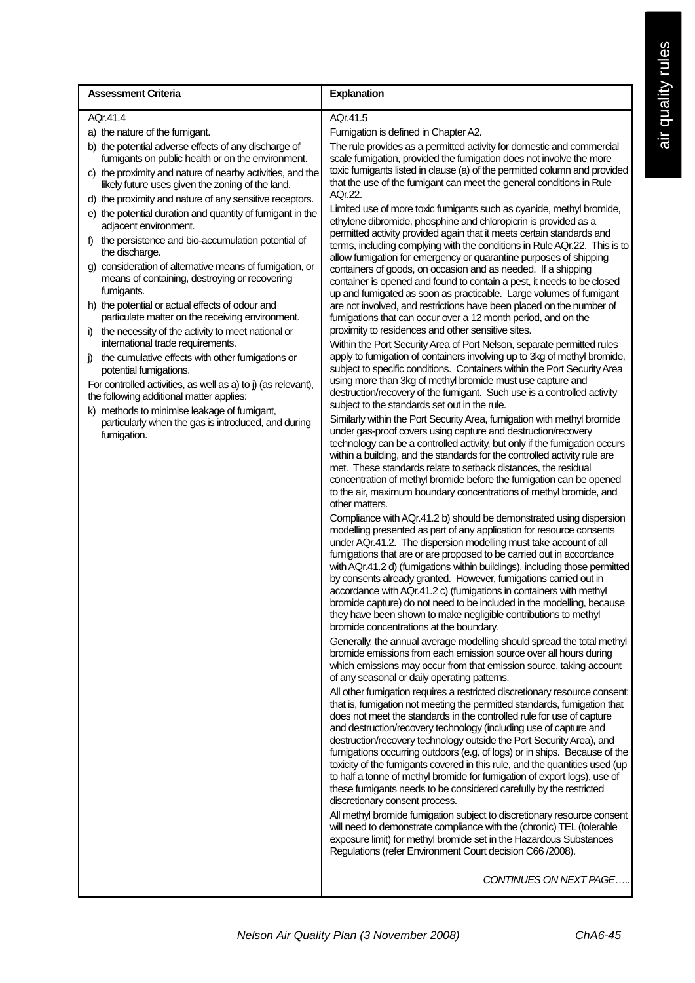| <b>Assessment Criteria</b>                                                                                                                                                                                                 | <b>Explanation</b>                                                                                                                                                                                                                                                                                                                                                                                                                                                                                                                                                                                                                                                                                                                                                           |
|----------------------------------------------------------------------------------------------------------------------------------------------------------------------------------------------------------------------------|------------------------------------------------------------------------------------------------------------------------------------------------------------------------------------------------------------------------------------------------------------------------------------------------------------------------------------------------------------------------------------------------------------------------------------------------------------------------------------------------------------------------------------------------------------------------------------------------------------------------------------------------------------------------------------------------------------------------------------------------------------------------------|
| AQr.41.4                                                                                                                                                                                                                   | AQr.41.5                                                                                                                                                                                                                                                                                                                                                                                                                                                                                                                                                                                                                                                                                                                                                                     |
| a) the nature of the fumigant.                                                                                                                                                                                             | Fumigation is defined in Chapter A2.                                                                                                                                                                                                                                                                                                                                                                                                                                                                                                                                                                                                                                                                                                                                         |
| b) the potential adverse effects of any discharge of<br>fumigants on public health or on the environment.<br>c) the proximity and nature of nearby activities, and the<br>likely future uses given the zoning of the land. | The rule provides as a permitted activity for domestic and commercial<br>scale fumigation, provided the fumigation does not involve the more<br>toxic fumigants listed in clause (a) of the permitted column and provided<br>that the use of the fumigant can meet the general conditions in Rule<br>AQr.22.                                                                                                                                                                                                                                                                                                                                                                                                                                                                 |
| d) the proximity and nature of any sensitive receptors.                                                                                                                                                                    | Limited use of more toxic fumigants such as cyanide, methyl bromide,                                                                                                                                                                                                                                                                                                                                                                                                                                                                                                                                                                                                                                                                                                         |
| e) the potential duration and quantity of fumigant in the<br>adjacent environment.<br>the persistence and bio-accumulation potential of<br>$\ddot{\phantom{1}}$<br>the discharge.                                          | ethylene dibromide, phosphine and chloropicrin is provided as a<br>permitted activity provided again that it meets certain standards and<br>terms, including complying with the conditions in Rule AQr.22. This is to<br>allow fumigation for emergency or quarantine purposes of shipping                                                                                                                                                                                                                                                                                                                                                                                                                                                                                   |
| g) consideration of alternative means of fumigation, or<br>means of containing, destroying or recovering<br>fumigants.                                                                                                     | containers of goods, on occasion and as needed. If a shipping<br>container is opened and found to contain a pest, it needs to be closed<br>up and fumigated as soon as practicable. Large volumes of fumigant                                                                                                                                                                                                                                                                                                                                                                                                                                                                                                                                                                |
| h) the potential or actual effects of odour and<br>particulate matter on the receiving environment.<br>the necessity of the activity to meet national or<br>i)                                                             | are not involved, and restrictions have been placed on the number of<br>fumigations that can occur over a 12 month period, and on the<br>proximity to residences and other sensitive sites.                                                                                                                                                                                                                                                                                                                                                                                                                                                                                                                                                                                  |
| international trade requirements.                                                                                                                                                                                          | Within the Port Security Area of Port Nelson, separate permitted rules                                                                                                                                                                                                                                                                                                                                                                                                                                                                                                                                                                                                                                                                                                       |
| the cumulative effects with other fumigations or<br>$\mathbf{I}$<br>potential fumigations.<br>For controlled activities, as well as a) to j) (as relevant),                                                                | apply to fumigation of containers involving up to 3kg of methyl bromide,<br>subject to specific conditions. Containers within the Port Security Area<br>using more than 3kg of methyl bromide must use capture and                                                                                                                                                                                                                                                                                                                                                                                                                                                                                                                                                           |
| the following additional matter applies:                                                                                                                                                                                   | destruction/recovery of the fumigant. Such use is a controlled activity<br>subject to the standards set out in the rule.                                                                                                                                                                                                                                                                                                                                                                                                                                                                                                                                                                                                                                                     |
| k) methods to minimise leakage of fumigant,<br>particularly when the gas is introduced, and during                                                                                                                         | Similarly within the Port Security Area, fumigation with methyl bromide                                                                                                                                                                                                                                                                                                                                                                                                                                                                                                                                                                                                                                                                                                      |
| fumigation.                                                                                                                                                                                                                | under gas-proof covers using capture and destruction/recovery<br>technology can be a controlled activity, but only if the fumigation occurs<br>within a building, and the standards for the controlled activity rule are<br>met. These standards relate to setback distances, the residual                                                                                                                                                                                                                                                                                                                                                                                                                                                                                   |
|                                                                                                                                                                                                                            | concentration of methyl bromide before the fumigation can be opened<br>to the air, maximum boundary concentrations of methyl bromide, and<br>other matters.                                                                                                                                                                                                                                                                                                                                                                                                                                                                                                                                                                                                                  |
|                                                                                                                                                                                                                            | Compliance with AQr.41.2 b) should be demonstrated using dispersion<br>modelling presented as part of any application for resource consents<br>under AQr.41.2. The dispersion modelling must take account of all<br>fumigations that are or are proposed to be carried out in accordance<br>with AQr.41.2 d) (fumigations within buildings), including those permitted<br>by consents already granted. However, fumigations carried out in<br>accordance with AQr.41.2 c) (fumigations in containers with methyl<br>bromide capture) do not need to be included in the modelling, because<br>they have been shown to make negligible contributions to methyl<br>bromide concentrations at the boundary.                                                                      |
|                                                                                                                                                                                                                            | Generally, the annual average modelling should spread the total methyl<br>bromide emissions from each emission source over all hours during<br>which emissions may occur from that emission source, taking account                                                                                                                                                                                                                                                                                                                                                                                                                                                                                                                                                           |
|                                                                                                                                                                                                                            | of any seasonal or daily operating patterns.<br>All other fumigation requires a restricted discretionary resource consent:<br>that is, fumigation not meeting the permitted standards, fumigation that<br>does not meet the standards in the controlled rule for use of capture<br>and destruction/recovery technology (including use of capture and<br>destruction/recovery technology outside the Port Security Area), and<br>fumigations occurring outdoors (e.g. of logs) or in ships. Because of the<br>toxicity of the fumigants covered in this rule, and the quantities used (up<br>to half a tonne of methyl bromide for fumigation of export logs), use of<br>these fumigants needs to be considered carefully by the restricted<br>discretionary consent process. |
|                                                                                                                                                                                                                            | All methyl bromide fumigation subject to discretionary resource consent<br>will need to demonstrate compliance with the (chronic) TEL (tolerable<br>exposure limit) for methyl bromide set in the Hazardous Substances<br>Regulations (refer Environment Court decision C66/2008).                                                                                                                                                                                                                                                                                                                                                                                                                                                                                           |
|                                                                                                                                                                                                                            | CONTINUES ON NEXT PAGE                                                                                                                                                                                                                                                                                                                                                                                                                                                                                                                                                                                                                                                                                                                                                       |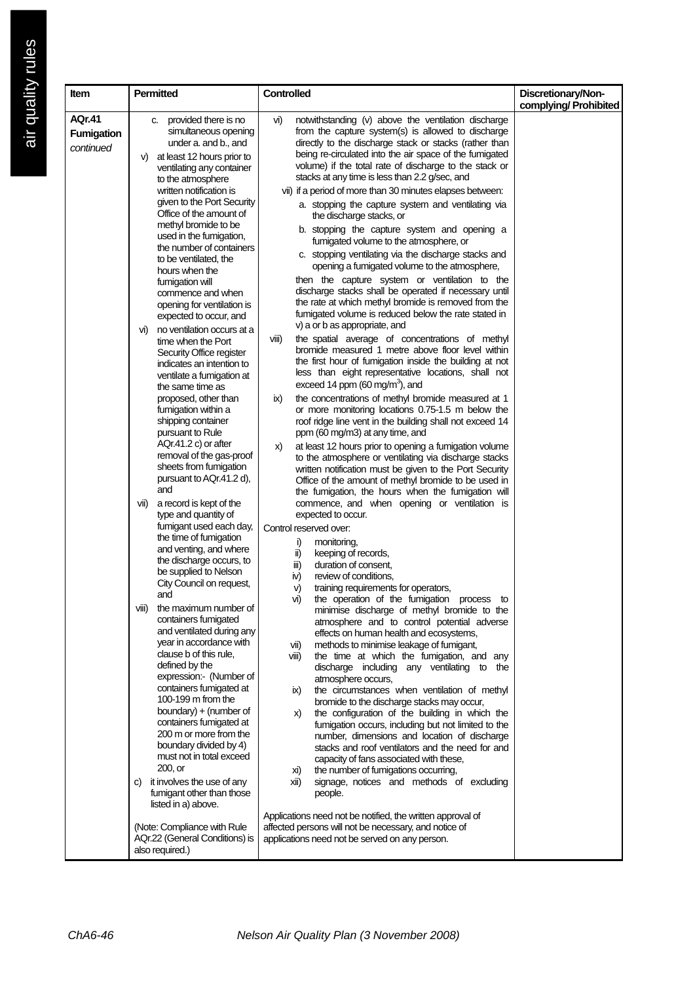| Item              | <b>Permitted</b>                                                            | <b>Controlled</b>                                                                                      | Discretionary/Non-<br>complying/ Prohibited |
|-------------------|-----------------------------------------------------------------------------|--------------------------------------------------------------------------------------------------------|---------------------------------------------|
| <b>AQr.41</b>     | c. provided there is no                                                     | notwithstanding (v) above the ventilation discharge<br>VI)                                             |                                             |
| <b>Fumigation</b> | simultaneous opening                                                        | from the capture system(s) is allowed to discharge                                                     |                                             |
| continued         | under a. and b., and                                                        | directly to the discharge stack or stacks (rather than                                                 |                                             |
|                   | at least 12 hours prior to<br>V)                                            | being re-circulated into the air space of the fumigated                                                |                                             |
|                   | ventilating any container                                                   | volume) if the total rate of discharge to the stack or                                                 |                                             |
|                   | to the atmosphere                                                           | stacks at any time is less than 2.2 g/sec, and                                                         |                                             |
|                   | written notification is                                                     | vii) if a period of more than 30 minutes elapses between:                                              |                                             |
|                   | given to the Port Security<br>Office of the amount of                       | a. stopping the capture system and ventilating via<br>the discharge stacks, or                         |                                             |
|                   | methyl bromide to be<br>used in the fumigation,<br>the number of containers | b. stopping the capture system and opening a<br>fumigated volume to the atmosphere, or                 |                                             |
|                   | to be ventilated, the<br>hours when the                                     | c. stopping ventilating via the discharge stacks and<br>opening a fumigated volume to the atmosphere,  |                                             |
|                   | fumigation will                                                             | then the capture system or ventilation to the                                                          |                                             |
|                   | commence and when                                                           | discharge stacks shall be operated if necessary until                                                  |                                             |
|                   | opening for ventilation is                                                  | the rate at which methyl bromide is removed from the                                                   |                                             |
|                   | expected to occur, and                                                      | fumigated volume is reduced below the rate stated in<br>v) a or b as appropriate, and                  |                                             |
|                   | no ventilation occurs at a<br>VI)                                           | the spatial average of concentrations of methyl                                                        |                                             |
|                   | time when the Port                                                          | VIII)<br>bromide measured 1 metre above floor level within                                             |                                             |
|                   | Security Office register<br>indicates an intention to                       | the first hour of fumigation inside the building at not                                                |                                             |
|                   | ventilate a fumigation at                                                   | less than eight representative locations, shall not                                                    |                                             |
|                   | the same time as                                                            | exceed 14 ppm (60 mg/m <sup>3</sup> ), and                                                             |                                             |
|                   | proposed, other than                                                        | the concentrations of methyl bromide measured at 1<br>ix)                                              |                                             |
|                   | fumigation within a                                                         | or more monitoring locations 0.75-1.5 m below the                                                      |                                             |
|                   | shipping container<br>pursuant to Rule                                      | roof ridge line vent in the building shall not exceed 14<br>ppm (60 mg/m3) at any time, and            |                                             |
|                   | AQr.41.2 c) or after                                                        | at least 12 hours prior to opening a fumigation volume<br>X)                                           |                                             |
|                   | removal of the gas-proof                                                    | to the atmosphere or ventilating via discharge stacks                                                  |                                             |
|                   | sheets from fumigation                                                      | written notification must be given to the Port Security                                                |                                             |
|                   | pursuant to AQr.41.2 d),                                                    | Office of the amount of methyl bromide to be used in                                                   |                                             |
|                   | and                                                                         | the fumigation, the hours when the fumigation will                                                     |                                             |
|                   | a record is kept of the<br>vii)<br>type and quantity of                     | commence, and when opening or ventilation is<br>expected to occur.                                     |                                             |
|                   | fumigant used each day,                                                     | Control reserved over:                                                                                 |                                             |
|                   | the time of fumigation                                                      | i)<br>monitoring,                                                                                      |                                             |
|                   | and venting, and where                                                      | ii)<br>keeping of records,                                                                             |                                             |
|                   | the discharge occurs, to                                                    | iii)<br>duration of consent,                                                                           |                                             |
|                   | be supplied to Nelson<br>City Council on request,                           | iv)<br>review of conditions,                                                                           |                                             |
|                   | and                                                                         | V)<br>training requirements for operators,                                                             |                                             |
|                   | viii)<br>the maximum number of                                              | vi)<br>the operation of the fumigation<br>process<br>to<br>minimise discharge of methyl bromide to the |                                             |
|                   | containers fumigated                                                        | atmosphere and to control potential adverse                                                            |                                             |
|                   | and ventilated during any                                                   | effects on human health and ecosystems,                                                                |                                             |
|                   | year in accordance with<br>clause b of this rule,                           | methods to minimise leakage of fumigant,<br>vii)                                                       |                                             |
|                   | defined by the                                                              | viii)<br>the time at which the fumigation, and any<br>discharge including any ventilating to<br>the    |                                             |
|                   | expression:- (Number of                                                     | atmosphere occurs,                                                                                     |                                             |
|                   | containers fumigated at                                                     | the circumstances when ventilation of methyl<br>ix)                                                    |                                             |
|                   | 100-199 m from the                                                          | bromide to the discharge stacks may occur,                                                             |                                             |
|                   | boundary) + (number of                                                      | the configuration of the building in which the<br>X)                                                   |                                             |
|                   | containers fumigated at<br>200 m or more from the                           | fumigation occurs, including but not limited to the                                                    |                                             |
|                   | boundary divided by 4)                                                      | number, dimensions and location of discharge<br>stacks and roof ventilators and the need for and       |                                             |
|                   | must not in total exceed                                                    | capacity of fans associated with these,                                                                |                                             |
|                   | 200, or                                                                     | the number of fumigations occurring,<br>xi)                                                            |                                             |
|                   | c) it involves the use of any                                               | signage, notices and methods of excluding<br>XII)                                                      |                                             |
|                   | fumigant other than those                                                   | people.                                                                                                |                                             |
|                   | listed in a) above.                                                         | Applications need not be notified, the written approval of                                             |                                             |
|                   | (Note: Compliance with Rule                                                 | affected persons will not be necessary, and notice of                                                  |                                             |
|                   | AQr.22 (General Conditions) is<br>also required.)                           | applications need not be served on any person.                                                         |                                             |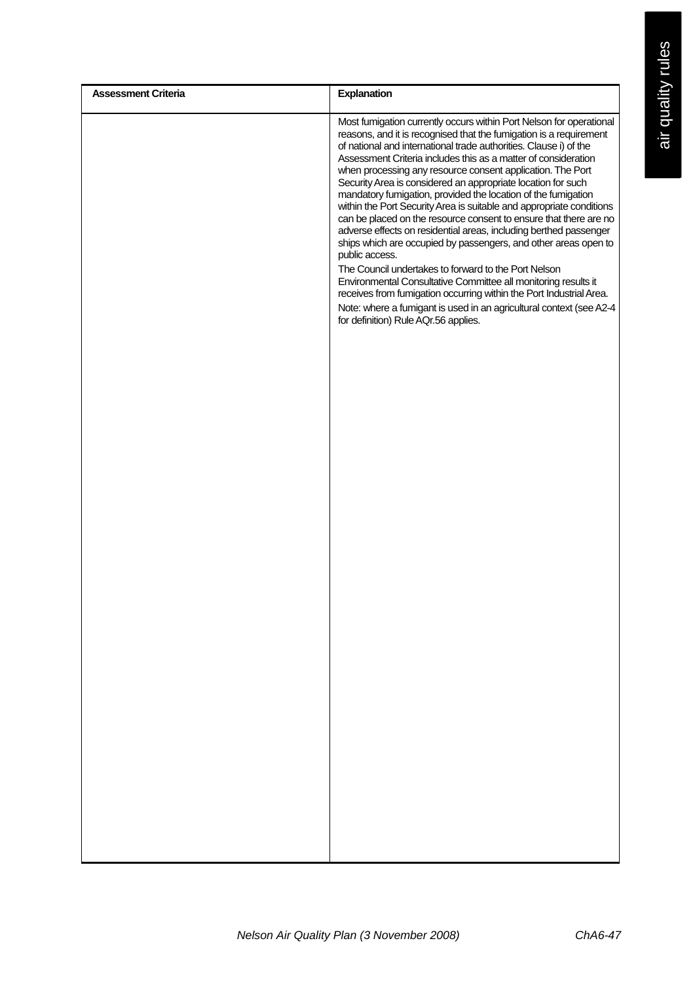| <b>Assessment Criteria</b> | Explanation                                                                                                                                                                                                                                                                                                                                                                                                                                                                                                                                                                                                                                                                                                                                                                                                                                                                                                                                                                                                                                                                                            |
|----------------------------|--------------------------------------------------------------------------------------------------------------------------------------------------------------------------------------------------------------------------------------------------------------------------------------------------------------------------------------------------------------------------------------------------------------------------------------------------------------------------------------------------------------------------------------------------------------------------------------------------------------------------------------------------------------------------------------------------------------------------------------------------------------------------------------------------------------------------------------------------------------------------------------------------------------------------------------------------------------------------------------------------------------------------------------------------------------------------------------------------------|
|                            | Most fumigation currently occurs within Port Nelson for operational<br>reasons, and it is recognised that the fumigation is a requirement<br>of national and international trade authorities. Clause i) of the<br>Assessment Criteria includes this as a matter of consideration<br>when processing any resource consent application. The Port<br>Security Area is considered an appropriate location for such<br>mandatory fumigation, provided the location of the fumigation<br>within the Port Security Area is suitable and appropriate conditions<br>can be placed on the resource consent to ensure that there are no<br>adverse effects on residential areas, including berthed passenger<br>ships which are occupied by passengers, and other areas open to<br>public access.<br>The Council undertakes to forward to the Port Nelson<br>Environmental Consultative Committee all monitoring results it<br>receives from fumigation occurring within the Port Industrial Area.<br>Note: where a fumigant is used in an agricultural context (see A2-4<br>for definition) Rule AQr.56 applies. |
|                            |                                                                                                                                                                                                                                                                                                                                                                                                                                                                                                                                                                                                                                                                                                                                                                                                                                                                                                                                                                                                                                                                                                        |
|                            |                                                                                                                                                                                                                                                                                                                                                                                                                                                                                                                                                                                                                                                                                                                                                                                                                                                                                                                                                                                                                                                                                                        |
|                            |                                                                                                                                                                                                                                                                                                                                                                                                                                                                                                                                                                                                                                                                                                                                                                                                                                                                                                                                                                                                                                                                                                        |
|                            |                                                                                                                                                                                                                                                                                                                                                                                                                                                                                                                                                                                                                                                                                                                                                                                                                                                                                                                                                                                                                                                                                                        |
|                            |                                                                                                                                                                                                                                                                                                                                                                                                                                                                                                                                                                                                                                                                                                                                                                                                                                                                                                                                                                                                                                                                                                        |
|                            |                                                                                                                                                                                                                                                                                                                                                                                                                                                                                                                                                                                                                                                                                                                                                                                                                                                                                                                                                                                                                                                                                                        |
|                            |                                                                                                                                                                                                                                                                                                                                                                                                                                                                                                                                                                                                                                                                                                                                                                                                                                                                                                                                                                                                                                                                                                        |
|                            |                                                                                                                                                                                                                                                                                                                                                                                                                                                                                                                                                                                                                                                                                                                                                                                                                                                                                                                                                                                                                                                                                                        |
|                            |                                                                                                                                                                                                                                                                                                                                                                                                                                                                                                                                                                                                                                                                                                                                                                                                                                                                                                                                                                                                                                                                                                        |
|                            |                                                                                                                                                                                                                                                                                                                                                                                                                                                                                                                                                                                                                                                                                                                                                                                                                                                                                                                                                                                                                                                                                                        |
|                            |                                                                                                                                                                                                                                                                                                                                                                                                                                                                                                                                                                                                                                                                                                                                                                                                                                                                                                                                                                                                                                                                                                        |
|                            |                                                                                                                                                                                                                                                                                                                                                                                                                                                                                                                                                                                                                                                                                                                                                                                                                                                                                                                                                                                                                                                                                                        |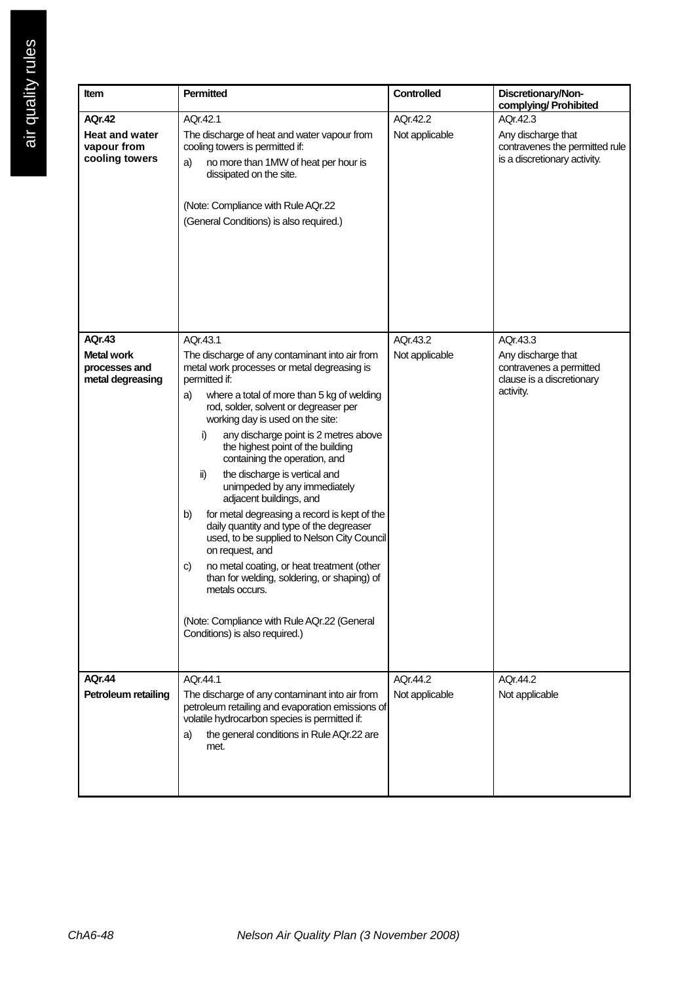| <b>Item</b>                                                             | <b>Permitted</b>                                                                                                                                                                                                                                                                                                                                                                                                                                                                                                                                                                                                                                                                                                                                                                                                                                              | <b>Controlled</b>          | Discretionary/Non-<br>complying/ Prohibited                                                         |
|-------------------------------------------------------------------------|---------------------------------------------------------------------------------------------------------------------------------------------------------------------------------------------------------------------------------------------------------------------------------------------------------------------------------------------------------------------------------------------------------------------------------------------------------------------------------------------------------------------------------------------------------------------------------------------------------------------------------------------------------------------------------------------------------------------------------------------------------------------------------------------------------------------------------------------------------------|----------------------------|-----------------------------------------------------------------------------------------------------|
| <b>AQr.42</b><br><b>Heat and water</b><br>vapour from<br>cooling towers | AQr.42.1<br>The discharge of heat and water vapour from<br>cooling towers is permitted if:<br>no more than 1MW of heat per hour is<br>a)<br>dissipated on the site.<br>(Note: Compliance with Rule AQr.22<br>(General Conditions) is also required.)                                                                                                                                                                                                                                                                                                                                                                                                                                                                                                                                                                                                          | AQr.42.2<br>Not applicable | AQr.42.3<br>Any discharge that<br>contravenes the permitted rule<br>is a discretionary activity.    |
| <b>AQr.43</b><br><b>Metal work</b><br>processes and<br>metal degreasing | AQr.43.1<br>The discharge of any contaminant into air from<br>metal work processes or metal degreasing is<br>permitted if:<br>where a total of more than 5 kg of welding<br>a)<br>rod, solder, solvent or degreaser per<br>working day is used on the site:<br>any discharge point is 2 metres above<br>i)<br>the highest point of the building<br>containing the operation, and<br>the discharge is vertical and<br>ii)<br>unimpeded by any immediately<br>adjacent buildings, and<br>for metal degreasing a record is kept of the<br>b)<br>daily quantity and type of the degreaser<br>used, to be supplied to Nelson City Council<br>on request, and<br>no metal coating, or heat treatment (other<br>C)<br>than for welding, soldering, or shaping) of<br>metals occurs.<br>(Note: Compliance with Rule AQr.22 (General<br>Conditions) is also required.) | AQr.43.2<br>Not applicable | AQr.43.3<br>Any discharge that<br>contravenes a permitted<br>clause is a discretionary<br>activity. |
| <b>AQr.44</b><br><b>Petroleum retailing</b>                             | AQr.44.1<br>The discharge of any contaminant into air from<br>petroleum retailing and evaporation emissions of<br>volatile hydrocarbon species is permitted if:<br>the general conditions in Rule AQr.22 are<br>a)<br>met.                                                                                                                                                                                                                                                                                                                                                                                                                                                                                                                                                                                                                                    | AQr.44.2<br>Not applicable | AQr.44.2<br>Not applicable                                                                          |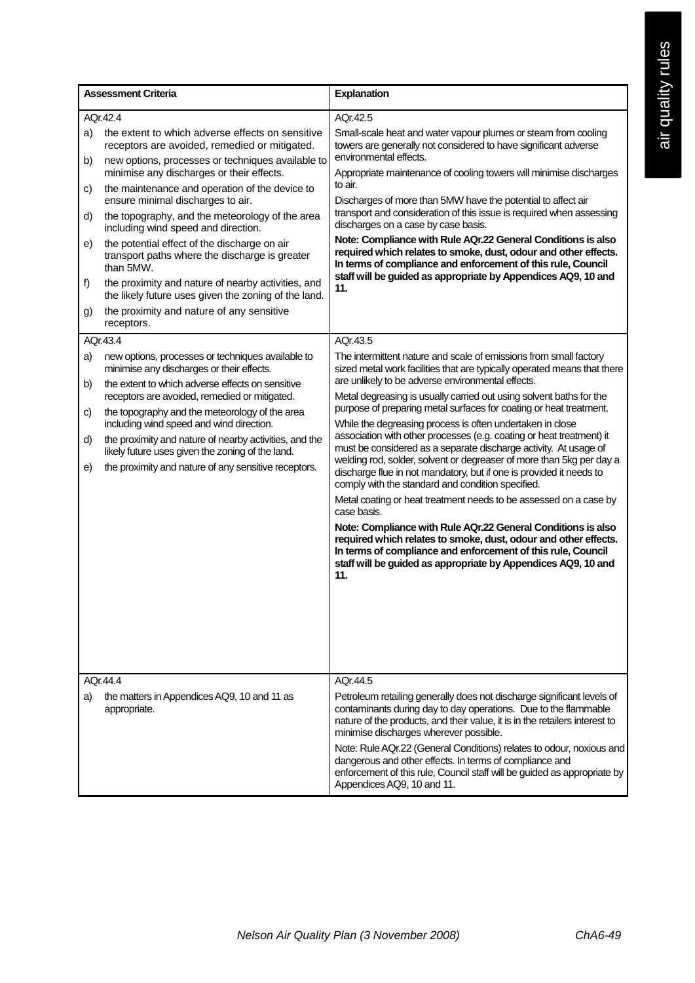| <b>Assessment Criteria</b> |                                                                                                                                                                    | Explanation                                                                                                                                                                                                                                                                                                                                                                                                                                                                                                     |  |
|----------------------------|--------------------------------------------------------------------------------------------------------------------------------------------------------------------|-----------------------------------------------------------------------------------------------------------------------------------------------------------------------------------------------------------------------------------------------------------------------------------------------------------------------------------------------------------------------------------------------------------------------------------------------------------------------------------------------------------------|--|
| AQr.42.4                   |                                                                                                                                                                    | AQr.42.5                                                                                                                                                                                                                                                                                                                                                                                                                                                                                                        |  |
| a)                         | the extent to which adverse effects on sensitive<br>receptors are avoided, remedied or mitigated.                                                                  | Small-scale heat and water vapour plumes or steam from cooling<br>towers are generally not considered to have significant adverse                                                                                                                                                                                                                                                                                                                                                                               |  |
| b)                         | new options, processes or techniques available to<br>minimise any discharges or their effects.                                                                     | environmental effects.<br>Appropriate maintenance of cooling towers will minimise discharges                                                                                                                                                                                                                                                                                                                                                                                                                    |  |
| c)                         | the maintenance and operation of the device to<br>ensure minimal discharges to air.                                                                                | to air.<br>Discharges of more than 5MW have the potential to affect air                                                                                                                                                                                                                                                                                                                                                                                                                                         |  |
| d)                         | the topography, and the meteorology of the area<br>including wind speed and direction.                                                                             | transport and consideration of this issue is required when assessing<br>discharges on a case by case basis.                                                                                                                                                                                                                                                                                                                                                                                                     |  |
| e)                         | the potential effect of the discharge on air<br>transport paths where the discharge is greater<br>than 5MW.                                                        | Note: Compliance with Rule AQr.22 General Conditions is also<br>required which relates to smoke, dust, odour and other effects.<br>In terms of compliance and enforcement of this rule, Council<br>staff will be guided as appropriate by Appendices AQ9, 10 and                                                                                                                                                                                                                                                |  |
| f)                         | the proximity and nature of nearby activities, and<br>the likely future uses given the zoning of the land.                                                         | 11.                                                                                                                                                                                                                                                                                                                                                                                                                                                                                                             |  |
| g)                         | the proximity and nature of any sensitive<br>receptors.                                                                                                            |                                                                                                                                                                                                                                                                                                                                                                                                                                                                                                                 |  |
|                            | AQr.43.4                                                                                                                                                           | AQr.43.5                                                                                                                                                                                                                                                                                                                                                                                                                                                                                                        |  |
| a)                         | new options, processes or techniques available to<br>minimise any discharges or their effects.                                                                     | The intermittent nature and scale of emissions from small factory<br>sized metal work facilities that are typically operated means that there                                                                                                                                                                                                                                                                                                                                                                   |  |
| b)                         | the extent to which adverse effects on sensitive<br>receptors are avoided, remedied or mitigated.                                                                  | are unlikely to be adverse environmental effects.<br>Metal degreasing is usually carried out using solvent baths for the                                                                                                                                                                                                                                                                                                                                                                                        |  |
| C)                         | the topography and the meteorology of the area<br>including wind speed and wind direction.                                                                         | purpose of preparing metal surfaces for coating or heat treatment.<br>While the degreasing process is often undertaken in close                                                                                                                                                                                                                                                                                                                                                                                 |  |
| d)<br>e)                   | the proximity and nature of nearby activities, and the<br>likely future uses given the zoning of the land.<br>the proximity and nature of any sensitive receptors. | association with other processes (e.g. coating or heat treatment) it<br>must be considered as a separate discharge activity. At usage of<br>welding rod, solder, solvent or degreaser of more than 5kg per day a<br>discharge flue in not mandatory, but if one is provided it needs to<br>comply with the standard and condition specified.                                                                                                                                                                    |  |
|                            |                                                                                                                                                                    | Metal coating or heat treatment needs to be assessed on a case by<br>case basis.                                                                                                                                                                                                                                                                                                                                                                                                                                |  |
|                            |                                                                                                                                                                    | Note: Compliance with Rule AQr.22 General Conditions is also<br>required which relates to smoke, dust, odour and other effects.<br>In terms of compliance and enforcement of this rule, Council<br>staff will be guided as appropriate by Appendices AQ9, 10 and<br>11.                                                                                                                                                                                                                                         |  |
|                            | AQr.44.4                                                                                                                                                           | AQr.44.5                                                                                                                                                                                                                                                                                                                                                                                                                                                                                                        |  |
| a)                         | the matters in Appendices AQ9, 10 and 11 as<br>appropriate.                                                                                                        | Petroleum retailing generally does not discharge significant levels of<br>contaminants during day to day operations. Due to the flammable<br>nature of the products, and their value, it is in the retailers interest to<br>minimise discharges wherever possible.<br>Note: Rule AQr.22 (General Conditions) relates to odour, noxious and<br>dangerous and other effects. In terms of compliance and<br>enforcement of this rule, Council staff will be guided as appropriate by<br>Appendices AQ9, 10 and 11. |  |
|                            |                                                                                                                                                                    |                                                                                                                                                                                                                                                                                                                                                                                                                                                                                                                 |  |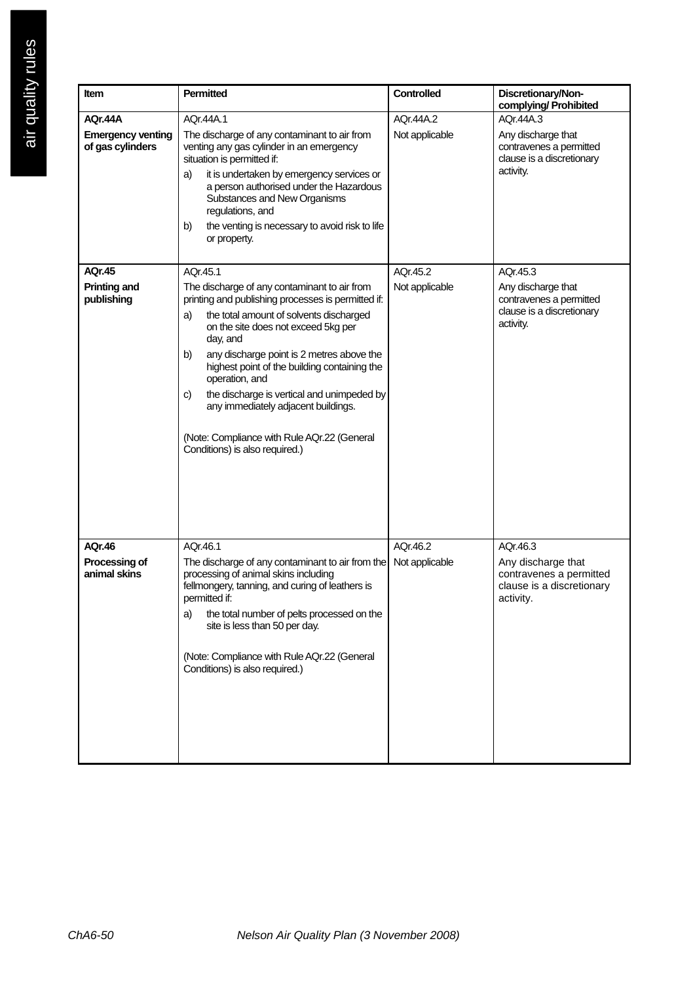| Item                                         | <b>Permitted</b>                                                                                                                                                                                                                                                                                                                                                                                                                                                                                        | <b>Controlled</b> | Discretionary/Non-                                                                      |
|----------------------------------------------|---------------------------------------------------------------------------------------------------------------------------------------------------------------------------------------------------------------------------------------------------------------------------------------------------------------------------------------------------------------------------------------------------------------------------------------------------------------------------------------------------------|-------------------|-----------------------------------------------------------------------------------------|
| AQr.44A                                      | AQr.44A.1                                                                                                                                                                                                                                                                                                                                                                                                                                                                                               | AQr.44A.2         | complying/ Prohibited<br>AQr.44A.3                                                      |
| <b>Emergency venting</b><br>of gas cylinders | The discharge of any contaminant to air from<br>venting any gas cylinder in an emergency<br>situation is permitted if:<br>it is undertaken by emergency services or<br>a)<br>a person authorised under the Hazardous<br>Substances and New Organisms<br>regulations, and<br>b)<br>the venting is necessary to avoid risk to life<br>or property.                                                                                                                                                        | Not applicable    | Any discharge that<br>contravenes a permitted<br>clause is a discretionary<br>activity. |
| <b>AQr.45</b>                                | AQr.45.1                                                                                                                                                                                                                                                                                                                                                                                                                                                                                                | AQr.45.2          | AQr.45.3                                                                                |
| <b>Printing and</b><br>publishing            | The discharge of any contaminant to air from<br>printing and publishing processes is permitted if:<br>the total amount of solvents discharged<br>a)<br>on the site does not exceed 5kg per<br>day, and<br>any discharge point is 2 metres above the<br>b)<br>highest point of the building containing the<br>operation, and<br>the discharge is vertical and unimpeded by<br>C)<br>any immediately adjacent buildings.<br>(Note: Compliance with Rule AQr.22 (General<br>Conditions) is also required.) | Not applicable    | Any discharge that<br>contravenes a permitted<br>clause is a discretionary<br>activity. |
| <b>AQr.46</b>                                | AQr.46.1                                                                                                                                                                                                                                                                                                                                                                                                                                                                                                | AQr.46.2          | AQr.46.3                                                                                |
| Processing of<br>animal skins                | The discharge of any contaminant to air from the<br>processing of animal skins including<br>fellmongery, tanning, and curing of leathers is<br>nermitted if:<br>the total number of pelts processed on the<br>a)<br>site is less than 50 per day.<br>(Note: Compliance with Rule AQr.22 (General<br>Conditions) is also required.)                                                                                                                                                                      | Not applicable    | Any discharge that<br>contravenes a permitted<br>clause is a discretionary<br>activity. |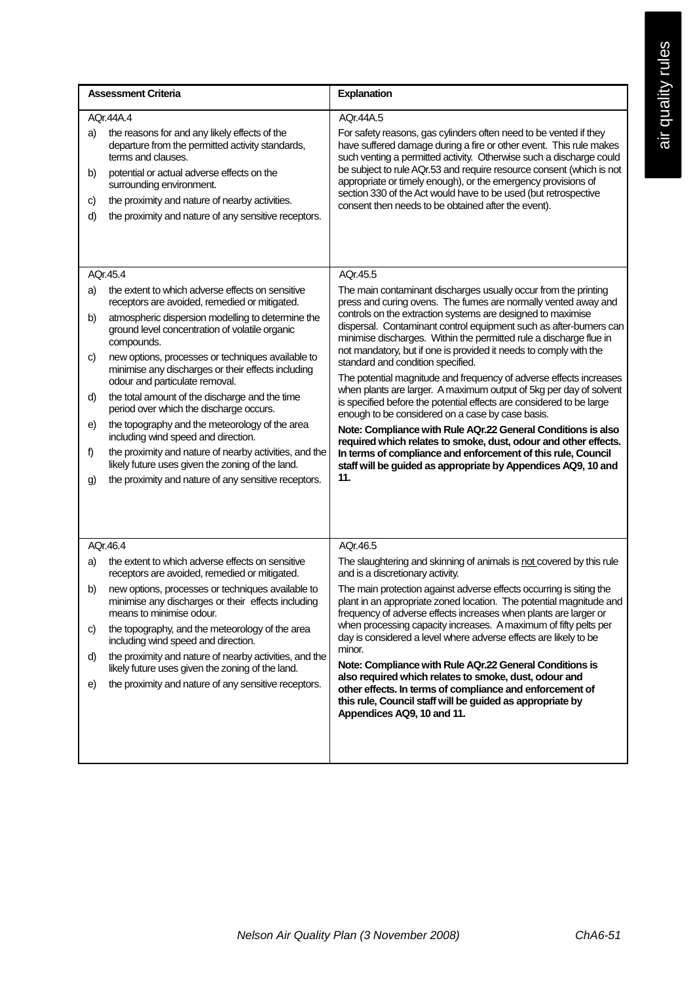| <b>Assessment Criteria</b> |                                                                                                                                           | <b>Explanation</b>                                                                                                                                                                                                                                                           |  |
|----------------------------|-------------------------------------------------------------------------------------------------------------------------------------------|------------------------------------------------------------------------------------------------------------------------------------------------------------------------------------------------------------------------------------------------------------------------------|--|
|                            | AQr.44A.4                                                                                                                                 | AQr.44A.5                                                                                                                                                                                                                                                                    |  |
| a)                         | the reasons for and any likely effects of the<br>departure from the permitted activity standards,<br>terms and clauses.                   | For safety reasons, gas cylinders often need to be vented if they<br>have suffered damage during a fire or other event. This rule makes<br>such venting a permitted activity. Otherwise such a discharge could                                                               |  |
| b)                         | potential or actual adverse effects on the<br>surrounding environment.                                                                    | be subject to rule AQr.53 and require resource consent (which is not<br>appropriate or timely enough), or the emergency provisions of                                                                                                                                        |  |
| C)                         | the proximity and nature of nearby activities.                                                                                            | section 330 of the Act would have to be used (but retrospective<br>consent then needs to be obtained after the event).                                                                                                                                                       |  |
| d)                         | the proximity and nature of any sensitive receptors.                                                                                      |                                                                                                                                                                                                                                                                              |  |
|                            | AQr.45.4                                                                                                                                  | AQr.45.5                                                                                                                                                                                                                                                                     |  |
| a)                         | the extent to which adverse effects on sensitive<br>receptors are avoided, remedied or mitigated.                                         | The main contaminant discharges usually occur from the printing<br>press and curing ovens. The fumes are normally vented away and                                                                                                                                            |  |
| b)                         | atmospheric dispersion modelling to determine the<br>ground level concentration of volatile organic<br>compounds.                         | controls on the extraction systems are designed to maximise<br>dispersal. Contaminant control equipment such as after-burners can<br>minimise discharges. Within the permitted rule a discharge flue in<br>not mandatory, but if one is provided it needs to comply with the |  |
| C)                         | new options, processes or techniques available to<br>minimise any discharges or their effects including<br>odour and particulate removal. | standard and condition specified.<br>The potential magnitude and frequency of adverse effects increases                                                                                                                                                                      |  |
| d)                         | the total amount of the discharge and the time<br>period over which the discharge occurs.                                                 | when plants are larger. A maximum output of 5kg per day of solvent<br>is specified before the potential effects are considered to be large<br>enough to be considered on a case by case basis.                                                                               |  |
| e)                         | the topography and the meteorology of the area<br>including wind speed and direction.                                                     | Note: Compliance with Rule AQr.22 General Conditions is also<br>required which relates to smoke, dust, odour and other effects.                                                                                                                                              |  |
| f)                         | the proximity and nature of nearby activities, and the<br>likely future uses given the zoning of the land.                                | In terms of compliance and enforcement of this rule, Council<br>staff will be guided as appropriate by Appendices AQ9, 10 and                                                                                                                                                |  |
| g)                         | the proximity and nature of any sensitive receptors.                                                                                      | 11.                                                                                                                                                                                                                                                                          |  |
|                            | AQr.46.4                                                                                                                                  | AQr.46.5                                                                                                                                                                                                                                                                     |  |
| a)                         | the extent to which adverse effects on sensitive<br>receptors are avoided, remedied or mitigated.                                         | The slaughtering and skinning of animals is not covered by this rule<br>and is a discretionary activity.                                                                                                                                                                     |  |
| b)                         | new options, processes or techniques available to<br>minimise any discharges or their effects including<br>means to minimise odour.       | The main protection against adverse effects occurring is siting the<br>plant in an appropriate zoned location. The potential magnitude and<br>frequency of adverse effects increases when plants are larger or                                                               |  |
| C)                         | the topography, and the meteorology of the area<br>including wind speed and direction.                                                    | when processing capacity increases. A maximum of fifty pelts per<br>day is considered a level where adverse effects are likely to be<br>minor.                                                                                                                               |  |
| d)                         | the proximity and nature of nearby activities, and the<br>likely future uses given the zoning of the land.                                | Note: Compliance with Rule AQr.22 General Conditions is<br>also required which relates to smoke, dust, odour and                                                                                                                                                             |  |
| e)                         | the proximity and nature of any sensitive receptors.                                                                                      | other effects. In terms of compliance and enforcement of<br>this rule, Council staff will be guided as appropriate by<br>Appendices AQ9, 10 and 11.                                                                                                                          |  |
|                            |                                                                                                                                           |                                                                                                                                                                                                                                                                              |  |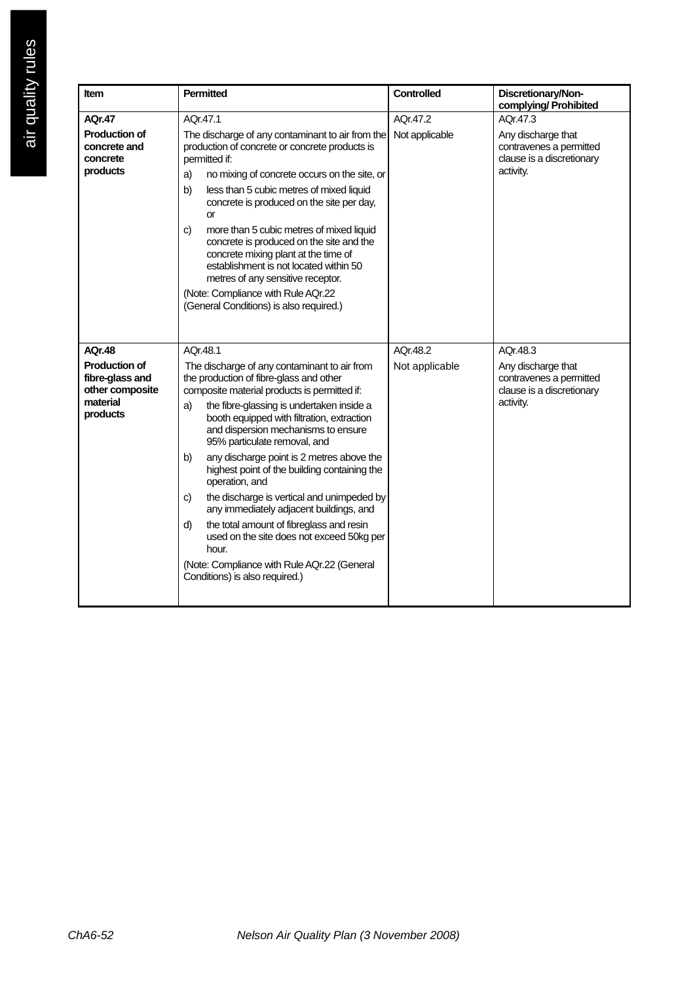| Item                                                                               | <b>Permitted</b>                                                                                                                                                                                                                                                                                                                                                                                                                                                                                                                                                                                                                                                                                                             | <b>Controlled</b> | Discretionary/Non-<br>complying/ Prohibited                                             |
|------------------------------------------------------------------------------------|------------------------------------------------------------------------------------------------------------------------------------------------------------------------------------------------------------------------------------------------------------------------------------------------------------------------------------------------------------------------------------------------------------------------------------------------------------------------------------------------------------------------------------------------------------------------------------------------------------------------------------------------------------------------------------------------------------------------------|-------------------|-----------------------------------------------------------------------------------------|
| <b>AQr.47</b>                                                                      | AQr.47.1                                                                                                                                                                                                                                                                                                                                                                                                                                                                                                                                                                                                                                                                                                                     | AQr.47.2          | AQr.47.3                                                                                |
| <b>Production of</b><br>concrete and<br>concrete<br>products                       | The discharge of any contaminant to air from the<br>production of concrete or concrete products is<br>permitted if:<br>a)<br>no mixing of concrete occurs on the site, or<br>b)<br>less than 5 cubic metres of mixed liquid<br>concrete is produced on the site per day,<br>or<br>C)<br>more than 5 cubic metres of mixed liquid<br>concrete is produced on the site and the<br>concrete mixing plant at the time of<br>establishment is not located within 50<br>metres of any sensitive receptor.<br>(Note: Compliance with Rule AQr.22<br>(General Conditions) is also required.)                                                                                                                                         | Not applicable    | Any discharge that<br>contravenes a permitted<br>clause is a discretionary<br>activity. |
| <b>AQr.48</b>                                                                      | AQr.48.1                                                                                                                                                                                                                                                                                                                                                                                                                                                                                                                                                                                                                                                                                                                     | AQr.48.2          | AQr.48.3                                                                                |
| <b>Production of</b><br>fibre-glass and<br>other composite<br>material<br>products | The discharge of any contaminant to air from<br>the production of fibre-glass and other<br>composite material products is permitted if:<br>the fibre-glassing is undertaken inside a<br>a)<br>booth equipped with filtration, extraction<br>and dispersion mechanisms to ensure<br>95% particulate removal, and<br>any discharge point is 2 metres above the<br>b)<br>highest point of the building containing the<br>operation, and<br>the discharge is vertical and unimpeded by<br>C)<br>any immediately adjacent buildings, and<br>the total amount of fibreglass and resin<br>d)<br>used on the site does not exceed 50kg per<br>hour.<br>(Note: Compliance with Rule AQr.22 (General<br>Conditions) is also required.) | Not applicable    | Any discharge that<br>contravenes a permitted<br>clause is a discretionary<br>activity. |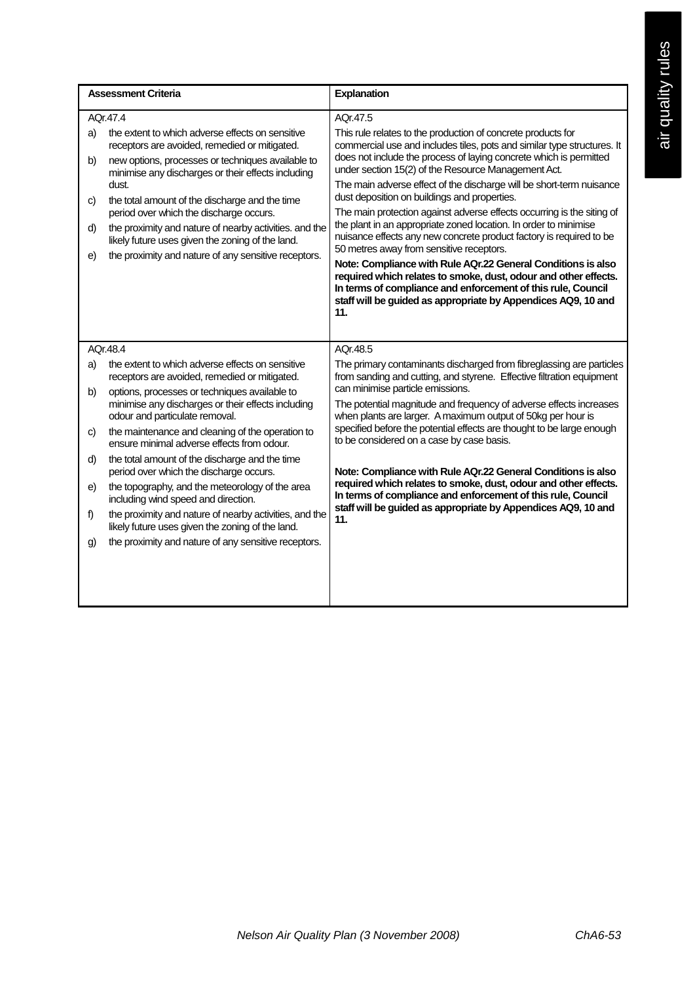|                                        | <b>Assessment Criteria</b>                                                                                                                                                                                                                                                                                                                                                                                                                                                                                                                                                                                                                                                                                            | <b>Explanation</b>                                                                                                                                                                                                                                                                                                                                                                                                                                                                                                                                                                                                                                                                                                                                                                                                                                                                                                                                   |
|----------------------------------------|-----------------------------------------------------------------------------------------------------------------------------------------------------------------------------------------------------------------------------------------------------------------------------------------------------------------------------------------------------------------------------------------------------------------------------------------------------------------------------------------------------------------------------------------------------------------------------------------------------------------------------------------------------------------------------------------------------------------------|------------------------------------------------------------------------------------------------------------------------------------------------------------------------------------------------------------------------------------------------------------------------------------------------------------------------------------------------------------------------------------------------------------------------------------------------------------------------------------------------------------------------------------------------------------------------------------------------------------------------------------------------------------------------------------------------------------------------------------------------------------------------------------------------------------------------------------------------------------------------------------------------------------------------------------------------------|
| a)<br>b)<br>C)<br>d)<br>e)             | AQr.47.4<br>the extent to which adverse effects on sensitive<br>receptors are avoided, remedied or mitigated.<br>new options, processes or techniques available to<br>minimise any discharges or their effects including<br>dust.<br>the total amount of the discharge and the time<br>period over which the discharge occurs.<br>the proximity and nature of nearby activities, and the<br>likely future uses given the zoning of the land.<br>the proximity and nature of any sensitive receptors.                                                                                                                                                                                                                  | AQr.47.5<br>This rule relates to the production of concrete products for<br>commercial use and includes tiles, pots and similar type structures. It<br>does not include the process of laying concrete which is permitted<br>under section 15(2) of the Resource Management Act.<br>The main adverse effect of the discharge will be short-term nuisance<br>dust deposition on buildings and properties.<br>The main protection against adverse effects occurring is the siting of<br>the plant in an appropriate zoned location. In order to minimise<br>nuisance effects any new concrete product factory is required to be<br>50 metres away from sensitive receptors.<br>Note: Compliance with Rule AQr.22 General Conditions is also<br>required which relates to smoke, dust, odour and other effects.<br>In terms of compliance and enforcement of this rule, Council<br>staff will be guided as appropriate by Appendices AQ9, 10 and<br>11. |
| a)<br>b)<br>C)<br>d)<br>e)<br>f)<br>g) | AQr.48.4<br>the extent to which adverse effects on sensitive<br>receptors are avoided, remedied or mitigated.<br>options, processes or techniques available to<br>minimise any discharges or their effects including<br>odour and particulate removal.<br>the maintenance and cleaning of the operation to<br>ensure minimal adverse effects from odour.<br>the total amount of the discharge and the time<br>period over which the discharge occurs.<br>the topography, and the meteorology of the area<br>including wind speed and direction.<br>the proximity and nature of nearby activities, and the<br>likely future uses given the zoning of the land.<br>the proximity and nature of any sensitive receptors. | AQr.48.5<br>The primary contaminants discharged from fibreglassing are particles<br>from sanding and cutting, and styrene. Effective filtration equipment<br>can minimise particle emissions.<br>The potential magnitude and frequency of adverse effects increases<br>when plants are larger. A maximum output of 50kg per hour is<br>specified before the potential effects are thought to be large enough<br>to be considered on a case by case basis.<br>Note: Compliance with Rule AQr.22 General Conditions is also<br>required which relates to smoke, dust, odour and other effects.<br>In terms of compliance and enforcement of this rule, Council<br>staff will be guided as appropriate by Appendices AQ9, 10 and<br>11.                                                                                                                                                                                                                 |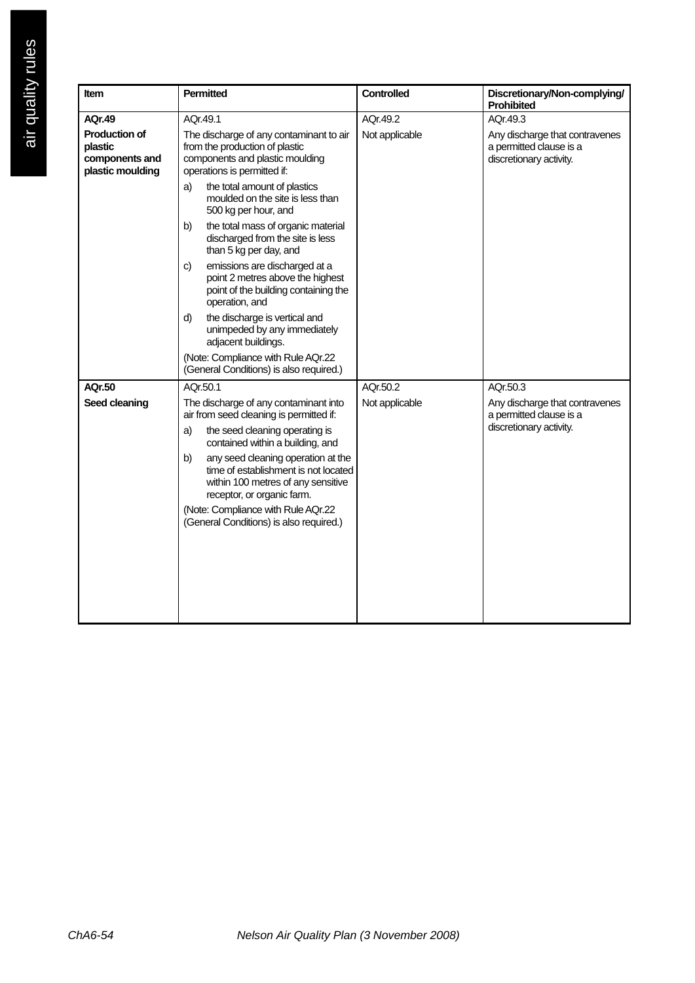| Item                                                                                                                                                                                                                 | Permitted                                                                                                                                            | <b>Controlled</b> | Discretionary/Non-complying/<br><b>Prohibited</b>                                    |
|----------------------------------------------------------------------------------------------------------------------------------------------------------------------------------------------------------------------|------------------------------------------------------------------------------------------------------------------------------------------------------|-------------------|--------------------------------------------------------------------------------------|
| <b>AQr.49</b>                                                                                                                                                                                                        | AQr.49.1                                                                                                                                             |                   | AQr.49.3                                                                             |
| <b>Production of</b><br>The discharge of any contaminant to air<br>from the production of plastic<br>plastic<br>components and<br>components and plastic moulding<br>operations is permitted if:<br>plastic moulding |                                                                                                                                                      | Not applicable    | Any discharge that contravenes<br>a permitted clause is a<br>discretionary activity. |
|                                                                                                                                                                                                                      | the total amount of plastics<br>a)<br>moulded on the site is less than<br>500 kg per hour, and                                                       |                   |                                                                                      |
|                                                                                                                                                                                                                      | the total mass of organic material<br>b)<br>discharged from the site is less<br>than 5 kg per day, and                                               |                   |                                                                                      |
|                                                                                                                                                                                                                      | emissions are discharged at a<br>C)<br>point 2 metres above the highest<br>point of the building containing the<br>operation, and                    |                   |                                                                                      |
| the discharge is vertical and<br>d)<br>unimpeded by any immediately<br>adjacent buildings.                                                                                                                           |                                                                                                                                                      |                   |                                                                                      |
| (Note: Compliance with Rule AQr.22<br>(General Conditions) is also required.)                                                                                                                                        |                                                                                                                                                      |                   |                                                                                      |
| <b>AQr.50</b><br>AQr.50.1                                                                                                                                                                                            |                                                                                                                                                      | AQr.50.2          | AQr.50.3                                                                             |
| Seed cleaning                                                                                                                                                                                                        | The discharge of any contaminant into<br>air from seed cleaning is permitted if:                                                                     | Not applicable    | Any discharge that contravenes<br>a permitted clause is a                            |
|                                                                                                                                                                                                                      | the seed cleaning operating is<br>a)<br>contained within a building, and                                                                             |                   | discretionary activity.                                                              |
|                                                                                                                                                                                                                      | b)<br>any seed cleaning operation at the<br>time of establishment is not located<br>within 100 metres of any sensitive<br>receptor, or organic farm. |                   |                                                                                      |
|                                                                                                                                                                                                                      | (Note: Compliance with Rule AQr.22)<br>(General Conditions) is also required.)                                                                       |                   |                                                                                      |
|                                                                                                                                                                                                                      |                                                                                                                                                      |                   |                                                                                      |
|                                                                                                                                                                                                                      |                                                                                                                                                      |                   |                                                                                      |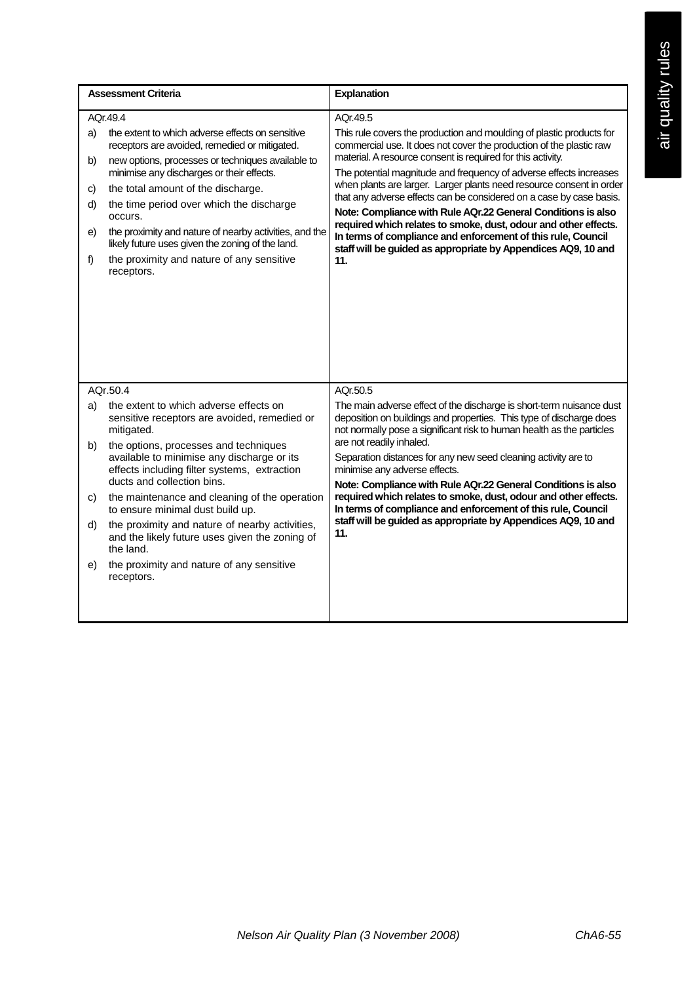| AQr.49.4<br>AQr.49.5<br>the extent to which adverse effects on sensitive<br>a)<br>receptors are avoided, remedied or mitigated.<br>new options, processes or techniques available to<br>b)                                                                                                                                                     | This rule covers the production and moulding of plastic products for<br>commercial use. It does not cover the production of the plastic raw<br>material. A resource consent is required for this activity.<br>The potential magnitude and frequency of adverse effects increases<br>when plants are larger. Larger plants need resource consent in order<br>that any adverse effects can be considered on a case by case basis. |
|------------------------------------------------------------------------------------------------------------------------------------------------------------------------------------------------------------------------------------------------------------------------------------------------------------------------------------------------|---------------------------------------------------------------------------------------------------------------------------------------------------------------------------------------------------------------------------------------------------------------------------------------------------------------------------------------------------------------------------------------------------------------------------------|
|                                                                                                                                                                                                                                                                                                                                                |                                                                                                                                                                                                                                                                                                                                                                                                                                 |
| minimise any discharges or their effects.<br>the total amount of the discharge.<br>C)<br>d)<br>the time period over which the discharge<br>occurs.<br>the proximity and nature of nearby activities, and the<br>e)<br>likely future uses given the zoning of the land.<br>the proximity and nature of any sensitive<br>f)<br>11.<br>receptors. | Note: Compliance with Rule AQr.22 General Conditions is also<br>required which relates to smoke, dust, odour and other effects.<br>In terms of compliance and enforcement of this rule, Council<br>staff will be guided as appropriate by Appendices AQ9, 10 and                                                                                                                                                                |
| AQr.50.4<br>AQr.50.5                                                                                                                                                                                                                                                                                                                           |                                                                                                                                                                                                                                                                                                                                                                                                                                 |
| the extent to which adverse effects on<br>a)<br>sensitive receptors are avoided, remedied or<br>mitigated.                                                                                                                                                                                                                                     | The main adverse effect of the discharge is short-term nuisance dust<br>deposition on buildings and properties. This type of discharge does<br>not normally pose a significant risk to human health as the particles                                                                                                                                                                                                            |
| are not readily inhaled.<br>the options, processes and techniques<br>b)<br>available to minimise any discharge or its<br>minimise any adverse effects.<br>effects including filter systems, extraction<br>ducts and collection bins.                                                                                                           | Separation distances for any new seed cleaning activity are to                                                                                                                                                                                                                                                                                                                                                                  |
| the maintenance and cleaning of the operation<br>C)<br>to ensure minimal dust build up.                                                                                                                                                                                                                                                        | Note: Compliance with Rule AQr.22 General Conditions is also<br>required which relates to smoke, dust, odour and other effects.<br>In terms of compliance and enforcement of this rule, Council                                                                                                                                                                                                                                 |
| the proximity and nature of nearby activities,<br>d)<br>11.<br>and the likely future uses given the zoning of<br>the land.                                                                                                                                                                                                                     | staff will be guided as appropriate by Appendices AQ9, 10 and                                                                                                                                                                                                                                                                                                                                                                   |
| the proximity and nature of any sensitive<br>e)<br>receptors.                                                                                                                                                                                                                                                                                  |                                                                                                                                                                                                                                                                                                                                                                                                                                 |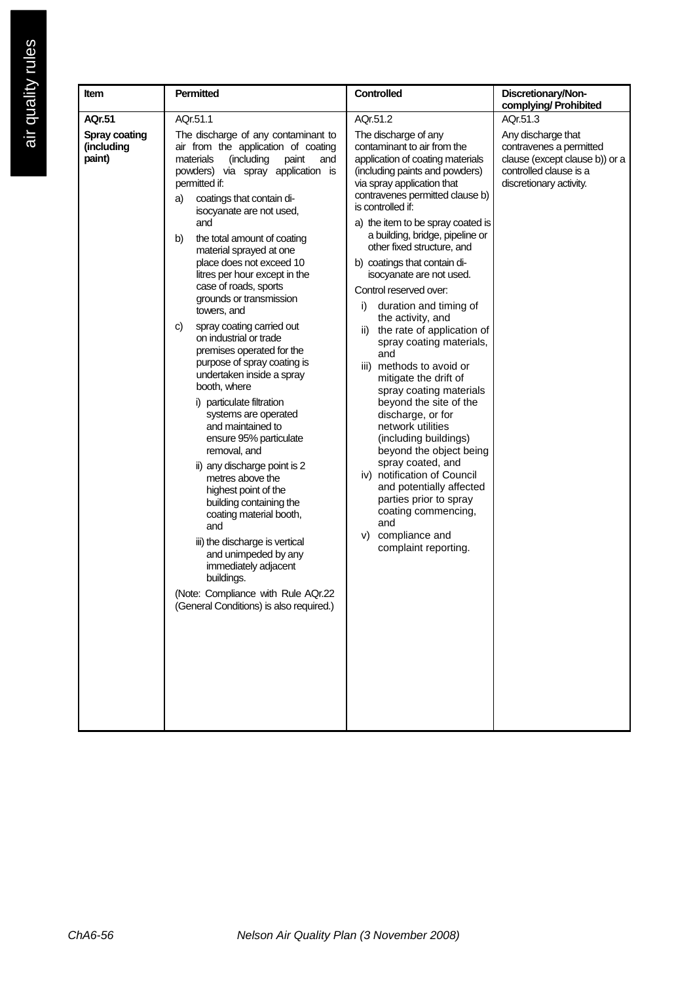| Item                                         | <b>Permitted</b>                                                                                                                                                                                                                                                                                                                                                                                                                                                                                                                                                                                        | <b>Controlled</b>                                                                                                                                                                                                                                                                                                                                                                                                                                                                                                                                                                                | Discretionary/Non-                                                                                                                                            |
|----------------------------------------------|---------------------------------------------------------------------------------------------------------------------------------------------------------------------------------------------------------------------------------------------------------------------------------------------------------------------------------------------------------------------------------------------------------------------------------------------------------------------------------------------------------------------------------------------------------------------------------------------------------|--------------------------------------------------------------------------------------------------------------------------------------------------------------------------------------------------------------------------------------------------------------------------------------------------------------------------------------------------------------------------------------------------------------------------------------------------------------------------------------------------------------------------------------------------------------------------------------------------|---------------------------------------------------------------------------------------------------------------------------------------------------------------|
| <b>AQr.51</b>                                | AQr.51.1                                                                                                                                                                                                                                                                                                                                                                                                                                                                                                                                                                                                | AQr.51.2                                                                                                                                                                                                                                                                                                                                                                                                                                                                                                                                                                                         | AQr.51.3                                                                                                                                                      |
| <b>Spray coating</b><br>(including<br>paint) | The discharge of any contaminant to<br>air from the application of coating<br>(including<br>paint<br>materials<br>and<br>powders) via spray application is<br>permitted if:<br>coatings that contain di-<br>a)<br>isocyanate are not used,<br>and<br>b)<br>the total amount of coating<br>material sprayed at one<br>place does not exceed 10<br>litres per hour except in the<br>case of roads, sports<br>grounds or transmission<br>towers, and<br>spray coating carried out<br>C)<br>on industrial or trade<br>premises operated for the<br>purpose of spray coating is<br>undertaken inside a spray | The discharge of any<br>contaminant to air from the<br>application of coating materials<br>(including paints and powders)<br>via spray application that<br>contravenes permitted clause b)<br>is controlled if:<br>a) the item to be spray coated is<br>a building, bridge, pipeline or<br>other fixed structure, and<br>b) coatings that contain di-<br>isocyanate are not used.<br>Control reserved over:<br>duration and timing of<br>i)<br>the activity, and<br>the rate of application of<br>ii)<br>spray coating materials,<br>and<br>methods to avoid or<br>iii)<br>mitigate the drift of | complying/ Prohibited<br>Any discharge that<br>contravenes a permitted<br>clause (except clause b)) or a<br>controlled clause is a<br>discretionary activity. |
|                                              | booth, where<br>i) particulate filtration<br>systems are operated<br>and maintained to<br>ensure 95% particulate<br>removal, and<br>ii) any discharge point is 2<br>metres above the<br>highest point of the<br>building containing the<br>coating material booth,<br>and<br>iii) the discharge is vertical<br>and unimpeded by any<br>immediately adjacent<br>buildings.<br>(Note: Compliance with Rule AQr.22<br>(General Conditions) is also required.)                                                                                                                                              | spray coating materials<br>beyond the site of the<br>discharge, or for<br>network utilities<br>(including buildings)<br>beyond the object being<br>spray coated, and<br>iv) notification of Council<br>and potentially affected<br>parties prior to spray<br>coating commencing,<br>and<br>compliance and<br>V)<br>complaint reporting.                                                                                                                                                                                                                                                          |                                                                                                                                                               |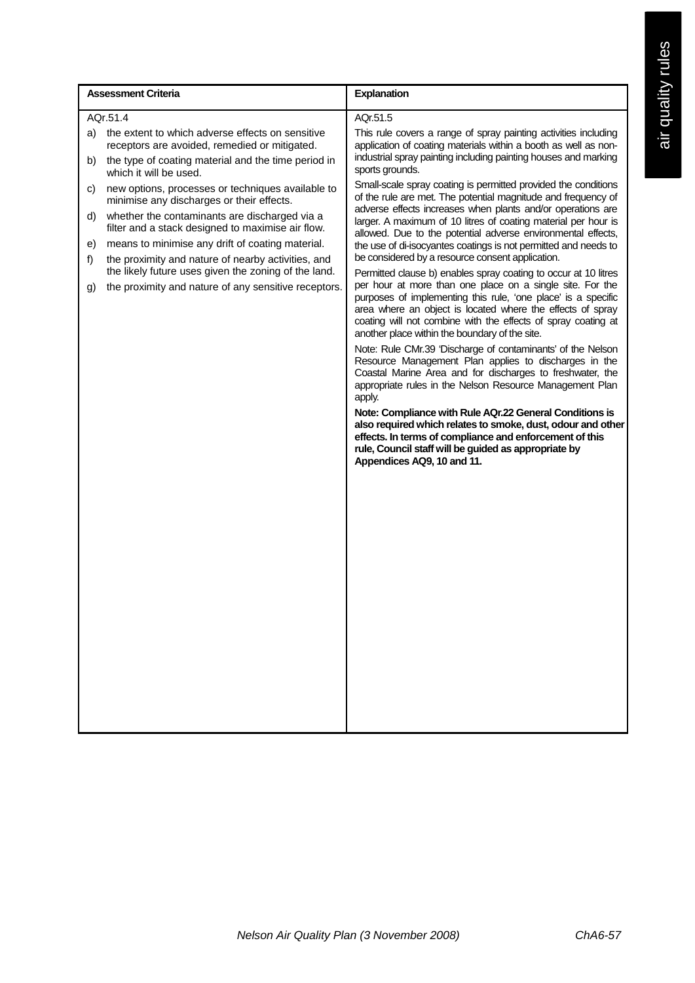|    | <b>Assessment Criteria</b>                                                                                 | Explanation                                                                                                                                                                                                                                                                                                 |
|----|------------------------------------------------------------------------------------------------------------|-------------------------------------------------------------------------------------------------------------------------------------------------------------------------------------------------------------------------------------------------------------------------------------------------------------|
|    | AQr.51.4                                                                                                   | AQr.51.5                                                                                                                                                                                                                                                                                                    |
| a) | the extent to which adverse effects on sensitive<br>receptors are avoided, remedied or mitigated.          | This rule covers a range of spray painting activities including<br>application of coating materials within a booth as well as non-                                                                                                                                                                          |
| b) | the type of coating material and the time period in<br>which it will be used.                              | industrial spray painting including painting houses and marking<br>sports grounds.                                                                                                                                                                                                                          |
| C) | new options, processes or techniques available to<br>minimise any discharges or their effects.             | Small-scale spray coating is permitted provided the conditions<br>of the rule are met. The potential magnitude and frequency of                                                                                                                                                                             |
| d) | whether the contaminants are discharged via a<br>filter and a stack designed to maximise air flow.         | adverse effects increases when plants and/or operations are<br>larger. A maximum of 10 litres of coating material per hour is<br>allowed. Due to the potential adverse environmental effects,                                                                                                               |
| e) | means to minimise any drift of coating material.                                                           | the use of di-isocyantes coatings is not permitted and needs to                                                                                                                                                                                                                                             |
| f) | the proximity and nature of nearby activities, and<br>the likely future uses given the zoning of the land. | be considered by a resource consent application.<br>Permitted clause b) enables spray coating to occur at 10 litres                                                                                                                                                                                         |
| g) | the proximity and nature of any sensitive receptors.                                                       | per hour at more than one place on a single site. For the<br>purposes of implementing this rule, 'one place' is a specific<br>area where an object is located where the effects of spray<br>coating will not combine with the effects of spray coating at<br>another place within the boundary of the site. |
|    |                                                                                                            | Note: Rule CMr.39 'Discharge of contaminants' of the Nelson<br>Resource Management Plan applies to discharges in the<br>Coastal Marine Area and for discharges to freshwater, the<br>appropriate rules in the Nelson Resource Management Plan<br>apply.                                                     |
|    |                                                                                                            | Note: Compliance with Rule AQr.22 General Conditions is<br>also required which relates to smoke, dust, odour and other<br>effects. In terms of compliance and enforcement of this<br>rule, Council staff will be guided as appropriate by<br>Appendices AQ9, 10 and 11.                                     |
|    |                                                                                                            |                                                                                                                                                                                                                                                                                                             |
|    |                                                                                                            |                                                                                                                                                                                                                                                                                                             |
|    |                                                                                                            |                                                                                                                                                                                                                                                                                                             |
|    |                                                                                                            |                                                                                                                                                                                                                                                                                                             |
|    |                                                                                                            |                                                                                                                                                                                                                                                                                                             |
|    |                                                                                                            |                                                                                                                                                                                                                                                                                                             |
|    |                                                                                                            |                                                                                                                                                                                                                                                                                                             |
|    |                                                                                                            |                                                                                                                                                                                                                                                                                                             |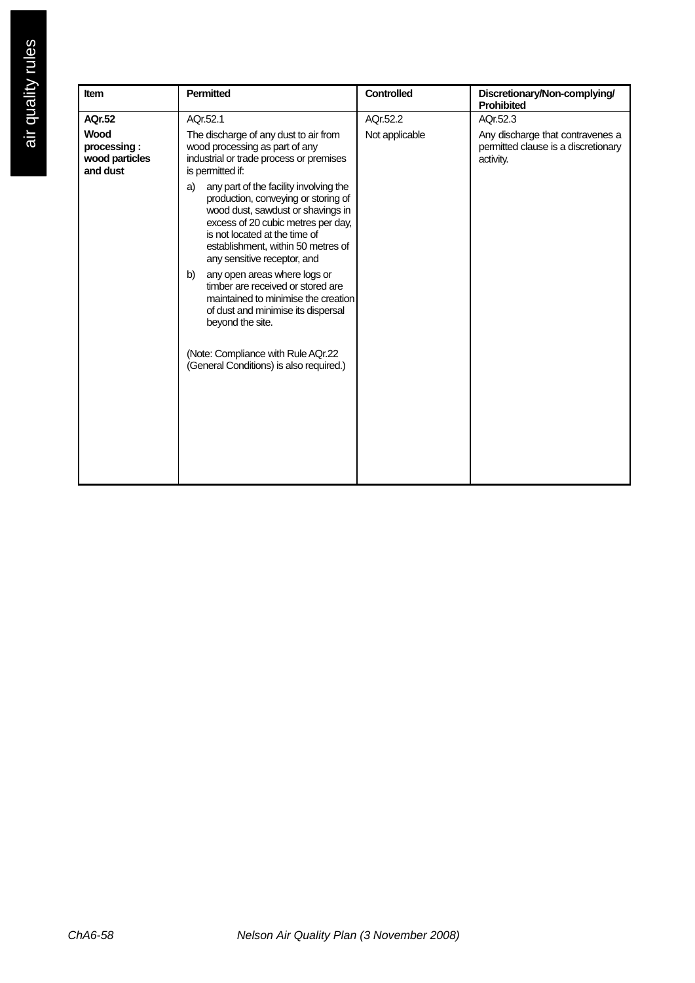| Item                                              | <b>Permitted</b>                                                                                                                                                                                                                                                                                                                                | <b>Controlled</b> | Discretionary/Non-complying/<br><b>Prohibited</b>                                    |
|---------------------------------------------------|-------------------------------------------------------------------------------------------------------------------------------------------------------------------------------------------------------------------------------------------------------------------------------------------------------------------------------------------------|-------------------|--------------------------------------------------------------------------------------|
| <b>AQr.52</b>                                     | AQr.52.1                                                                                                                                                                                                                                                                                                                                        | AQr.52.2          | AQr.52.3                                                                             |
| Wood<br>processing:<br>wood particles<br>and dust | The discharge of any dust to air from<br>wood processing as part of any<br>industrial or trade process or premises<br>is permitted if:                                                                                                                                                                                                          | Not applicable    | Any discharge that contravenes a<br>permitted clause is a discretionary<br>activity. |
|                                                   | any part of the facility involving the<br>a)<br>production, conveying or storing of<br>wood dust, sawdust or shavings in<br>excess of 20 cubic metres per day,<br>is not located at the time of<br>establishment, within 50 metres of<br>any sensitive receptor, and<br>any open areas where logs or<br>b)<br>timber are received or stored are |                   |                                                                                      |
|                                                   | maintained to minimise the creation<br>of dust and minimise its dispersal<br>beyond the site.<br>(Note: Compliance with Rule AQr.22<br>(General Conditions) is also required.)                                                                                                                                                                  |                   |                                                                                      |
|                                                   |                                                                                                                                                                                                                                                                                                                                                 |                   |                                                                                      |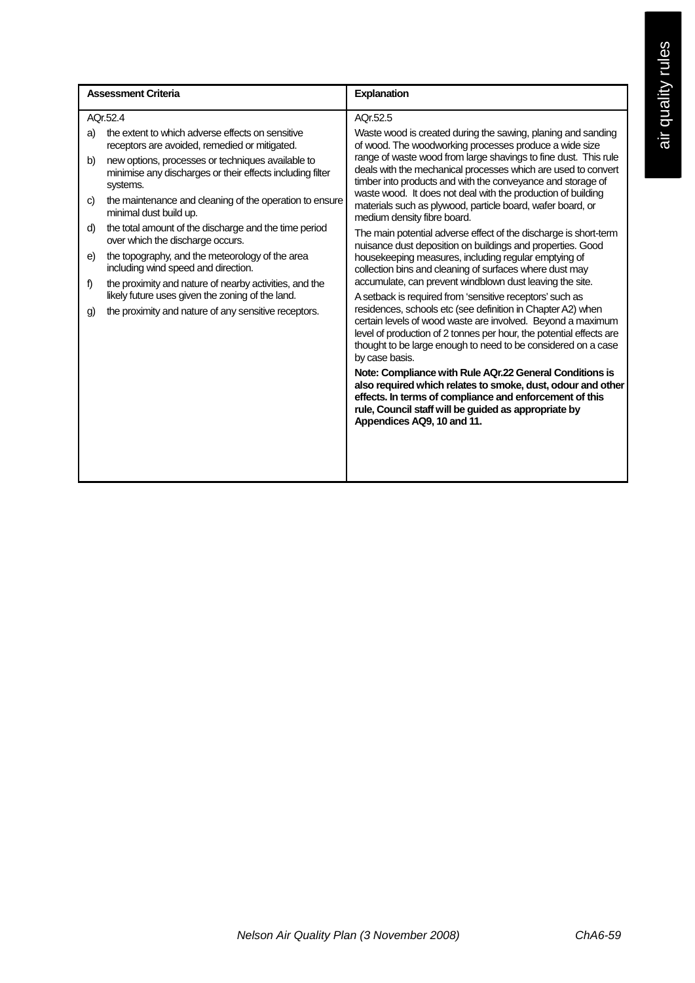| AQr.52.5<br>AQr.52.4<br>the extent to which adverse effects on sensitive<br>Waste wood is created during the sawing, planing and sanding<br>a)<br>of wood. The woodworking processes produce a wide size<br>receptors are avoided, remedied or mitigated.<br>range of waste wood from large shavings to fine dust. This rule<br>new options, processes or techniques available to<br>b)<br>deals with the mechanical processes which are used to convert<br>minimise any discharges or their effects including filter<br>timber into products and with the conveyance and storage of<br>systems.<br>waste wood. It does not deal with the production of building<br>the maintenance and cleaning of the operation to ensure<br>C)<br>materials such as plywood, particle board, wafer board, or<br>minimal dust build up.<br>medium density fibre board.<br>the total amount of the discharge and the time period<br>d)<br>The main potential adverse effect of the discharge is short-term<br>over which the discharge occurs.<br>nuisance dust deposition on buildings and properties. Good<br>the topography, and the meteorology of the area<br>e)<br>housekeeping measures, including regular emptying of<br>including wind speed and direction.<br>collection bins and cleaning of surfaces where dust may<br>accumulate, can prevent windblown dust leaving the site.<br>the proximity and nature of nearby activities, and the<br>f)<br>likely future uses given the zoning of the land.<br>A setback is required from 'sensitive receptors' such as<br>residences, schools etc (see definition in Chapter A2) when<br>the proximity and nature of any sensitive receptors.<br>g)<br>certain levels of wood waste are involved. Beyond a maximum<br>level of production of 2 tonnes per hour, the potential effects are<br>thought to be large enough to need to be considered on a case<br>by case basis.<br>Note: Compliance with Rule AQr.22 General Conditions is<br>effects. In terms of compliance and enforcement of this<br>rule, Council staff will be guided as appropriate by<br>Appendices AQ9, 10 and 11. | <b>Assessment Criteria</b> |  | <b>Explanation</b>                                          |
|--------------------------------------------------------------------------------------------------------------------------------------------------------------------------------------------------------------------------------------------------------------------------------------------------------------------------------------------------------------------------------------------------------------------------------------------------------------------------------------------------------------------------------------------------------------------------------------------------------------------------------------------------------------------------------------------------------------------------------------------------------------------------------------------------------------------------------------------------------------------------------------------------------------------------------------------------------------------------------------------------------------------------------------------------------------------------------------------------------------------------------------------------------------------------------------------------------------------------------------------------------------------------------------------------------------------------------------------------------------------------------------------------------------------------------------------------------------------------------------------------------------------------------------------------------------------------------------------------------------------------------------------------------------------------------------------------------------------------------------------------------------------------------------------------------------------------------------------------------------------------------------------------------------------------------------------------------------------------------------------------------------------------------------------------------------------------------------------------------------------------------|----------------------------|--|-------------------------------------------------------------|
|                                                                                                                                                                                                                                                                                                                                                                                                                                                                                                                                                                                                                                                                                                                                                                                                                                                                                                                                                                                                                                                                                                                                                                                                                                                                                                                                                                                                                                                                                                                                                                                                                                                                                                                                                                                                                                                                                                                                                                                                                                                                                                                                |                            |  |                                                             |
|                                                                                                                                                                                                                                                                                                                                                                                                                                                                                                                                                                                                                                                                                                                                                                                                                                                                                                                                                                                                                                                                                                                                                                                                                                                                                                                                                                                                                                                                                                                                                                                                                                                                                                                                                                                                                                                                                                                                                                                                                                                                                                                                |                            |  |                                                             |
|                                                                                                                                                                                                                                                                                                                                                                                                                                                                                                                                                                                                                                                                                                                                                                                                                                                                                                                                                                                                                                                                                                                                                                                                                                                                                                                                                                                                                                                                                                                                                                                                                                                                                                                                                                                                                                                                                                                                                                                                                                                                                                                                |                            |  |                                                             |
|                                                                                                                                                                                                                                                                                                                                                                                                                                                                                                                                                                                                                                                                                                                                                                                                                                                                                                                                                                                                                                                                                                                                                                                                                                                                                                                                                                                                                                                                                                                                                                                                                                                                                                                                                                                                                                                                                                                                                                                                                                                                                                                                |                            |  |                                                             |
|                                                                                                                                                                                                                                                                                                                                                                                                                                                                                                                                                                                                                                                                                                                                                                                                                                                                                                                                                                                                                                                                                                                                                                                                                                                                                                                                                                                                                                                                                                                                                                                                                                                                                                                                                                                                                                                                                                                                                                                                                                                                                                                                |                            |  |                                                             |
|                                                                                                                                                                                                                                                                                                                                                                                                                                                                                                                                                                                                                                                                                                                                                                                                                                                                                                                                                                                                                                                                                                                                                                                                                                                                                                                                                                                                                                                                                                                                                                                                                                                                                                                                                                                                                                                                                                                                                                                                                                                                                                                                |                            |  |                                                             |
|                                                                                                                                                                                                                                                                                                                                                                                                                                                                                                                                                                                                                                                                                                                                                                                                                                                                                                                                                                                                                                                                                                                                                                                                                                                                                                                                                                                                                                                                                                                                                                                                                                                                                                                                                                                                                                                                                                                                                                                                                                                                                                                                |                            |  |                                                             |
|                                                                                                                                                                                                                                                                                                                                                                                                                                                                                                                                                                                                                                                                                                                                                                                                                                                                                                                                                                                                                                                                                                                                                                                                                                                                                                                                                                                                                                                                                                                                                                                                                                                                                                                                                                                                                                                                                                                                                                                                                                                                                                                                |                            |  |                                                             |
|                                                                                                                                                                                                                                                                                                                                                                                                                                                                                                                                                                                                                                                                                                                                                                                                                                                                                                                                                                                                                                                                                                                                                                                                                                                                                                                                                                                                                                                                                                                                                                                                                                                                                                                                                                                                                                                                                                                                                                                                                                                                                                                                |                            |  | also required which relates to smoke, dust, odour and other |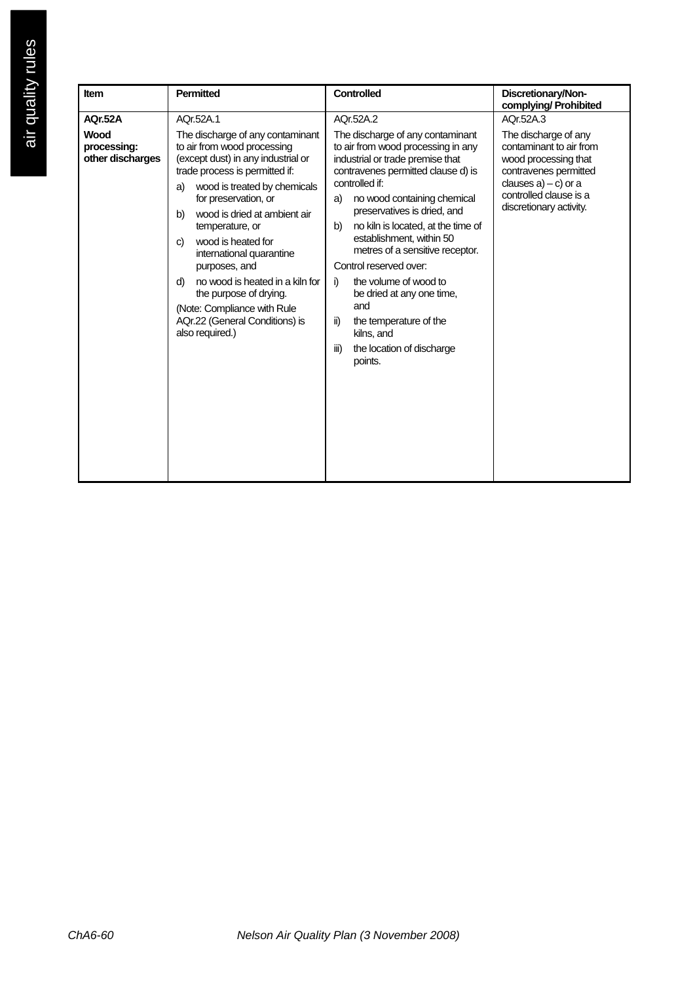| <b>Item</b>                     | <b>Permitted</b>                                                                                    | <b>Controlled</b>                                                                                                              | Discretionary/Non-                                                                                  |
|---------------------------------|-----------------------------------------------------------------------------------------------------|--------------------------------------------------------------------------------------------------------------------------------|-----------------------------------------------------------------------------------------------------|
|                                 | AQr.52A.1                                                                                           | AQr.52A.2                                                                                                                      | complying/ Prohibited<br>AQr.52A.3                                                                  |
| AQr.52A                         |                                                                                                     |                                                                                                                                |                                                                                                     |
| Wood                            | The discharge of any contaminant                                                                    | The discharge of any contaminant                                                                                               | The discharge of any                                                                                |
| processing:<br>other discharges | to air from wood processing<br>(except dust) in any industrial or<br>trade process is permitted if: | to air from wood processing in any<br>industrial or trade premise that<br>contravenes permitted clause d) is<br>controlled if: | contaminant to air from<br>wood processing that<br>contravenes permitted<br>clauses $a$ ) – c) or a |
|                                 | wood is treated by chemicals<br>a)<br>for preservation, or                                          | no wood containing chemical<br>a)                                                                                              | controlled clause is a                                                                              |
|                                 | wood is dried at ambient air<br>b)                                                                  | preservatives is dried, and                                                                                                    | discretionary activity.                                                                             |
|                                 | temperature, or                                                                                     | no kiln is located, at the time of<br>b)<br>establishment, within 50                                                           |                                                                                                     |
|                                 | wood is heated for<br>C)<br>international quarantine                                                | metres of a sensitive receptor.                                                                                                |                                                                                                     |
|                                 | purposes, and                                                                                       | Control reserved over:                                                                                                         |                                                                                                     |
|                                 | no wood is heated in a kiln for<br>d)<br>the purpose of drying.                                     | the volume of wood to<br>i)<br>be dried at any one time,                                                                       |                                                                                                     |
|                                 | (Note: Compliance with Rule                                                                         | and                                                                                                                            |                                                                                                     |
|                                 | AQr.22 (General Conditions) is<br>also required.)                                                   | ii)<br>the temperature of the<br>kilns, and                                                                                    |                                                                                                     |
|                                 |                                                                                                     | the location of discharge<br>iii)<br>points.                                                                                   |                                                                                                     |
|                                 |                                                                                                     |                                                                                                                                |                                                                                                     |
|                                 |                                                                                                     |                                                                                                                                |                                                                                                     |
|                                 |                                                                                                     |                                                                                                                                |                                                                                                     |
|                                 |                                                                                                     |                                                                                                                                |                                                                                                     |
|                                 |                                                                                                     |                                                                                                                                |                                                                                                     |
|                                 |                                                                                                     |                                                                                                                                |                                                                                                     |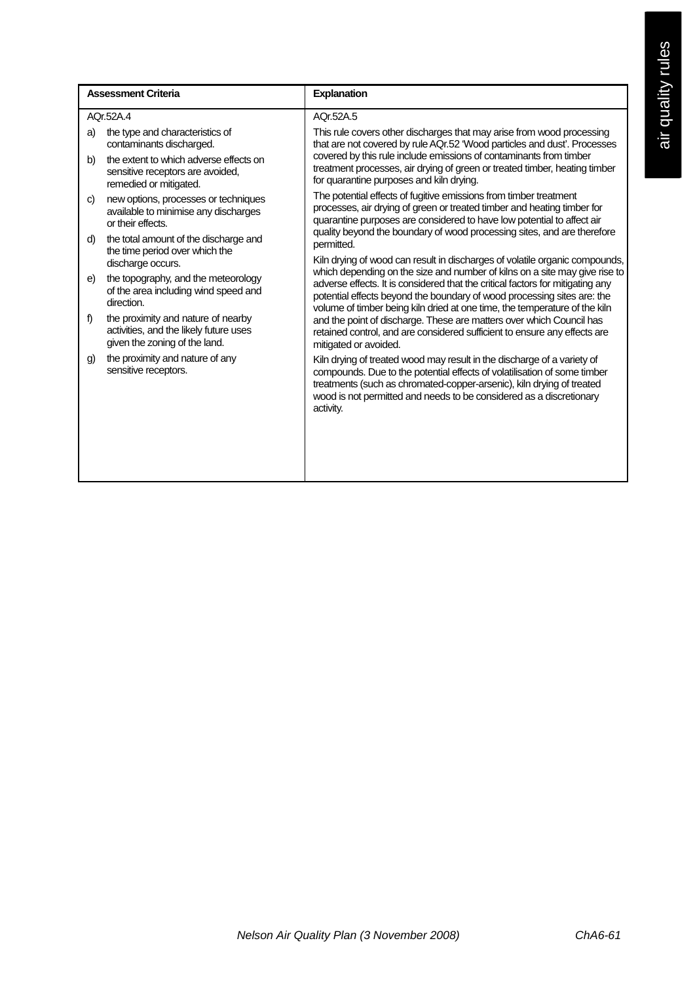| <b>Assessment Criteria</b> |                                                                                                               | <b>Explanation</b>                                                                                                                                                                                                                                                                                               |
|----------------------------|---------------------------------------------------------------------------------------------------------------|------------------------------------------------------------------------------------------------------------------------------------------------------------------------------------------------------------------------------------------------------------------------------------------------------------------|
|                            | AQr.52A.4                                                                                                     | AQr.52A.5                                                                                                                                                                                                                                                                                                        |
| a)                         | the type and characteristics of<br>contaminants discharged.                                                   | This rule covers other discharges that may arise from wood processing<br>that are not covered by rule AQr.52 'Wood particles and dust'. Processes                                                                                                                                                                |
| b)                         | the extent to which adverse effects on<br>sensitive receptors are avoided,<br>remedied or mitigated.          | covered by this rule include emissions of contaminants from timber<br>treatment processes, air drying of green or treated timber, heating timber<br>for quarantine purposes and kiln drying.                                                                                                                     |
| C)                         | new options, processes or techniques<br>available to minimise any discharges<br>or their effects.             | The potential effects of fugitive emissions from timber treatment<br>processes, air drying of green or treated timber and heating timber for<br>quarantine purposes are considered to have low potential to affect air<br>quality beyond the boundary of wood processing sites, and are therefore                |
| d)                         | the total amount of the discharge and<br>the time period over which the                                       | permitted.                                                                                                                                                                                                                                                                                                       |
|                            | discharge occurs.                                                                                             | Kiln drying of wood can result in discharges of volatile organic compounds,<br>which depending on the size and number of kilns on a site may give rise to                                                                                                                                                        |
| e)                         | the topography, and the meteorology<br>of the area including wind speed and<br>direction.                     | adverse effects. It is considered that the critical factors for mitigating any<br>potential effects beyond the boundary of wood processing sites are: the<br>volume of timber being kiln dried at one time, the temperature of the kiln                                                                          |
| f)                         | the proximity and nature of nearby<br>activities, and the likely future uses<br>given the zoning of the land. | and the point of discharge. These are matters over which Council has<br>retained control, and are considered sufficient to ensure any effects are<br>mitigated or avoided.                                                                                                                                       |
| g)                         | the proximity and nature of any<br>sensitive receptors.                                                       | Kiln drying of treated wood may result in the discharge of a variety of<br>compounds. Due to the potential effects of volatilisation of some timber<br>treatments (such as chromated-copper-arsenic), kiln drying of treated<br>wood is not permitted and needs to be considered as a discretionary<br>activity. |
|                            |                                                                                                               |                                                                                                                                                                                                                                                                                                                  |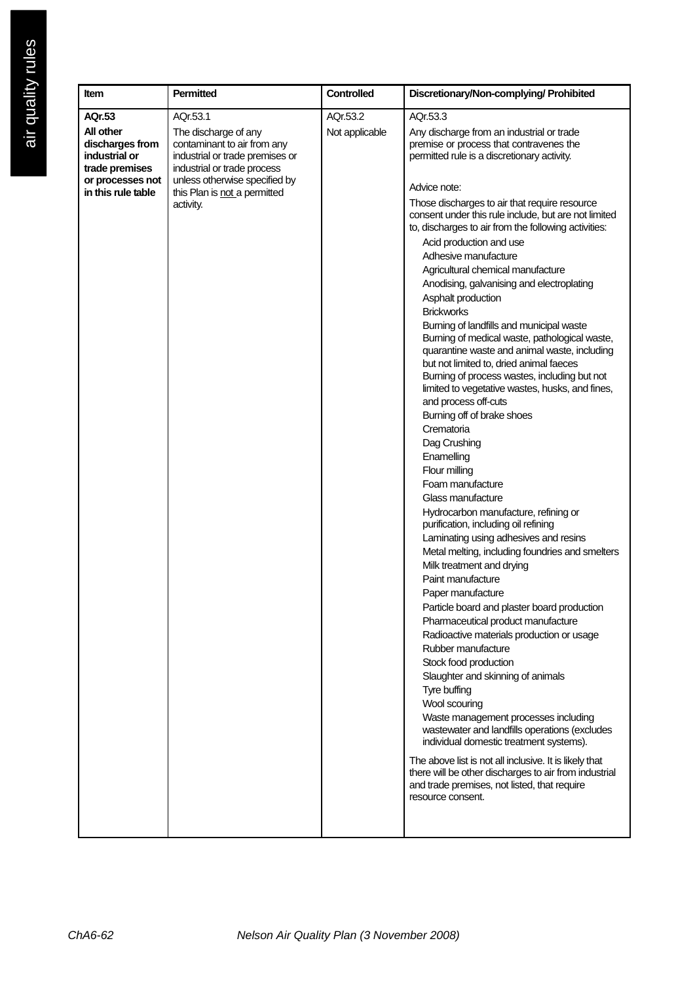| <b>AQr.53</b><br>AQr.53.1<br>AQr.53.2<br>AQr.53.3<br>All other<br>The discharge of any<br>Not applicable<br>Any discharge from an industrial or trade<br>discharges from<br>contaminant to air from any<br>premise or process that contravenes the<br>industrial or<br>industrial or trade premises or<br>permitted rule is a discretionary activity.<br>trade premises<br>industrial or trade process<br>unless otherwise specified by<br>or processes not<br>Advice note:<br>in this rule table<br>this Plan is not a permitted<br>Those discharges to air that require resource<br>activity.<br>consent under this rule include, but are not limited<br>to, discharges to air from the following activities:<br>Acid production and use<br>Adhesive manufacture<br>Agricultural chemical manufacture<br>Anodising, galvanising and electroplating                                                                                                                                                                                                                                                                                                                                                                                                                                                                                 |  |
|--------------------------------------------------------------------------------------------------------------------------------------------------------------------------------------------------------------------------------------------------------------------------------------------------------------------------------------------------------------------------------------------------------------------------------------------------------------------------------------------------------------------------------------------------------------------------------------------------------------------------------------------------------------------------------------------------------------------------------------------------------------------------------------------------------------------------------------------------------------------------------------------------------------------------------------------------------------------------------------------------------------------------------------------------------------------------------------------------------------------------------------------------------------------------------------------------------------------------------------------------------------------------------------------------------------------------------------|--|
|                                                                                                                                                                                                                                                                                                                                                                                                                                                                                                                                                                                                                                                                                                                                                                                                                                                                                                                                                                                                                                                                                                                                                                                                                                                                                                                                      |  |
|                                                                                                                                                                                                                                                                                                                                                                                                                                                                                                                                                                                                                                                                                                                                                                                                                                                                                                                                                                                                                                                                                                                                                                                                                                                                                                                                      |  |
|                                                                                                                                                                                                                                                                                                                                                                                                                                                                                                                                                                                                                                                                                                                                                                                                                                                                                                                                                                                                                                                                                                                                                                                                                                                                                                                                      |  |
|                                                                                                                                                                                                                                                                                                                                                                                                                                                                                                                                                                                                                                                                                                                                                                                                                                                                                                                                                                                                                                                                                                                                                                                                                                                                                                                                      |  |
| Asphalt production<br><b>Brickworks</b><br>Burning of landfills and municipal waste<br>Burning of medical waste, pathological waste,<br>quarantine waste and animal waste, including<br>but not limited to, dried animal faeces<br>Burning of process wastes, including but not<br>limited to vegetative wastes, husks, and fines,<br>and process off-cuts<br>Burning off of brake shoes<br>Crematoria<br>Dag Crushing<br>Enamelling<br>Flour milling<br>Foam manufacture<br>Glass manufacture<br>Hydrocarbon manufacture, refining or<br>purification, including oil refining<br>Laminating using adhesives and resins<br>Metal melting, including foundries and smelters<br>Milk treatment and drying<br>Paint manufacture<br>Paper manufacture<br>Particle board and plaster board production<br>Pharmaceutical product manufacture<br>Radioactive materials production or usage<br>Rubber manufacture<br>Stock food production<br>Slaughter and skinning of animals<br>Tyre buffing<br>Wool scouring<br>Waste management processes including<br>wastewater and landfills operations (excludes<br>individual domestic treatment systems).<br>The above list is not all inclusive. It is likely that<br>there will be other discharges to air from industrial<br>and trade premises, not listed, that require<br>resource consent. |  |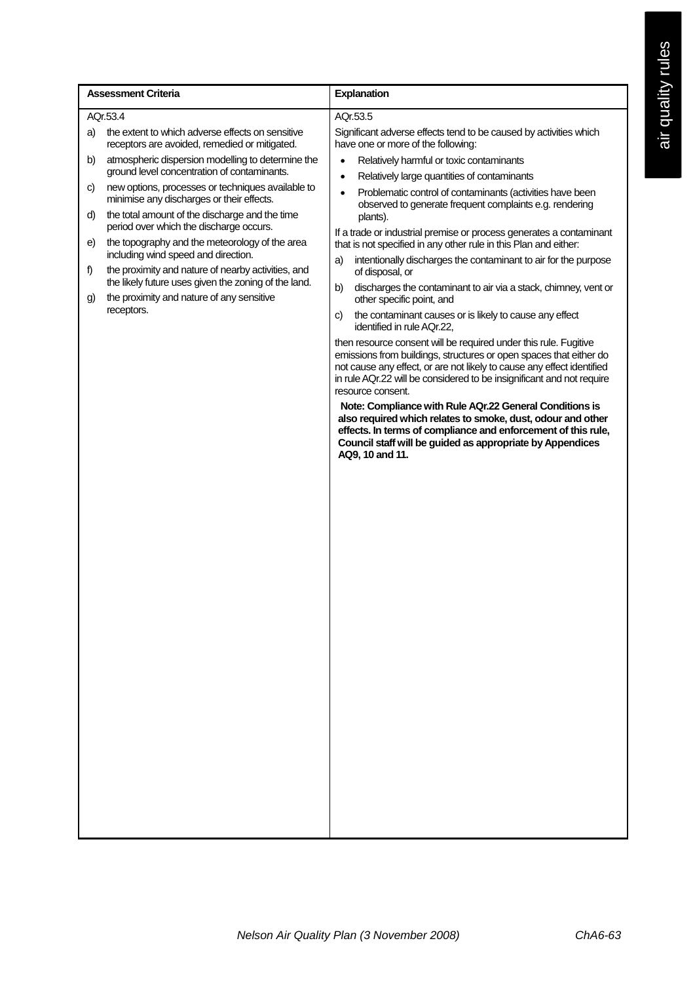| <b>Assessment Criteria</b>                                                                              | Explanation                                                                                                                                                                                                                                                                                  |  |  |
|---------------------------------------------------------------------------------------------------------|----------------------------------------------------------------------------------------------------------------------------------------------------------------------------------------------------------------------------------------------------------------------------------------------|--|--|
| AQr.53.4                                                                                                | AQr.53.5                                                                                                                                                                                                                                                                                     |  |  |
| the extent to which adverse effects on sensitive<br>a)<br>receptors are avoided, remedied or mitigated. | Significant adverse effects tend to be caused by activities which<br>have one or more of the following:                                                                                                                                                                                      |  |  |
| atmospheric dispersion modelling to determine the<br>b)<br>ground level concentration of contaminants.  | Relatively harmful or toxic contaminants<br>$\bullet$                                                                                                                                                                                                                                        |  |  |
| new options, processes or techniques available to<br>C)                                                 | Relatively large quantities of contaminants<br>$\bullet$<br>Problematic control of contaminants (activities have been                                                                                                                                                                        |  |  |
| minimise any discharges or their effects.                                                               | observed to generate frequent complaints e.g. rendering                                                                                                                                                                                                                                      |  |  |
| the total amount of the discharge and the time<br>d)<br>period over which the discharge occurs.         | plants).<br>If a trade or industrial premise or process generates a contaminant                                                                                                                                                                                                              |  |  |
| the topography and the meteorology of the area<br>e)<br>including wind speed and direction.             | that is not specified in any other rule in this Plan and either:                                                                                                                                                                                                                             |  |  |
| f)<br>the proximity and nature of nearby activities, and                                                | intentionally discharges the contaminant to air for the purpose<br>a)<br>of disposal, or                                                                                                                                                                                                     |  |  |
| the likely future uses given the zoning of the land.<br>the proximity and nature of any sensitive<br>g) | discharges the contaminant to air via a stack, chimney, vent or<br>b)<br>other specific point, and                                                                                                                                                                                           |  |  |
| receptors.                                                                                              | the contaminant causes or is likely to cause any effect<br>C)<br>identified in rule AQr.22,                                                                                                                                                                                                  |  |  |
|                                                                                                         | then resource consent will be required under this rule. Fugitive<br>emissions from buildings, structures or open spaces that either do<br>not cause any effect, or are not likely to cause any effect identified<br>in rule AQr.22 will be considered to be insignificant and not require    |  |  |
|                                                                                                         | resource consent.<br>Note: Compliance with Rule AQr.22 General Conditions is<br>also required which relates to smoke, dust, odour and other<br>effects. In terms of compliance and enforcement of this rule,<br>Council staff will be guided as appropriate by Appendices<br>AQ9, 10 and 11. |  |  |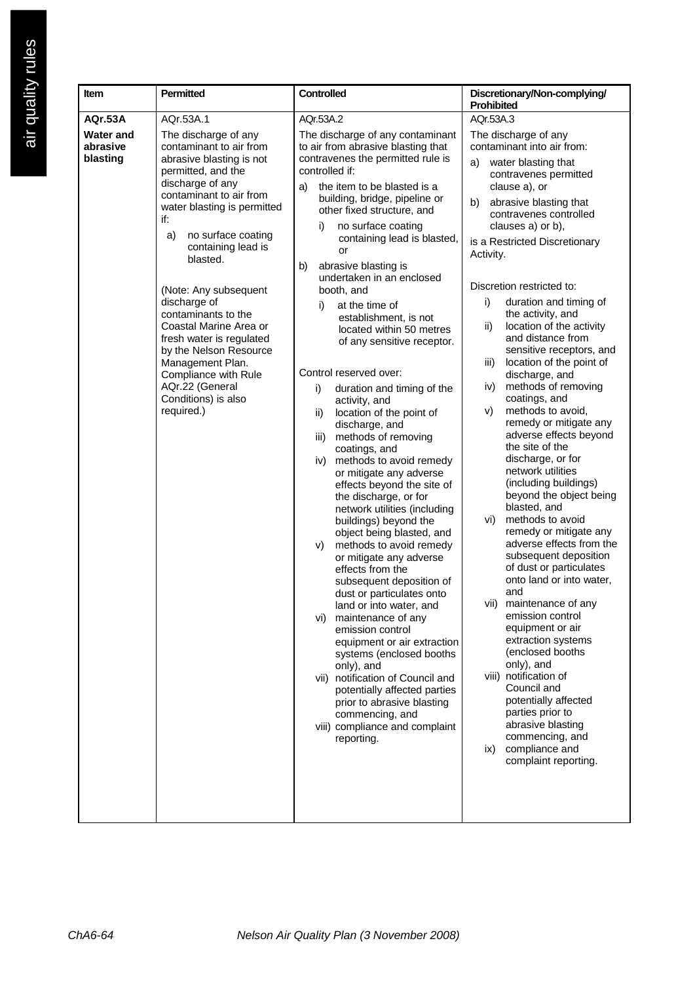| <b>Item</b>                              | <b>Permitted</b>                                                                                                                                                                                                                                                                                                                                                                                                                                                                                         | <b>Controlled</b>                                                                                                                                                                                                                                                                                                                                                                                                                                                                                                                                                                                                                                                                                                                                                                                                                                                                                                                                                                                                                                                                                                                                                                                                                                                                                                                                    | Discretionary/Non-complying/<br>Prohibited                                                                                                                                                                                                                                                                                                                                                                                                                                                                                                                                                                                                                                                                                                                                                                                                                                                                                                                                                                                                                                                                                                                                                                                         |
|------------------------------------------|----------------------------------------------------------------------------------------------------------------------------------------------------------------------------------------------------------------------------------------------------------------------------------------------------------------------------------------------------------------------------------------------------------------------------------------------------------------------------------------------------------|------------------------------------------------------------------------------------------------------------------------------------------------------------------------------------------------------------------------------------------------------------------------------------------------------------------------------------------------------------------------------------------------------------------------------------------------------------------------------------------------------------------------------------------------------------------------------------------------------------------------------------------------------------------------------------------------------------------------------------------------------------------------------------------------------------------------------------------------------------------------------------------------------------------------------------------------------------------------------------------------------------------------------------------------------------------------------------------------------------------------------------------------------------------------------------------------------------------------------------------------------------------------------------------------------------------------------------------------------|------------------------------------------------------------------------------------------------------------------------------------------------------------------------------------------------------------------------------------------------------------------------------------------------------------------------------------------------------------------------------------------------------------------------------------------------------------------------------------------------------------------------------------------------------------------------------------------------------------------------------------------------------------------------------------------------------------------------------------------------------------------------------------------------------------------------------------------------------------------------------------------------------------------------------------------------------------------------------------------------------------------------------------------------------------------------------------------------------------------------------------------------------------------------------------------------------------------------------------|
| AQr.53A                                  | AQr.53A.1                                                                                                                                                                                                                                                                                                                                                                                                                                                                                                | AQr.53A.2                                                                                                                                                                                                                                                                                                                                                                                                                                                                                                                                                                                                                                                                                                                                                                                                                                                                                                                                                                                                                                                                                                                                                                                                                                                                                                                                            | AQr.53A.3                                                                                                                                                                                                                                                                                                                                                                                                                                                                                                                                                                                                                                                                                                                                                                                                                                                                                                                                                                                                                                                                                                                                                                                                                          |
| <b>Water and</b><br>abrasive<br>blasting | The discharge of any<br>contaminant to air from<br>abrasive blasting is not<br>permitted, and the<br>discharge of any<br>contaminant to air from<br>water blasting is permitted<br>if:<br>no surface coating<br>a)<br>containing lead is<br>blasted.<br>(Note: Any subsequent<br>discharge of<br>contaminants to the<br>Coastal Marine Area or<br>fresh water is regulated<br>by the Nelson Resource<br>Management Plan.<br>Compliance with Rule<br>AQr.22 (General<br>Conditions) is also<br>required.) | The discharge of any contaminant<br>to air from abrasive blasting that<br>contravenes the permitted rule is<br>controlled if:<br>the item to be blasted is a<br>a)<br>building, bridge, pipeline or<br>other fixed structure, and<br>no surface coating<br>i)<br>containing lead is blasted,<br>or<br>b)<br>abrasive blasting is<br>undertaken in an enclosed<br>booth, and<br>at the time of<br>i)<br>establishment, is not<br>located within 50 metres<br>of any sensitive receptor.<br>Control reserved over:<br>duration and timing of the<br>i)<br>activity, and<br>location of the point of<br>ii)<br>discharge, and<br>methods of removing<br>iii)<br>coatings, and<br>iv)<br>methods to avoid remedy<br>or mitigate any adverse<br>effects beyond the site of<br>the discharge, or for<br>network utilities (including<br>buildings) beyond the<br>object being blasted, and<br>methods to avoid remedy<br>V)<br>or mitigate any adverse<br>effects from the<br>subsequent deposition of<br>dust or particulates onto<br>land or into water, and<br>vi) maintenance of any<br>emission control<br>equipment or air extraction<br>systems (enclosed booths<br>only), and<br>vii) notification of Council and<br>potentially affected parties<br>prior to abrasive blasting<br>commencing, and<br>viii) compliance and complaint<br>reporting. | The discharge of any<br>contaminant into air from:<br>water blasting that<br>a)<br>contravenes permitted<br>clause a), or<br>abrasive blasting that<br>b)<br>contravenes controlled<br>clauses a) or b),<br>is a Restricted Discretionary<br>Activity.<br>Discretion restricted to:<br>duration and timing of<br>i)<br>the activity, and<br>location of the activity<br>ii)<br>and distance from<br>sensitive receptors, and<br>location of the point of<br>iii)<br>discharge, and<br>methods of removing<br>iv)<br>coatings, and<br>methods to avoid,<br>V)<br>remedy or mitigate any<br>adverse effects beyond<br>the site of the<br>discharge, or for<br>network utilities<br>(including buildings)<br>beyond the object being<br>blasted, and<br>methods to avoid<br>vi)<br>remedy or mitigate any<br>adverse effects from the<br>subsequent deposition<br>of dust or particulates<br>onto land or into water,<br>and<br>vii) maintenance of any<br>emission control<br>equipment or air<br>extraction systems<br>(enclosed booths)<br>only), and<br>viii) notification of<br>Council and<br>potentially affected<br>parties prior to<br>abrasive blasting<br>commencing, and<br>compliance and<br>ix)<br>complaint reporting. |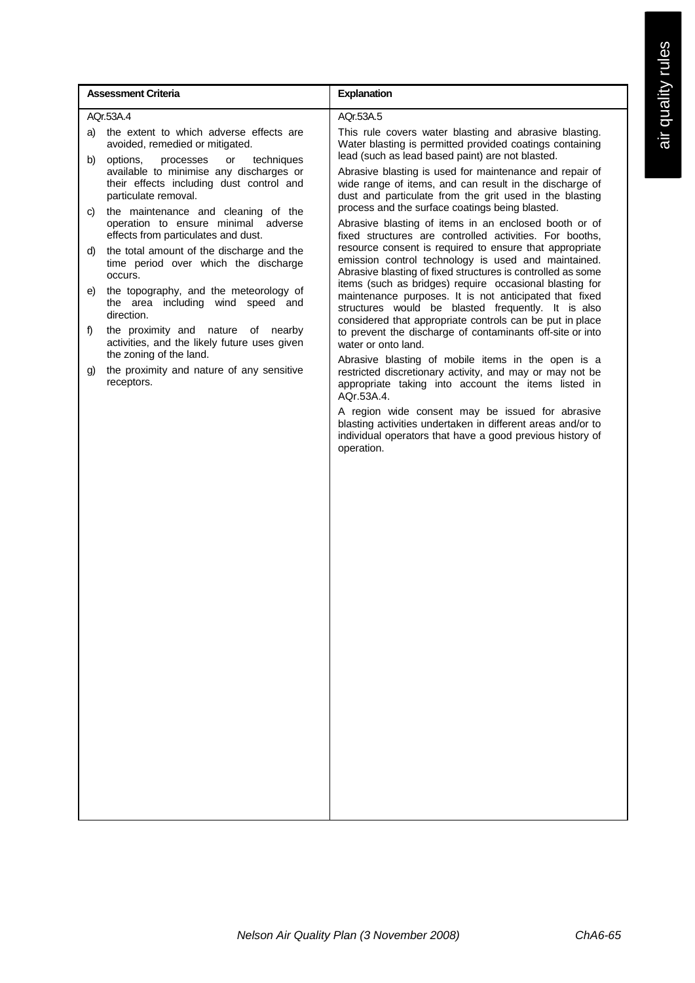| <b>Assessment Criteria</b> |                                                                                                                                                          | <b>Explanation</b>                                                                                                                                                                                                                  |  |
|----------------------------|----------------------------------------------------------------------------------------------------------------------------------------------------------|-------------------------------------------------------------------------------------------------------------------------------------------------------------------------------------------------------------------------------------|--|
|                            | AQr.53A.4                                                                                                                                                | AQr.53A.5                                                                                                                                                                                                                           |  |
|                            | a) the extent to which adverse effects are<br>avoided, remedied or mitigated.                                                                            | This rule covers water blasting and abrasive blasting.<br>Water blasting is permitted provided coatings containing                                                                                                                  |  |
| b)                         | options,<br>techniques<br>processes<br>or<br>available to minimise any discharges or<br>their effects including dust control and<br>particulate removal. | lead (such as lead based paint) are not blasted.<br>Abrasive blasting is used for maintenance and repair of<br>wide range of items, and can result in the discharge of<br>dust and particulate from the grit used in the blasting   |  |
| C)                         | the maintenance and cleaning of the<br>operation to ensure minimal adverse<br>effects from particulates and dust.                                        | process and the surface coatings being blasted.<br>Abrasive blasting of items in an enclosed booth or of<br>fixed structures are controlled activities. For booths,                                                                 |  |
|                            | d) the total amount of the discharge and the<br>time period over which the discharge<br>occurs.                                                          | resource consent is required to ensure that appropriate<br>emission control technology is used and maintained.<br>Abrasive blasting of fixed structures is controlled as some                                                       |  |
| e)                         | the topography, and the meteorology of<br>the area including wind speed and<br>direction.                                                                | items (such as bridges) require occasional blasting for<br>maintenance purposes. It is not anticipated that fixed<br>structures would be blasted frequently. It is also<br>considered that appropriate controls can be put in place |  |
| f)                         | the proximity and nature of nearby<br>activities, and the likely future uses given<br>the zoning of the land.                                            | to prevent the discharge of contaminants off-site or into<br>water or onto land.<br>Abrasive blasting of mobile items in the open is a                                                                                              |  |
| g)                         | the proximity and nature of any sensitive<br>receptors.                                                                                                  | restricted discretionary activity, and may or may not be<br>appropriate taking into account the items listed in<br>AQr.53A.4.                                                                                                       |  |
|                            |                                                                                                                                                          | A region wide consent may be issued for abrasive<br>blasting activities undertaken in different areas and/or to<br>individual operators that have a good previous history of<br>operation.                                          |  |
|                            |                                                                                                                                                          |                                                                                                                                                                                                                                     |  |
|                            |                                                                                                                                                          |                                                                                                                                                                                                                                     |  |
|                            |                                                                                                                                                          |                                                                                                                                                                                                                                     |  |
|                            |                                                                                                                                                          |                                                                                                                                                                                                                                     |  |
|                            |                                                                                                                                                          |                                                                                                                                                                                                                                     |  |
|                            |                                                                                                                                                          |                                                                                                                                                                                                                                     |  |
|                            |                                                                                                                                                          |                                                                                                                                                                                                                                     |  |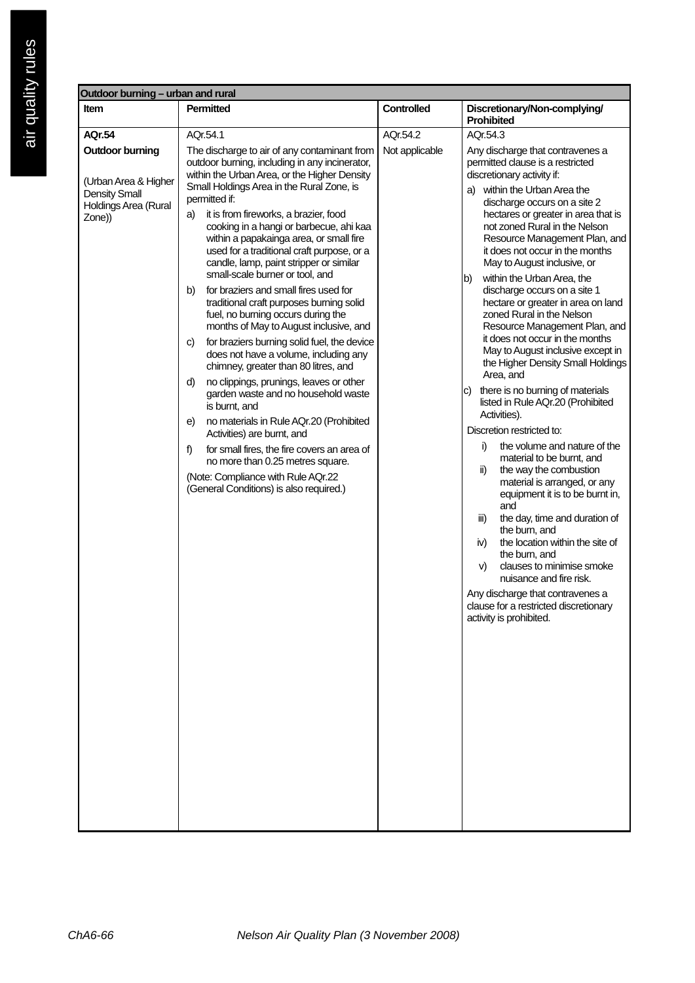| Outdoor burning - urban and rural                                                                        |                                                                                                                                                                                                                                                                                                                                                                                                                                                                                                                                                                                                                                                                                                                                                                                                |                |                                                                                                                                                                                                                                                                                                                                                                                                                                                                                                                                                                                                                                                    |
|----------------------------------------------------------------------------------------------------------|------------------------------------------------------------------------------------------------------------------------------------------------------------------------------------------------------------------------------------------------------------------------------------------------------------------------------------------------------------------------------------------------------------------------------------------------------------------------------------------------------------------------------------------------------------------------------------------------------------------------------------------------------------------------------------------------------------------------------------------------------------------------------------------------|----------------|----------------------------------------------------------------------------------------------------------------------------------------------------------------------------------------------------------------------------------------------------------------------------------------------------------------------------------------------------------------------------------------------------------------------------------------------------------------------------------------------------------------------------------------------------------------------------------------------------------------------------------------------------|
| <b>Item</b>                                                                                              | Permitted                                                                                                                                                                                                                                                                                                                                                                                                                                                                                                                                                                                                                                                                                                                                                                                      | Controlled     | Discretionary/Non-complying/<br><b>Prohibited</b>                                                                                                                                                                                                                                                                                                                                                                                                                                                                                                                                                                                                  |
| <b>AQr.54</b>                                                                                            | AQr.54.1                                                                                                                                                                                                                                                                                                                                                                                                                                                                                                                                                                                                                                                                                                                                                                                       | AQr.54.2       | AQr.54.3                                                                                                                                                                                                                                                                                                                                                                                                                                                                                                                                                                                                                                           |
| <b>Outdoor burning</b><br>(Urban Area & Higher<br><b>Density Small</b><br>Holdings Area (Rural<br>Zone)) | The discharge to air of any contaminant from<br>outdoor burning, including in any incinerator,<br>within the Urban Area, or the Higher Density<br>Small Holdings Area in the Rural Zone, is<br>permitted if:<br>it is from fireworks, a brazier, food<br>a)<br>cooking in a hangi or barbecue, ahi kaa<br>within a papakainga area, or small fire<br>used for a traditional craft purpose, or a<br>candle, lamp, paint stripper or similar<br>small-scale burner or tool, and<br>for braziers and small fires used for<br>b)<br>traditional craft purposes burning solid<br>fuel, no burning occurs during the<br>months of May to August inclusive, and<br>for braziers burning solid fuel, the device<br>C)<br>does not have a volume, including any<br>chimney, greater than 80 litres, and | Not applicable | Any discharge that contravenes a<br>permitted clause is a restricted<br>discretionary activity if:<br>within the Urban Area the<br>a)<br>discharge occurs on a site 2<br>hectares or greater in area that is<br>not zoned Rural in the Nelson<br>Resource Management Plan, and<br>it does not occur in the months<br>May to August inclusive, or<br>within the Urban Area, the<br>b)<br>discharge occurs on a site 1<br>hectare or greater in area on land<br>zoned Rural in the Nelson<br>Resource Management Plan, and<br>it does not occur in the months<br>May to August inclusive except in<br>the Higher Density Small Holdings<br>Area, and |
|                                                                                                          | d)<br>no clippings, prunings, leaves or other<br>garden waste and no household waste<br>is burnt, and<br>no materials in Rule AQr.20 (Prohibited<br>e)<br>Activities) are burnt, and<br>for small fires, the fire covers an area of<br>f)<br>no more than 0.25 metres square.<br>(Note: Compliance with Rule AQr.22<br>(General Conditions) is also required.)                                                                                                                                                                                                                                                                                                                                                                                                                                 |                | there is no burning of materials<br>C)<br>listed in Rule AQr.20 (Prohibited<br>Activities).<br>Discretion restricted to:<br>the volume and nature of the<br>i)<br>material to be burnt, and<br>the way the combustion<br>ii)<br>material is arranged, or any<br>equipment it is to be burnt in,<br>and<br>the day, time and duration of<br>iii)<br>the burn, and<br>the location within the site of<br>iv)<br>the burn, and<br>clauses to minimise smoke<br>V)<br>nuisance and fire risk.<br>Any discharge that contravenes a<br>clause for a restricted discretionary<br>activity is prohibited.                                                  |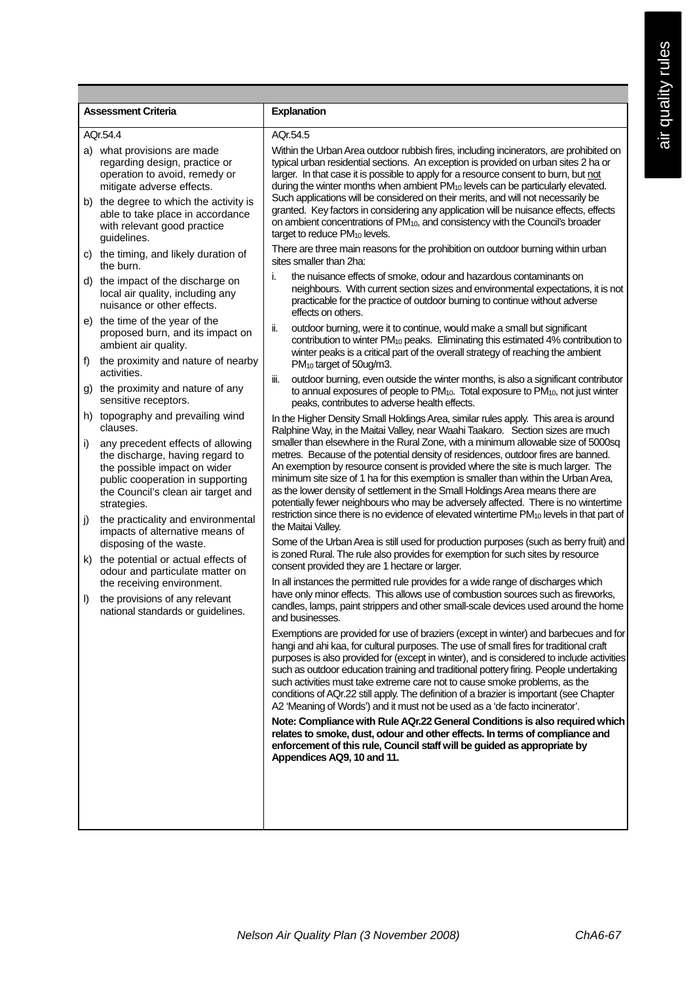|         | <b>Assessment Criteria</b>                                                                                                                                                                    | <b>Explanation</b>                                                                                                                                                                                                                                                                                                                                                                                                                                                                                                                                                                                                               |
|---------|-----------------------------------------------------------------------------------------------------------------------------------------------------------------------------------------------|----------------------------------------------------------------------------------------------------------------------------------------------------------------------------------------------------------------------------------------------------------------------------------------------------------------------------------------------------------------------------------------------------------------------------------------------------------------------------------------------------------------------------------------------------------------------------------------------------------------------------------|
|         |                                                                                                                                                                                               |                                                                                                                                                                                                                                                                                                                                                                                                                                                                                                                                                                                                                                  |
|         | AQr.54.4<br>a) what provisions are made<br>regarding design, practice or<br>operation to avoid, remedy or<br>mitigate adverse effects.                                                        | AQr.54.5<br>Within the Urban Area outdoor rubbish fires, including incinerators, are prohibited on<br>typical urban residential sections. An exception is provided on urban sites 2 ha or<br>larger. In that case it is possible to apply for a resource consent to burn, but not<br>during the winter months when ambient PM <sub>10</sub> levels can be particularly elevated.                                                                                                                                                                                                                                                 |
|         | b) the degree to which the activity is<br>able to take place in accordance<br>with relevant good practice<br>guidelines.                                                                      | Such applications will be considered on their merits, and will not necessarily be<br>granted. Key factors in considering any application will be nuisance effects, effects<br>on ambient concentrations of PM <sub>10</sub> , and consistency with the Council's broader<br>target to reduce PM <sub>10</sub> levels.                                                                                                                                                                                                                                                                                                            |
|         | c) the timing, and likely duration of<br>the burn.                                                                                                                                            | There are three main reasons for the prohibition on outdoor burning within urban<br>sites smaller than 2ha:                                                                                                                                                                                                                                                                                                                                                                                                                                                                                                                      |
|         | d) the impact of the discharge on<br>local air quality, including any<br>nuisance or other effects.                                                                                           | the nuisance effects of smoke, odour and hazardous contaminants on<br>i.<br>neighbours. With current section sizes and environmental expectations, it is not<br>practicable for the practice of outdoor burning to continue without adverse<br>effects on others.                                                                                                                                                                                                                                                                                                                                                                |
|         | e) the time of the year of the<br>proposed burn, and its impact on<br>ambient air quality.                                                                                                    | outdoor burning, were it to continue, would make a small but significant<br>ii.<br>contribution to winter PM <sub>10</sub> peaks. Eliminating this estimated 4% contribution to<br>winter peaks is a critical part of the overall strategy of reaching the ambient                                                                                                                                                                                                                                                                                                                                                               |
| f)      | the proximity and nature of nearby<br>activities.                                                                                                                                             | PM <sub>10</sub> target of 50ug/m3.<br>outdoor burning, even outside the winter months, is also a significant contributor<br>iii.                                                                                                                                                                                                                                                                                                                                                                                                                                                                                                |
|         | g) the proximity and nature of any<br>sensitive receptors.                                                                                                                                    | to annual exposures of people to PM <sub>10</sub> . Total exposure to PM <sub>10</sub> , not just winter<br>peaks, contributes to adverse health effects.                                                                                                                                                                                                                                                                                                                                                                                                                                                                        |
|         | h) topography and prevailing wind<br>clauses.                                                                                                                                                 | In the Higher Density Small Holdings Area, similar rules apply. This area is around<br>Ralphine Way, in the Maitai Valley, near Waahi Taakaro. Section sizes are much                                                                                                                                                                                                                                                                                                                                                                                                                                                            |
| i)      | any precedent effects of allowing<br>the discharge, having regard to<br>the possible impact on wider<br>public cooperation in supporting<br>the Council's clean air target and<br>strategies. | smaller than elsewhere in the Rural Zone, with a minimum allowable size of 5000sq<br>metres. Because of the potential density of residences, outdoor fires are banned.<br>An exemption by resource consent is provided where the site is much larger. The<br>minimum site size of 1 ha for this exemption is smaller than within the Urban Area,<br>as the lower density of settlement in the Small Holdings Area means there are<br>potentially fewer neighbours who may be adversely affected. There is no wintertime<br>restriction since there is no evidence of elevated wintertime PM <sub>10</sub> levels in that part of |
| j)      | the practicality and environmental<br>impacts of alternative means of<br>disposing of the waste.                                                                                              | the Maitai Valley.<br>Some of the Urban Area is still used for production purposes (such as berry fruit) and                                                                                                                                                                                                                                                                                                                                                                                                                                                                                                                     |
| k)      | the potential or actual effects of<br>odour and particulate matter on                                                                                                                         | is zoned Rural. The rule also provides for exemption for such sites by resource<br>consent provided they are 1 hectare or larger.                                                                                                                                                                                                                                                                                                                                                                                                                                                                                                |
| $\vert$ | the receiving environment.<br>the provisions of any relevant<br>national standards or quidelines.                                                                                             | In all instances the permitted rule provides for a wide range of discharges which<br>have only minor effects. This allows use of combustion sources such as fireworks,<br>candles, lamps, paint strippers and other small-scale devices used around the home<br>and businesses.                                                                                                                                                                                                                                                                                                                                                  |
|         |                                                                                                                                                                                               | Exemptions are provided for use of braziers (except in winter) and barbecues and for<br>hangi and ahi kaa, for cultural purposes. The use of small fires for traditional craft<br>purposes is also provided for (except in winter), and is considered to include activities<br>such as outdoor education training and traditional pottery firing. People undertaking<br>such activities must take extreme care not to cause smoke problems, as the<br>conditions of AQr.22 still apply. The definition of a brazier is important (see Chapter<br>A2 'Meaning of Words') and it must not be used as a 'de facto incinerator'.     |
|         |                                                                                                                                                                                               | Note: Compliance with Rule AQr.22 General Conditions is also required which<br>relates to smoke, dust, odour and other effects. In terms of compliance and<br>enforcement of this rule, Council staff will be guided as appropriate by<br>Appendices AQ9, 10 and 11.                                                                                                                                                                                                                                                                                                                                                             |
|         |                                                                                                                                                                                               |                                                                                                                                                                                                                                                                                                                                                                                                                                                                                                                                                                                                                                  |
|         |                                                                                                                                                                                               |                                                                                                                                                                                                                                                                                                                                                                                                                                                                                                                                                                                                                                  |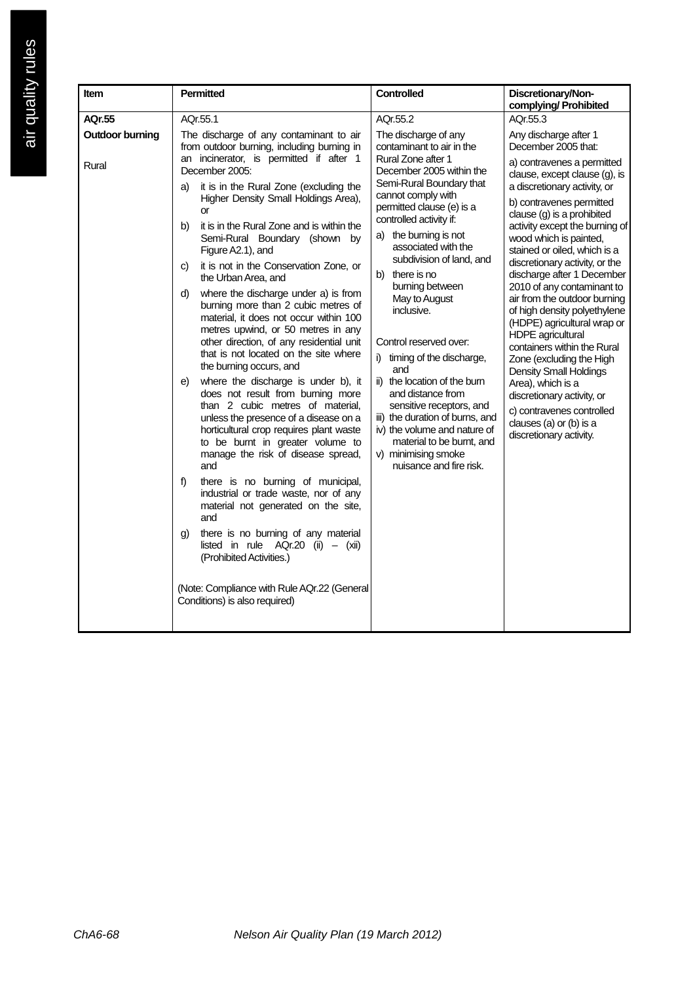| Item                            | <b>Permitted</b>                                                                                                                                                                                                                                                                                                                                                                                                                                                                                                                                                                                                                                                                                                                                                                                                                                                                                                                                                                                                                                                                                                                                              | <b>Controlled</b>                                                                                                                                                                                                                                                                                                                                                                                                                                                                                                                                                                                                                                                | Discretionary/Non-                                                                                                                                                                                                                                                                                                                                                                                                                                                                                                                                                                                                                                                                                                                                                                    |
|---------------------------------|---------------------------------------------------------------------------------------------------------------------------------------------------------------------------------------------------------------------------------------------------------------------------------------------------------------------------------------------------------------------------------------------------------------------------------------------------------------------------------------------------------------------------------------------------------------------------------------------------------------------------------------------------------------------------------------------------------------------------------------------------------------------------------------------------------------------------------------------------------------------------------------------------------------------------------------------------------------------------------------------------------------------------------------------------------------------------------------------------------------------------------------------------------------|------------------------------------------------------------------------------------------------------------------------------------------------------------------------------------------------------------------------------------------------------------------------------------------------------------------------------------------------------------------------------------------------------------------------------------------------------------------------------------------------------------------------------------------------------------------------------------------------------------------------------------------------------------------|---------------------------------------------------------------------------------------------------------------------------------------------------------------------------------------------------------------------------------------------------------------------------------------------------------------------------------------------------------------------------------------------------------------------------------------------------------------------------------------------------------------------------------------------------------------------------------------------------------------------------------------------------------------------------------------------------------------------------------------------------------------------------------------|
| <b>AQr.55</b>                   | AQr.55.1                                                                                                                                                                                                                                                                                                                                                                                                                                                                                                                                                                                                                                                                                                                                                                                                                                                                                                                                                                                                                                                                                                                                                      | AQr.55.2                                                                                                                                                                                                                                                                                                                                                                                                                                                                                                                                                                                                                                                         | AQr.55.3                                                                                                                                                                                                                                                                                                                                                                                                                                                                                                                                                                                                                                                                                                                                                                              |
| <b>Outdoor burning</b><br>Rural | The discharge of any contaminant to air<br>from outdoor burning, including burning in<br>an incinerator, is permitted if after 1<br>December 2005:<br>it is in the Rural Zone (excluding the<br>a)<br>Higher Density Small Holdings Area),<br><sub>or</sub><br>it is in the Rural Zone and is within the<br>b)<br>Semi-Rural Boundary (shown by<br>Figure A2.1), and<br>it is not in the Conservation Zone, or<br>C)<br>the Urban Area, and<br>where the discharge under a) is from<br>d)<br>burning more than 2 cubic metres of<br>material, it does not occur within 100<br>metres upwind, or 50 metres in any<br>other direction, of any residential unit<br>that is not located on the site where<br>the burning occurs, and<br>where the discharge is under b), it<br>e)<br>does not result from burning more<br>than 2 cubic metres of material,<br>unless the presence of a disease on a<br>horticultural crop requires plant waste<br>to be burnt in greater volume to<br>manage the risk of disease spread,<br>and<br>there is no burning of municipal,<br>f)<br>industrial or trade waste, nor of any<br>material not generated on the site,<br>and | The discharge of any<br>contaminant to air in the<br>Rural Zone after 1<br>December 2005 within the<br>Semi-Rural Boundary that<br>cannot comply with<br>permitted clause (e) is a<br>controlled activity if:<br>a) the burning is not<br>associated with the<br>subdivision of land, and<br>b) there is no<br>burning between<br>May to August<br>inclusive.<br>Control reserved over:<br>i) timing of the discharge,<br>and<br>ii) the location of the burn<br>and distance from<br>sensitive receptors, and<br>iii) the duration of burns, and<br>iv) the volume and nature of<br>material to be burnt, and<br>v) minimising smoke<br>nuisance and fire risk. | complying/ Prohibited<br>Any discharge after 1<br>December 2005 that:<br>a) contravenes a permitted<br>clause, except clause (g), is<br>a discretionary activity, or<br>b) contravenes permitted<br>clause (g) is a prohibited<br>activity except the burning of<br>wood which is painted,<br>stained or oiled, which is a<br>discretionary activity, or the<br>discharge after 1 December<br>2010 of any contaminant to<br>air from the outdoor burning<br>of high density polyethylene<br>(HDPE) agricultural wrap or<br><b>HDPE</b> agricultural<br>containers within the Rural<br>Zone (excluding the High<br><b>Density Small Holdings</b><br>Area), which is a<br>discretionary activity, or<br>c) contravenes controlled<br>clauses (a) or (b) is a<br>discretionary activity. |
|                                 | there is no burning of any material<br>g)<br>listed in rule $AQr.20$ (ii) - $(xii)$<br>(Prohibited Activities.)<br>(Note: Compliance with Rule AQr.22 (General<br>Conditions) is also required)                                                                                                                                                                                                                                                                                                                                                                                                                                                                                                                                                                                                                                                                                                                                                                                                                                                                                                                                                               |                                                                                                                                                                                                                                                                                                                                                                                                                                                                                                                                                                                                                                                                  |                                                                                                                                                                                                                                                                                                                                                                                                                                                                                                                                                                                                                                                                                                                                                                                       |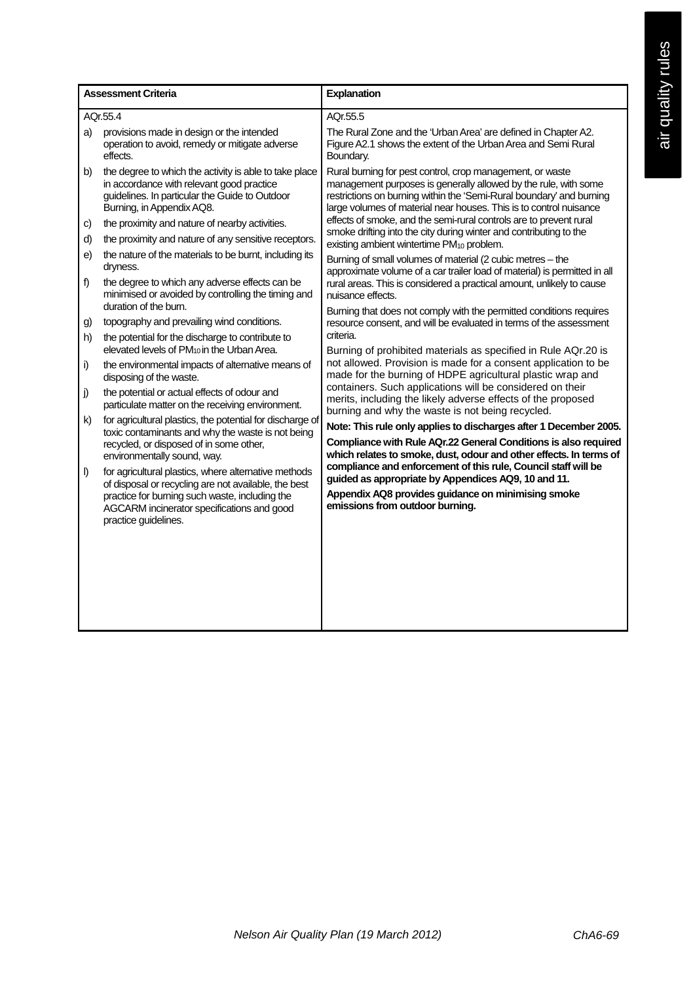| <b>Assessment Criteria</b> |                                                                                                                                                                                                                                      | <b>Explanation</b>                                                                                                                                                                                                                                                         |
|----------------------------|--------------------------------------------------------------------------------------------------------------------------------------------------------------------------------------------------------------------------------------|----------------------------------------------------------------------------------------------------------------------------------------------------------------------------------------------------------------------------------------------------------------------------|
| AQr.55.4                   |                                                                                                                                                                                                                                      | AQr.55.5                                                                                                                                                                                                                                                                   |
| a)                         | provisions made in design or the intended<br>operation to avoid, remedy or mitigate adverse<br>effects.                                                                                                                              | The Rural Zone and the 'Urban Area' are defined in Chapter A2.<br>Figure A2.1 shows the extent of the Urban Area and Semi Rural<br>Boundary.                                                                                                                               |
| b)                         | the degree to which the activity is able to take place<br>in accordance with relevant good practice<br>guidelines. In particular the Guide to Outdoor<br>Burning, in Appendix AQ8.                                                   | Rural burning for pest control, crop management, or waste<br>management purposes is generally allowed by the rule, with some<br>restrictions on burning within the 'Semi-Rural boundary' and burning<br>large volumes of material near houses. This is to control nuisance |
| C)                         | the proximity and nature of nearby activities.                                                                                                                                                                                       | effects of smoke, and the semi-rural controls are to prevent rural<br>smoke drifting into the city during winter and contributing to the                                                                                                                                   |
| d)                         | the proximity and nature of any sensitive receptors.                                                                                                                                                                                 | existing ambient wintertime PM <sub>10</sub> problem.                                                                                                                                                                                                                      |
| e)                         | the nature of the materials to be burnt, including its<br>dryness.                                                                                                                                                                   | Burning of small volumes of material (2 cubic metres - the<br>approximate volume of a car trailer load of material) is permitted in all                                                                                                                                    |
| f)                         | the degree to which any adverse effects can be<br>minimised or avoided by controlling the timing and                                                                                                                                 | rural areas. This is considered a practical amount, unlikely to cause<br>nuisance effects.                                                                                                                                                                                 |
| g)                         | duration of the burn.<br>topography and prevailing wind conditions.                                                                                                                                                                  | Burning that does not comply with the permitted conditions requires<br>resource consent, and will be evaluated in terms of the assessment                                                                                                                                  |
| h)                         | the potential for the discharge to contribute to<br>elevated levels of PM <sub>10</sub> in the Urban Area.                                                                                                                           | criteria.<br>Burning of prohibited materials as specified in Rule AQr.20 is                                                                                                                                                                                                |
| i)                         | the environmental impacts of alternative means of<br>disposing of the waste.                                                                                                                                                         | not allowed. Provision is made for a consent application to be<br>made for the burning of HDPE agricultural plastic wrap and                                                                                                                                               |
| j)                         | the potential or actual effects of odour and<br>particulate matter on the receiving environment.                                                                                                                                     | containers. Such applications will be considered on their<br>merits, including the likely adverse effects of the proposed<br>burning and why the waste is not being recycled.                                                                                              |
| k)                         | for agricultural plastics, the potential for discharge of<br>toxic contaminants and why the waste is not being<br>recycled, or disposed of in some other,<br>environmentally sound, way.                                             | Note: This rule only applies to discharges after 1 December 2005.<br>Compliance with Rule AQr.22 General Conditions is also required<br>which relates to smoke, dust, odour and other effects. In terms of                                                                 |
| $\vert$                    | for agricultural plastics, where alternative methods<br>of disposal or recycling are not available, the best<br>practice for burning such waste, including the<br>AGCARM incinerator specifications and good<br>practice guidelines. | compliance and enforcement of this rule, Council staff will be<br>guided as appropriate by Appendices AQ9, 10 and 11.<br>Appendix AQ8 provides guidance on minimising smoke<br>emissions from outdoor burning.                                                             |
|                            |                                                                                                                                                                                                                                      |                                                                                                                                                                                                                                                                            |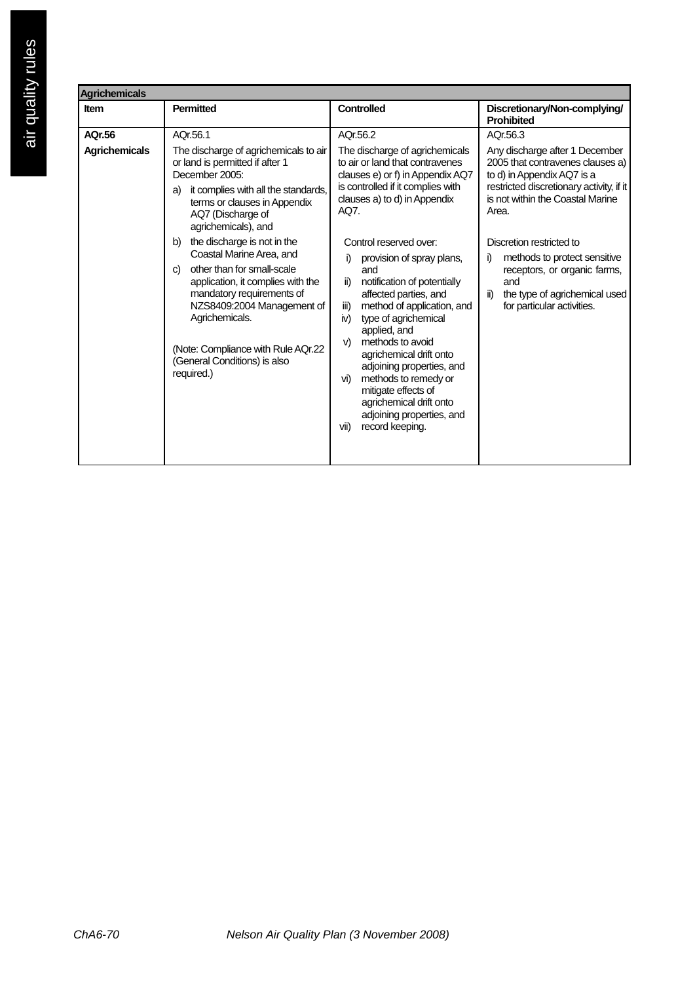| လ္တ                      |  |
|--------------------------|--|
|                          |  |
| Ū<br>ς                   |  |
| $\overline{\phantom{a}}$ |  |
| ಸ                        |  |

| <b>Agrichemicals</b> |                                                                                                                                                                                                                                                                                                                                                                                                                                                                                                                                |                                                                                                                                                                                                                                                                                                                                                                                                                                                                                                                                                                                                                                       |                                                                                                                                                                                                                                                                                                                                                                          |
|----------------------|--------------------------------------------------------------------------------------------------------------------------------------------------------------------------------------------------------------------------------------------------------------------------------------------------------------------------------------------------------------------------------------------------------------------------------------------------------------------------------------------------------------------------------|---------------------------------------------------------------------------------------------------------------------------------------------------------------------------------------------------------------------------------------------------------------------------------------------------------------------------------------------------------------------------------------------------------------------------------------------------------------------------------------------------------------------------------------------------------------------------------------------------------------------------------------|--------------------------------------------------------------------------------------------------------------------------------------------------------------------------------------------------------------------------------------------------------------------------------------------------------------------------------------------------------------------------|
| Item                 | <b>Permitted</b>                                                                                                                                                                                                                                                                                                                                                                                                                                                                                                               | <b>Controlled</b>                                                                                                                                                                                                                                                                                                                                                                                                                                                                                                                                                                                                                     | Discretionary/Non-complying/<br><b>Prohibited</b>                                                                                                                                                                                                                                                                                                                        |
| <b>AQr.56</b>        | AQr.56.1                                                                                                                                                                                                                                                                                                                                                                                                                                                                                                                       | AQr.56.2                                                                                                                                                                                                                                                                                                                                                                                                                                                                                                                                                                                                                              | AQr.56.3                                                                                                                                                                                                                                                                                                                                                                 |
| <b>Agrichemicals</b> | The discharge of agrichemicals to air<br>or land is permitted if after 1<br>December 2005:<br>it complies with all the standards,<br>a)<br>terms or clauses in Appendix<br>AQ7 (Discharge of<br>agrichemicals), and<br>the discharge is not in the<br>b)<br>Coastal Marine Area, and<br>other than for small-scale<br>C)<br>application, it complies with the<br>mandatory requirements of<br>NZS8409:2004 Management of<br>Agrichemicals.<br>(Note: Compliance with Rule AQr.22<br>(General Conditions) is also<br>required.) | The discharge of agrichemicals<br>to air or land that contravenes<br>clauses e) or f) in Appendix AQ7<br>is controlled if it complies with<br>clauses a) to d) in Appendix<br>AQ7.<br>Control reserved over:<br>provision of spray plans,<br>i)<br>and<br>notification of potentially<br>ii)<br>affected parties, and<br>iii)<br>method of application, and<br>type of agrichemical<br>iv)<br>applied, and<br>methods to avoid<br>V)<br>agrichemical drift onto<br>adjoining properties, and<br>methods to remedy or<br>vi)<br>mitigate effects of<br>agrichemical drift onto<br>adjoining properties, and<br>record keeping.<br>vii) | Any discharge after 1 December<br>2005 that contravenes clauses a)<br>to d) in Appendix AQ7 is a<br>restricted discretionary activity, if it<br>is not within the Coastal Marine<br>Area.<br>Discretion restricted to<br>methods to protect sensitive<br>i)<br>receptors, or organic farms,<br>and<br>the type of agrichemical used<br>ii)<br>for particular activities. |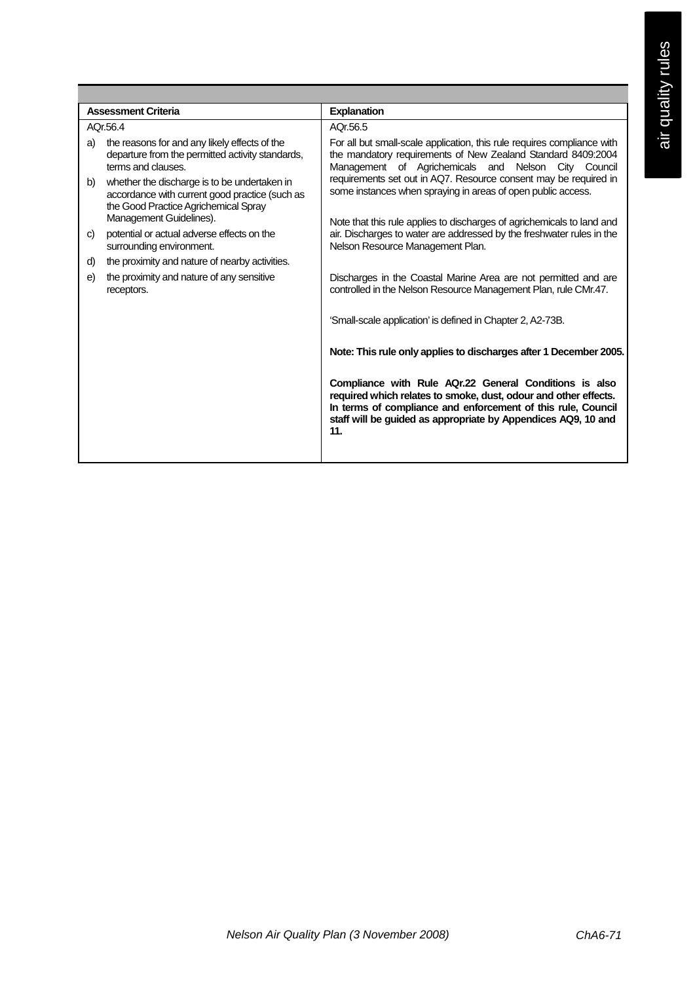|    | <b>Assessment Criteria</b>                                                                                                             | Explanation                                                                                                                                                                                                                                                       |
|----|----------------------------------------------------------------------------------------------------------------------------------------|-------------------------------------------------------------------------------------------------------------------------------------------------------------------------------------------------------------------------------------------------------------------|
|    | AQr.56.4                                                                                                                               | AQr.56.5                                                                                                                                                                                                                                                          |
| a) | the reasons for and any likely effects of the<br>departure from the permitted activity standards,<br>terms and clauses.                | For all but small-scale application, this rule requires compliance with<br>the mandatory requirements of New Zealand Standard 8409:2004<br>Management of Agrichemicals and Nelson City Council                                                                    |
| b) | whether the discharge is to be undertaken in<br>accordance with current good practice (such as<br>the Good Practice Agrichemical Spray | requirements set out in AQ7. Resource consent may be required in<br>some instances when spraying in areas of open public access.                                                                                                                                  |
|    | Management Guidelines).                                                                                                                | Note that this rule applies to discharges of agrichemicals to land and                                                                                                                                                                                            |
| C) | potential or actual adverse effects on the<br>surrounding environment.                                                                 | air. Discharges to water are addressed by the freshwater rules in the<br>Nelson Resource Management Plan.                                                                                                                                                         |
| d) | the proximity and nature of nearby activities.                                                                                         |                                                                                                                                                                                                                                                                   |
| e) | the proximity and nature of any sensitive<br>receptors.                                                                                | Discharges in the Coastal Marine Area are not permitted and are<br>controlled in the Nelson Resource Management Plan, rule CMr.47.                                                                                                                                |
|    |                                                                                                                                        | 'Small-scale application' is defined in Chapter 2, A2-73B.                                                                                                                                                                                                        |
|    |                                                                                                                                        | Note: This rule only applies to discharges after 1 December 2005.                                                                                                                                                                                                 |
|    |                                                                                                                                        | Compliance with Rule AQr.22 General Conditions is also<br>required which relates to smoke, dust, odour and other effects.<br>In terms of compliance and enforcement of this rule, Council<br>staff will be guided as appropriate by Appendices AQ9, 10 and<br>11. |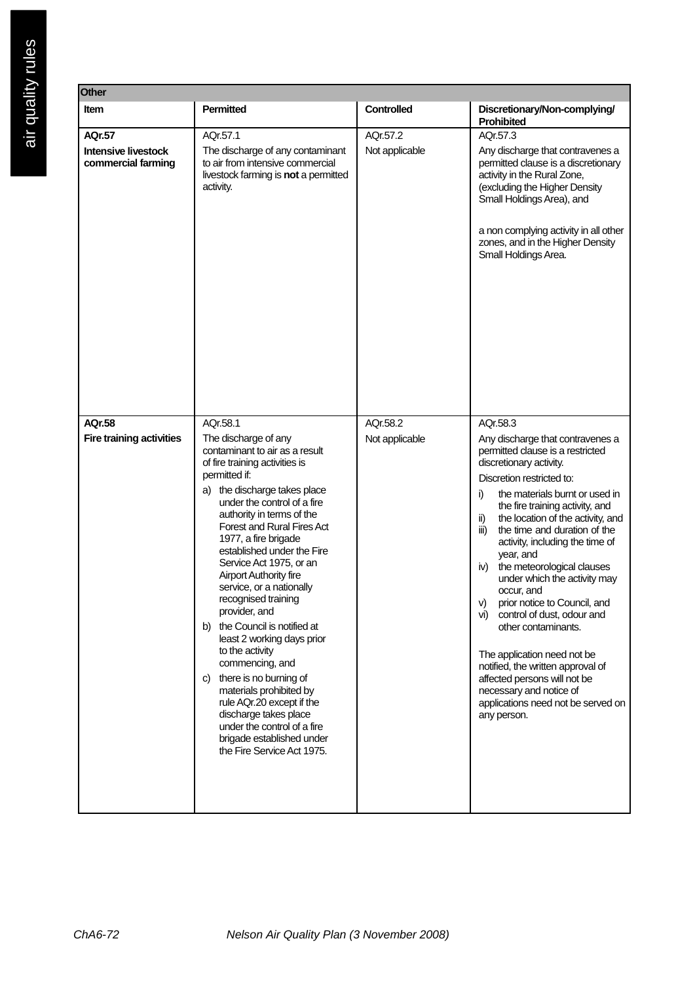| <b>Other</b>                                     |                                                                                                                                                                                                                                                                                                                                                                                                                                                                                                                                                                                                                                                                                                                                        |                   |                                                                                                                                                                                                                                                                                                                                                                                                                                                                                                                                                                                                                                                                                                                   |
|--------------------------------------------------|----------------------------------------------------------------------------------------------------------------------------------------------------------------------------------------------------------------------------------------------------------------------------------------------------------------------------------------------------------------------------------------------------------------------------------------------------------------------------------------------------------------------------------------------------------------------------------------------------------------------------------------------------------------------------------------------------------------------------------------|-------------------|-------------------------------------------------------------------------------------------------------------------------------------------------------------------------------------------------------------------------------------------------------------------------------------------------------------------------------------------------------------------------------------------------------------------------------------------------------------------------------------------------------------------------------------------------------------------------------------------------------------------------------------------------------------------------------------------------------------------|
| <b>Item</b>                                      | <b>Permitted</b>                                                                                                                                                                                                                                                                                                                                                                                                                                                                                                                                                                                                                                                                                                                       | <b>Controlled</b> | Discretionary/Non-complying/<br><b>Prohibited</b>                                                                                                                                                                                                                                                                                                                                                                                                                                                                                                                                                                                                                                                                 |
| <b>AQr.57</b>                                    | AQr.57.1                                                                                                                                                                                                                                                                                                                                                                                                                                                                                                                                                                                                                                                                                                                               | AQr.57.2          | AQr.57.3                                                                                                                                                                                                                                                                                                                                                                                                                                                                                                                                                                                                                                                                                                          |
| <b>Intensive livestock</b><br>commercial farming | The discharge of any contaminant<br>to air from intensive commercial<br>livestock farming is not a permitted<br>activity.                                                                                                                                                                                                                                                                                                                                                                                                                                                                                                                                                                                                              | Not applicable    | Any discharge that contravenes a<br>permitted clause is a discretionary<br>activity in the Rural Zone,<br>(excluding the Higher Density<br>Small Holdings Area), and<br>a non complying activity in all other<br>zones, and in the Higher Density<br>Small Holdings Area.                                                                                                                                                                                                                                                                                                                                                                                                                                         |
| <b>AQr.58</b>                                    | AQr.58.1                                                                                                                                                                                                                                                                                                                                                                                                                                                                                                                                                                                                                                                                                                                               | AQr.58.2          | AQr.58.3                                                                                                                                                                                                                                                                                                                                                                                                                                                                                                                                                                                                                                                                                                          |
| <b>Fire training activities</b>                  | The discharge of any<br>contaminant to air as a result<br>of fire training activities is<br>permitted if:<br>a) the discharge takes place<br>under the control of a fire<br>authority in terms of the<br>Forest and Rural Fires Act<br>1977, a fire brigade<br>established under the Fire<br>Service Act 1975, or an<br><b>Airport Authority fire</b><br>service, or a nationally<br>recognised training<br>provider, and<br>b) the Council is notified at<br>least 2 working days prior<br>to the activity<br>commencing, and<br>c) there is no burning of<br>materials prohibited by<br>rule AQr.20 except if the<br>discharge takes place<br>under the control of a fire<br>brigade established under<br>the Fire Service Act 1975. | Not applicable    | Any discharge that contravenes a<br>permitted clause is a restricted<br>discretionary activity.<br>Discretion restricted to:<br>i)<br>the materials burnt or used in<br>the fire training activity, and<br>ii)<br>the location of the activity, and<br>the time and duration of the<br>iii)<br>activity, including the time of<br>year, and<br>the meteorological clauses<br>iv)<br>under which the activity may<br>occur, and<br>V)<br>prior notice to Council, and<br>vi) control of dust, odour and<br>other contaminants.<br>The application need not be<br>notified, the written approval of<br>affected persons will not be<br>necessary and notice of<br>applications need not be served on<br>any person. |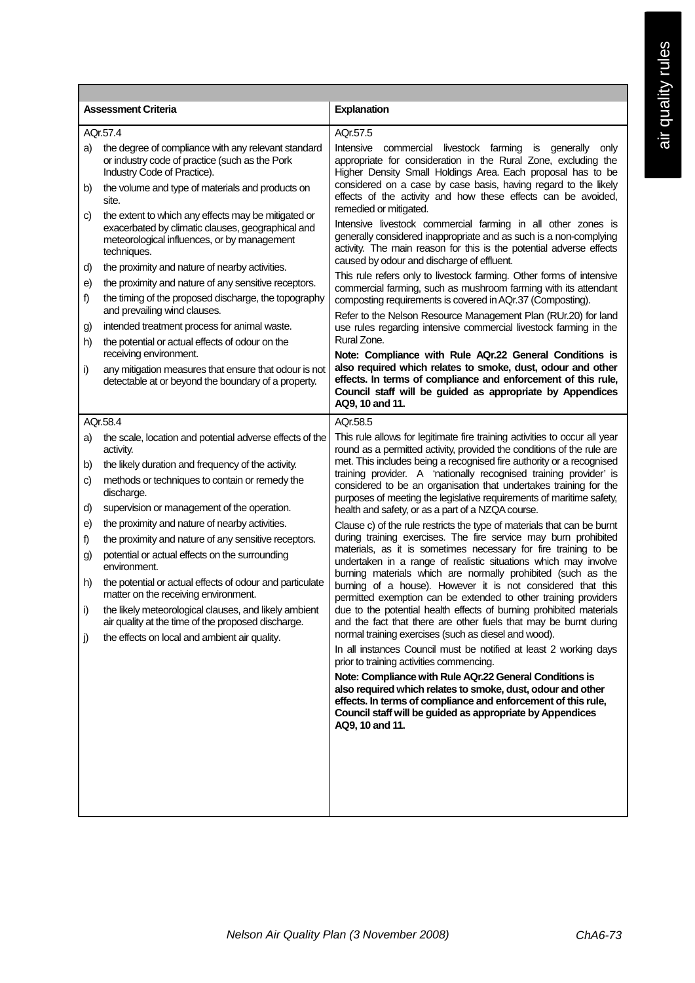| <b>Assessment Criteria</b><br>AQr.57.4<br>AQr.57.5<br>the degree of compliance with any relevant standard<br>Intensive<br>commercial livestock farming<br>is<br>a)<br>or industry code of practice (such as the Pork<br>Industry Code of Practice).<br>the volume and type of materials and products on<br>b)<br>site.<br>remedied or mitigated.<br>the extent to which any effects may be mitigated or<br>C)<br>exacerbated by climatic clauses, geographical and<br>meteorological influences, or by management<br>techniques.<br>caused by odour and discharge of effluent.<br>the proximity and nature of nearby activities.<br>d)<br>This rule refers only to livestock farming. Other forms of intensive<br>the proximity and nature of any sensitive receptors.<br>e)<br>f)<br>the timing of the proposed discharge, the topography<br>and prevailing wind clauses.<br>intended treatment process for animal waste.<br>g)<br>Rural Zone.<br>the potential or actual effects of odour on the<br>h)<br>receiving environment.<br>Note: Compliance with Rule AQr.22 General Conditions is<br>i)<br>any mitigation measures that ensure that odour is not<br>detectable at or beyond the boundary of a property.<br>AQ9, 10 and 11.<br>AQr.58.5<br>AQr.58.4<br>the scale, location and potential adverse effects of the<br>a)<br>activity.<br>the likely duration and frequency of the activity.<br>b)<br>methods or techniques to contain or remedy the<br>C)<br>discharge.<br>supervision or management of the operation.<br>d)<br>health and safety, or as a part of a NZQA course.<br>the proximity and nature of nearby activities.<br>e)<br>the proximity and nature of any sensitive receptors.<br>f)<br>potential or actual effects on the surrounding<br>g)<br>environment.<br>the potential or actual effects of odour and particulate<br>h)<br>matter on the receiving environment.<br>i)<br>the likely meteorological clauses, and likely ambient<br>air quality at the time of the proposed discharge.<br>normal training exercises (such as diesel and wood).<br>the effects on local and ambient air quality.<br>j)<br>prior to training activities commencing.<br>AQ9, 10 and 11. |  |  |                                                                                                                                                                                                                                                                                                                                                                                                                                                                                                                                                                                                                                                                                                                                                                                                                                                                                                                                                                                                                                                                                                                                                                                                                                                                                                                                                                                                              |
|------------------------------------------------------------------------------------------------------------------------------------------------------------------------------------------------------------------------------------------------------------------------------------------------------------------------------------------------------------------------------------------------------------------------------------------------------------------------------------------------------------------------------------------------------------------------------------------------------------------------------------------------------------------------------------------------------------------------------------------------------------------------------------------------------------------------------------------------------------------------------------------------------------------------------------------------------------------------------------------------------------------------------------------------------------------------------------------------------------------------------------------------------------------------------------------------------------------------------------------------------------------------------------------------------------------------------------------------------------------------------------------------------------------------------------------------------------------------------------------------------------------------------------------------------------------------------------------------------------------------------------------------------------------------------------------------------------------------------------------------------------------------------------------------------------------------------------------------------------------------------------------------------------------------------------------------------------------------------------------------------------------------------------------------------------------------------------------------------------------------------------------------------------------------------------------------------|--|--|--------------------------------------------------------------------------------------------------------------------------------------------------------------------------------------------------------------------------------------------------------------------------------------------------------------------------------------------------------------------------------------------------------------------------------------------------------------------------------------------------------------------------------------------------------------------------------------------------------------------------------------------------------------------------------------------------------------------------------------------------------------------------------------------------------------------------------------------------------------------------------------------------------------------------------------------------------------------------------------------------------------------------------------------------------------------------------------------------------------------------------------------------------------------------------------------------------------------------------------------------------------------------------------------------------------------------------------------------------------------------------------------------------------|
|                                                                                                                                                                                                                                                                                                                                                                                                                                                                                                                                                                                                                                                                                                                                                                                                                                                                                                                                                                                                                                                                                                                                                                                                                                                                                                                                                                                                                                                                                                                                                                                                                                                                                                                                                                                                                                                                                                                                                                                                                                                                                                                                                                                                      |  |  | Explanation                                                                                                                                                                                                                                                                                                                                                                                                                                                                                                                                                                                                                                                                                                                                                                                                                                                                                                                                                                                                                                                                                                                                                                                                                                                                                                                                                                                                  |
|                                                                                                                                                                                                                                                                                                                                                                                                                                                                                                                                                                                                                                                                                                                                                                                                                                                                                                                                                                                                                                                                                                                                                                                                                                                                                                                                                                                                                                                                                                                                                                                                                                                                                                                                                                                                                                                                                                                                                                                                                                                                                                                                                                                                      |  |  |                                                                                                                                                                                                                                                                                                                                                                                                                                                                                                                                                                                                                                                                                                                                                                                                                                                                                                                                                                                                                                                                                                                                                                                                                                                                                                                                                                                                              |
|                                                                                                                                                                                                                                                                                                                                                                                                                                                                                                                                                                                                                                                                                                                                                                                                                                                                                                                                                                                                                                                                                                                                                                                                                                                                                                                                                                                                                                                                                                                                                                                                                                                                                                                                                                                                                                                                                                                                                                                                                                                                                                                                                                                                      |  |  | generally<br>only<br>appropriate for consideration in the Rural Zone, excluding the<br>Higher Density Small Holdings Area. Each proposal has to be<br>considered on a case by case basis, having regard to the likely<br>effects of the activity and how these effects can be avoided,                                                                                                                                                                                                                                                                                                                                                                                                                                                                                                                                                                                                                                                                                                                                                                                                                                                                                                                                                                                                                                                                                                                       |
|                                                                                                                                                                                                                                                                                                                                                                                                                                                                                                                                                                                                                                                                                                                                                                                                                                                                                                                                                                                                                                                                                                                                                                                                                                                                                                                                                                                                                                                                                                                                                                                                                                                                                                                                                                                                                                                                                                                                                                                                                                                                                                                                                                                                      |  |  | Intensive livestock commercial farming in all other zones is<br>generally considered inappropriate and as such is a non-complying<br>activity. The main reason for this is the potential adverse effects                                                                                                                                                                                                                                                                                                                                                                                                                                                                                                                                                                                                                                                                                                                                                                                                                                                                                                                                                                                                                                                                                                                                                                                                     |
|                                                                                                                                                                                                                                                                                                                                                                                                                                                                                                                                                                                                                                                                                                                                                                                                                                                                                                                                                                                                                                                                                                                                                                                                                                                                                                                                                                                                                                                                                                                                                                                                                                                                                                                                                                                                                                                                                                                                                                                                                                                                                                                                                                                                      |  |  |                                                                                                                                                                                                                                                                                                                                                                                                                                                                                                                                                                                                                                                                                                                                                                                                                                                                                                                                                                                                                                                                                                                                                                                                                                                                                                                                                                                                              |
|                                                                                                                                                                                                                                                                                                                                                                                                                                                                                                                                                                                                                                                                                                                                                                                                                                                                                                                                                                                                                                                                                                                                                                                                                                                                                                                                                                                                                                                                                                                                                                                                                                                                                                                                                                                                                                                                                                                                                                                                                                                                                                                                                                                                      |  |  | commercial farming, such as mushroom farming with its attendant<br>composting requirements is covered in AQr.37 (Composting).                                                                                                                                                                                                                                                                                                                                                                                                                                                                                                                                                                                                                                                                                                                                                                                                                                                                                                                                                                                                                                                                                                                                                                                                                                                                                |
|                                                                                                                                                                                                                                                                                                                                                                                                                                                                                                                                                                                                                                                                                                                                                                                                                                                                                                                                                                                                                                                                                                                                                                                                                                                                                                                                                                                                                                                                                                                                                                                                                                                                                                                                                                                                                                                                                                                                                                                                                                                                                                                                                                                                      |  |  | Refer to the Nelson Resource Management Plan (RUr.20) for land<br>use rules regarding intensive commercial livestock farming in the                                                                                                                                                                                                                                                                                                                                                                                                                                                                                                                                                                                                                                                                                                                                                                                                                                                                                                                                                                                                                                                                                                                                                                                                                                                                          |
|                                                                                                                                                                                                                                                                                                                                                                                                                                                                                                                                                                                                                                                                                                                                                                                                                                                                                                                                                                                                                                                                                                                                                                                                                                                                                                                                                                                                                                                                                                                                                                                                                                                                                                                                                                                                                                                                                                                                                                                                                                                                                                                                                                                                      |  |  |                                                                                                                                                                                                                                                                                                                                                                                                                                                                                                                                                                                                                                                                                                                                                                                                                                                                                                                                                                                                                                                                                                                                                                                                                                                                                                                                                                                                              |
|                                                                                                                                                                                                                                                                                                                                                                                                                                                                                                                                                                                                                                                                                                                                                                                                                                                                                                                                                                                                                                                                                                                                                                                                                                                                                                                                                                                                                                                                                                                                                                                                                                                                                                                                                                                                                                                                                                                                                                                                                                                                                                                                                                                                      |  |  | also required which relates to smoke, dust, odour and other<br>effects. In terms of compliance and enforcement of this rule,<br>Council staff will be guided as appropriate by Appendices                                                                                                                                                                                                                                                                                                                                                                                                                                                                                                                                                                                                                                                                                                                                                                                                                                                                                                                                                                                                                                                                                                                                                                                                                    |
|                                                                                                                                                                                                                                                                                                                                                                                                                                                                                                                                                                                                                                                                                                                                                                                                                                                                                                                                                                                                                                                                                                                                                                                                                                                                                                                                                                                                                                                                                                                                                                                                                                                                                                                                                                                                                                                                                                                                                                                                                                                                                                                                                                                                      |  |  |                                                                                                                                                                                                                                                                                                                                                                                                                                                                                                                                                                                                                                                                                                                                                                                                                                                                                                                                                                                                                                                                                                                                                                                                                                                                                                                                                                                                              |
|                                                                                                                                                                                                                                                                                                                                                                                                                                                                                                                                                                                                                                                                                                                                                                                                                                                                                                                                                                                                                                                                                                                                                                                                                                                                                                                                                                                                                                                                                                                                                                                                                                                                                                                                                                                                                                                                                                                                                                                                                                                                                                                                                                                                      |  |  | This rule allows for legitimate fire training activities to occur all year<br>round as a permitted activity, provided the conditions of the rule are<br>met. This includes being a recognised fire authority or a recognised<br>training provider. A 'nationally recognised training provider' is<br>considered to be an organisation that undertakes training for the<br>purposes of meeting the legislative requirements of maritime safety,<br>Clause c) of the rule restricts the type of materials that can be burnt<br>during training exercises. The fire service may burn prohibited<br>materials, as it is sometimes necessary for fire training to be<br>undertaken in a range of realistic situations which may involve<br>burning materials which are normally prohibited (such as the<br>burning of a house). However it is not considered that this<br>permitted exemption can be extended to other training providers<br>due to the potential health effects of burning prohibited materials<br>and the fact that there are other fuels that may be burnt during<br>In all instances Council must be notified at least 2 working days<br>Note: Compliance with Rule AQr.22 General Conditions is<br>also required which relates to smoke, dust, odour and other<br>effects. In terms of compliance and enforcement of this rule,<br>Council staff will be guided as appropriate by Appendices |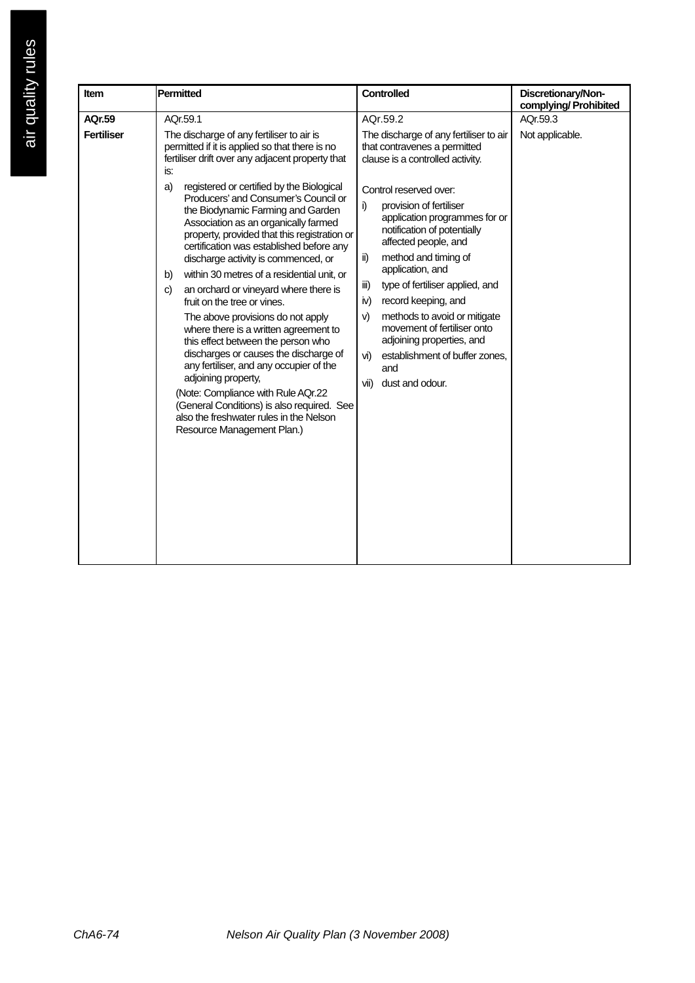| Item                               | <b>Permitted</b>                                                                                                                                                                                                                                                                                                                                                                                                                                                                                                                                                                                                                                                                                                                                                             | <b>Controlled</b>                                                                                                                                                                                                                                                                                                                                                                                                                                                                                                                                | Discretionary/Non-                                   |
|------------------------------------|------------------------------------------------------------------------------------------------------------------------------------------------------------------------------------------------------------------------------------------------------------------------------------------------------------------------------------------------------------------------------------------------------------------------------------------------------------------------------------------------------------------------------------------------------------------------------------------------------------------------------------------------------------------------------------------------------------------------------------------------------------------------------|--------------------------------------------------------------------------------------------------------------------------------------------------------------------------------------------------------------------------------------------------------------------------------------------------------------------------------------------------------------------------------------------------------------------------------------------------------------------------------------------------------------------------------------------------|------------------------------------------------------|
| <b>AQr.59</b><br><b>Fertiliser</b> | AQr.59.1<br>The discharge of any fertiliser to air is<br>permitted if it is applied so that there is no<br>fertiliser drift over any adjacent property that<br>is:<br>registered or certified by the Biological<br>a)<br>Producers' and Consumer's Council or<br>the Biodynamic Farming and Garden<br>Association as an organically farmed<br>property, provided that this registration or<br>certification was established before any<br>discharge activity is commenced, or<br>within 30 metres of a residential unit, or<br>b)<br>an orchard or vineyard where there is<br>C)<br>fruit on the tree or vines.<br>The above provisions do not apply<br>where there is a written agreement to<br>this effect between the person who<br>discharges or causes the discharge of | AQr.59.2<br>The discharge of any fertiliser to air<br>that contravenes a permitted<br>clause is a controlled activity.<br>Control reserved over:<br>provision of fertiliser<br>i)<br>application programmes for or<br>notification of potentially<br>affected people, and<br>method and timing of<br>ii)<br>application, and<br>type of fertiliser applied, and<br>iii)<br>iv)<br>record keeping, and<br>methods to avoid or mitigate<br>V)<br>movement of fertiliser onto<br>adjoining properties, and<br>establishment of buffer zones,<br>vi) | complying/ Prohibited<br>AQr.59.3<br>Not applicable. |
|                                    | any fertiliser, and any occupier of the<br>adjoining property,<br>(Note: Compliance with Rule AQr.22<br>(General Conditions) is also required. See<br>also the freshwater rules in the Nelson<br>Resource Management Plan.)                                                                                                                                                                                                                                                                                                                                                                                                                                                                                                                                                  | and<br>dust and odour.<br>vii)                                                                                                                                                                                                                                                                                                                                                                                                                                                                                                                   |                                                      |